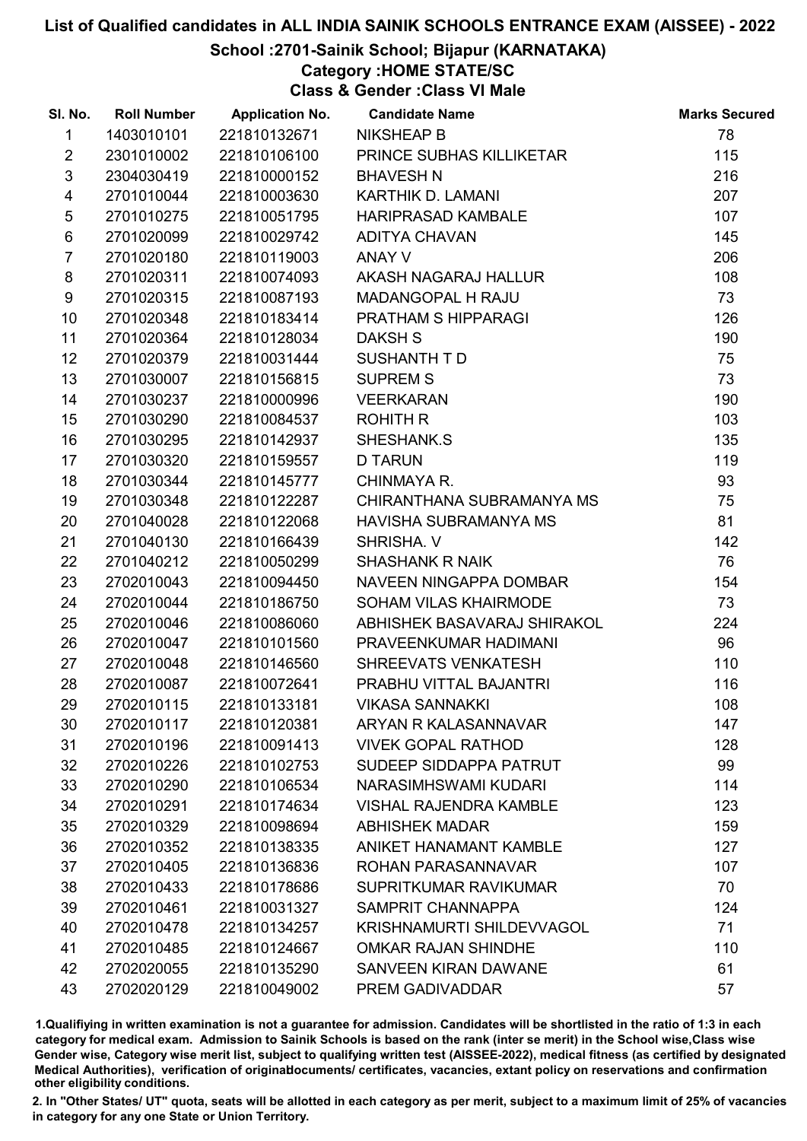## School :2701-Sainik School; Bijapur (KARNATAKA)

# Category :HOME STATE/SC

Class & Gender :Class VI Male

| SI. No.                 | <b>Roll Number</b> | <b>Application No.</b> | <b>Candidate Name</b>            | <b>Marks Secured</b> |
|-------------------------|--------------------|------------------------|----------------------------------|----------------------|
| 1                       | 1403010101         | 221810132671           | <b>NIKSHEAP B</b>                | 78                   |
| $\overline{2}$          | 2301010002         | 221810106100           | PRINCE SUBHAS KILLIKETAR         | 115                  |
| $\mathfrak{S}$          | 2304030419         | 221810000152           | <b>BHAVESH N</b>                 | 216                  |
| $\overline{\mathbf{4}}$ | 2701010044         | 221810003630           | KARTHIK D. LAMANI                | 207                  |
| $\sqrt{5}$              | 2701010275         | 221810051795           | <b>HARIPRASAD KAMBALE</b>        | 107                  |
| 6                       | 2701020099         | 221810029742           | <b>ADITYA CHAVAN</b>             | 145                  |
| $\overline{7}$          | 2701020180         | 221810119003           | ANAY V                           | 206                  |
| 8                       | 2701020311         | 221810074093           | AKASH NAGARAJ HALLUR             | 108                  |
| 9                       | 2701020315         | 221810087193           | MADANGOPAL H RAJU                | 73                   |
| 10                      | 2701020348         | 221810183414           | PRATHAM S HIPPARAGI              | 126                  |
| 11                      | 2701020364         | 221810128034           | <b>DAKSH S</b>                   | 190                  |
| 12                      | 2701020379         | 221810031444           | SUSHANTH TD                      | 75                   |
| 13                      | 2701030007         | 221810156815           | <b>SUPREM S</b>                  | 73                   |
| 14                      | 2701030237         | 221810000996           | <b>VEERKARAN</b>                 | 190                  |
| 15                      | 2701030290         | 221810084537           | <b>ROHITH R</b>                  | 103                  |
| 16                      | 2701030295         | 221810142937           | SHESHANK.S                       | 135                  |
| 17                      | 2701030320         | 221810159557           | <b>D TARUN</b>                   | 119                  |
| 18                      | 2701030344         | 221810145777           | CHINMAYA R.                      | 93                   |
| 19                      | 2701030348         | 221810122287           | CHIRANTHANA SUBRAMANYA MS        | 75                   |
| 20                      | 2701040028         | 221810122068           | <b>HAVISHA SUBRAMANYA MS</b>     | 81                   |
| 21                      | 2701040130         | 221810166439           | SHRISHA. V                       | 142                  |
| 22                      | 2701040212         | 221810050299           | <b>SHASHANK R NAIK</b>           | 76                   |
| 23                      | 2702010043         | 221810094450           | NAVEEN NINGAPPA DOMBAR           | 154                  |
| 24                      | 2702010044         | 221810186750           | SOHAM VILAS KHAIRMODE            | 73                   |
| 25                      | 2702010046         | 221810086060           | ABHISHEK BASAVARAJ SHIRAKOL      | 224                  |
| 26                      | 2702010047         | 221810101560           | PRAVEENKUMAR HADIMANI            | 96                   |
| 27                      | 2702010048         | 221810146560           | SHREEVATS VENKATESH              | 110                  |
| 28                      | 2702010087         | 221810072641           | PRABHU VITTAL BAJANTRI           | 116                  |
| 29                      | 2702010115         | 221810133181           | <b>VIKASA SANNAKKI</b>           | 108                  |
| 30                      | 2702010117         | 221810120381           | ARYAN R KALASANNAVAR             | 147                  |
| 31                      | 2702010196         | 221810091413           | <b>VIVEK GOPAL RATHOD</b>        | 128                  |
| 32                      | 2702010226         | 221810102753           | SUDEEP SIDDAPPA PATRUT           | 99                   |
| 33                      | 2702010290         | 221810106534           | NARASIMHSWAMI KUDARI             | 114                  |
| 34                      | 2702010291         | 221810174634           | <b>VISHAL RAJENDRA KAMBLE</b>    | 123                  |
| 35                      | 2702010329         | 221810098694           | <b>ABHISHEK MADAR</b>            | 159                  |
| 36                      | 2702010352         | 221810138335           | <b>ANIKET HANAMANT KAMBLE</b>    | 127                  |
| 37                      | 2702010405         | 221810136836           | ROHAN PARASANNAVAR               | 107                  |
| 38                      | 2702010433         | 221810178686           | SUPRITKUMAR RAVIKUMAR            | 70                   |
| 39                      | 2702010461         | 221810031327           | SAMPRIT CHANNAPPA                | 124                  |
| 40                      | 2702010478         | 221810134257           | <b>KRISHNAMURTI SHILDEVVAGOL</b> | 71                   |
| 41                      | 2702010485         | 221810124667           | OMKAR RAJAN SHINDHE              | 110                  |
| 42                      | 2702020055         | 221810135290           | SANVEEN KIRAN DAWANE             | 61                   |
| 43                      | 2702020129         | 221810049002           | PREM GADIVADDAR                  | 57                   |

1.Qualifiying in written examination is not a guarantee for admission. Candidates will be shortlisted in the ratio of 1:3 in each category for medical exam. Admission to Sainik Schools is based on the rank (inter se merit) in the School wise,Class wise Gender wise, Category wise merit list, subject to qualifying written test (AISSEE-2022), medical fitness (as certified by designated Medical Authorities), verification of originablocuments/ certificates, vacancies, extant policy on reservations and confirmation other eligibility conditions.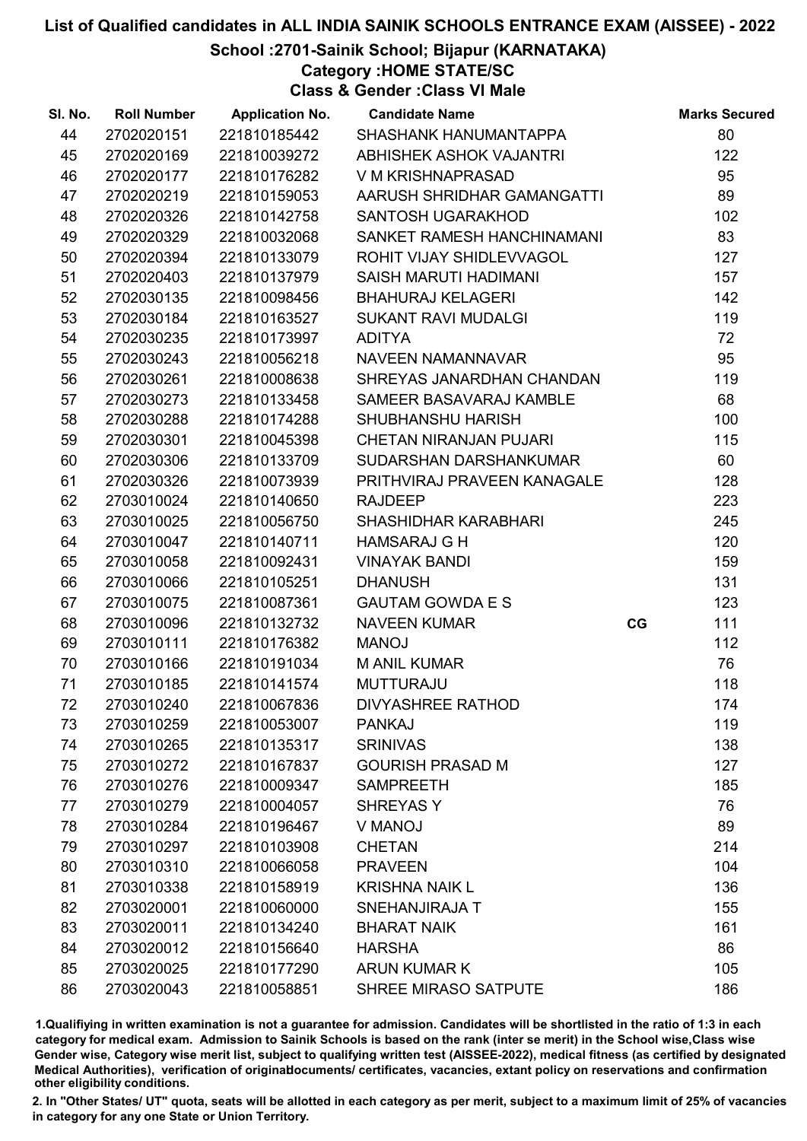## List of Qualified candidates in ALL INDIA SAINIK SCHOOLS ENTRANCE EXAM (AISSEE) - 2022 School :2701-Sainik School; Bijapur (KARNATAKA)

Category :HOME STATE/SC

Class & Gender :Class VI Male

| SI. No. | <b>Roll Number</b> | <b>Application No.</b> | <b>Candidate Name</b>         |    | <b>Marks Secured</b> |
|---------|--------------------|------------------------|-------------------------------|----|----------------------|
| 44      | 2702020151         | 221810185442           | SHASHANK HANUMANTAPPA         |    | 80                   |
| 45      | 2702020169         | 221810039272           | ABHISHEK ASHOK VAJANTRI       |    | 122                  |
| 46      | 2702020177         | 221810176282           | V M KRISHNAPRASAD             |    | 95                   |
| 47      | 2702020219         | 221810159053           | AARUSH SHRIDHAR GAMANGATTI    |    | 89                   |
| 48      | 2702020326         | 221810142758           | SANTOSH UGARAKHOD             |    | 102                  |
| 49      | 2702020329         | 221810032068           | SANKET RAMESH HANCHINAMANI    |    | 83                   |
| 50      | 2702020394         | 221810133079           | ROHIT VIJAY SHIDLEVVAGOL      |    | 127                  |
| 51      | 2702020403         | 221810137979           | SAISH MARUTI HADIMANI         |    | 157                  |
| 52      | 2702030135         | 221810098456           | <b>BHAHURAJ KELAGERI</b>      |    | 142                  |
| 53      | 2702030184         | 221810163527           | <b>SUKANT RAVI MUDALGI</b>    |    | 119                  |
| 54      | 2702030235         | 221810173997           | <b>ADITYA</b>                 |    | 72                   |
| 55      | 2702030243         | 221810056218           | <b>NAVEEN NAMANNAVAR</b>      |    | 95                   |
| 56      | 2702030261         | 221810008638           | SHREYAS JANARDHAN CHANDAN     |    | 119                  |
| 57      | 2702030273         | 221810133458           | SAMEER BASAVARAJ KAMBLE       |    | 68                   |
| 58      | 2702030288         | 221810174288           | <b>SHUBHANSHU HARISH</b>      |    | 100                  |
| 59      | 2702030301         | 221810045398           | <b>CHETAN NIRANJAN PUJARI</b> |    | 115                  |
| 60      | 2702030306         | 221810133709           | SUDARSHAN DARSHANKUMAR        |    | 60                   |
| 61      | 2702030326         | 221810073939           | PRITHVIRAJ PRAVEEN KANAGALE   |    | 128                  |
| 62      | 2703010024         | 221810140650           | <b>RAJDEEP</b>                |    | 223                  |
| 63      | 2703010025         | 221810056750           | SHASHIDHAR KARABHARI          |    | 245                  |
| 64      | 2703010047         | 221810140711           | <b>HAMSARAJ G H</b>           |    | 120                  |
| 65      | 2703010058         | 221810092431           | <b>VINAYAK BANDI</b>          |    | 159                  |
| 66      | 2703010066         | 221810105251           | <b>DHANUSH</b>                |    | 131                  |
| 67      | 2703010075         | 221810087361           | <b>GAUTAM GOWDA E S</b>       |    | 123                  |
| 68      | 2703010096         | 221810132732           | <b>NAVEEN KUMAR</b>           | CG | 111                  |
| 69      | 2703010111         | 221810176382           | <b>MANOJ</b>                  |    | 112                  |
| 70      | 2703010166         | 221810191034           | <b>M ANIL KUMAR</b>           |    | 76                   |
| 71      | 2703010185         | 221810141574           | <b>MUTTURAJU</b>              |    | 118                  |
| 72      | 2703010240         | 221810067836           | <b>DIVYASHREE RATHOD</b>      |    | 174                  |
| 73      | 2703010259         | 221810053007           | <b>PANKAJ</b>                 |    | 119                  |
| 74      | 2703010265         | 221810135317           | <b>SRINIVAS</b>               |    | 138                  |
| 75      | 2703010272         | 221810167837           | <b>GOURISH PRASAD M</b>       |    | 127                  |
| 76      | 2703010276         | 221810009347           | <b>SAMPREETH</b>              |    | 185                  |
| 77      | 2703010279         | 221810004057           | <b>SHREYAS Y</b>              |    | 76                   |
| 78      | 2703010284         | 221810196467           | V MANOJ                       |    | 89                   |
| 79      | 2703010297         | 221810103908           | <b>CHETAN</b>                 |    | 214                  |
| 80      | 2703010310         | 221810066058           | <b>PRAVEEN</b>                |    | 104                  |
| 81      | 2703010338         | 221810158919           | <b>KRISHNA NAIK L</b>         |    | 136                  |
| 82      | 2703020001         | 221810060000           | SNEHANJIRAJA T                |    | 155                  |
| 83      | 2703020011         | 221810134240           | <b>BHARAT NAIK</b>            |    | 161                  |
| 84      | 2703020012         | 221810156640           | <b>HARSHA</b>                 |    | 86                   |
| 85      | 2703020025         | 221810177290           | <b>ARUN KUMAR K</b>           |    | 105                  |
| 86      | 2703020043         | 221810058851           | SHREE MIRASO SATPUTE          |    | 186                  |

1.Qualifiying in written examination is not a guarantee for admission. Candidates will be shortlisted in the ratio of 1:3 in each category for medical exam. Admission to Sainik Schools is based on the rank (inter se merit) in the School wise,Class wise Gender wise, Category wise merit list, subject to qualifying written test (AISSEE-2022), medical fitness (as certified by designated Medical Authorities), verification of originablocuments/ certificates, vacancies, extant policy on reservations and confirmation other eligibility conditions.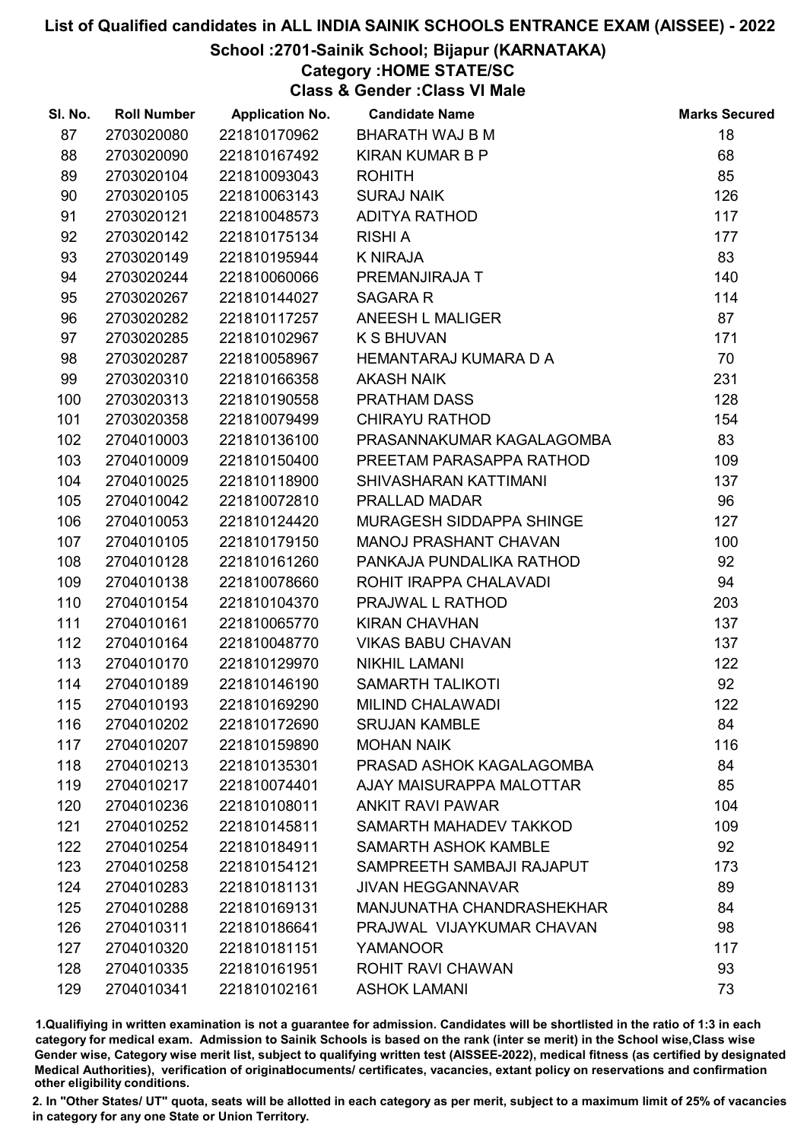## School :2701-Sainik School; Bijapur (KARNATAKA)

# Category :HOME STATE/SC

Class & Gender :Class VI Male

| SI. No. | <b>Roll Number</b> | <b>Application No.</b> | <b>Candidate Name</b>     | <b>Marks Secured</b> |
|---------|--------------------|------------------------|---------------------------|----------------------|
| 87      | 2703020080         | 221810170962           | <b>BHARATH WAJ B M</b>    | 18                   |
| 88      | 2703020090         | 221810167492           | <b>KIRAN KUMAR B P</b>    | 68                   |
| 89      | 2703020104         | 221810093043           | <b>ROHITH</b>             | 85                   |
| 90      | 2703020105         | 221810063143           | <b>SURAJ NAIK</b>         | 126                  |
| 91      | 2703020121         | 221810048573           | ADITYA RATHOD             | 117                  |
| 92      | 2703020142         | 221810175134           | <b>RISHI A</b>            | 177                  |
| 93      | 2703020149         | 221810195944           | <b>K NIRAJA</b>           | 83                   |
| 94      | 2703020244         | 221810060066           | PREMANJIRAJA T            | 140                  |
| 95      | 2703020267         | 221810144027           | <b>SAGARA R</b>           | 114                  |
| 96      | 2703020282         | 221810117257           | ANEESH L MALIGER          | 87                   |
| 97      | 2703020285         | 221810102967           | <b>K S BHUVAN</b>         | 171                  |
| 98      | 2703020287         | 221810058967           | HEMANTARAJ KUMARA D A     | 70                   |
| 99      | 2703020310         | 221810166358           | <b>AKASH NAIK</b>         | 231                  |
| 100     | 2703020313         | 221810190558           | <b>PRATHAM DASS</b>       | 128                  |
| 101     | 2703020358         | 221810079499           | <b>CHIRAYU RATHOD</b>     | 154                  |
| 102     | 2704010003         | 221810136100           | PRASANNAKUMAR KAGALAGOMBA | 83                   |
| 103     | 2704010009         | 221810150400           | PREETAM PARASAPPA RATHOD  | 109                  |
| 104     | 2704010025         | 221810118900           | SHIVASHARAN KATTIMANI     | 137                  |
| 105     | 2704010042         | 221810072810           | PRALLAD MADAR             | 96                   |
| 106     | 2704010053         | 221810124420           | MURAGESH SIDDAPPA SHINGE  | 127                  |
| 107     | 2704010105         | 221810179150           | MANOJ PRASHANT CHAVAN     | 100                  |
| 108     | 2704010128         | 221810161260           | PANKAJA PUNDALIKA RATHOD  | 92                   |
| 109     | 2704010138         | 221810078660           | ROHIT IRAPPA CHALAVADI    | 94                   |
| 110     | 2704010154         | 221810104370           | PRAJWAL L RATHOD          | 203                  |
| 111     | 2704010161         | 221810065770           | <b>KIRAN CHAVHAN</b>      | 137                  |
| 112     | 2704010164         | 221810048770           | <b>VIKAS BABU CHAVAN</b>  | 137                  |
| 113     | 2704010170         | 221810129970           | <b>NIKHIL LAMANI</b>      | 122                  |
| 114     | 2704010189         | 221810146190           | <b>SAMARTH TALIKOTI</b>   | 92                   |
| 115     | 2704010193         | 221810169290           | <b>MILIND CHALAWADI</b>   | 122                  |
| 116     | 2704010202         | 221810172690           | <b>SRUJAN KAMBLE</b>      | 84                   |
| 117     | 2704010207         | 221810159890           | <b>MOHAN NAIK</b>         | 116                  |
| 118     | 2704010213         | 221810135301           | PRASAD ASHOK KAGALAGOMBA  | 84                   |
| 119     | 2704010217         | 221810074401           | AJAY MAISURAPPA MALOTTAR  | 85                   |
| 120     | 2704010236         | 221810108011           | <b>ANKIT RAVI PAWAR</b>   | 104                  |
| 121     | 2704010252         | 221810145811           | SAMARTH MAHADEV TAKKOD    | 109                  |
| 122     | 2704010254         | 221810184911           | SAMARTH ASHOK KAMBLE      | 92                   |
| 123     | 2704010258         | 221810154121           | SAMPREETH SAMBAJI RAJAPUT | 173                  |
| 124     | 2704010283         | 221810181131           | <b>JIVAN HEGGANNAVAR</b>  | 89                   |
| 125     | 2704010288         | 221810169131           | MANJUNATHA CHANDRASHEKHAR | 84                   |
| 126     | 2704010311         | 221810186641           | PRAJWAL VIJAYKUMAR CHAVAN | 98                   |
| 127     | 2704010320         | 221810181151           | <b>YAMANOOR</b>           | 117                  |
| 128     | 2704010335         | 221810161951           | <b>ROHIT RAVI CHAWAN</b>  | 93                   |
| 129     | 2704010341         | 221810102161           | <b>ASHOK LAMANI</b>       | 73                   |

1.Qualifiying in written examination is not a guarantee for admission. Candidates will be shortlisted in the ratio of 1:3 in each category for medical exam. Admission to Sainik Schools is based on the rank (inter se merit) in the School wise,Class wise Gender wise, Category wise merit list, subject to qualifying written test (AISSEE-2022), medical fitness (as certified by designated Medical Authorities), verification of originablocuments/ certificates, vacancies, extant policy on reservations and confirmation other eligibility conditions.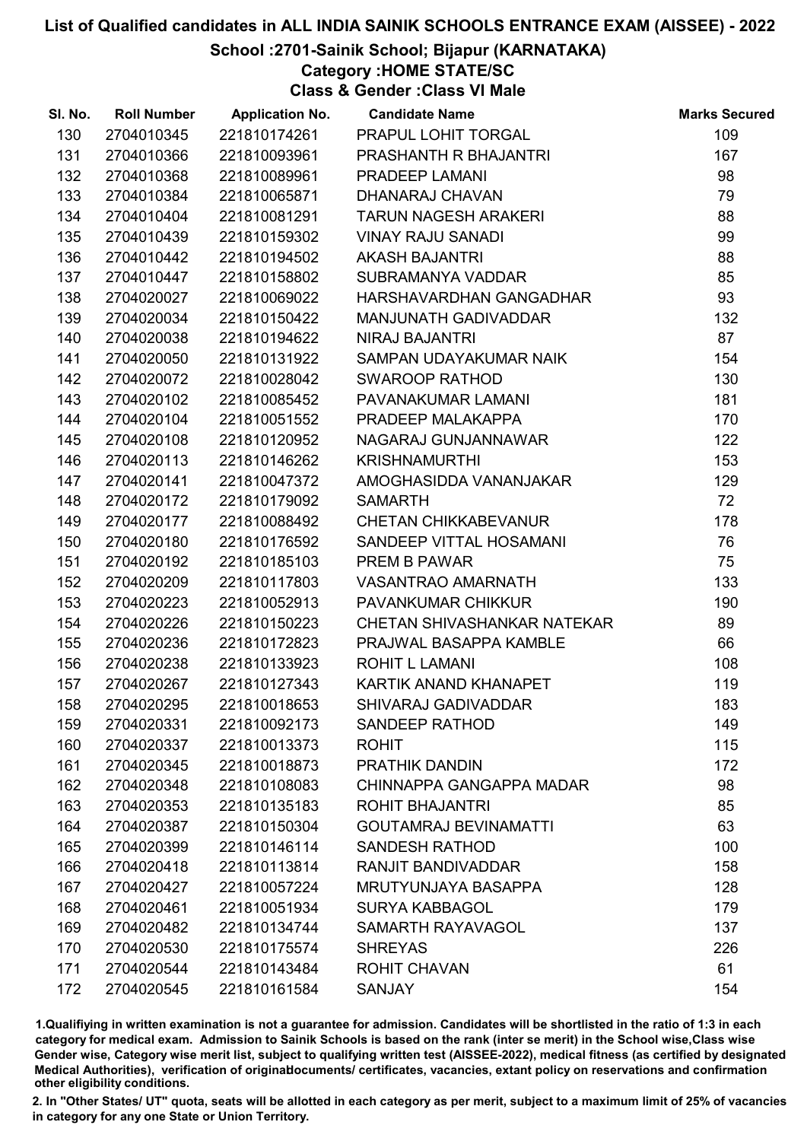## School :2701-Sainik School; Bijapur (KARNATAKA)

Category :HOME STATE/SC

Class & Gender :Class VI Male

| SI. No. | <b>Roll Number</b> | <b>Application No.</b> | <b>Candidate Name</b>        | <b>Marks Secured</b> |
|---------|--------------------|------------------------|------------------------------|----------------------|
| 130     | 2704010345         | 221810174261           | PRAPUL LOHIT TORGAL          | 109                  |
| 131     | 2704010366         | 221810093961           | PRASHANTH R BHAJANTRI        | 167                  |
| 132     | 2704010368         | 221810089961           | PRADEEP LAMANI               | 98                   |
| 133     | 2704010384         | 221810065871           | DHANARAJ CHAVAN              | 79                   |
| 134     | 2704010404         | 221810081291           | <b>TARUN NAGESH ARAKERI</b>  | 88                   |
| 135     | 2704010439         | 221810159302           | <b>VINAY RAJU SANADI</b>     | 99                   |
| 136     | 2704010442         | 221810194502           | <b>AKASH BAJANTRI</b>        | 88                   |
| 137     | 2704010447         | 221810158802           | SUBRAMANYA VADDAR            | 85                   |
| 138     | 2704020027         | 221810069022           | HARSHAVARDHAN GANGADHAR      | 93                   |
| 139     | 2704020034         | 221810150422           | <b>MANJUNATH GADIVADDAR</b>  | 132                  |
| 140     | 2704020038         | 221810194622           | NIRAJ BAJANTRI               | 87                   |
| 141     | 2704020050         | 221810131922           | SAMPAN UDAYAKUMAR NAIK       | 154                  |
| 142     | 2704020072         | 221810028042           | <b>SWAROOP RATHOD</b>        | 130                  |
| 143     | 2704020102         | 221810085452           | PAVANAKUMAR LAMANI           | 181                  |
| 144     | 2704020104         | 221810051552           | PRADEEP MALAKAPPA            | 170                  |
| 145     | 2704020108         | 221810120952           | NAGARAJ GUNJANNAWAR          | 122                  |
| 146     | 2704020113         | 221810146262           | <b>KRISHNAMURTHI</b>         | 153                  |
| 147     | 2704020141         | 221810047372           | AMOGHASIDDA VANANJAKAR       | 129                  |
| 148     | 2704020172         | 221810179092           | <b>SAMARTH</b>               | 72                   |
| 149     | 2704020177         | 221810088492           | <b>CHETAN CHIKKABEVANUR</b>  | 178                  |
| 150     | 2704020180         | 221810176592           | SANDEEP VITTAL HOSAMANI      | 76                   |
| 151     | 2704020192         | 221810185103           | PREM B PAWAR                 | 75                   |
| 152     | 2704020209         | 221810117803           | VASANTRAO AMARNATH           | 133                  |
| 153     | 2704020223         | 221810052913           | <b>PAVANKUMAR CHIKKUR</b>    | 190                  |
| 154     | 2704020226         | 221810150223           | CHETAN SHIVASHANKAR NATEKAR  | 89                   |
| 155     | 2704020236         | 221810172823           | PRAJWAL BASAPPA KAMBLE       | 66                   |
| 156     | 2704020238         | 221810133923           | ROHIT L LAMANI               | 108                  |
| 157     | 2704020267         | 221810127343           | KARTIK ANAND KHANAPET        | 119                  |
| 158     | 2704020295         | 221810018653           | <b>SHIVARAJ GADIVADDAR</b>   | 183                  |
| 159     | 2704020331         | 221810092173           | <b>SANDEEP RATHOD</b>        | 149                  |
| 160     | 2704020337         | 221810013373           | <b>ROHIT</b>                 | 115                  |
| 161     | 2704020345         | 221810018873           | PRATHIK DANDIN               | 172                  |
| 162     | 2704020348         | 221810108083           | CHINNAPPA GANGAPPA MADAR     | 98                   |
| 163     | 2704020353         | 221810135183           | <b>ROHIT BHAJANTRI</b>       | 85                   |
| 164     | 2704020387         | 221810150304           | <b>GOUTAMRAJ BEVINAMATTI</b> | 63                   |
| 165     | 2704020399         | 221810146114           | <b>SANDESH RATHOD</b>        | 100                  |
| 166     | 2704020418         | 221810113814           | RANJIT BANDIVADDAR           | 158                  |
| 167     | 2704020427         | 221810057224           | <b>MRUTYUNJAYA BASAPPA</b>   | 128                  |
| 168     | 2704020461         | 221810051934           | <b>SURYA KABBAGOL</b>        | 179                  |
| 169     | 2704020482         | 221810134744           | SAMARTH RAYAVAGOL            | 137                  |
| 170     | 2704020530         | 221810175574           | <b>SHREYAS</b>               | 226                  |
| 171     | 2704020544         | 221810143484           | <b>ROHIT CHAVAN</b>          | 61                   |
| 172     | 2704020545         | 221810161584           | <b>SANJAY</b>                | 154                  |

1.Qualifiying in written examination is not a guarantee for admission. Candidates will be shortlisted in the ratio of 1:3 in each category for medical exam. Admission to Sainik Schools is based on the rank (inter se merit) in the School wise,Class wise Gender wise, Category wise merit list, subject to qualifying written test (AISSEE-2022), medical fitness (as certified by designated Medical Authorities), verification of originablocuments/ certificates, vacancies, extant policy on reservations and confirmation other eligibility conditions.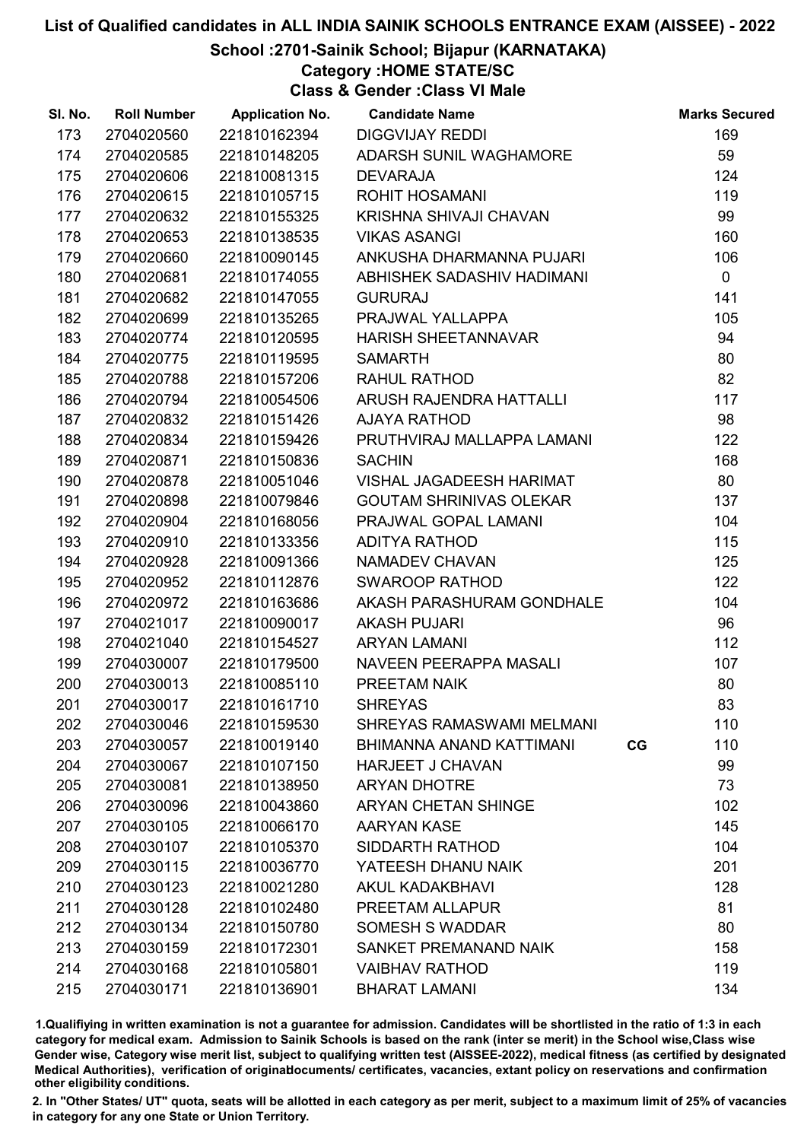## School :2701-Sainik School; Bijapur (KARNATAKA)

# Category :HOME STATE/SC

Class & Gender :Class VI Male

| SI. No. | <b>Roll Number</b> | <b>Application No.</b> | <b>Candidate Name</b>            |    | <b>Marks Secured</b> |
|---------|--------------------|------------------------|----------------------------------|----|----------------------|
| 173     | 2704020560         | 221810162394           | <b>DIGGVIJAY REDDI</b>           |    | 169                  |
| 174     | 2704020585         | 221810148205           | ADARSH SUNIL WAGHAMORE           |    | 59                   |
| 175     | 2704020606         | 221810081315           | <b>DEVARAJA</b>                  |    | 124                  |
| 176     | 2704020615         | 221810105715           | <b>ROHIT HOSAMANI</b>            |    | 119                  |
| 177     | 2704020632         | 221810155325           | KRISHNA SHIVAJI CHAVAN           |    | 99                   |
| 178     | 2704020653         | 221810138535           | <b>VIKAS ASANGI</b>              |    | 160                  |
| 179     | 2704020660         | 221810090145           | ANKUSHA DHARMANNA PUJARI         |    | 106                  |
| 180     | 2704020681         | 221810174055           | ABHISHEK SADASHIV HADIMANI       |    | $\mathbf 0$          |
| 181     | 2704020682         | 221810147055           | <b>GURURAJ</b>                   |    | 141                  |
| 182     | 2704020699         | 221810135265           | PRAJWAL YALLAPPA                 |    | 105                  |
| 183     | 2704020774         | 221810120595           | <b>HARISH SHEETANNAVAR</b>       |    | 94                   |
| 184     | 2704020775         | 221810119595           | <b>SAMARTH</b>                   |    | 80                   |
| 185     | 2704020788         | 221810157206           | RAHUL RATHOD                     |    | 82                   |
| 186     | 2704020794         | 221810054506           | ARUSH RAJENDRA HATTALLI          |    | 117                  |
| 187     | 2704020832         | 221810151426           | <b>AJAYA RATHOD</b>              |    | 98                   |
| 188     | 2704020834         | 221810159426           | PRUTHVIRAJ MALLAPPA LAMANI       |    | 122                  |
| 189     | 2704020871         | 221810150836           | <b>SACHIN</b>                    |    | 168                  |
| 190     | 2704020878         | 221810051046           | <b>VISHAL JAGADEESH HARIMAT</b>  |    | 80                   |
| 191     | 2704020898         | 221810079846           | <b>GOUTAM SHRINIVAS OLEKAR</b>   |    | 137                  |
| 192     | 2704020904         | 221810168056           | PRAJWAL GOPAL LAMANI             |    | 104                  |
| 193     | 2704020910         | 221810133356           | ADITYA RATHOD                    |    | 115                  |
| 194     | 2704020928         | 221810091366           | NAMADEV CHAVAN                   |    | 125                  |
| 195     | 2704020952         | 221810112876           | <b>SWAROOP RATHOD</b>            |    | 122                  |
| 196     | 2704020972         | 221810163686           | AKASH PARASHURAM GONDHALE        |    | 104                  |
| 197     | 2704021017         | 221810090017           | <b>AKASH PUJARI</b>              |    | 96                   |
| 198     | 2704021040         | 221810154527           | <b>ARYAN LAMANI</b>              |    | 112                  |
| 199     | 2704030007         | 221810179500           | NAVEEN PEERAPPA MASALI           |    | 107                  |
| 200     | 2704030013         | 221810085110           | PREETAM NAIK                     |    | 80                   |
| 201     | 2704030017         | 221810161710           | <b>SHREYAS</b>                   |    | 83                   |
| 202     | 2704030046         | 221810159530           | <b>SHREYAS RAMASWAMI MELMANI</b> |    | 110                  |
| 203     | 2704030057         | 221810019140           | BHIMANNA ANAND KATTIMANI         | CG | 110                  |
| 204     | 2704030067         | 221810107150           | <b>HARJEET J CHAVAN</b>          |    | 99                   |
| 205     | 2704030081         | 221810138950           | <b>ARYAN DHOTRE</b>              |    | 73                   |
| 206     | 2704030096         | 221810043860           | <b>ARYAN CHETAN SHINGE</b>       |    | 102                  |
| 207     | 2704030105         | 221810066170           | <b>AARYAN KASE</b>               |    | 145                  |
| 208     | 2704030107         | 221810105370           | SIDDARTH RATHOD                  |    | 104                  |
| 209     | 2704030115         | 221810036770           | YATEESH DHANU NAIK               |    | 201                  |
| 210     | 2704030123         | 221810021280           | <b>AKUL KADAKBHAVI</b>           |    | 128                  |
| 211     | 2704030128         | 221810102480           | PREETAM ALLAPUR                  |    | 81                   |
| 212     | 2704030134         | 221810150780           | <b>SOMESH S WADDAR</b>           |    | 80                   |
| 213     | 2704030159         | 221810172301           | SANKET PREMANAND NAIK            |    | 158                  |
| 214     | 2704030168         | 221810105801           | <b>VAIBHAV RATHOD</b>            |    | 119                  |
| 215     | 2704030171         | 221810136901           | <b>BHARAT LAMANI</b>             |    | 134                  |

1.Qualifiying in written examination is not a guarantee for admission. Candidates will be shortlisted in the ratio of 1:3 in each category for medical exam. Admission to Sainik Schools is based on the rank (inter se merit) in the School wise,Class wise Gender wise, Category wise merit list, subject to qualifying written test (AISSEE-2022), medical fitness (as certified by designated Medical Authorities), verification of originablocuments/ certificates, vacancies, extant policy on reservations and confirmation other eligibility conditions.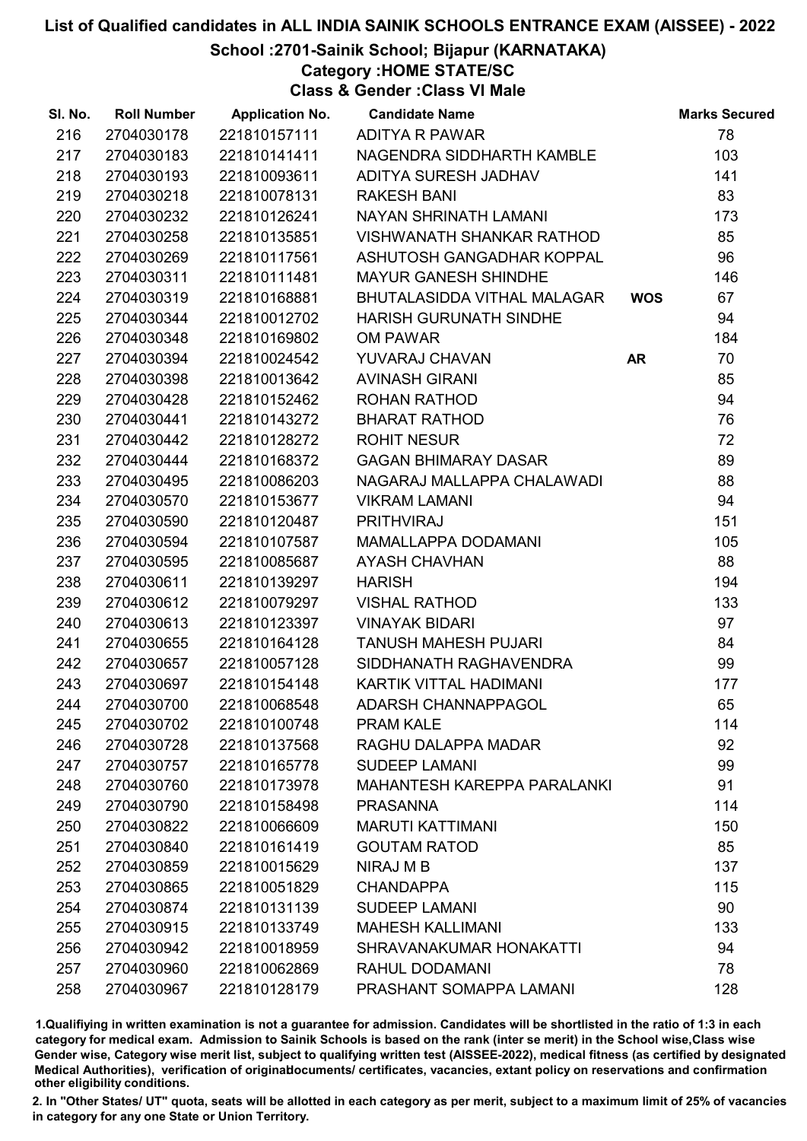## School :2701-Sainik School; Bijapur (KARNATAKA)

Category :HOME STATE/SC

Class & Gender :Class VI Male

| SI. No. | <b>Roll Number</b> | <b>Application No.</b> | <b>Candidate Name</b>              |            | <b>Marks Secured</b> |
|---------|--------------------|------------------------|------------------------------------|------------|----------------------|
| 216     | 2704030178         | 221810157111           | <b>ADITYA R PAWAR</b>              |            | 78                   |
| 217     | 2704030183         | 221810141411           | NAGENDRA SIDDHARTH KAMBLE          |            | 103                  |
| 218     | 2704030193         | 221810093611           | ADITYA SURESH JADHAV               |            | 141                  |
| 219     | 2704030218         | 221810078131           | <b>RAKESH BANI</b>                 |            | 83                   |
| 220     | 2704030232         | 221810126241           | NAYAN SHRINATH LAMANI              |            | 173                  |
| 221     | 2704030258         | 221810135851           | VISHWANATH SHANKAR RATHOD          |            | 85                   |
| 222     | 2704030269         | 221810117561           | ASHUTOSH GANGADHAR KOPPAL          |            | 96                   |
| 223     | 2704030311         | 221810111481           | <b>MAYUR GANESH SHINDHE</b>        |            | 146                  |
| 224     | 2704030319         | 221810168881           | BHUTALASIDDA VITHAL MALAGAR        | <b>WOS</b> | 67                   |
| 225     | 2704030344         | 221810012702           | HARISH GURUNATH SINDHE             |            | 94                   |
| 226     | 2704030348         | 221810169802           | OM PAWAR                           |            | 184                  |
| 227     | 2704030394         | 221810024542           | YUVARAJ CHAVAN                     | <b>AR</b>  | 70                   |
| 228     | 2704030398         | 221810013642           | <b>AVINASH GIRANI</b>              |            | 85                   |
| 229     | 2704030428         | 221810152462           | ROHAN RATHOD                       |            | 94                   |
| 230     | 2704030441         | 221810143272           | <b>BHARAT RATHOD</b>               |            | 76                   |
| 231     | 2704030442         | 221810128272           | <b>ROHIT NESUR</b>                 |            | 72                   |
| 232     | 2704030444         | 221810168372           | <b>GAGAN BHIMARAY DASAR</b>        |            | 89                   |
| 233     | 2704030495         | 221810086203           | NAGARAJ MALLAPPA CHALAWADI         |            | 88                   |
| 234     | 2704030570         | 221810153677           | <b>VIKRAM LAMANI</b>               |            | 94                   |
| 235     | 2704030590         | 221810120487           | <b>PRITHVIRAJ</b>                  |            | 151                  |
| 236     | 2704030594         | 221810107587           | MAMALLAPPA DODAMANI                |            | 105                  |
| 237     | 2704030595         | 221810085687           | <b>AYASH CHAVHAN</b>               |            | 88                   |
| 238     | 2704030611         | 221810139297           | <b>HARISH</b>                      |            | 194                  |
| 239     | 2704030612         | 221810079297           | <b>VISHAL RATHOD</b>               |            | 133                  |
| 240     | 2704030613         | 221810123397           | <b>VINAYAK BIDARI</b>              |            | 97                   |
| 241     | 2704030655         | 221810164128           | <b>TANUSH MAHESH PUJARI</b>        |            | 84                   |
| 242     | 2704030657         | 221810057128           | SIDDHANATH RAGHAVENDRA             |            | 99                   |
| 243     | 2704030697         | 221810154148           | KARTIK VITTAL HADIMANI             |            | 177                  |
| 244     | 2704030700         | 221810068548           | <b>ADARSH CHANNAPPAGOL</b>         |            | 65                   |
| 245     | 2704030702         | 221810100748           | <b>PRAM KALE</b>                   |            | 114                  |
| 246     | 2704030728         | 221810137568           | RAGHU DALAPPA MADAR                |            | 92                   |
| 247     | 2704030757         | 221810165778           | <b>SUDEEP LAMANI</b>               |            | 99                   |
| 248     | 2704030760         | 221810173978           | <b>MAHANTESH KAREPPA PARALANKI</b> |            | 91                   |
| 249     | 2704030790         | 221810158498           | <b>PRASANNA</b>                    |            | 114                  |
| 250     | 2704030822         | 221810066609           | <b>MARUTI KATTIMANI</b>            |            | 150                  |
| 251     | 2704030840         | 221810161419           | <b>GOUTAM RATOD</b>                |            | 85                   |
| 252     | 2704030859         | 221810015629           | NIRAJ M B                          |            | 137                  |
| 253     | 2704030865         | 221810051829           | <b>CHANDAPPA</b>                   |            | 115                  |
| 254     | 2704030874         | 221810131139           | <b>SUDEEP LAMANI</b>               |            | 90                   |
| 255     | 2704030915         | 221810133749           | <b>MAHESH KALLIMANI</b>            |            | 133                  |
| 256     | 2704030942         | 221810018959           | SHRAVANAKUMAR HONAKATTI            |            | 94                   |
| 257     | 2704030960         | 221810062869           | RAHUL DODAMANI                     |            | 78                   |
| 258     | 2704030967         | 221810128179           | PRASHANT SOMAPPA LAMANI            |            | 128                  |

1.Qualifiying in written examination is not a guarantee for admission. Candidates will be shortlisted in the ratio of 1:3 in each category for medical exam. Admission to Sainik Schools is based on the rank (inter se merit) in the School wise,Class wise Gender wise, Category wise merit list, subject to qualifying written test (AISSEE-2022), medical fitness (as certified by designated Medical Authorities), verification of originablocuments/ certificates, vacancies, extant policy on reservations and confirmation other eligibility conditions.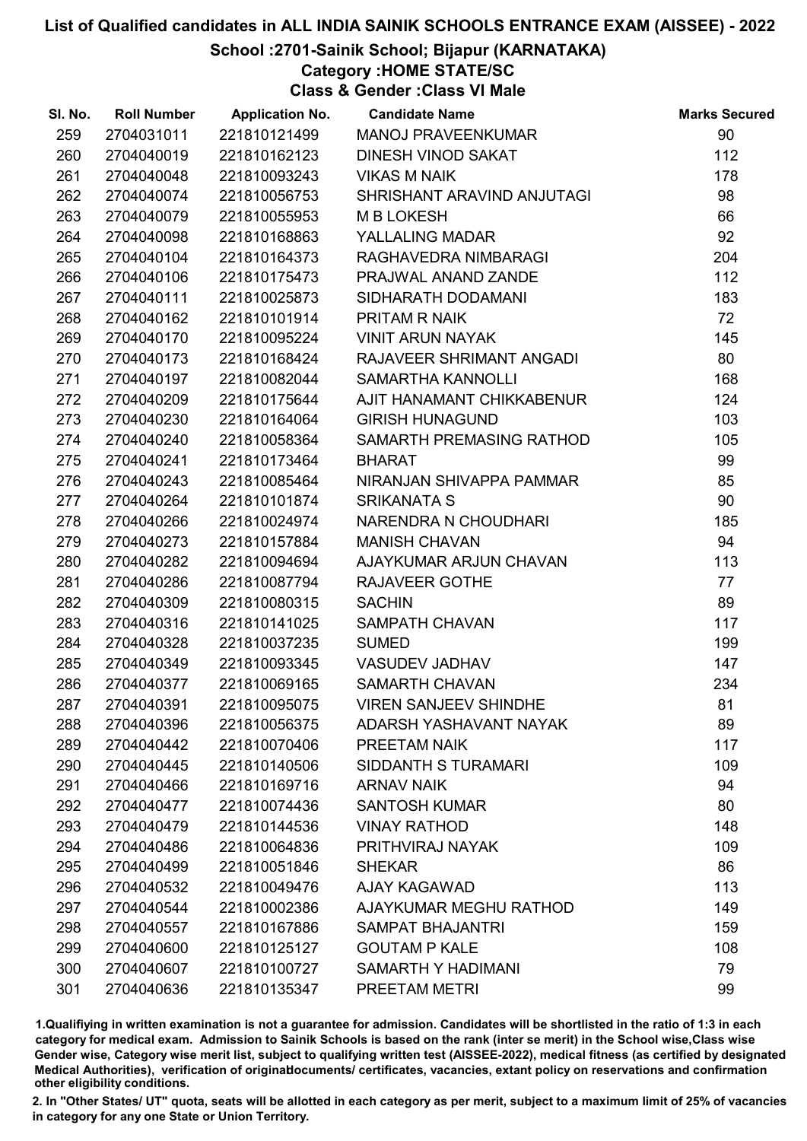## School :2701-Sainik School; Bijapur (KARNATAKA)

# Category :HOME STATE/SC

Class & Gender :Class VI Male

| SI. No. | <b>Roll Number</b> | <b>Application No.</b> | <b>Candidate Name</b>        | <b>Marks Secured</b> |
|---------|--------------------|------------------------|------------------------------|----------------------|
| 259     | 2704031011         | 221810121499           | <b>MANOJ PRAVEENKUMAR</b>    | 90                   |
| 260     | 2704040019         | 221810162123           | DINESH VINOD SAKAT           | 112                  |
| 261     | 2704040048         | 221810093243           | <b>VIKAS M NAIK</b>          | 178                  |
| 262     | 2704040074         | 221810056753           | SHRISHANT ARAVIND ANJUTAGI   | 98                   |
| 263     | 2704040079         | 221810055953           | <b>MBLOKESH</b>              | 66                   |
| 264     | 2704040098         | 221810168863           | YALLALING MADAR              | 92                   |
| 265     | 2704040104         | 221810164373           | RAGHAVEDRA NIMBARAGI         | 204                  |
| 266     | 2704040106         | 221810175473           | PRAJWAL ANAND ZANDE          | 112                  |
| 267     | 2704040111         | 221810025873           | SIDHARATH DODAMANI           | 183                  |
| 268     | 2704040162         | 221810101914           | PRITAM R NAIK                | 72                   |
| 269     | 2704040170         | 221810095224           | <b>VINIT ARUN NAYAK</b>      | 145                  |
| 270     | 2704040173         | 221810168424           | RAJAVEER SHRIMANT ANGADI     | 80                   |
| 271     | 2704040197         | 221810082044           | SAMARTHA KANNOLLI            | 168                  |
| 272     | 2704040209         | 221810175644           | AJIT HANAMANT CHIKKABENUR    | 124                  |
| 273     | 2704040230         | 221810164064           | <b>GIRISH HUNAGUND</b>       | 103                  |
| 274     | 2704040240         | 221810058364           | SAMARTH PREMASING RATHOD     | 105                  |
| 275     | 2704040241         | 221810173464           | <b>BHARAT</b>                | 99                   |
| 276     | 2704040243         | 221810085464           | NIRANJAN SHIVAPPA PAMMAR     | 85                   |
| 277     | 2704040264         | 221810101874           | <b>SRIKANATA S</b>           | 90                   |
| 278     | 2704040266         | 221810024974           | NARENDRA N CHOUDHARI         | 185                  |
| 279     | 2704040273         | 221810157884           | <b>MANISH CHAVAN</b>         | 94                   |
| 280     | 2704040282         | 221810094694           | AJAYKUMAR ARJUN CHAVAN       | 113                  |
| 281     | 2704040286         | 221810087794           | <b>RAJAVEER GOTHE</b>        | 77                   |
| 282     | 2704040309         | 221810080315           | <b>SACHIN</b>                | 89                   |
| 283     | 2704040316         | 221810141025           | <b>SAMPATH CHAVAN</b>        | 117                  |
| 284     | 2704040328         | 221810037235           | <b>SUMED</b>                 | 199                  |
| 285     | 2704040349         | 221810093345           | <b>VASUDEV JADHAV</b>        | 147                  |
| 286     | 2704040377         | 221810069165           | SAMARTH CHAVAN               | 234                  |
| 287     | 2704040391         | 221810095075           | <b>VIREN SANJEEV SHINDHE</b> | 81                   |
| 288     | 2704040396         | 221810056375           | ADARSH YASHAVANT NAYAK       | 89                   |
| 289     | 2704040442         | 221810070406           | PREETAM NAIK                 | 117                  |
| 290     | 2704040445         | 221810140506           | SIDDANTH S TURAMARI          | 109                  |
| 291     | 2704040466         | 221810169716           | <b>ARNAV NAIK</b>            | 94                   |
| 292     | 2704040477         | 221810074436           | <b>SANTOSH KUMAR</b>         | 80                   |
| 293     | 2704040479         | 221810144536           | <b>VINAY RATHOD</b>          | 148                  |
| 294     | 2704040486         | 221810064836           | PRITHVIRAJ NAYAK             | 109                  |
| 295     | 2704040499         | 221810051846           | <b>SHEKAR</b>                | 86                   |
| 296     | 2704040532         | 221810049476           | AJAY KAGAWAD                 | 113                  |
| 297     | 2704040544         | 221810002386           | AJAYKUMAR MEGHU RATHOD       | 149                  |
| 298     | 2704040557         | 221810167886           | <b>SAMPAT BHAJANTRI</b>      | 159                  |
| 299     | 2704040600         | 221810125127           | <b>GOUTAM P KALE</b>         | 108                  |
| 300     | 2704040607         | 221810100727           | SAMARTH Y HADIMANI           | 79                   |
| 301     | 2704040636         | 221810135347           | PREETAM METRI                | 99                   |

1.Qualifiying in written examination is not a guarantee for admission. Candidates will be shortlisted in the ratio of 1:3 in each category for medical exam. Admission to Sainik Schools is based on the rank (inter se merit) in the School wise,Class wise Gender wise, Category wise merit list, subject to qualifying written test (AISSEE-2022), medical fitness (as certified by designated Medical Authorities), verification of originablocuments/ certificates, vacancies, extant policy on reservations and confirmation other eligibility conditions.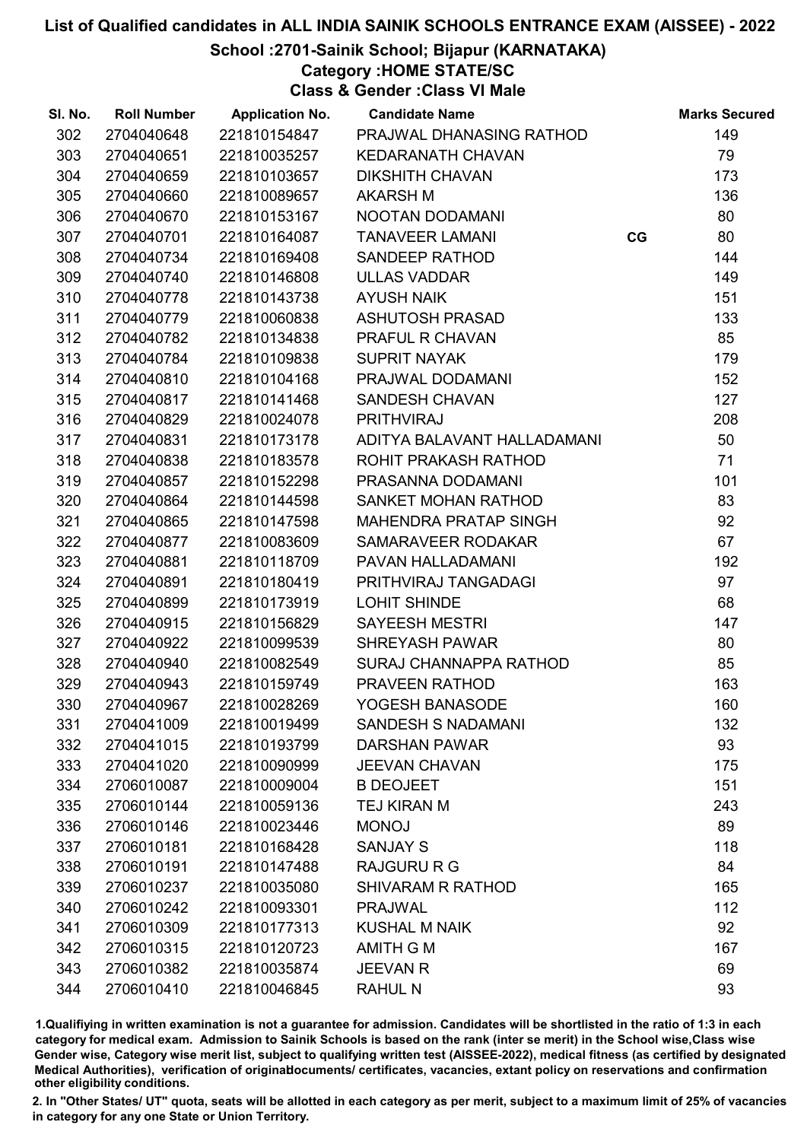## School :2701-Sainik School; Bijapur (KARNATAKA)

Category :HOME STATE/SC

Class & Gender :Class VI Male

| SI. No. | <b>Roll Number</b> | <b>Application No.</b> | <b>Candidate Name</b>       |    | <b>Marks Secured</b> |
|---------|--------------------|------------------------|-----------------------------|----|----------------------|
| 302     | 2704040648         | 221810154847           | PRAJWAL DHANASING RATHOD    |    | 149                  |
| 303     | 2704040651         | 221810035257           | <b>KEDARANATH CHAVAN</b>    |    | 79                   |
| 304     | 2704040659         | 221810103657           | <b>DIKSHITH CHAVAN</b>      |    | 173                  |
| 305     | 2704040660         | 221810089657           | <b>AKARSH M</b>             |    | 136                  |
| 306     | 2704040670         | 221810153167           | NOOTAN DODAMANI             |    | 80                   |
| 307     | 2704040701         | 221810164087           | <b>TANAVEER LAMANI</b>      | CG | 80                   |
| 308     | 2704040734         | 221810169408           | SANDEEP RATHOD              |    | 144                  |
| 309     | 2704040740         | 221810146808           | <b>ULLAS VADDAR</b>         |    | 149                  |
| 310     | 2704040778         | 221810143738           | <b>AYUSH NAIK</b>           |    | 151                  |
| 311     | 2704040779         | 221810060838           | <b>ASHUTOSH PRASAD</b>      |    | 133                  |
| 312     | 2704040782         | 221810134838           | PRAFUL R CHAVAN             |    | 85                   |
| 313     | 2704040784         | 221810109838           | <b>SUPRIT NAYAK</b>         |    | 179                  |
| 314     | 2704040810         | 221810104168           | PRAJWAL DODAMANI            |    | 152                  |
| 315     | 2704040817         | 221810141468           | SANDESH CHAVAN              |    | 127                  |
| 316     | 2704040829         | 221810024078           | <b>PRITHVIRAJ</b>           |    | 208                  |
| 317     | 2704040831         | 221810173178           | ADITYA BALAVANT HALLADAMANI |    | 50                   |
| 318     | 2704040838         | 221810183578           | ROHIT PRAKASH RATHOD        |    | 71                   |
| 319     | 2704040857         | 221810152298           | PRASANNA DODAMANI           |    | 101                  |
| 320     | 2704040864         | 221810144598           | SANKET MOHAN RATHOD         |    | 83                   |
| 321     | 2704040865         | 221810147598           | MAHENDRA PRATAP SINGH       |    | 92                   |
| 322     | 2704040877         | 221810083609           | SAMARAVEER RODAKAR          |    | 67                   |
| 323     | 2704040881         | 221810118709           | PAVAN HALLADAMANI           |    | 192                  |
| 324     | 2704040891         | 221810180419           | PRITHVIRAJ TANGADAGI        |    | 97                   |
| 325     | 2704040899         | 221810173919           | <b>LOHIT SHINDE</b>         |    | 68                   |
| 326     | 2704040915         | 221810156829           | <b>SAYEESH MESTRI</b>       |    | 147                  |
| 327     | 2704040922         | 221810099539           | <b>SHREYASH PAWAR</b>       |    | 80                   |
| 328     | 2704040940         | 221810082549           | SURAJ CHANNAPPA RATHOD      |    | 85                   |
| 329     | 2704040943         | 221810159749           | PRAVEEN RATHOD              |    | 163                  |
| 330     | 2704040967         | 221810028269           | YOGESH BANASODE             |    | 160                  |
| 331     | 2704041009         | 221810019499           | <b>SANDESH S NADAMANI</b>   |    | 132                  |
| 332     | 2704041015         | 221810193799           | <b>DARSHAN PAWAR</b>        |    | 93                   |
| 333     | 2704041020         | 221810090999           | <b>JEEVAN CHAVAN</b>        |    | 175                  |
| 334     | 2706010087         | 221810009004           | <b>B DEOJEET</b>            |    | 151                  |
| 335     | 2706010144         | 221810059136           | TEJ KIRAN M                 |    | 243                  |
| 336     | 2706010146         | 221810023446           | <b>MONOJ</b>                |    | 89                   |
| 337     | 2706010181         | 221810168428           | <b>SANJAY S</b>             |    | 118                  |
| 338     | 2706010191         | 221810147488           | <b>RAJGURU R G</b>          |    | 84                   |
| 339     | 2706010237         | 221810035080           | <b>SHIVARAM R RATHOD</b>    |    | 165                  |
| 340     | 2706010242         | 221810093301           | <b>PRAJWAL</b>              |    | 112                  |
| 341     | 2706010309         | 221810177313           | <b>KUSHAL M NAIK</b>        |    | 92                   |
| 342     | 2706010315         | 221810120723           | <b>AMITH G M</b>            |    | 167                  |
| 343     | 2706010382         | 221810035874           | <b>JEEVAN R</b>             |    | 69                   |
| 344     | 2706010410         | 221810046845           | <b>RAHUL N</b>              |    | 93                   |

1.Qualifiying in written examination is not a guarantee for admission. Candidates will be shortlisted in the ratio of 1:3 in each category for medical exam. Admission to Sainik Schools is based on the rank (inter se merit) in the School wise,Class wise Gender wise, Category wise merit list, subject to qualifying written test (AISSEE-2022), medical fitness (as certified by designated Medical Authorities), verification of originablocuments/ certificates, vacancies, extant policy on reservations and confirmation other eligibility conditions.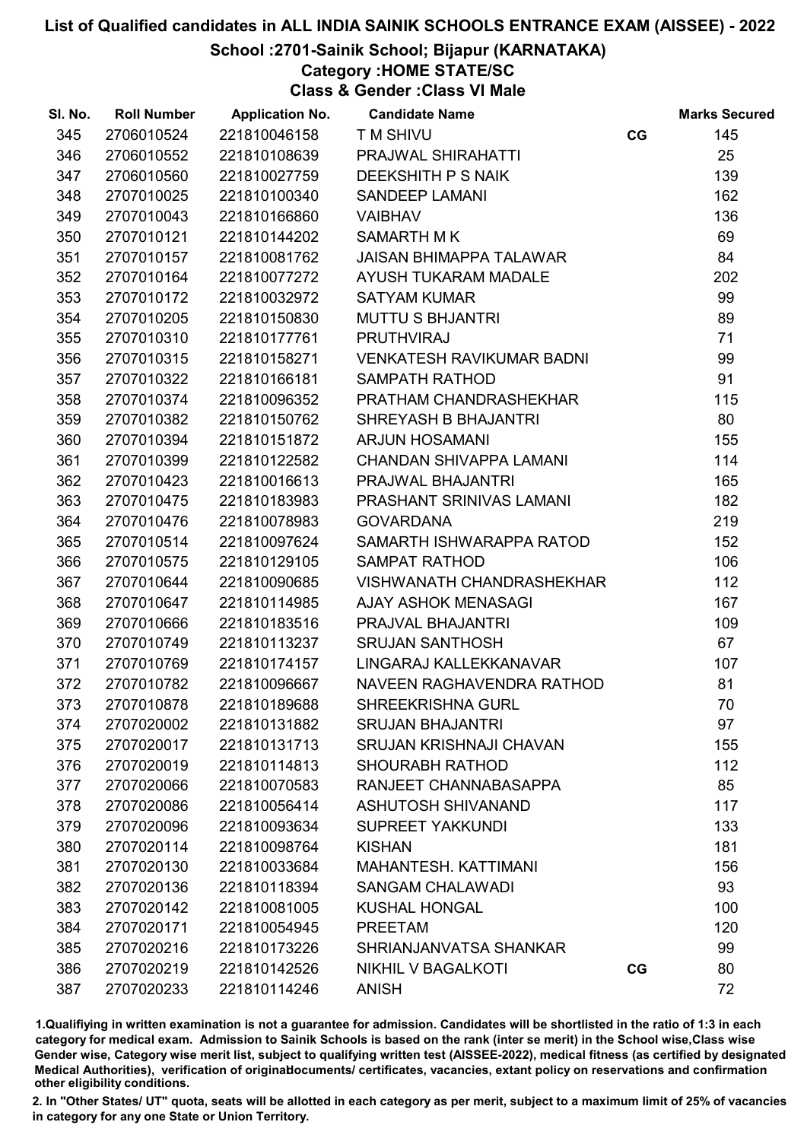## School :2701-Sainik School; Bijapur (KARNATAKA)

## Category :HOME STATE/SC

Class & Gender :Class VI Male

| SI. No. | <b>Roll Number</b> | <b>Application No.</b> | <b>Candidate Name</b>            |    | <b>Marks Secured</b> |
|---------|--------------------|------------------------|----------------------------------|----|----------------------|
| 345     | 2706010524         | 221810046158           | T M SHIVU                        | CG | 145                  |
| 346     | 2706010552         | 221810108639           | PRAJWAL SHIRAHATTI               |    | 25                   |
| 347     | 2706010560         | 221810027759           | <b>DEEKSHITH P S NAIK</b>        |    | 139                  |
| 348     | 2707010025         | 221810100340           | <b>SANDEEP LAMANI</b>            |    | 162                  |
| 349     | 2707010043         | 221810166860           | <b>VAIBHAV</b>                   |    | 136                  |
| 350     | 2707010121         | 221810144202           | <b>SAMARTH MK</b>                |    | 69                   |
| 351     | 2707010157         | 221810081762           | <b>JAISAN BHIMAPPA TALAWAR</b>   |    | 84                   |
| 352     | 2707010164         | 221810077272           | AYUSH TUKARAM MADALE             |    | 202                  |
| 353     | 2707010172         | 221810032972           | <b>SATYAM KUMAR</b>              |    | 99                   |
| 354     | 2707010205         | 221810150830           | <b>MUTTU S BHJANTRI</b>          |    | 89                   |
| 355     | 2707010310         | 221810177761           | <b>PRUTHVIRAJ</b>                |    | 71                   |
| 356     | 2707010315         | 221810158271           | <b>VENKATESH RAVIKUMAR BADNI</b> |    | 99                   |
| 357     | 2707010322         | 221810166181           | <b>SAMPATH RATHOD</b>            |    | 91                   |
| 358     | 2707010374         | 221810096352           | PRATHAM CHANDRASHEKHAR           |    | 115                  |
| 359     | 2707010382         | 221810150762           | SHREYASH B BHAJANTRI             |    | 80                   |
| 360     | 2707010394         | 221810151872           | <b>ARJUN HOSAMANI</b>            |    | 155                  |
| 361     | 2707010399         | 221810122582           | CHANDAN SHIVAPPA LAMANI          |    | 114                  |
| 362     | 2707010423         | 221810016613           | PRAJWAL BHAJANTRI                |    | 165                  |
| 363     | 2707010475         | 221810183983           | PRASHANT SRINIVAS LAMANI         |    | 182                  |
| 364     | 2707010476         | 221810078983           | <b>GOVARDANA</b>                 |    | 219                  |
| 365     | 2707010514         | 221810097624           | SAMARTH ISHWARAPPA RATOD         |    | 152                  |
| 366     | 2707010575         | 221810129105           | <b>SAMPAT RATHOD</b>             |    | 106                  |
| 367     | 2707010644         | 221810090685           | <b>VISHWANATH CHANDRASHEKHAR</b> |    | 112                  |
| 368     | 2707010647         | 221810114985           | <b>AJAY ASHOK MENASAGI</b>       |    | 167                  |
| 369     | 2707010666         | 221810183516           | PRAJVAL BHAJANTRI                |    | 109                  |
| 370     | 2707010749         | 221810113237           | <b>SRUJAN SANTHOSH</b>           |    | 67                   |
| 371     | 2707010769         | 221810174157           | LINGARAJ KALLEKKANAVAR           |    | 107                  |
| 372     | 2707010782         | 221810096667           | NAVEEN RAGHAVENDRA RATHOD        |    | 81                   |
| 373     | 2707010878         | 221810189688           | <b>SHREEKRISHNA GURL</b>         |    | 70                   |
| 374     | 2707020002         | 221810131882           | <b>SRUJAN BHAJANTRI</b>          |    | 97                   |
| 375     | 2707020017         | 221810131713           | <b>SRUJAN KRISHNAJI CHAVAN</b>   |    | 155                  |
| 376     | 2707020019         | 221810114813           | <b>SHOURABH RATHOD</b>           |    | 112                  |
| 377     | 2707020066         | 221810070583           | RANJEET CHANNABASAPPA            |    | 85                   |
| 378     | 2707020086         | 221810056414           | <b>ASHUTOSH SHIVANAND</b>        |    | 117                  |
| 379     | 2707020096         | 221810093634           | <b>SUPREET YAKKUNDI</b>          |    | 133                  |
| 380     | 2707020114         | 221810098764           | <b>KISHAN</b>                    |    | 181                  |
| 381     | 2707020130         | 221810033684           | MAHANTESH. KATTIMANI             |    | 156                  |
| 382     | 2707020136         | 221810118394           | <b>SANGAM CHALAWADI</b>          |    | 93                   |
| 383     | 2707020142         | 221810081005           | <b>KUSHAL HONGAL</b>             |    | 100                  |
| 384     | 2707020171         | 221810054945           | <b>PREETAM</b>                   |    | 120                  |
| 385     | 2707020216         | 221810173226           | SHRIANJANVATSA SHANKAR           |    | 99                   |
| 386     | 2707020219         | 221810142526           | <b>NIKHIL V BAGALKOTI</b>        | CG | 80                   |
| 387     | 2707020233         | 221810114246           | <b>ANISH</b>                     |    | 72                   |

1.Qualifiying in written examination is not a guarantee for admission. Candidates will be shortlisted in the ratio of 1:3 in each category for medical exam. Admission to Sainik Schools is based on the rank (inter se merit) in the School wise,Class wise Gender wise, Category wise merit list, subject to qualifying written test (AISSEE-2022), medical fitness (as certified by designated Medical Authorities), verification of originablocuments/ certificates, vacancies, extant policy on reservations and confirmation other eligibility conditions.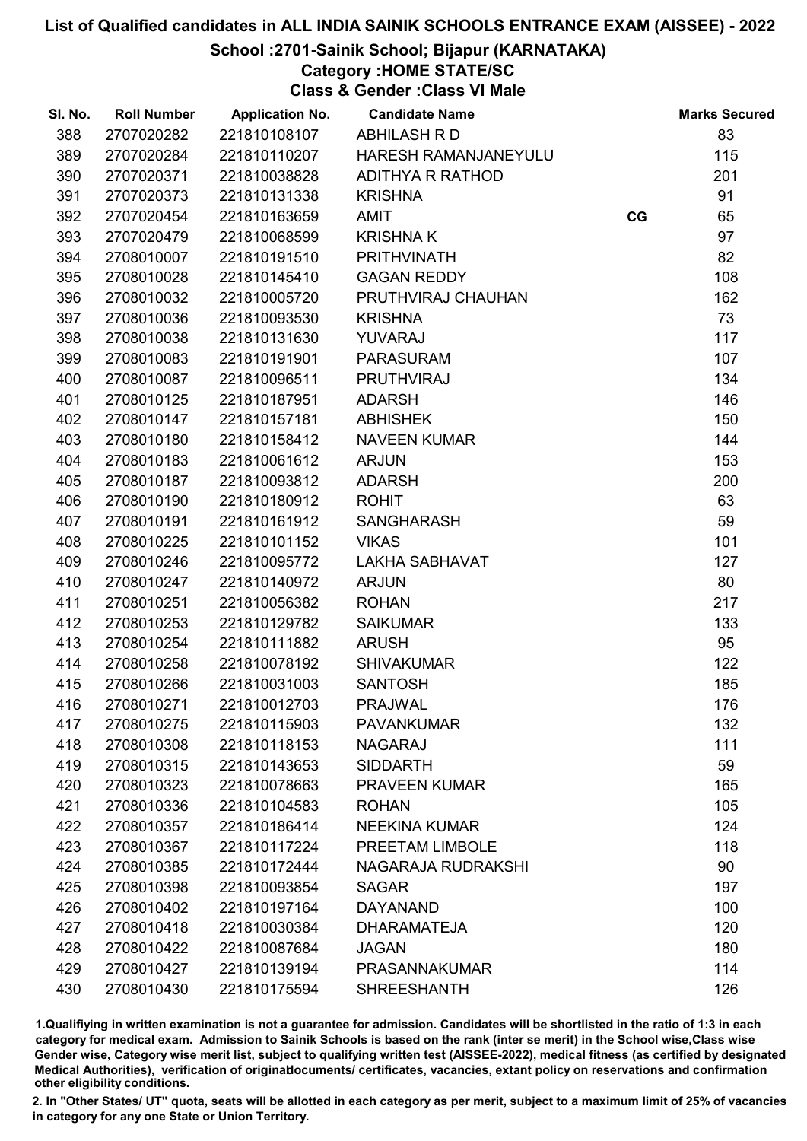## School :2701-Sainik School; Bijapur (KARNATAKA)

Category :HOME STATE/SC

Class & Gender :Class VI Male

| SI. No. | <b>Roll Number</b> | <b>Application No.</b> | <b>Candidate Name</b>   |    | <b>Marks Secured</b> |
|---------|--------------------|------------------------|-------------------------|----|----------------------|
| 388     | 2707020282         | 221810108107           | ABHILASH R D            |    | 83                   |
| 389     | 2707020284         | 221810110207           | HARESH RAMANJANEYULU    |    | 115                  |
| 390     | 2707020371         | 221810038828           | <b>ADITHYA R RATHOD</b> |    | 201                  |
| 391     | 2707020373         | 221810131338           | <b>KRISHNA</b>          |    | 91                   |
| 392     | 2707020454         | 221810163659           | <b>AMIT</b>             | CG | 65                   |
| 393     | 2707020479         | 221810068599           | <b>KRISHNAK</b>         |    | 97                   |
| 394     | 2708010007         | 221810191510           | <b>PRITHVINATH</b>      |    | 82                   |
| 395     | 2708010028         | 221810145410           | <b>GAGAN REDDY</b>      |    | 108                  |
| 396     | 2708010032         | 221810005720           | PRUTHVIRAJ CHAUHAN      |    | 162                  |
| 397     | 2708010036         | 221810093530           | <b>KRISHNA</b>          |    | 73                   |
| 398     | 2708010038         | 221810131630           | YUVARAJ                 |    | 117                  |
| 399     | 2708010083         | 221810191901           | <b>PARASURAM</b>        |    | 107                  |
| 400     | 2708010087         | 221810096511           | <b>PRUTHVIRAJ</b>       |    | 134                  |
| 401     | 2708010125         | 221810187951           | <b>ADARSH</b>           |    | 146                  |
| 402     | 2708010147         | 221810157181           | <b>ABHISHEK</b>         |    | 150                  |
| 403     | 2708010180         | 221810158412           | <b>NAVEEN KUMAR</b>     |    | 144                  |
| 404     | 2708010183         | 221810061612           | <b>ARJUN</b>            |    | 153                  |
| 405     | 2708010187         | 221810093812           | <b>ADARSH</b>           |    | 200                  |
| 406     | 2708010190         | 221810180912           | <b>ROHIT</b>            |    | 63                   |
| 407     | 2708010191         | 221810161912           | <b>SANGHARASH</b>       |    | 59                   |
| 408     | 2708010225         | 221810101152           | <b>VIKAS</b>            |    | 101                  |
| 409     | 2708010246         | 221810095772           | <b>LAKHA SABHAVAT</b>   |    | 127                  |
| 410     | 2708010247         | 221810140972           | <b>ARJUN</b>            |    | 80                   |
| 411     | 2708010251         | 221810056382           | <b>ROHAN</b>            |    | 217                  |
| 412     | 2708010253         | 221810129782           | <b>SAIKUMAR</b>         |    | 133                  |
| 413     | 2708010254         | 221810111882           | <b>ARUSH</b>            |    | 95                   |
| 414     | 2708010258         | 221810078192           | <b>SHIVAKUMAR</b>       |    | 122                  |
| 415     | 2708010266         | 221810031003           | <b>SANTOSH</b>          |    | 185                  |
| 416     | 2708010271         | 221810012703           | <b>PRAJWAL</b>          |    | 176                  |
| 417     | 2708010275         | 221810115903           | <b>PAVANKUMAR</b>       |    | 132                  |
| 418     | 2708010308         | 221810118153           | <b>NAGARAJ</b>          |    | 111                  |
| 419     | 2708010315         | 221810143653           | <b>SIDDARTH</b>         |    | 59                   |
| 420     | 2708010323         | 221810078663           | <b>PRAVEEN KUMAR</b>    |    | 165                  |
| 421     | 2708010336         | 221810104583           | <b>ROHAN</b>            |    | 105                  |
| 422     | 2708010357         | 221810186414           | <b>NEEKINA KUMAR</b>    |    | 124                  |
| 423     | 2708010367         | 221810117224           | PREETAM LIMBOLE         |    | 118                  |
| 424     | 2708010385         | 221810172444           | NAGARAJA RUDRAKSHI      |    | 90                   |
| 425     | 2708010398         | 221810093854           | <b>SAGAR</b>            |    | 197                  |
| 426     | 2708010402         | 221810197164           | <b>DAYANAND</b>         |    | 100                  |
| 427     | 2708010418         | 221810030384           | <b>DHARAMATEJA</b>      |    | 120                  |
| 428     | 2708010422         | 221810087684           | <b>JAGAN</b>            |    | 180                  |
| 429     | 2708010427         | 221810139194           | <b>PRASANNAKUMAR</b>    |    | 114                  |
| 430     | 2708010430         | 221810175594           | <b>SHREESHANTH</b>      |    | 126                  |

1.Qualifiying in written examination is not a guarantee for admission. Candidates will be shortlisted in the ratio of 1:3 in each category for medical exam. Admission to Sainik Schools is based on the rank (inter se merit) in the School wise,Class wise Gender wise, Category wise merit list, subject to qualifying written test (AISSEE-2022), medical fitness (as certified by designated Medical Authorities), verification of originablocuments/ certificates, vacancies, extant policy on reservations and confirmation other eligibility conditions.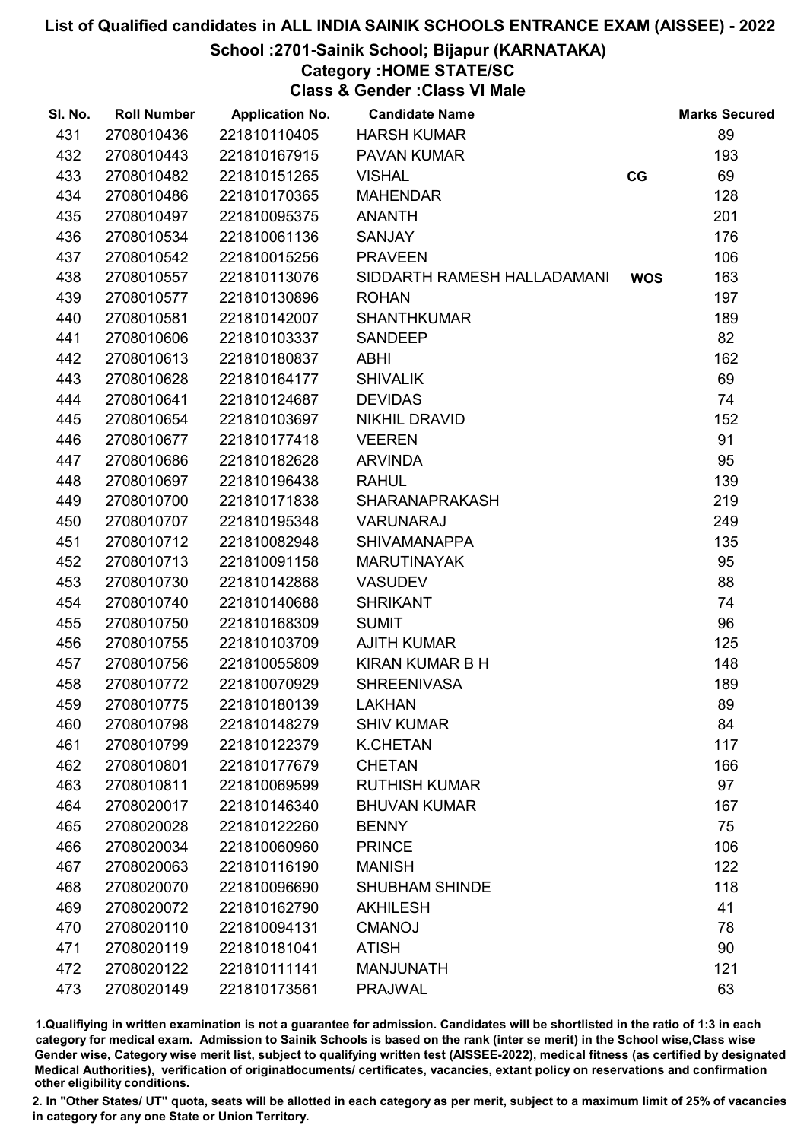## School :2701-Sainik School; Bijapur (KARNATAKA)

## Category :HOME STATE/SC

Class & Gender :Class VI Male

| SI. No. | <b>Roll Number</b> | <b>Application No.</b> | <b>Candidate Name</b>       |            | <b>Marks Secured</b> |
|---------|--------------------|------------------------|-----------------------------|------------|----------------------|
| 431     | 2708010436         | 221810110405           | <b>HARSH KUMAR</b>          |            | 89                   |
| 432     | 2708010443         | 221810167915           | <b>PAVAN KUMAR</b>          |            | 193                  |
| 433     | 2708010482         | 221810151265           | <b>VISHAL</b>               | CG         | 69                   |
| 434     | 2708010486         | 221810170365           | <b>MAHENDAR</b>             |            | 128                  |
| 435     | 2708010497         | 221810095375           | <b>ANANTH</b>               |            | 201                  |
| 436     | 2708010534         | 221810061136           | <b>SANJAY</b>               |            | 176                  |
| 437     | 2708010542         | 221810015256           | <b>PRAVEEN</b>              |            | 106                  |
| 438     | 2708010557         | 221810113076           | SIDDARTH RAMESH HALLADAMANI | <b>WOS</b> | 163                  |
| 439     | 2708010577         | 221810130896           | <b>ROHAN</b>                |            | 197                  |
| 440     | 2708010581         | 221810142007           | <b>SHANTHKUMAR</b>          |            | 189                  |
| 441     | 2708010606         | 221810103337           | <b>SANDEEP</b>              |            | 82                   |
| 442     | 2708010613         | 221810180837           | <b>ABHI</b>                 |            | 162                  |
| 443     | 2708010628         | 221810164177           | <b>SHIVALIK</b>             |            | 69                   |
| 444     | 2708010641         | 221810124687           | <b>DEVIDAS</b>              |            | 74                   |
| 445     | 2708010654         | 221810103697           | <b>NIKHIL DRAVID</b>        |            | 152                  |
| 446     | 2708010677         | 221810177418           | <b>VEEREN</b>               |            | 91                   |
| 447     | 2708010686         | 221810182628           | <b>ARVINDA</b>              |            | 95                   |
| 448     | 2708010697         | 221810196438           | <b>RAHUL</b>                |            | 139                  |
| 449     | 2708010700         | 221810171838           | <b>SHARANAPRAKASH</b>       |            | 219                  |
| 450     | 2708010707         | 221810195348           | VARUNARAJ                   |            | 249                  |
| 451     | 2708010712         | 221810082948           | <b>SHIVAMANAPPA</b>         |            | 135                  |
| 452     | 2708010713         | 221810091158           | <b>MARUTINAYAK</b>          |            | 95                   |
| 453     | 2708010730         | 221810142868           | <b>VASUDEV</b>              |            | 88                   |
| 454     | 2708010740         | 221810140688           | <b>SHRIKANT</b>             |            | 74                   |
| 455     | 2708010750         | 221810168309           | <b>SUMIT</b>                |            | 96                   |
| 456     | 2708010755         | 221810103709           | <b>AJITH KUMAR</b>          |            | 125                  |
| 457     | 2708010756         | 221810055809           | <b>KIRAN KUMAR B H</b>      |            | 148                  |
| 458     | 2708010772         | 221810070929           | <b>SHREENIVASA</b>          |            | 189                  |
| 459     | 2708010775         | 221810180139           | <b>LAKHAN</b>               |            | 89                   |
| 460     | 2708010798         | 221810148279           | <b>SHIV KUMAR</b>           |            | 84                   |
| 461     | 2708010799         | 221810122379           | <b>K.CHETAN</b>             |            | 117                  |
| 462     | 2708010801         | 221810177679           | <b>CHETAN</b>               |            | 166                  |
| 463     | 2708010811         | 221810069599           | <b>RUTHISH KUMAR</b>        |            | 97                   |
| 464     | 2708020017         | 221810146340           | <b>BHUVAN KUMAR</b>         |            | 167                  |
| 465     | 2708020028         | 221810122260           | <b>BENNY</b>                |            | 75                   |
| 466     | 2708020034         | 221810060960           | <b>PRINCE</b>               |            | 106                  |
| 467     | 2708020063         | 221810116190           | <b>MANISH</b>               |            | 122                  |
| 468     | 2708020070         | 221810096690           | <b>SHUBHAM SHINDE</b>       |            | 118                  |
| 469     | 2708020072         | 221810162790           | <b>AKHILESH</b>             |            | 41                   |
| 470     | 2708020110         | 221810094131           | <b>CMANOJ</b>               |            | 78                   |
| 471     | 2708020119         | 221810181041           | <b>ATISH</b>                |            | 90                   |
| 472     | 2708020122         | 221810111141           | <b>MANJUNATH</b>            |            | 121                  |
| 473     | 2708020149         | 221810173561           | <b>PRAJWAL</b>              |            | 63                   |

1.Qualifiying in written examination is not a guarantee for admission. Candidates will be shortlisted in the ratio of 1:3 in each category for medical exam. Admission to Sainik Schools is based on the rank (inter se merit) in the School wise,Class wise Gender wise, Category wise merit list, subject to qualifying written test (AISSEE-2022), medical fitness (as certified by designated Medical Authorities), verification of originablocuments/ certificates, vacancies, extant policy on reservations and confirmation other eligibility conditions.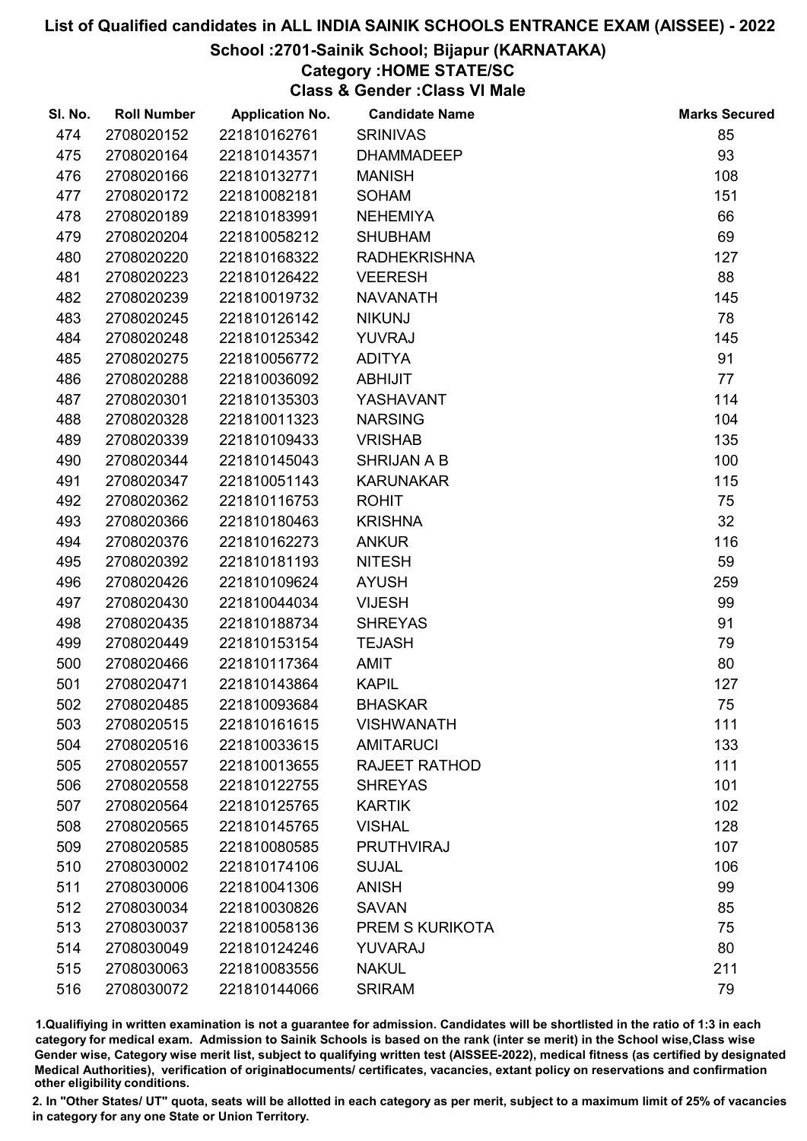## School :2701-Sainik School; Bijapur (KARNATAKA)

# Category :HOME STATE/SC

Class & Gender :Class VI Male

| SI. No. | <b>Roll Number</b> | <b>Application No.</b> | <b>Candidate Name</b>  | <b>Marks Secured</b> |
|---------|--------------------|------------------------|------------------------|----------------------|
| 474     | 2708020152         | 221810162761           | <b>SRINIVAS</b>        | 85                   |
| 475     | 2708020164         | 221810143571           | <b>DHAMMADEEP</b>      | 93                   |
| 476     | 2708020166         | 221810132771           | <b>MANISH</b>          | 108                  |
| 477     | 2708020172         | 221810082181           | <b>SOHAM</b>           | 151                  |
| 478     | 2708020189         | 221810183991           | <b>NEHEMIYA</b>        | 66                   |
| 479     | 2708020204         | 221810058212           | <b>SHUBHAM</b>         | 69                   |
| 480     | 2708020220         | 221810168322           | <b>RADHEKRISHNA</b>    | 127                  |
| 481     | 2708020223         | 221810126422           | <b>VEERESH</b>         | 88                   |
| 482     | 2708020239         | 221810019732           | <b>NAVANATH</b>        | 145                  |
| 483     | 2708020245         | 221810126142           | <b>NIKUNJ</b>          | 78                   |
| 484     | 2708020248         | 221810125342           | <b>YUVRAJ</b>          | 145                  |
| 485     | 2708020275         | 221810056772           | <b>ADITYA</b>          | 91                   |
| 486     | 2708020288         | 221810036092           | <b>ABHIJIT</b>         | 77                   |
| 487     | 2708020301         | 221810135303           | YASHAVANT              | 114                  |
| 488     | 2708020328         | 221810011323           | <b>NARSING</b>         | 104                  |
| 489     | 2708020339         | 221810109433           | <b>VRISHAB</b>         | 135                  |
| 490     | 2708020344         | 221810145043           | <b>SHRIJAN A B</b>     | 100                  |
| 491     | 2708020347         | 221810051143           | <b>KARUNAKAR</b>       | 115                  |
| 492     | 2708020362         | 221810116753           | <b>ROHIT</b>           | 75                   |
| 493     | 2708020366         | 221810180463           | <b>KRISHNA</b>         | 32                   |
| 494     | 2708020376         | 221810162273           | <b>ANKUR</b>           | 116                  |
| 495     | 2708020392         | 221810181193           | <b>NITESH</b>          | 59                   |
| 496     | 2708020426         | 221810109624           | <b>AYUSH</b>           | 259                  |
| 497     | 2708020430         | 221810044034           | <b>VIJESH</b>          | 99                   |
| 498     | 2708020435         | 221810188734           | <b>SHREYAS</b>         | 91                   |
| 499     | 2708020449         | 221810153154           | <b>TEJASH</b>          | 79                   |
| 500     | 2708020466         | 221810117364           | <b>AMIT</b>            | 80                   |
| 501     | 2708020471         | 221810143864           | <b>KAPIL</b>           | 127                  |
| 502     | 2708020485         | 221810093684           | <b>BHASKAR</b>         | 75                   |
| 503     | 2708020515         | 221810161615           | <b>VISHWANATH</b>      | 111                  |
| 504     | 2708020516         | 221810033615           | <b>AMITARUCI</b>       | 133                  |
| 505     | 2708020557         | 221810013655           | RAJEET RATHOD          | 111                  |
| 506     | 2708020558         | 221810122755           | <b>SHREYAS</b>         | 101                  |
| 507     | 2708020564         | 221810125765           | <b>KARTIK</b>          | 102                  |
| 508     | 2708020565         | 221810145765           | <b>VISHAL</b>          | 128                  |
| 509     | 2708020585         | 221810080585           | <b>PRUTHVIRAJ</b>      | 107                  |
| 510     | 2708030002         | 221810174106           | <b>SUJAL</b>           | 106                  |
| 511     | 2708030006         | 221810041306           | <b>ANISH</b>           | 99                   |
| 512     | 2708030034         | 221810030826           | <b>SAVAN</b>           | 85                   |
| 513     | 2708030037         | 221810058136           | <b>PREM S KURIKOTA</b> | 75                   |
| 514     | 2708030049         | 221810124246           | YUVARAJ                | 80                   |
| 515     | 2708030063         | 221810083556           | <b>NAKUL</b>           | 211                  |
| 516     | 2708030072         | 221810144066           | <b>SRIRAM</b>          | 79                   |

1.Qualifiying in written examination is not a guarantee for admission. Candidates will be shortlisted in the ratio of 1:3 in each category for medical exam. Admission to Sainik Schools is based on the rank (inter se merit) in the School wise,Class wise Gender wise, Category wise merit list, subject to qualifying written test (AISSEE-2022), medical fitness (as certified by designated Medical Authorities), verification of originablocuments/ certificates, vacancies, extant policy on reservations and confirmation other eligibility conditions.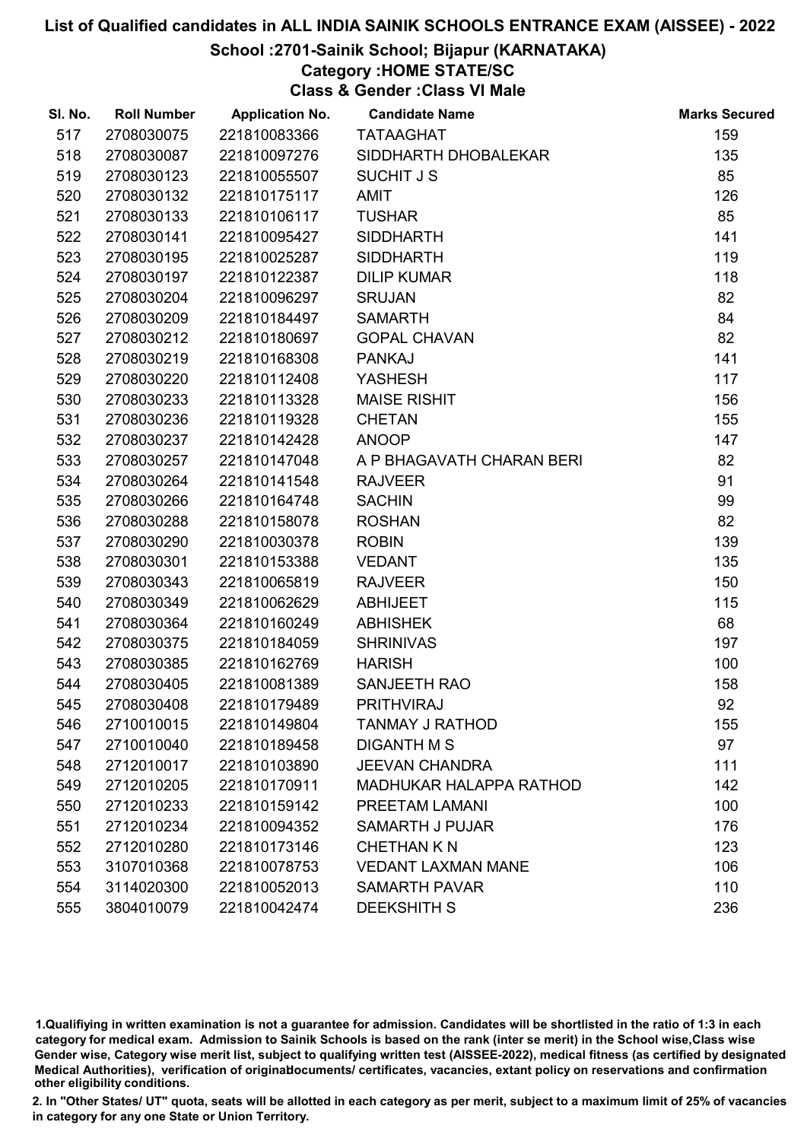## School :2701-Sainik School; Bijapur (KARNATAKA)

# Category :HOME STATE/SC

Class & Gender :Class VI Male

| SI. No. | <b>Roll Number</b> | <b>Application No.</b> | <b>Candidate Name</b>          | <b>Marks Secured</b> |
|---------|--------------------|------------------------|--------------------------------|----------------------|
| 517     | 2708030075         | 221810083366           | <b>TATAAGHAT</b>               | 159                  |
| 518     | 2708030087         | 221810097276           | SIDDHARTH DHOBALEKAR           | 135                  |
| 519     | 2708030123         | 221810055507           | <b>SUCHIT J S</b>              | 85                   |
| 520     | 2708030132         | 221810175117           | <b>AMIT</b>                    | 126                  |
| 521     | 2708030133         | 221810106117           | <b>TUSHAR</b>                  | 85                   |
| 522     | 2708030141         | 221810095427           | <b>SIDDHARTH</b>               | 141                  |
| 523     | 2708030195         | 221810025287           | <b>SIDDHARTH</b>               | 119                  |
| 524     | 2708030197         | 221810122387           | <b>DILIP KUMAR</b>             | 118                  |
| 525     | 2708030204         | 221810096297           | <b>SRUJAN</b>                  | 82                   |
| 526     | 2708030209         | 221810184497           | <b>SAMARTH</b>                 | 84                   |
| 527     | 2708030212         | 221810180697           | <b>GOPAL CHAVAN</b>            | 82                   |
| 528     | 2708030219         | 221810168308           | <b>PANKAJ</b>                  | 141                  |
| 529     | 2708030220         | 221810112408           | <b>YASHESH</b>                 | 117                  |
| 530     | 2708030233         | 221810113328           | <b>MAISE RISHIT</b>            | 156                  |
| 531     | 2708030236         | 221810119328           | <b>CHETAN</b>                  | 155                  |
| 532     | 2708030237         | 221810142428           | <b>ANOOP</b>                   | 147                  |
| 533     | 2708030257         | 221810147048           | A P BHAGAVATH CHARAN BERI      | 82                   |
| 534     | 2708030264         | 221810141548           | <b>RAJVEER</b>                 | 91                   |
| 535     | 2708030266         | 221810164748           | <b>SACHIN</b>                  | 99                   |
| 536     | 2708030288         | 221810158078           | <b>ROSHAN</b>                  | 82                   |
| 537     | 2708030290         | 221810030378           | <b>ROBIN</b>                   | 139                  |
| 538     | 2708030301         | 221810153388           | <b>VEDANT</b>                  | 135                  |
| 539     | 2708030343         | 221810065819           | <b>RAJVEER</b>                 | 150                  |
| 540     | 2708030349         | 221810062629           | <b>ABHIJEET</b>                | 115                  |
| 541     | 2708030364         | 221810160249           | <b>ABHISHEK</b>                | 68                   |
| 542     | 2708030375         | 221810184059           | <b>SHRINIVAS</b>               | 197                  |
| 543     | 2708030385         | 221810162769           | <b>HARISH</b>                  | 100                  |
| 544     | 2708030405         | 221810081389           | SANJEETH RAO                   | 158                  |
| 545     | 2708030408         | 221810179489           | <b>PRITHVIRAJ</b>              | 92                   |
| 546     | 2710010015         | 221810149804           | <b>TANMAY J RATHOD</b>         | 155                  |
| 547     | 2710010040         | 221810189458           | <b>DIGANTH M S</b>             | 97                   |
| 548     | 2712010017         | 221810103890           | <b>JEEVAN CHANDRA</b>          | 111                  |
| 549     | 2712010205         | 221810170911           | <b>MADHUKAR HALAPPA RATHOD</b> | 142                  |
| 550     | 2712010233         | 221810159142           | PREETAM LAMANI                 | 100                  |
| 551     | 2712010234         | 221810094352           | <b>SAMARTH J PUJAR</b>         | 176                  |
| 552     | 2712010280         | 221810173146           | <b>CHETHAN K N</b>             | 123                  |
| 553     | 3107010368         | 221810078753           | <b>VEDANT LAXMAN MANE</b>      | 106                  |
| 554     | 3114020300         | 221810052013           | <b>SAMARTH PAVAR</b>           | 110                  |
| 555     | 3804010079         | 221810042474           | <b>DEEKSHITH S</b>             | 236                  |

1.Qualifiying in written examination is not a guarantee for admission. Candidates will be shortlisted in the ratio of 1:3 in each category for medical exam. Admission to Sainik Schools is based on the rank (inter se merit) in the School wise,Class wise Gender wise, Category wise merit list, subject to qualifying written test (AISSEE-2022), medical fitness (as certified by designated Medical Authorities), verification of originablocuments/ certificates, vacancies, extant policy on reservations and confirmation other eligibility conditions.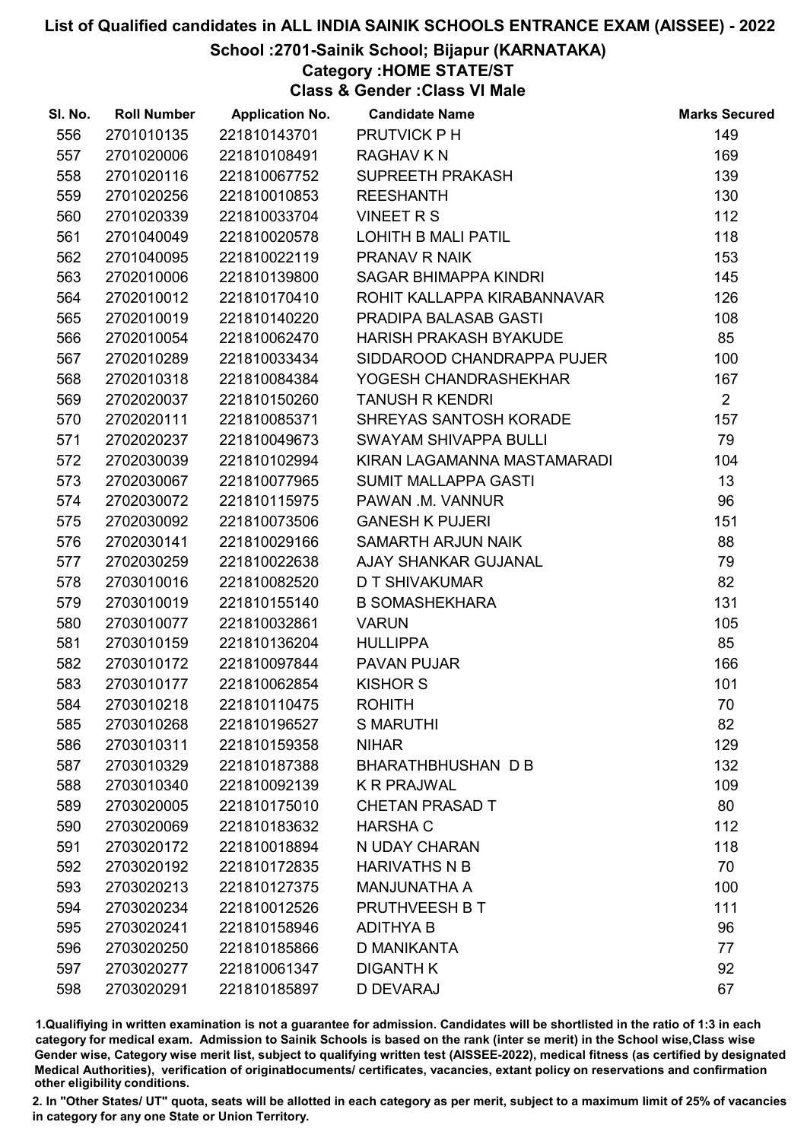## School :2701-Sainik School; Bijapur (KARNATAKA)

# Category :HOME STATE/ST

Class & Gender :Class VI Male

| SI. No. | <b>Roll Number</b> | <b>Application No.</b> | <b>Candidate Name</b>         | <b>Marks Secured</b> |
|---------|--------------------|------------------------|-------------------------------|----------------------|
| 556     | 2701010135         | 221810143701           | PRUTVICK PH                   | 149                  |
| 557     | 2701020006         | 221810108491           | <b>RAGHAV K N</b>             | 169                  |
| 558     | 2701020116         | 221810067752           | SUPREETH PRAKASH              | 139                  |
| 559     | 2701020256         | 221810010853           | <b>REESHANTH</b>              | 130                  |
| 560     | 2701020339         | 221810033704           | <b>VINEET R S</b>             | 112                  |
| 561     | 2701040049         | 221810020578           | LOHITH B MALI PATIL           | 118                  |
| 562     | 2701040095         | 221810022119           | PRANAV R NAIK                 | 153                  |
| 563     | 2702010006         | 221810139800           | SAGAR BHIMAPPA KINDRI         | 145                  |
| 564     | 2702010012         | 221810170410           | ROHIT KALLAPPA KIRABANNAVAR   | 126                  |
| 565     | 2702010019         | 221810140220           | PRADIPA BALASAB GASTI         | 108                  |
| 566     | 2702010054         | 221810062470           | <b>HARISH PRAKASH BYAKUDE</b> | 85                   |
| 567     | 2702010289         | 221810033434           | SIDDAROOD CHANDRAPPA PUJER    | 100                  |
| 568     | 2702010318         | 221810084384           | YOGESH CHANDRASHEKHAR         | 167                  |
| 569     | 2702020037         | 221810150260           | <b>TANUSH R KENDRI</b>        | $\overline{2}$       |
| 570     | 2702020111         | 221810085371           | SHREYAS SANTOSH KORADE        | 157                  |
| 571     | 2702020237         | 221810049673           | <b>SWAYAM SHIVAPPA BULLI</b>  | 79                   |
| 572     | 2702030039         | 221810102994           | KIRAN LAGAMANNA MASTAMARADI   | 104                  |
| 573     | 2702030067         | 221810077965           | <b>SUMIT MALLAPPA GASTI</b>   | 13                   |
| 574     | 2702030072         | 221810115975           | PAWAN .M. VANNUR              | 96                   |
| 575     | 2702030092         | 221810073506           | <b>GANESH K PUJERI</b>        | 151                  |
| 576     | 2702030141         | 221810029166           | SAMARTH ARJUN NAIK            | 88                   |
| 577     | 2702030259         | 221810022638           | AJAY SHANKAR GUJANAL          | 79                   |
| 578     | 2703010016         | 221810082520           | D T SHIVAKUMAR                | 82                   |
| 579     | 2703010019         | 221810155140           | <b>B SOMASHEKHARA</b>         | 131                  |
| 580     | 2703010077         | 221810032861           | <b>VARUN</b>                  | 105                  |
| 581     | 2703010159         | 221810136204           | <b>HULLIPPA</b>               | 85                   |
| 582     | 2703010172         | 221810097844           | <b>PAVAN PUJAR</b>            | 166                  |
| 583     | 2703010177         | 221810062854           | <b>KISHOR S</b>               | 101                  |
| 584     | 2703010218         | 221810110475           | <b>ROHITH</b>                 | 70                   |
| 585     | 2703010268         | 221810196527           | <b>S MARUTHI</b>              | 82                   |
| 586     | 2703010311         | 221810159358           | <b>NIHAR</b>                  | 129                  |
| 587     | 2703010329         | 221810187388           | BHARATHBHUSHAN D B            | 132                  |
| 588     | 2703010340         | 221810092139           | <b>K R PRAJWAL</b>            | 109                  |
| 589     | 2703020005         | 221810175010           | <b>CHETAN PRASAD T</b>        | 80                   |
| 590     | 2703020069         | 221810183632           | <b>HARSHA C</b>               | 112                  |
| 591     | 2703020172         | 221810018894           | N UDAY CHARAN                 | 118                  |
| 592     | 2703020192         | 221810172835           | <b>HARIVATHS N B</b>          | 70                   |
| 593     | 2703020213         | 221810127375           | <b>MANJUNATHA A</b>           | 100                  |
| 594     | 2703020234         | 221810012526           | PRUTHVEESH B T                | 111                  |
| 595     | 2703020241         | 221810158946           | <b>ADITHYA B</b>              | 96                   |
| 596     | 2703020250         | 221810185866           | D MANIKANTA                   | 77                   |
| 597     | 2703020277         | 221810061347           | <b>DIGANTH K</b>              | 92                   |
| 598     | 2703020291         | 221810185897           | D DEVARAJ                     | 67                   |

1.Qualifiying in written examination is not a guarantee for admission. Candidates will be shortlisted in the ratio of 1:3 in each category for medical exam. Admission to Sainik Schools is based on the rank (inter se merit) in the School wise,Class wise Gender wise, Category wise merit list, subject to qualifying written test (AISSEE-2022), medical fitness (as certified by designated Medical Authorities), verification of originablocuments/ certificates, vacancies, extant policy on reservations and confirmation other eligibility conditions.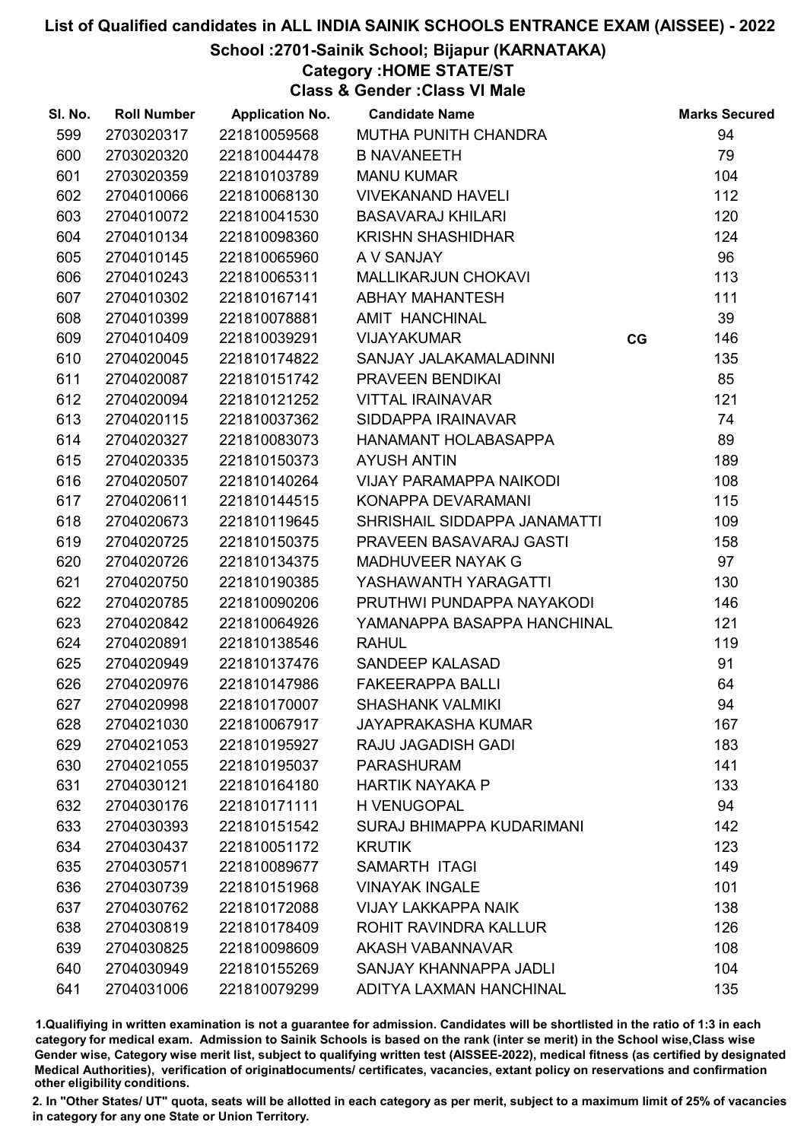## School :2701-Sainik School; Bijapur (KARNATAKA)

## Category :HOME STATE/ST

Class & Gender :Class VI Male

| SI. No. | <b>Roll Number</b> | <b>Application No.</b> | <b>Candidate Name</b>            |    | <b>Marks Secured</b> |
|---------|--------------------|------------------------|----------------------------------|----|----------------------|
| 599     | 2703020317         | 221810059568           | MUTHA PUNITH CHANDRA             |    | 94                   |
| 600     | 2703020320         | 221810044478           | <b>B NAVANEETH</b>               |    | 79                   |
| 601     | 2703020359         | 221810103789           | <b>MANU KUMAR</b>                |    | 104                  |
| 602     | 2704010066         | 221810068130           | <b>VIVEKANAND HAVELI</b>         |    | 112                  |
| 603     | 2704010072         | 221810041530           | <b>BASAVARAJ KHILARI</b>         |    | 120                  |
| 604     | 2704010134         | 221810098360           | <b>KRISHN SHASHIDHAR</b>         |    | 124                  |
| 605     | 2704010145         | 221810065960           | A V SANJAY                       |    | 96                   |
| 606     | 2704010243         | 221810065311           | <b>MALLIKARJUN CHOKAVI</b>       |    | 113                  |
| 607     | 2704010302         | 221810167141           | <b>ABHAY MAHANTESH</b>           |    | 111                  |
| 608     | 2704010399         | 221810078881           | AMIT HANCHINAL                   |    | 39                   |
| 609     | 2704010409         | 221810039291           | <b>VIJAYAKUMAR</b>               | CG | 146                  |
| 610     | 2704020045         | 221810174822           | SANJAY JALAKAMALADINNI           |    | 135                  |
| 611     | 2704020087         | 221810151742           | PRAVEEN BENDIKAI                 |    | 85                   |
| 612     | 2704020094         | 221810121252           | <b>VITTAL IRAINAVAR</b>          |    | 121                  |
| 613     | 2704020115         | 221810037362           | SIDDAPPA IRAINAVAR               |    | 74                   |
| 614     | 2704020327         | 221810083073           | HANAMANT HOLABASAPPA             |    | 89                   |
| 615     | 2704020335         | 221810150373           | <b>AYUSH ANTIN</b>               |    | 189                  |
| 616     | 2704020507         | 221810140264           | <b>VIJAY PARAMAPPA NAIKODI</b>   |    | 108                  |
| 617     | 2704020611         | 221810144515           | KONAPPA DEVARAMANI               |    | 115                  |
| 618     | 2704020673         | 221810119645           | SHRISHAIL SIDDAPPA JANAMATTI     |    | 109                  |
| 619     | 2704020725         | 221810150375           | PRAVEEN BASAVARAJ GASTI          |    | 158                  |
| 620     | 2704020726         | 221810134375           | MADHUVEER NAYAK G                |    | 97                   |
| 621     | 2704020750         | 221810190385           | YASHAWANTH YARAGATTI             |    | 130                  |
| 622     | 2704020785         | 221810090206           | PRUTHWI PUNDAPPA NAYAKODI        |    | 146                  |
| 623     | 2704020842         | 221810064926           | YAMANAPPA BASAPPA HANCHINAL      |    | 121                  |
| 624     | 2704020891         | 221810138546           | <b>RAHUL</b>                     |    | 119                  |
| 625     | 2704020949         | 221810137476           | SANDEEP KALASAD                  |    | 91                   |
| 626     | 2704020976         | 221810147986           | <b>FAKEERAPPA BALLI</b>          |    | 64                   |
| 627     | 2704020998         | 221810170007           | <b>SHASHANK VALMIKI</b>          |    | 94                   |
| 628     | 2704021030         | 221810067917           | <b>JAYAPRAKASHA KUMAR</b>        |    | 167                  |
| 629     | 2704021053         | 221810195927           | <b>RAJU JAGADISH GADI</b>        |    | 183                  |
| 630     | 2704021055         | 221810195037           | <b>PARASHURAM</b>                |    | 141                  |
| 631     | 2704030121         | 221810164180           | <b>HARTIK NAYAKA P</b>           |    | 133                  |
| 632     | 2704030176         | 221810171111           | <b>H VENUGOPAL</b>               |    | 94                   |
| 633     | 2704030393         | 221810151542           | <b>SURAJ BHIMAPPA KUDARIMANI</b> |    | 142                  |
| 634     | 2704030437         | 221810051172           | <b>KRUTIK</b>                    |    | 123                  |
| 635     | 2704030571         | 221810089677           | SAMARTH ITAGI                    |    | 149                  |
| 636     | 2704030739         | 221810151968           | <b>VINAYAK INGALE</b>            |    | 101                  |
| 637     | 2704030762         | 221810172088           | <b>VIJAY LAKKAPPA NAIK</b>       |    | 138                  |
| 638     | 2704030819         | 221810178409           | ROHIT RAVINDRA KALLUR            |    | 126                  |
| 639     | 2704030825         | 221810098609           | AKASH VABANNAVAR                 |    | 108                  |
| 640     | 2704030949         | 221810155269           | SANJAY KHANNAPPA JADLI           |    | 104                  |
| 641     | 2704031006         | 221810079299           | ADITYA LAXMAN HANCHINAL          |    | 135                  |

1.Qualifiying in written examination is not a guarantee for admission. Candidates will be shortlisted in the ratio of 1:3 in each category for medical exam. Admission to Sainik Schools is based on the rank (inter se merit) in the School wise,Class wise Gender wise, Category wise merit list, subject to qualifying written test (AISSEE-2022), medical fitness (as certified by designated Medical Authorities), verification of originablocuments/ certificates, vacancies, extant policy on reservations and confirmation other eligibility conditions.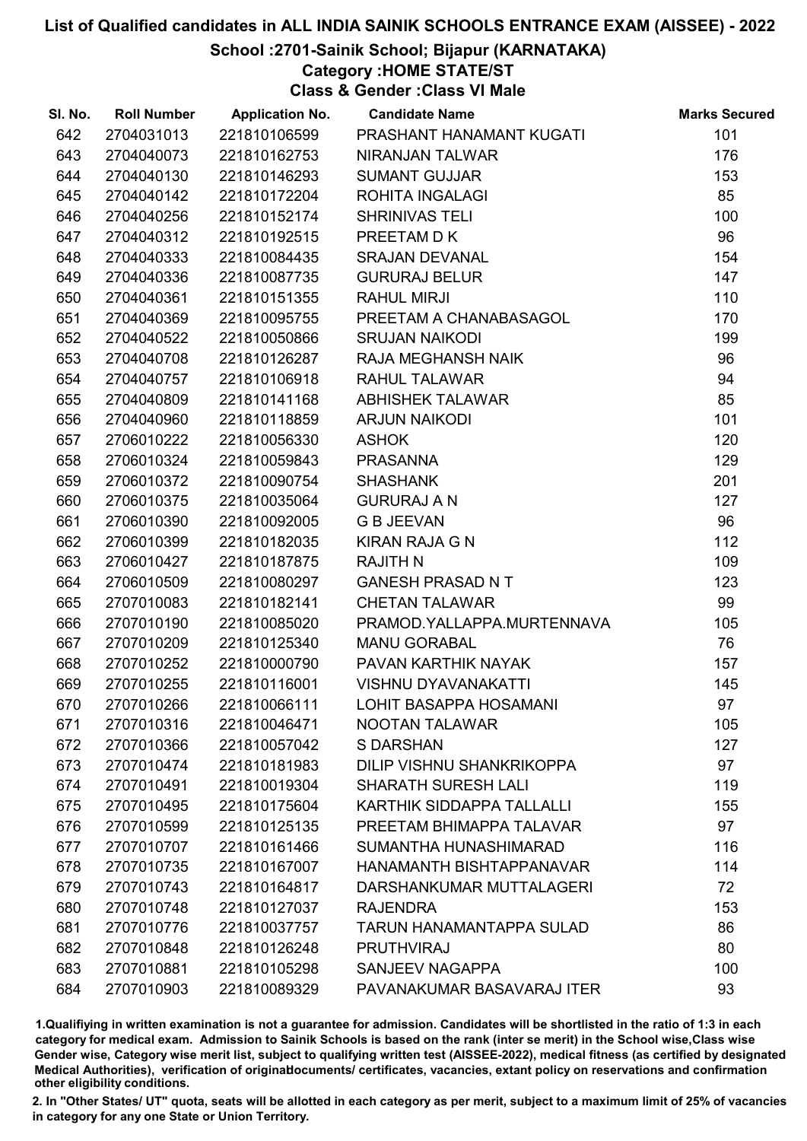## School :2701-Sainik School; Bijapur (KARNATAKA)

Category :HOME STATE/ST

Class & Gender :Class VI Male

| SI. No. | <b>Roll Number</b> | <b>Application No.</b> | <b>Candidate Name</b>            | <b>Marks Secured</b> |
|---------|--------------------|------------------------|----------------------------------|----------------------|
| 642     | 2704031013         | 221810106599           | PRASHANT HANAMANT KUGATI         | 101                  |
| 643     | 2704040073         | 221810162753           | NIRANJAN TALWAR                  | 176                  |
| 644     | 2704040130         | 221810146293           | <b>SUMANT GUJJAR</b>             | 153                  |
| 645     | 2704040142         | 221810172204           | ROHITA INGALAGI                  | 85                   |
| 646     | 2704040256         | 221810152174           | <b>SHRINIVAS TELI</b>            | 100                  |
| 647     | 2704040312         | 221810192515           | PREETAM D K                      | 96                   |
| 648     | 2704040333         | 221810084435           | <b>SRAJAN DEVANAL</b>            | 154                  |
| 649     | 2704040336         | 221810087735           | <b>GURURAJ BELUR</b>             | 147                  |
| 650     | 2704040361         | 221810151355           | <b>RAHUL MIRJI</b>               | 110                  |
| 651     | 2704040369         | 221810095755           | PREETAM A CHANABASAGOL           | 170                  |
| 652     | 2704040522         | 221810050866           | <b>SRUJAN NAIKODI</b>            | 199                  |
| 653     | 2704040708         | 221810126287           | RAJA MEGHANSH NAIK               | 96                   |
| 654     | 2704040757         | 221810106918           | RAHUL TALAWAR                    | 94                   |
| 655     | 2704040809         | 221810141168           | <b>ABHISHEK TALAWAR</b>          | 85                   |
| 656     | 2704040960         | 221810118859           | <b>ARJUN NAIKODI</b>             | 101                  |
| 657     | 2706010222         | 221810056330           | <b>ASHOK</b>                     | 120                  |
| 658     | 2706010324         | 221810059843           | <b>PRASANNA</b>                  | 129                  |
| 659     | 2706010372         | 221810090754           | <b>SHASHANK</b>                  | 201                  |
| 660     | 2706010375         | 221810035064           | <b>GURURAJ A N</b>               | 127                  |
| 661     | 2706010390         | 221810092005           | <b>G B JEEVAN</b>                | 96                   |
| 662     | 2706010399         | 221810182035           | <b>KIRAN RAJA G N</b>            | 112                  |
| 663     | 2706010427         | 221810187875           | <b>RAJITH N</b>                  | 109                  |
| 664     | 2706010509         | 221810080297           | <b>GANESH PRASAD NT</b>          | 123                  |
| 665     | 2707010083         | 221810182141           | <b>CHETAN TALAWAR</b>            | 99                   |
| 666     | 2707010190         | 221810085020           | PRAMOD.YALLAPPA.MURTENNAVA       | 105                  |
| 667     | 2707010209         | 221810125340           | <b>MANU GORABAL</b>              | 76                   |
| 668     | 2707010252         | 221810000790           | PAVAN KARTHIK NAYAK              | 157                  |
| 669     | 2707010255         | 221810116001           | <b>VISHNU DYAVANAKATTI</b>       | 145                  |
| 670     | 2707010266         | 221810066111           | LOHIT BASAPPA HOSAMANI           | 97                   |
| 671     | 2707010316         | 221810046471           | <b>NOOTAN TALAWAR</b>            | 105                  |
| 672     | 2707010366         | 221810057042           | <b>S DARSHAN</b>                 | 127                  |
| 673     | 2707010474         | 221810181983           | <b>DILIP VISHNU SHANKRIKOPPA</b> | 97                   |
| 674     | 2707010491         | 221810019304           | <b>SHARATH SURESH LALI</b>       | 119                  |
| 675     | 2707010495         | 221810175604           | KARTHIK SIDDAPPA TALLALLI        | 155                  |
| 676     | 2707010599         | 221810125135           | PREETAM BHIMAPPA TALAVAR         | 97                   |
| 677     | 2707010707         | 221810161466           | SUMANTHA HUNASHIMARAD            | 116                  |
| 678     | 2707010735         | 221810167007           | HANAMANTH BISHTAPPANAVAR         | 114                  |
| 679     | 2707010743         | 221810164817           | DARSHANKUMAR MUTTALAGERI         | 72                   |
| 680     | 2707010748         | 221810127037           | <b>RAJENDRA</b>                  | 153                  |
| 681     | 2707010776         | 221810037757           | TARUN HANAMANTAPPA SULAD         | 86                   |
| 682     | 2707010848         | 221810126248           | <b>PRUTHVIRAJ</b>                | 80                   |
| 683     | 2707010881         | 221810105298           | <b>SANJEEV NAGAPPA</b>           | 100                  |
| 684     | 2707010903         | 221810089329           | PAVANAKUMAR BASAVARAJ ITER       | 93                   |

1.Qualifiying in written examination is not a guarantee for admission. Candidates will be shortlisted in the ratio of 1:3 in each category for medical exam. Admission to Sainik Schools is based on the rank (inter se merit) in the School wise,Class wise Gender wise, Category wise merit list, subject to qualifying written test (AISSEE-2022), medical fitness (as certified by designated Medical Authorities), verification of originablocuments/ certificates, vacancies, extant policy on reservations and confirmation other eligibility conditions.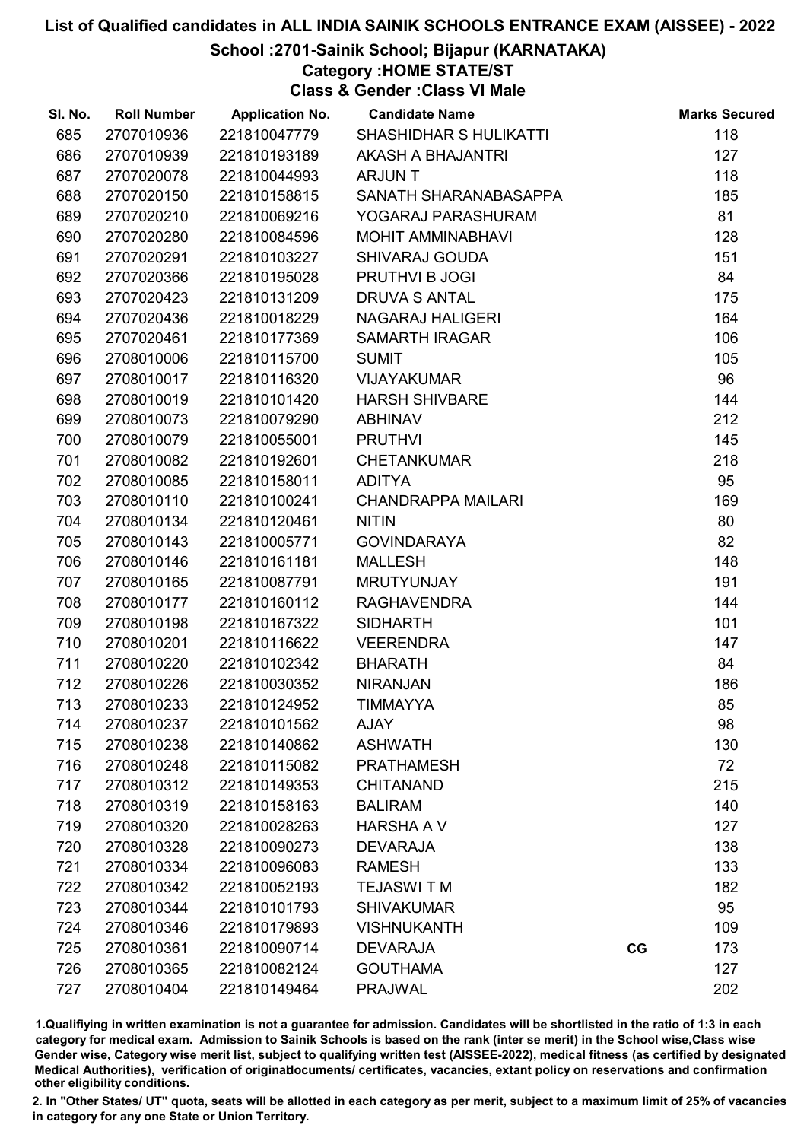## School :2701-Sainik School; Bijapur (KARNATAKA)

## Category :HOME STATE/ST

Class & Gender :Class VI Male

| SI. No. | <b>Roll Number</b> | <b>Application No.</b> | <b>Candidate Name</b>     |    | <b>Marks Secured</b> |
|---------|--------------------|------------------------|---------------------------|----|----------------------|
| 685     | 2707010936         | 221810047779           | SHASHIDHAR S HULIKATTI    |    | 118                  |
| 686     | 2707010939         | 221810193189           | AKASH A BHAJANTRI         |    | 127                  |
| 687     | 2707020078         | 221810044993           | <b>ARJUNT</b>             |    | 118                  |
| 688     | 2707020150         | 221810158815           | SANATH SHARANABASAPPA     |    | 185                  |
| 689     | 2707020210         | 221810069216           | YOGARAJ PARASHURAM        |    | 81                   |
| 690     | 2707020280         | 221810084596           | <b>MOHIT AMMINABHAVI</b>  |    | 128                  |
| 691     | 2707020291         | 221810103227           | <b>SHIVARAJ GOUDA</b>     |    | 151                  |
| 692     | 2707020366         | 221810195028           | PRUTHVI B JOGI            |    | 84                   |
| 693     | 2707020423         | 221810131209           | <b>DRUVA S ANTAL</b>      |    | 175                  |
| 694     | 2707020436         | 221810018229           | <b>NAGARAJ HALIGERI</b>   |    | 164                  |
| 695     | 2707020461         | 221810177369           | <b>SAMARTH IRAGAR</b>     |    | 106                  |
| 696     | 2708010006         | 221810115700           | <b>SUMIT</b>              |    | 105                  |
| 697     | 2708010017         | 221810116320           | <b>VIJAYAKUMAR</b>        |    | 96                   |
| 698     | 2708010019         | 221810101420           | <b>HARSH SHIVBARE</b>     |    | 144                  |
| 699     | 2708010073         | 221810079290           | <b>ABHINAV</b>            |    | 212                  |
| 700     | 2708010079         | 221810055001           | <b>PRUTHVI</b>            |    | 145                  |
| 701     | 2708010082         | 221810192601           | <b>CHETANKUMAR</b>        |    | 218                  |
| 702     | 2708010085         | 221810158011           | <b>ADITYA</b>             |    | 95                   |
| 703     | 2708010110         | 221810100241           | <b>CHANDRAPPA MAILARI</b> |    | 169                  |
| 704     | 2708010134         | 221810120461           | <b>NITIN</b>              |    | 80                   |
| 705     | 2708010143         | 221810005771           | <b>GOVINDARAYA</b>        |    | 82                   |
| 706     | 2708010146         | 221810161181           | <b>MALLESH</b>            |    | 148                  |
| 707     | 2708010165         | 221810087791           | <b>MRUTYUNJAY</b>         |    | 191                  |
| 708     | 2708010177         | 221810160112           | <b>RAGHAVENDRA</b>        |    | 144                  |
| 709     | 2708010198         | 221810167322           | <b>SIDHARTH</b>           |    | 101                  |
| 710     | 2708010201         | 221810116622           | <b>VEERENDRA</b>          |    | 147                  |
| 711     | 2708010220         | 221810102342           | <b>BHARATH</b>            |    | 84                   |
| 712     | 2708010226         | 221810030352           | <b>NIRANJAN</b>           |    | 186                  |
| 713     | 2708010233         | 221810124952           | <b>TIMMAYYA</b>           |    | 85                   |
| 714     | 2708010237         | 221810101562           | <b>AJAY</b>               |    | 98                   |
| 715     | 2708010238         | 221810140862           | <b>ASHWATH</b>            |    | 130                  |
| 716     | 2708010248         | 221810115082           | <b>PRATHAMESH</b>         |    | 72                   |
| 717     | 2708010312         | 221810149353           | <b>CHITANAND</b>          |    | 215                  |
| 718     | 2708010319         | 221810158163           | <b>BALIRAM</b>            |    | 140                  |
| 719     | 2708010320         | 221810028263           | <b>HARSHA A V</b>         |    | 127                  |
| 720     | 2708010328         | 221810090273           | <b>DEVARAJA</b>           |    | 138                  |
| 721     | 2708010334         | 221810096083           | <b>RAMESH</b>             |    | 133                  |
| 722     | 2708010342         | 221810052193           | <b>TEJASWI T M</b>        |    | 182                  |
| 723     | 2708010344         | 221810101793           | <b>SHIVAKUMAR</b>         |    | 95                   |
| 724     | 2708010346         | 221810179893           | <b>VISHNUKANTH</b>        |    | 109                  |
| 725     | 2708010361         | 221810090714           | <b>DEVARAJA</b>           | CG | 173                  |
| 726     | 2708010365         | 221810082124           | <b>GOUTHAMA</b>           |    | 127                  |
| 727     | 2708010404         | 221810149464           | <b>PRAJWAL</b>            |    | 202                  |

1.Qualifiying in written examination is not a guarantee for admission. Candidates will be shortlisted in the ratio of 1:3 in each category for medical exam. Admission to Sainik Schools is based on the rank (inter se merit) in the School wise,Class wise Gender wise, Category wise merit list, subject to qualifying written test (AISSEE-2022), medical fitness (as certified by designated Medical Authorities), verification of originablocuments/ certificates, vacancies, extant policy on reservations and confirmation other eligibility conditions.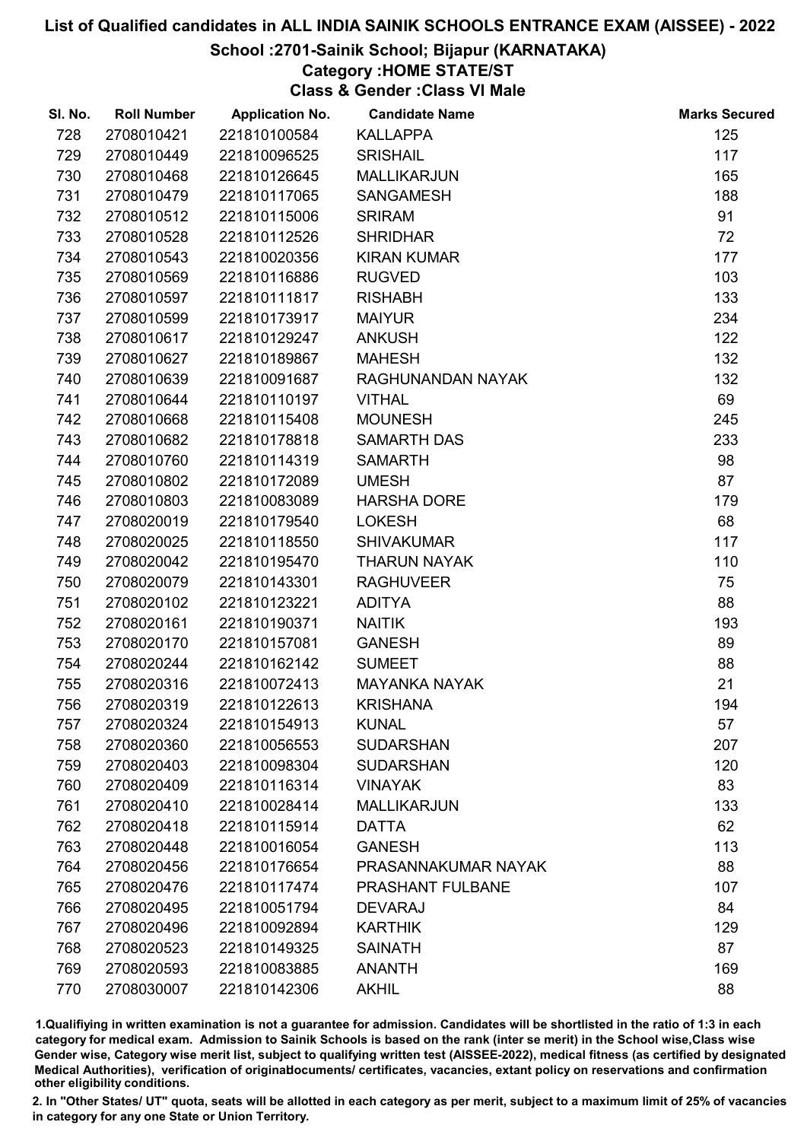## School :2701-Sainik School; Bijapur (KARNATAKA)

## Category :HOME STATE/ST

Class & Gender :Class VI Male

| SI. No. | <b>Roll Number</b> | <b>Application No.</b> | <b>Candidate Name</b> | <b>Marks Secured</b> |
|---------|--------------------|------------------------|-----------------------|----------------------|
| 728     | 2708010421         | 221810100584           | <b>KALLAPPA</b>       | 125                  |
| 729     | 2708010449         | 221810096525           | <b>SRISHAIL</b>       | 117                  |
| 730     | 2708010468         | 221810126645           | <b>MALLIKARJUN</b>    | 165                  |
| 731     | 2708010479         | 221810117065           | <b>SANGAMESH</b>      | 188                  |
| 732     | 2708010512         | 221810115006           | <b>SRIRAM</b>         | 91                   |
| 733     | 2708010528         | 221810112526           | <b>SHRIDHAR</b>       | 72                   |
| 734     | 2708010543         | 221810020356           | <b>KIRAN KUMAR</b>    | 177                  |
| 735     | 2708010569         | 221810116886           | <b>RUGVED</b>         | 103                  |
| 736     | 2708010597         | 221810111817           | <b>RISHABH</b>        | 133                  |
| 737     | 2708010599         | 221810173917           | <b>MAIYUR</b>         | 234                  |
| 738     | 2708010617         | 221810129247           | <b>ANKUSH</b>         | 122                  |
| 739     | 2708010627         | 221810189867           | <b>MAHESH</b>         | 132                  |
| 740     | 2708010639         | 221810091687           | RAGHUNANDAN NAYAK     | 132                  |
| 741     | 2708010644         | 221810110197           | <b>VITHAL</b>         | 69                   |
| 742     | 2708010668         | 221810115408           | <b>MOUNESH</b>        | 245                  |
| 743     | 2708010682         | 221810178818           | <b>SAMARTH DAS</b>    | 233                  |
| 744     | 2708010760         | 221810114319           | <b>SAMARTH</b>        | 98                   |
| 745     | 2708010802         | 221810172089           | <b>UMESH</b>          | 87                   |
| 746     | 2708010803         | 221810083089           | <b>HARSHA DORE</b>    | 179                  |
| 747     | 2708020019         | 221810179540           | <b>LOKESH</b>         | 68                   |
| 748     | 2708020025         | 221810118550           | <b>SHIVAKUMAR</b>     | 117                  |
| 749     | 2708020042         | 221810195470           | <b>THARUN NAYAK</b>   | 110                  |
| 750     | 2708020079         | 221810143301           | <b>RAGHUVEER</b>      | 75                   |
| 751     | 2708020102         | 221810123221           | <b>ADITYA</b>         | 88                   |
| 752     | 2708020161         | 221810190371           | <b>NAITIK</b>         | 193                  |
| 753     | 2708020170         | 221810157081           | <b>GANESH</b>         | 89                   |
| 754     | 2708020244         | 221810162142           | <b>SUMEET</b>         | 88                   |
| 755     | 2708020316         | 221810072413           | <b>MAYANKA NAYAK</b>  | 21                   |
| 756     | 2708020319         | 221810122613           | <b>KRISHANA</b>       | 194                  |
| 757     | 2708020324         | 221810154913           | <b>KUNAL</b>          | 57                   |
| 758     | 2708020360         | 221810056553           | <b>SUDARSHAN</b>      | 207                  |
| 759     | 2708020403         | 221810098304           | <b>SUDARSHAN</b>      | 120                  |
| 760     | 2708020409         | 221810116314           | <b>VINAYAK</b>        | 83                   |
| 761     | 2708020410         | 221810028414           | <b>MALLIKARJUN</b>    | 133                  |
| 762     | 2708020418         | 221810115914           | <b>DATTA</b>          | 62                   |
| 763     | 2708020448         | 221810016054           | <b>GANESH</b>         | 113                  |
| 764     | 2708020456         | 221810176654           | PRASANNAKUMAR NAYAK   | 88                   |
| 765     | 2708020476         | 221810117474           | PRASHANT FULBANE      | 107                  |
| 766     | 2708020495         | 221810051794           | <b>DEVARAJ</b>        | 84                   |
| 767     | 2708020496         | 221810092894           | <b>KARTHIK</b>        | 129                  |
| 768     | 2708020523         | 221810149325           | <b>SAINATH</b>        | 87                   |
| 769     | 2708020593         | 221810083885           | <b>ANANTH</b>         | 169                  |
| 770     | 2708030007         | 221810142306           | <b>AKHIL</b>          | 88                   |

1.Qualifiying in written examination is not a guarantee for admission. Candidates will be shortlisted in the ratio of 1:3 in each category for medical exam. Admission to Sainik Schools is based on the rank (inter se merit) in the School wise,Class wise Gender wise, Category wise merit list, subject to qualifying written test (AISSEE-2022), medical fitness (as certified by designated Medical Authorities), verification of originablocuments/ certificates, vacancies, extant policy on reservations and confirmation other eligibility conditions.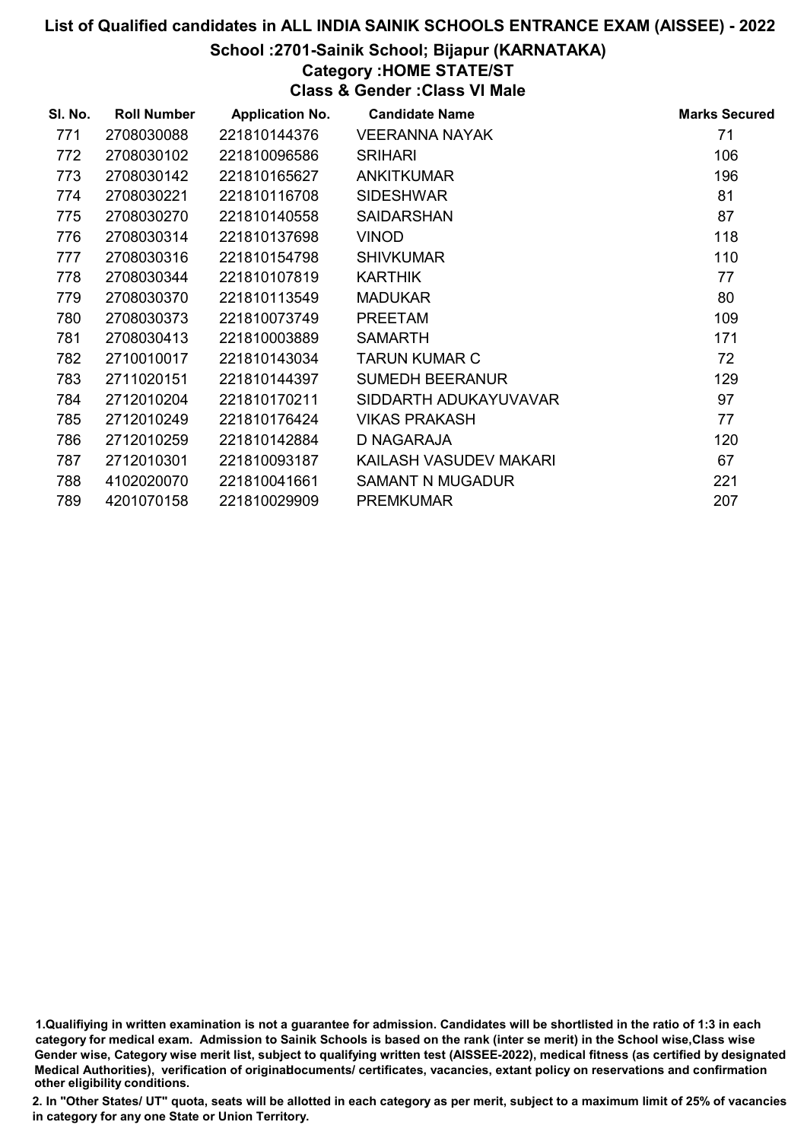## School :2701-Sainik School; Bijapur (KARNATAKA)

## Category :HOME STATE/ST

Class & Gender :Class VI Male

| SI. No. | <b>Roll Number</b> | <b>Application No.</b> | <b>Candidate Name</b>   | <b>Marks Secured</b> |
|---------|--------------------|------------------------|-------------------------|----------------------|
| 771     | 2708030088         | 221810144376           | <b>VEERANNA NAYAK</b>   | 71                   |
| 772     | 2708030102         | 221810096586           | <b>SRIHARI</b>          | 106                  |
| 773     | 2708030142         | 221810165627           | <b>ANKITKUMAR</b>       | 196                  |
| 774     | 2708030221         | 221810116708           | <b>SIDESHWAR</b>        | 81                   |
| 775     | 2708030270         | 221810140558           | <b>SAIDARSHAN</b>       | 87                   |
| 776     | 2708030314         | 221810137698           | <b>VINOD</b>            | 118                  |
| 777     | 2708030316         | 221810154798           | <b>SHIVKUMAR</b>        | 110                  |
| 778     | 2708030344         | 221810107819           | <b>KARTHIK</b>          | 77                   |
| 779     | 2708030370         | 221810113549           | <b>MADUKAR</b>          | 80                   |
| 780     | 2708030373         | 221810073749           | <b>PREETAM</b>          | 109                  |
| 781     | 2708030413         | 221810003889           | <b>SAMARTH</b>          | 171                  |
| 782     | 2710010017         | 221810143034           | <b>TARUN KUMAR C</b>    | 72                   |
| 783     | 2711020151         | 221810144397           | <b>SUMEDH BEERANUR</b>  | 129                  |
| 784     | 2712010204         | 221810170211           | SIDDARTH ADUKAYUVAVAR   | 97                   |
| 785     | 2712010249         | 221810176424           | VIKAS PRAKASH           | 77                   |
| 786     | 2712010259         | 221810142884           | D NAGARAJA              | 120                  |
| 787     | 2712010301         | 221810093187           | KAILASH VASUDEV MAKARI  | 67                   |
| 788     | 4102020070         | 221810041661           | <b>SAMANT N MUGADUR</b> | 221                  |
| 789     | 4201070158         | 221810029909           | <b>PREMKUMAR</b>        | 207                  |

1.Qualifiying in written examination is not a guarantee for admission. Candidates will be shortlisted in the ratio of 1:3 in each category for medical exam. Admission to Sainik Schools is based on the rank (inter se merit) in the School wise,Class wise Gender wise, Category wise merit list, subject to qualifying written test (AISSEE-2022), medical fitness (as certified by designated Medical Authorities), verification of originablocuments/ certificates, vacancies, extant policy on reservations and confirmation other eligibility conditions.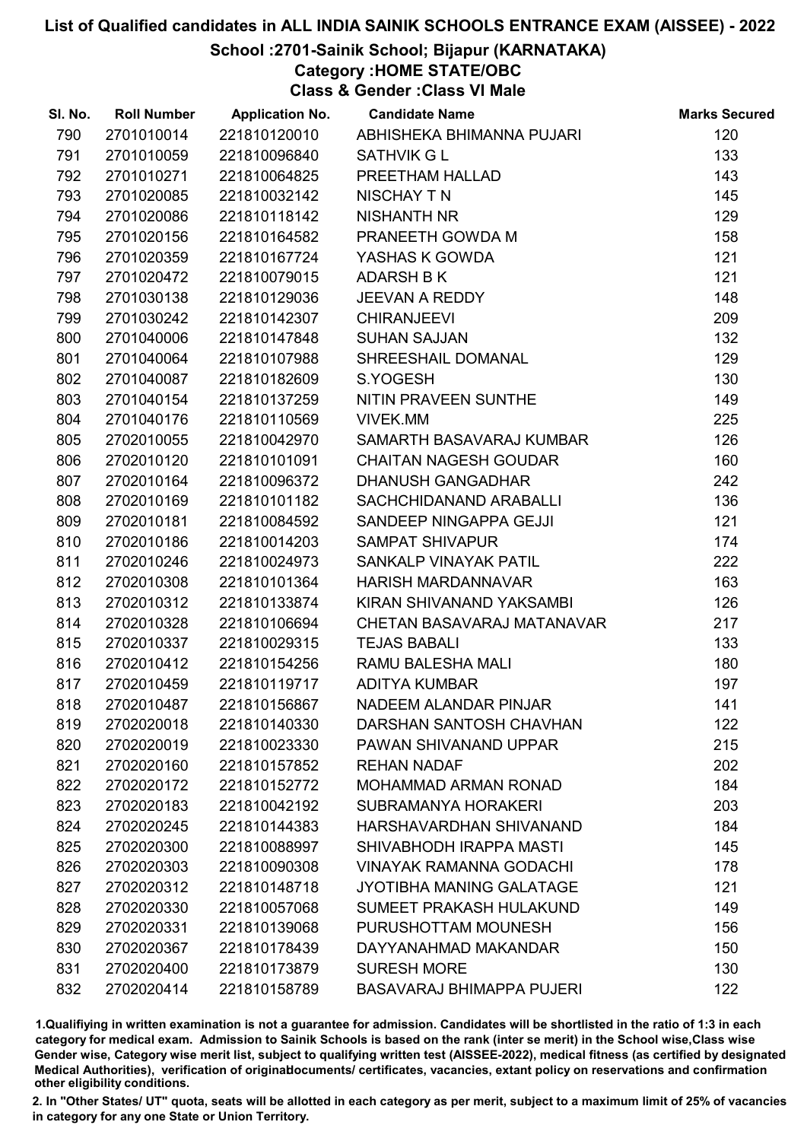### School :2701-Sainik School; Bijapur (KARNATAKA)

Category :HOME STATE/OBC

Class & Gender :Class VI Male

| SI. No. | <b>Roll Number</b> | <b>Application No.</b> | <b>Candidate Name</b>            | <b>Marks Secured</b> |
|---------|--------------------|------------------------|----------------------------------|----------------------|
| 790     | 2701010014         | 221810120010           | ABHISHEKA BHIMANNA PUJARI        | 120                  |
| 791     | 2701010059         | 221810096840           | <b>SATHVIK G L</b>               | 133                  |
| 792     | 2701010271         | 221810064825           | PREETHAM HALLAD                  | 143                  |
| 793     | 2701020085         | 221810032142           | <b>NISCHAY T N</b>               | 145                  |
| 794     | 2701020086         | 221810118142           | <b>NISHANTH NR</b>               | 129                  |
| 795     | 2701020156         | 221810164582           | PRANEETH GOWDA M                 | 158                  |
| 796     | 2701020359         | 221810167724           | YASHAS K GOWDA                   | 121                  |
| 797     | 2701020472         | 221810079015           | <b>ADARSH B K</b>                | 121                  |
| 798     | 2701030138         | 221810129036           | <b>JEEVAN A REDDY</b>            | 148                  |
| 799     | 2701030242         | 221810142307           | <b>CHIRANJEEVI</b>               | 209                  |
| 800     | 2701040006         | 221810147848           | <b>SUHAN SAJJAN</b>              | 132                  |
| 801     | 2701040064         | 221810107988           | SHREESHAIL DOMANAL               | 129                  |
| 802     | 2701040087         | 221810182609           | S.YOGESH                         | 130                  |
| 803     | 2701040154         | 221810137259           | NITIN PRAVEEN SUNTHE             | 149                  |
| 804     | 2701040176         | 221810110569           | <b>VIVEK.MM</b>                  | 225                  |
| 805     | 2702010055         | 221810042970           | SAMARTH BASAVARAJ KUMBAR         | 126                  |
| 806     | 2702010120         | 221810101091           | <b>CHAITAN NAGESH GOUDAR</b>     | 160                  |
| 807     | 2702010164         | 221810096372           | <b>DHANUSH GANGADHAR</b>         | 242                  |
| 808     | 2702010169         | 221810101182           | SACHCHIDANAND ARABALLI           | 136                  |
| 809     | 2702010181         | 221810084592           | SANDEEP NINGAPPA GEJJI           | 121                  |
| 810     | 2702010186         | 221810014203           | <b>SAMPAT SHIVAPUR</b>           | 174                  |
| 811     | 2702010246         | 221810024973           | SANKALP VINAYAK PATIL            | 222                  |
| 812     | 2702010308         | 221810101364           | HARISH MARDANNAVAR               | 163                  |
| 813     | 2702010312         | 221810133874           | KIRAN SHIVANAND YAKSAMBI         | 126                  |
| 814     | 2702010328         | 221810106694           | CHETAN BASAVARAJ MATANAVAR       | 217                  |
| 815     | 2702010337         | 221810029315           | <b>TEJAS BABALI</b>              | 133                  |
| 816     | 2702010412         | 221810154256           | RAMU BALESHA MALI                | 180                  |
| 817     | 2702010459         | 221810119717           | <b>ADITYA KUMBAR</b>             | 197                  |
| 818     | 2702010487         | 221810156867           | NADEEM ALANDAR PINJAR            | 141                  |
| 819     | 2702020018         | 221810140330           | DARSHAN SANTOSH CHAVHAN          | 122                  |
| 820     | 2702020019         | 221810023330           | PAWAN SHIVANAND UPPAR            | 215                  |
| 821     | 2702020160         | 221810157852           | <b>REHAN NADAF</b>               | 202                  |
| 822     | 2702020172         | 221810152772           | <b>MOHAMMAD ARMAN RONAD</b>      | 184                  |
| 823     | 2702020183         | 221810042192           | <b>SUBRAMANYA HORAKERI</b>       | 203                  |
| 824     | 2702020245         | 221810144383           | HARSHAVARDHAN SHIVANAND          | 184                  |
| 825     | 2702020300         | 221810088997           | SHIVABHODH IRAPPA MASTI          | 145                  |
| 826     | 2702020303         | 221810090308           | <b>VINAYAK RAMANNA GODACHI</b>   | 178                  |
| 827     | 2702020312         | 221810148718           | <b>JYOTIBHA MANING GALATAGE</b>  | 121                  |
| 828     | 2702020330         | 221810057068           | SUMEET PRAKASH HULAKUND          | 149                  |
| 829     | 2702020331         | 221810139068           | PURUSHOTTAM MOUNESH              | 156                  |
| 830     | 2702020367         | 221810178439           | DAYYANAHMAD MAKANDAR             | 150                  |
| 831     | 2702020400         | 221810173879           | <b>SURESH MORE</b>               | 130                  |
| 832     | 2702020414         | 221810158789           | <b>BASAVARAJ BHIMAPPA PUJERI</b> | 122                  |

1.Qualifiying in written examination is not a guarantee for admission. Candidates will be shortlisted in the ratio of 1:3 in each category for medical exam. Admission to Sainik Schools is based on the rank (inter se merit) in the School wise,Class wise Gender wise, Category wise merit list, subject to qualifying written test (AISSEE-2022), medical fitness (as certified by designated Medical Authorities), verification of originablocuments/ certificates, vacancies, extant policy on reservations and confirmation other eligibility conditions.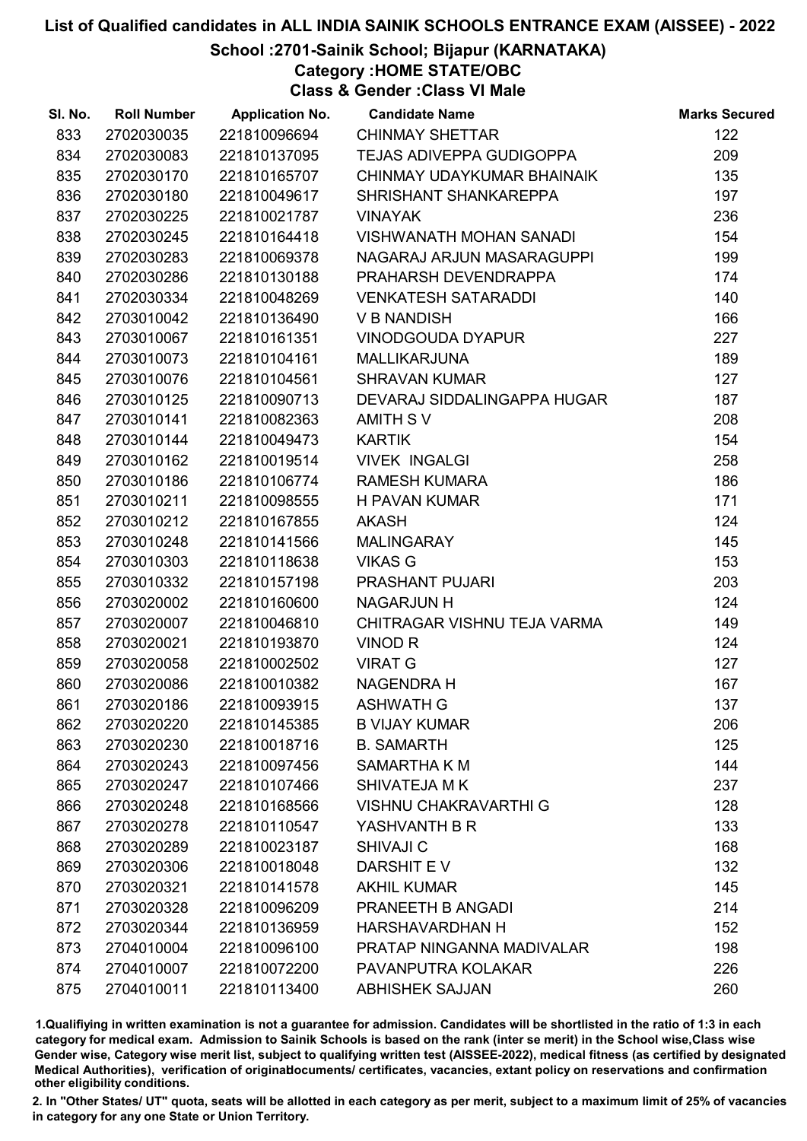### School :2701-Sainik School; Bijapur (KARNATAKA)

Category :HOME STATE/OBC

Class & Gender :Class VI Male

| SI. No. | <b>Roll Number</b> | <b>Application No.</b> | <b>Candidate Name</b>           | <b>Marks Secured</b> |
|---------|--------------------|------------------------|---------------------------------|----------------------|
| 833     | 2702030035         | 221810096694           | <b>CHINMAY SHETTAR</b>          | 122                  |
| 834     | 2702030083         | 221810137095           | <b>TEJAS ADIVEPPA GUDIGOPPA</b> | 209                  |
| 835     | 2702030170         | 221810165707           | CHINMAY UDAYKUMAR BHAINAIK      | 135                  |
| 836     | 2702030180         | 221810049617           | SHRISHANT SHANKAREPPA           | 197                  |
| 837     | 2702030225         | 221810021787           | <b>VINAYAK</b>                  | 236                  |
| 838     | 2702030245         | 221810164418           | <b>VISHWANATH MOHAN SANADI</b>  | 154                  |
| 839     | 2702030283         | 221810069378           | NAGARAJ ARJUN MASARAGUPPI       | 199                  |
| 840     | 2702030286         | 221810130188           | PRAHARSH DEVENDRAPPA            | 174                  |
| 841     | 2702030334         | 221810048269           | <b>VENKATESH SATARADDI</b>      | 140                  |
| 842     | 2703010042         | 221810136490           | <b>V B NANDISH</b>              | 166                  |
| 843     | 2703010067         | 221810161351           | <b>VINODGOUDA DYAPUR</b>        | 227                  |
| 844     | 2703010073         | 221810104161           | <b>MALLIKARJUNA</b>             | 189                  |
| 845     | 2703010076         | 221810104561           | <b>SHRAVAN KUMAR</b>            | 127                  |
| 846     | 2703010125         | 221810090713           | DEVARAJ SIDDALINGAPPA HUGAR     | 187                  |
| 847     | 2703010141         | 221810082363           | AMITH SV                        | 208                  |
| 848     | 2703010144         | 221810049473           | <b>KARTIK</b>                   | 154                  |
| 849     | 2703010162         | 221810019514           | <b>VIVEK INGALGI</b>            | 258                  |
| 850     | 2703010186         | 221810106774           | <b>RAMESH KUMARA</b>            | 186                  |
| 851     | 2703010211         | 221810098555           | <b>H PAVAN KUMAR</b>            | 171                  |
| 852     | 2703010212         | 221810167855           | <b>AKASH</b>                    | 124                  |
| 853     | 2703010248         | 221810141566           | <b>MALINGARAY</b>               | 145                  |
| 854     | 2703010303         | 221810118638           | <b>VIKAS G</b>                  | 153                  |
| 855     | 2703010332         | 221810157198           | PRASHANT PUJARI                 | 203                  |
| 856     | 2703020002         | 221810160600           | NAGARJUN H                      | 124                  |
| 857     | 2703020007         | 221810046810           | CHITRAGAR VISHNU TEJA VARMA     | 149                  |
| 858     | 2703020021         | 221810193870           | <b>VINOD R</b>                  | 124                  |
| 859     | 2703020058         | 221810002502           | <b>VIRAT G</b>                  | 127                  |
| 860     | 2703020086         | 221810010382           | <b>NAGENDRA H</b>               | 167                  |
| 861     | 2703020186         | 221810093915           | <b>ASHWATH G</b>                | 137                  |
| 862     | 2703020220         | 221810145385           | <b>B VIJAY KUMAR</b>            | 206                  |
| 863     | 2703020230         | 221810018716           | <b>B. SAMARTH</b>               | 125                  |
| 864     | 2703020243         | 221810097456           | SAMARTHA K M                    | 144                  |
| 865     | 2703020247         | 221810107466           | SHIVATEJA M K                   | 237                  |
| 866     | 2703020248         | 221810168566           | <b>VISHNU CHAKRAVARTHI G</b>    | 128                  |
| 867     | 2703020278         | 221810110547           | YASHVANTH B R                   | 133                  |
| 868     | 2703020289         | 221810023187           | <b>SHIVAJI C</b>                | 168                  |
| 869     | 2703020306         | 221810018048           | DARSHIT EV                      | 132                  |
| 870     | 2703020321         | 221810141578           | <b>AKHIL KUMAR</b>              | 145                  |
| 871     | 2703020328         | 221810096209           | PRANEETH B ANGADI               | 214                  |
| 872     | 2703020344         | 221810136959           | <b>HARSHAVARDHAN H</b>          | 152                  |
| 873     | 2704010004         | 221810096100           | PRATAP NINGANNA MADIVALAR       | 198                  |
| 874     | 2704010007         | 221810072200           | PAVANPUTRA KOLAKAR              | 226                  |
| 875     | 2704010011         | 221810113400           | <b>ABHISHEK SAJJAN</b>          | 260                  |

1.Qualifiying in written examination is not a guarantee for admission. Candidates will be shortlisted in the ratio of 1:3 in each category for medical exam. Admission to Sainik Schools is based on the rank (inter se merit) in the School wise,Class wise Gender wise, Category wise merit list, subject to qualifying written test (AISSEE-2022), medical fitness (as certified by designated Medical Authorities), verification of originablocuments/ certificates, vacancies, extant policy on reservations and confirmation other eligibility conditions.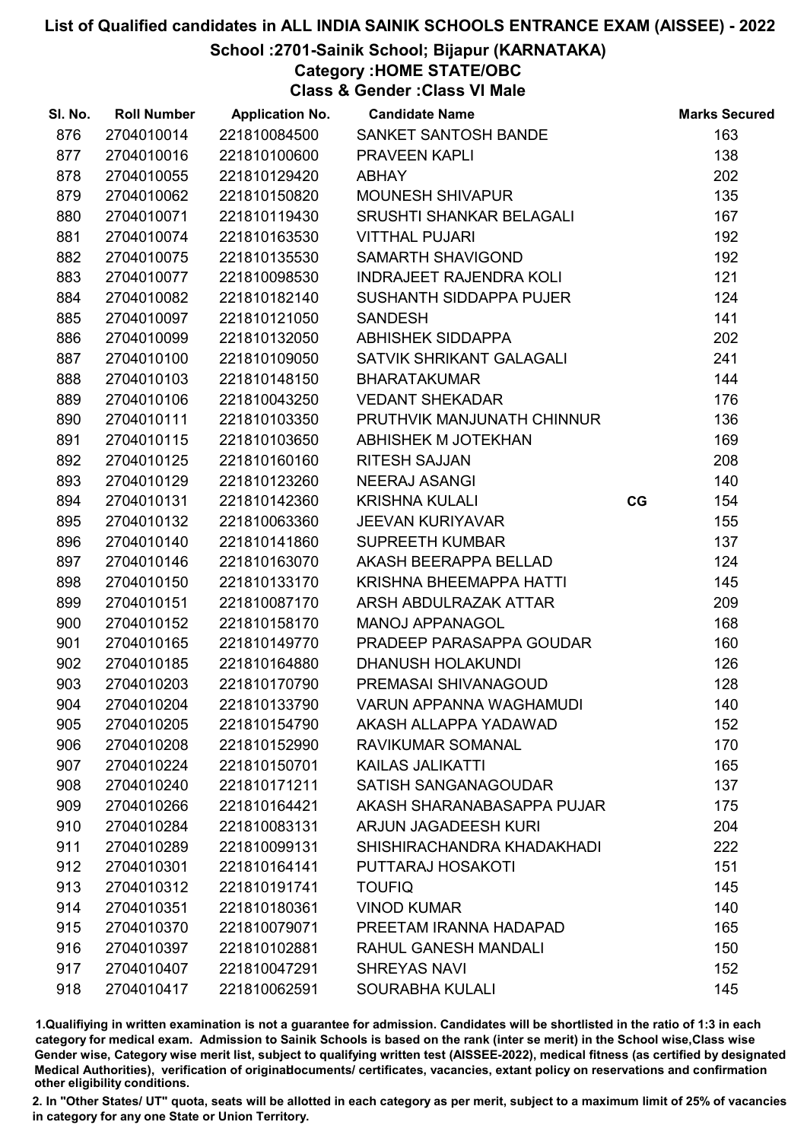### School :2701-Sainik School; Bijapur (KARNATAKA)

Category :HOME STATE/OBC

Class & Gender :Class VI Male

| SI. No. | <b>Roll Number</b> | <b>Application No.</b> | <b>Candidate Name</b>          |    | <b>Marks Secured</b> |
|---------|--------------------|------------------------|--------------------------------|----|----------------------|
| 876     | 2704010014         | 221810084500           | SANKET SANTOSH BANDE           |    | 163                  |
| 877     | 2704010016         | 221810100600           | PRAVEEN KAPLI                  |    | 138                  |
| 878     | 2704010055         | 221810129420           | <b>ABHAY</b>                   |    | 202                  |
| 879     | 2704010062         | 221810150820           | <b>MOUNESH SHIVAPUR</b>        |    | 135                  |
| 880     | 2704010071         | 221810119430           | SRUSHTI SHANKAR BELAGALI       |    | 167                  |
| 881     | 2704010074         | 221810163530           | <b>VITTHAL PUJARI</b>          |    | 192                  |
| 882     | 2704010075         | 221810135530           | <b>SAMARTH SHAVIGOND</b>       |    | 192                  |
| 883     | 2704010077         | 221810098530           | <b>INDRAJEET RAJENDRA KOLI</b> |    | 121                  |
| 884     | 2704010082         | 221810182140           | SUSHANTH SIDDAPPA PUJER        |    | 124                  |
| 885     | 2704010097         | 221810121050           | <b>SANDESH</b>                 |    | 141                  |
| 886     | 2704010099         | 221810132050           | <b>ABHISHEK SIDDAPPA</b>       |    | 202                  |
| 887     | 2704010100         | 221810109050           | SATVIK SHRIKANT GALAGALI       |    | 241                  |
| 888     | 2704010103         | 221810148150           | <b>BHARATAKUMAR</b>            |    | 144                  |
| 889     | 2704010106         | 221810043250           | <b>VEDANT SHEKADAR</b>         |    | 176                  |
| 890     | 2704010111         | 221810103350           | PRUTHVIK MANJUNATH CHINNUR     |    | 136                  |
| 891     | 2704010115         | 221810103650           | ABHISHEK M JOTEKHAN            |    | 169                  |
| 892     | 2704010125         | 221810160160           | <b>RITESH SAJJAN</b>           |    | 208                  |
| 893     | 2704010129         | 221810123260           | <b>NEERAJ ASANGI</b>           |    | 140                  |
| 894     | 2704010131         | 221810142360           | <b>KRISHNA KULALI</b>          | CG | 154                  |
| 895     | 2704010132         | 221810063360           | <b>JEEVAN KURIYAVAR</b>        |    | 155                  |
| 896     | 2704010140         | 221810141860           | <b>SUPREETH KUMBAR</b>         |    | 137                  |
| 897     | 2704010146         | 221810163070           | AKASH BEERAPPA BELLAD          |    | 124                  |
| 898     | 2704010150         | 221810133170           | KRISHNA BHEEMAPPA HATTI        |    | 145                  |
| 899     | 2704010151         | 221810087170           | ARSH ABDULRAZAK ATTAR          |    | 209                  |
| 900     | 2704010152         | 221810158170           | <b>MANOJ APPANAGOL</b>         |    | 168                  |
| 901     | 2704010165         | 221810149770           | PRADEEP PARASAPPA GOUDAR       |    | 160                  |
| 902     | 2704010185         | 221810164880           | <b>DHANUSH HOLAKUNDI</b>       |    | 126                  |
| 903     | 2704010203         | 221810170790           | PREMASAI SHIVANAGOUD           |    | 128                  |
| 904     | 2704010204         | 221810133790           | <b>VARUN APPANNA WAGHAMUDI</b> |    | 140                  |
| 905     | 2704010205         | 221810154790           | AKASH ALLAPPA YADAWAD          |    | 152                  |
| 906     | 2704010208         | 221810152990           | RAVIKUMAR SOMANAL              |    | 170                  |
| 907     | 2704010224         | 221810150701           | <b>KAILAS JALIKATTI</b>        |    | 165                  |
| 908     | 2704010240         | 221810171211           | SATISH SANGANAGOUDAR           |    | 137                  |
| 909     | 2704010266         | 221810164421           | AKASH SHARANABASAPPA PUJAR     |    | 175                  |
| 910     | 2704010284         | 221810083131           | <b>ARJUN JAGADEESH KURI</b>    |    | 204                  |
| 911     | 2704010289         | 221810099131           | SHISHIRACHANDRA KHADAKHADI     |    | 222                  |
| 912     | 2704010301         | 221810164141           | PUTTARAJ HOSAKOTI              |    | 151                  |
| 913     | 2704010312         | 221810191741           | <b>TOUFIQ</b>                  |    | 145                  |
| 914     | 2704010351         | 221810180361           | <b>VINOD KUMAR</b>             |    | 140                  |
| 915     | 2704010370         | 221810079071           | PREETAM IRANNA HADAPAD         |    | 165                  |
| 916     | 2704010397         | 221810102881           | RAHUL GANESH MANDALI           |    | 150                  |
| 917     | 2704010407         | 221810047291           | <b>SHREYAS NAVI</b>            |    | 152                  |
| 918     | 2704010417         | 221810062591           | <b>SOURABHA KULALI</b>         |    | 145                  |

1.Qualifiying in written examination is not a guarantee for admission. Candidates will be shortlisted in the ratio of 1:3 in each category for medical exam. Admission to Sainik Schools is based on the rank (inter se merit) in the School wise,Class wise Gender wise, Category wise merit list, subject to qualifying written test (AISSEE-2022), medical fitness (as certified by designated Medical Authorities), verification of originablocuments/ certificates, vacancies, extant policy on reservations and confirmation other eligibility conditions.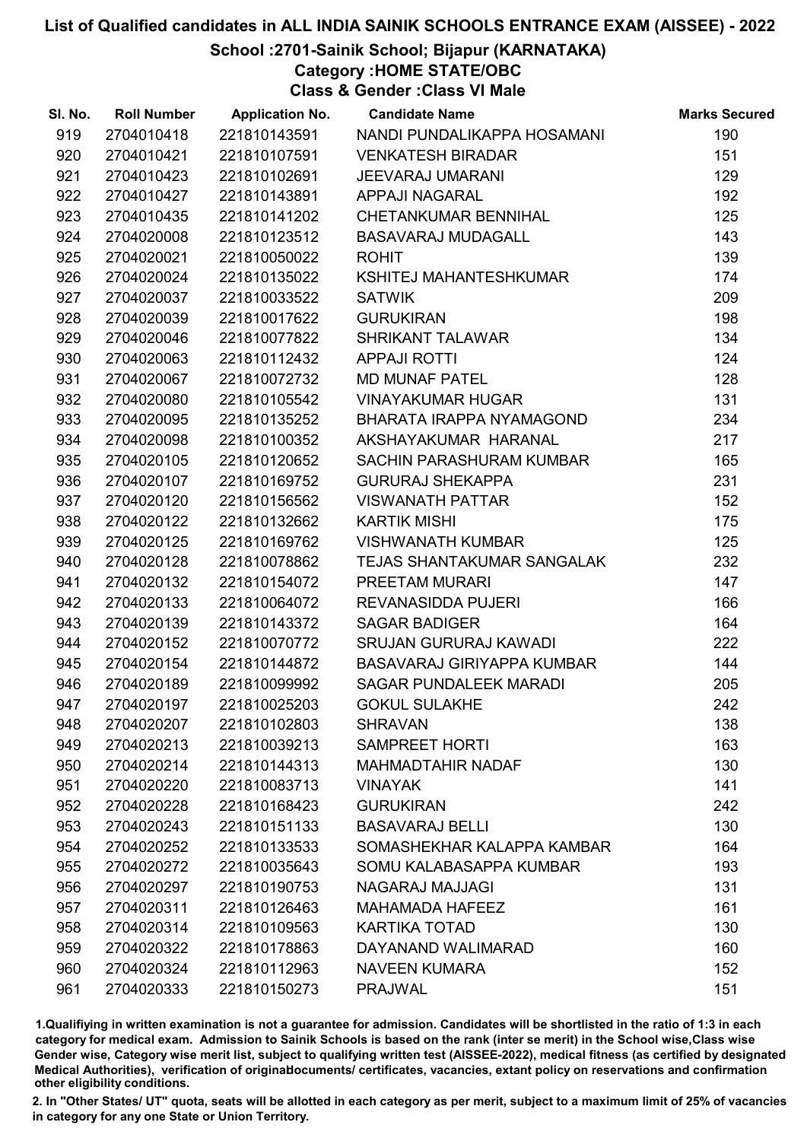### School :2701-Sainik School; Bijapur (KARNATAKA)

Category :HOME STATE/OBC

Class & Gender :Class VI Male

| SI. No. | <b>Roll Number</b> | <b>Application No.</b> | <b>Candidate Name</b>         | <b>Marks Secured</b> |
|---------|--------------------|------------------------|-------------------------------|----------------------|
| 919     | 2704010418         | 221810143591           | NANDI PUNDALIKAPPA HOSAMANI   | 190                  |
| 920     | 2704010421         | 221810107591           | <b>VENKATESH BIRADAR</b>      | 151                  |
| 921     | 2704010423         | 221810102691           | <b>JEEVARAJ UMARANI</b>       | 129                  |
| 922     | 2704010427         | 221810143891           | <b>APPAJI NAGARAL</b>         | 192                  |
| 923     | 2704010435         | 221810141202           | CHETANKUMAR BENNIHAL          | 125                  |
| 924     | 2704020008         | 221810123512           | <b>BASAVARAJ MUDAGALL</b>     | 143                  |
| 925     | 2704020021         | 221810050022           | <b>ROHIT</b>                  | 139                  |
| 926     | 2704020024         | 221810135022           | KSHITEJ MAHANTESHKUMAR        | 174                  |
| 927     | 2704020037         | 221810033522           | <b>SATWIK</b>                 | 209                  |
| 928     | 2704020039         | 221810017622           | <b>GURUKIRAN</b>              | 198                  |
| 929     | 2704020046         | 221810077822           | <b>SHRIKANT TALAWAR</b>       | 134                  |
| 930     | 2704020063         | 221810112432           | <b>APPAJI ROTTI</b>           | 124                  |
| 931     | 2704020067         | 221810072732           | <b>MD MUNAF PATEL</b>         | 128                  |
| 932     | 2704020080         | 221810105542           | <b>VINAYAKUMAR HUGAR</b>      | 131                  |
| 933     | 2704020095         | 221810135252           | BHARATA IRAPPA NYAMAGOND      | 234                  |
| 934     | 2704020098         | 221810100352           | AKSHAYAKUMAR HARANAL          | 217                  |
| 935     | 2704020105         | 221810120652           | SACHIN PARASHURAM KUMBAR      | 165                  |
| 936     | 2704020107         | 221810169752           | <b>GURURAJ SHEKAPPA</b>       | 231                  |
| 937     | 2704020120         | 221810156562           | <b>VISWANATH PATTAR</b>       | 152                  |
| 938     | 2704020122         | 221810132662           | <b>KARTIK MISHI</b>           | 175                  |
| 939     | 2704020125         | 221810169762           | <b>VISHWANATH KUMBAR</b>      | 125                  |
| 940     | 2704020128         | 221810078862           | TEJAS SHANTAKUMAR SANGALAK    | 232                  |
| 941     | 2704020132         | 221810154072           | PREETAM MURARI                | 147                  |
| 942     | 2704020133         | 221810064072           | REVANASIDDA PUJERI            | 166                  |
| 943     | 2704020139         | 221810143372           | <b>SAGAR BADIGER</b>          | 164                  |
| 944     | 2704020152         | 221810070772           | SRUJAN GURURAJ KAWADI         | 222                  |
| 945     | 2704020154         | 221810144872           | BASAVARAJ GIRIYAPPA KUMBAR    | 144                  |
| 946     | 2704020189         | 221810099992           | <b>SAGAR PUNDALEEK MARADI</b> | 205                  |
| 947     | 2704020197         | 221810025203           | <b>GOKUL SULAKHE</b>          | 242                  |
| 948     | 2704020207         | 221810102803           | <b>SHRAVAN</b>                | 138                  |
| 949     | 2704020213         | 221810039213           | <b>SAMPREET HORTI</b>         | 163                  |
| 950     | 2704020214         | 221810144313           | <b>MAHMADTAHIR NADAF</b>      | 130                  |
| 951     | 2704020220         | 221810083713           | <b>VINAYAK</b>                | 141                  |
| 952     | 2704020228         | 221810168423           | <b>GURUKIRAN</b>              | 242                  |
| 953     | 2704020243         | 221810151133           | <b>BASAVARAJ BELLI</b>        | 130                  |
| 954     | 2704020252         | 221810133533           | SOMASHEKHAR KALAPPA KAMBAR    | 164                  |
| 955     | 2704020272         | 221810035643           | SOMU KALABASAPPA KUMBAR       | 193                  |
| 956     | 2704020297         | 221810190753           | NAGARAJ MAJJAGI               | 131                  |
| 957     | 2704020311         | 221810126463           | <b>MAHAMADA HAFEEZ</b>        | 161                  |
| 958     | 2704020314         | 221810109563           | <b>KARTIKA TOTAD</b>          | 130                  |
| 959     | 2704020322         | 221810178863           | DAYANAND WALIMARAD            | 160                  |
| 960     | 2704020324         | 221810112963           | <b>NAVEEN KUMARA</b>          | 152                  |
| 961     | 2704020333         | 221810150273           | <b>PRAJWAL</b>                | 151                  |

1.Qualifiying in written examination is not a guarantee for admission. Candidates will be shortlisted in the ratio of 1:3 in each category for medical exam. Admission to Sainik Schools is based on the rank (inter se merit) in the School wise,Class wise Gender wise, Category wise merit list, subject to qualifying written test (AISSEE-2022), medical fitness (as certified by designated Medical Authorities), verification of originablocuments/ certificates, vacancies, extant policy on reservations and confirmation other eligibility conditions.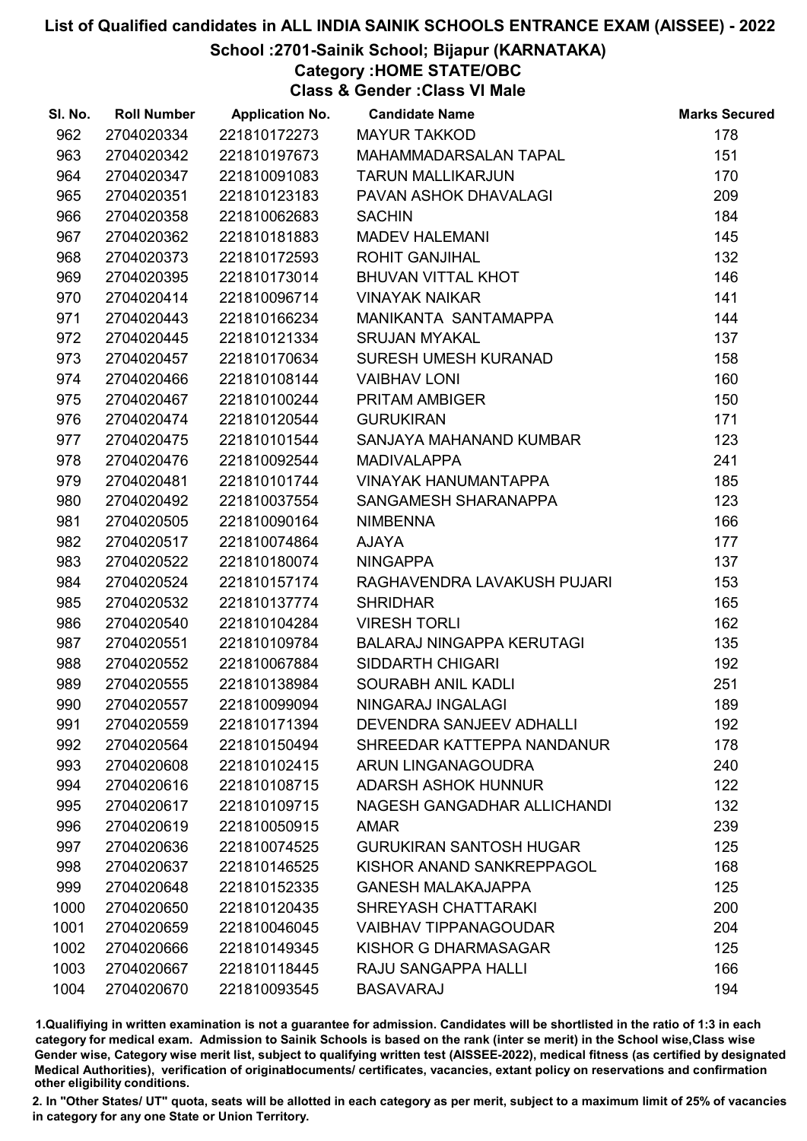### School :2701-Sainik School; Bijapur (KARNATAKA)

Category :HOME STATE/OBC

Class & Gender :Class VI Male

| SI. No. | <b>Roll Number</b> | <b>Application No.</b> | <b>Candidate Name</b>            | <b>Marks Secured</b> |
|---------|--------------------|------------------------|----------------------------------|----------------------|
| 962     | 2704020334         | 221810172273           | <b>MAYUR TAKKOD</b>              | 178                  |
| 963     | 2704020342         | 221810197673           | MAHAMMADARSALAN TAPAL            | 151                  |
| 964     | 2704020347         | 221810091083           | <b>TARUN MALLIKARJUN</b>         | 170                  |
| 965     | 2704020351         | 221810123183           | PAVAN ASHOK DHAVALAGI            | 209                  |
| 966     | 2704020358         | 221810062683           | <b>SACHIN</b>                    | 184                  |
| 967     | 2704020362         | 221810181883           | <b>MADEV HALEMANI</b>            | 145                  |
| 968     | 2704020373         | 221810172593           | <b>ROHIT GANJIHAL</b>            | 132                  |
| 969     | 2704020395         | 221810173014           | <b>BHUVAN VITTAL KHOT</b>        | 146                  |
| 970     | 2704020414         | 221810096714           | <b>VINAYAK NAIKAR</b>            | 141                  |
| 971     | 2704020443         | 221810166234           | MANIKANTA SANTAMAPPA             | 144                  |
| 972     | 2704020445         | 221810121334           | <b>SRUJAN MYAKAL</b>             | 137                  |
| 973     | 2704020457         | 221810170634           | <b>SURESH UMESH KURANAD</b>      | 158                  |
| 974     | 2704020466         | 221810108144           | <b>VAIBHAV LONI</b>              | 160                  |
| 975     | 2704020467         | 221810100244           | <b>PRITAM AMBIGER</b>            | 150                  |
| 976     | 2704020474         | 221810120544           | <b>GURUKIRAN</b>                 | 171                  |
| 977     | 2704020475         | 221810101544           | SANJAYA MAHANAND KUMBAR          | 123                  |
| 978     | 2704020476         | 221810092544           | <b>MADIVALAPPA</b>               | 241                  |
| 979     | 2704020481         | 221810101744           | <b>VINAYAK HANUMANTAPPA</b>      | 185                  |
| 980     | 2704020492         | 221810037554           | SANGAMESH SHARANAPPA             | 123                  |
| 981     | 2704020505         | 221810090164           | <b>NIMBENNA</b>                  | 166                  |
| 982     | 2704020517         | 221810074864           | <b>AJAYA</b>                     | 177                  |
| 983     | 2704020522         | 221810180074           | <b>NINGAPPA</b>                  | 137                  |
| 984     | 2704020524         | 221810157174           | RAGHAVENDRA LAVAKUSH PUJARI      | 153                  |
| 985     | 2704020532         | 221810137774           | <b>SHRIDHAR</b>                  | 165                  |
| 986     | 2704020540         | 221810104284           | <b>VIRESH TORLI</b>              | 162                  |
| 987     | 2704020551         | 221810109784           | <b>BALARAJ NINGAPPA KERUTAGI</b> | 135                  |
| 988     | 2704020552         | 221810067884           | <b>SIDDARTH CHIGARI</b>          | 192                  |
| 989     | 2704020555         | 221810138984           | SOURABH ANIL KADLI               | 251                  |
| 990     | 2704020557         | 221810099094           | NINGARAJ INGALAGI                | 189                  |
| 991     | 2704020559         | 221810171394           | DEVENDRA SANJEEV ADHALLI         | 192                  |
| 992     | 2704020564         | 221810150494           | SHREEDAR KATTEPPA NANDANUR       | 178                  |
| 993     | 2704020608         | 221810102415           | ARUN LINGANAGOUDRA               | 240                  |
| 994     | 2704020616         | 221810108715           | <b>ADARSH ASHOK HUNNUR</b>       | 122                  |
| 995     | 2704020617         | 221810109715           | NAGESH GANGADHAR ALLICHANDI      | 132                  |
| 996     | 2704020619         | 221810050915           | <b>AMAR</b>                      | 239                  |
| 997     | 2704020636         | 221810074525           | <b>GURUKIRAN SANTOSH HUGAR</b>   | 125                  |
| 998     | 2704020637         | 221810146525           | KISHOR ANAND SANKREPPAGOL        | 168                  |
| 999     | 2704020648         | 221810152335           | <b>GANESH MALAKAJAPPA</b>        | 125                  |
| 1000    | 2704020650         | 221810120435           | SHREYASH CHATTARAKI              | 200                  |
| 1001    | 2704020659         | 221810046045           | <b>VAIBHAV TIPPANAGOUDAR</b>     | 204                  |
| 1002    | 2704020666         | 221810149345           | KISHOR G DHARMASAGAR             | 125                  |
| 1003    | 2704020667         | 221810118445           | RAJU SANGAPPA HALLI              | 166                  |
| 1004    | 2704020670         | 221810093545           | <b>BASAVARAJ</b>                 | 194                  |

1.Qualifiying in written examination is not a guarantee for admission. Candidates will be shortlisted in the ratio of 1:3 in each category for medical exam. Admission to Sainik Schools is based on the rank (inter se merit) in the School wise,Class wise Gender wise, Category wise merit list, subject to qualifying written test (AISSEE-2022), medical fitness (as certified by designated Medical Authorities), verification of originablocuments/ certificates, vacancies, extant policy on reservations and confirmation other eligibility conditions.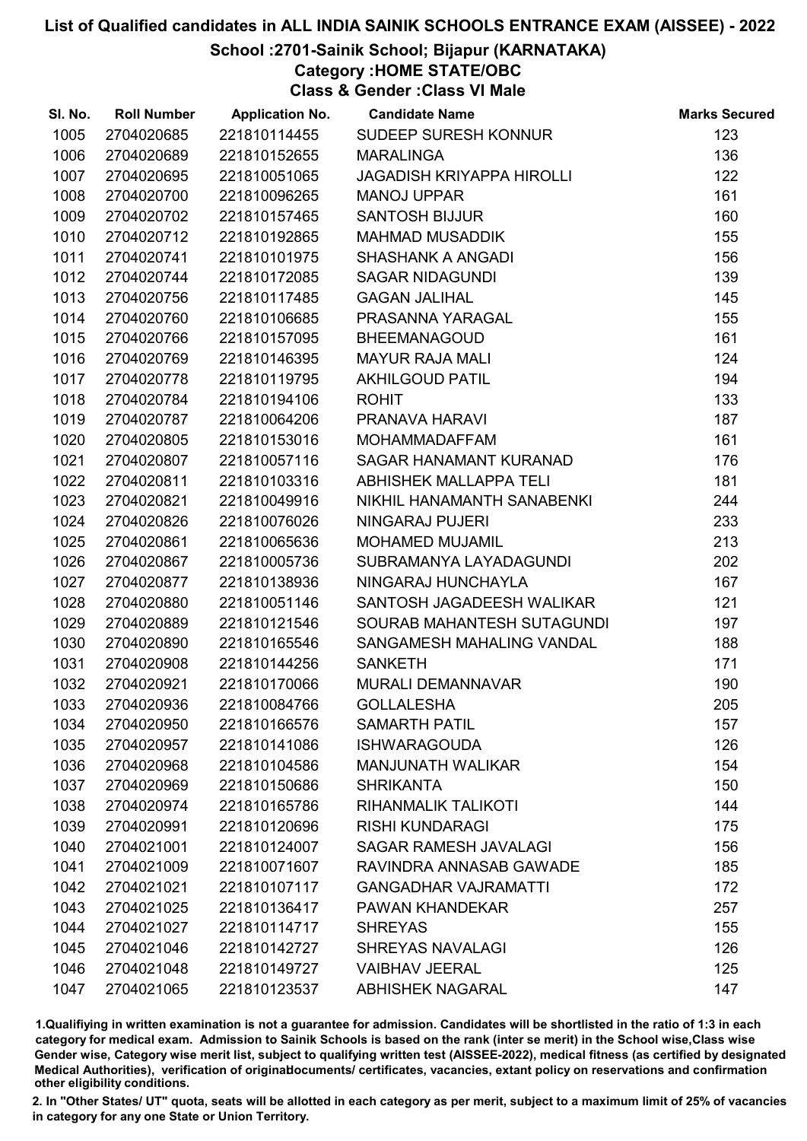### School :2701-Sainik School; Bijapur (KARNATAKA)

Category :HOME STATE/OBC

Class & Gender :Class VI Male

| SI. No. | <b>Roll Number</b> | <b>Application No.</b> | <b>Candidate Name</b>            | <b>Marks Secured</b> |
|---------|--------------------|------------------------|----------------------------------|----------------------|
| 1005    | 2704020685         | 221810114455           | SUDEEP SURESH KONNUR             | 123                  |
| 1006    | 2704020689         | 221810152655           | <b>MARALINGA</b>                 | 136                  |
| 1007    | 2704020695         | 221810051065           | <b>JAGADISH KRIYAPPA HIROLLI</b> | 122                  |
| 1008    | 2704020700         | 221810096265           | <b>MANOJ UPPAR</b>               | 161                  |
| 1009    | 2704020702         | 221810157465           | <b>SANTOSH BIJJUR</b>            | 160                  |
| 1010    | 2704020712         | 221810192865           | <b>MAHMAD MUSADDIK</b>           | 155                  |
| 1011    | 2704020741         | 221810101975           | <b>SHASHANK A ANGADI</b>         | 156                  |
| 1012    | 2704020744         | 221810172085           | <b>SAGAR NIDAGUNDI</b>           | 139                  |
| 1013    | 2704020756         | 221810117485           | <b>GAGAN JALIHAL</b>             | 145                  |
| 1014    | 2704020760         | 221810106685           | PRASANNA YARAGAL                 | 155                  |
| 1015    | 2704020766         | 221810157095           | <b>BHEEMANAGOUD</b>              | 161                  |
| 1016    | 2704020769         | 221810146395           | <b>MAYUR RAJA MALI</b>           | 124                  |
| 1017    | 2704020778         | 221810119795           | <b>AKHILGOUD PATIL</b>           | 194                  |
| 1018    | 2704020784         | 221810194106           | <b>ROHIT</b>                     | 133                  |
| 1019    | 2704020787         | 221810064206           | PRANAVA HARAVI                   | 187                  |
| 1020    | 2704020805         | 221810153016           | <b>MOHAMMADAFFAM</b>             | 161                  |
| 1021    | 2704020807         | 221810057116           | SAGAR HANAMANT KURANAD           | 176                  |
| 1022    | 2704020811         | 221810103316           | <b>ABHISHEK MALLAPPA TELI</b>    | 181                  |
| 1023    | 2704020821         | 221810049916           | NIKHIL HANAMANTH SANABENKI       | 244                  |
| 1024    | 2704020826         | 221810076026           | NINGARAJ PUJERI                  | 233                  |
| 1025    | 2704020861         | 221810065636           | <b>MOHAMED MUJAMIL</b>           | 213                  |
| 1026    | 2704020867         | 221810005736           | SUBRAMANYA LAYADAGUNDI           | 202                  |
| 1027    | 2704020877         | 221810138936           | NINGARAJ HUNCHAYLA               | 167                  |
| 1028    | 2704020880         | 221810051146           | SANTOSH JAGADEESH WALIKAR        | 121                  |
| 1029    | 2704020889         | 221810121546           | SOURAB MAHANTESH SUTAGUNDI       | 197                  |
| 1030    | 2704020890         | 221810165546           | SANGAMESH MAHALING VANDAL        | 188                  |
| 1031    | 2704020908         | 221810144256           | <b>SANKETH</b>                   | 171                  |
| 1032    | 2704020921         | 221810170066           | <b>MURALI DEMANNAVAR</b>         | 190                  |
| 1033    | 2704020936         | 221810084766           | <b>GOLLALESHA</b>                | 205                  |
| 1034    | 2704020950         | 221810166576           | <b>SAMARTH PATIL</b>             | 157                  |
| 1035    | 2704020957         | 221810141086           | <b>ISHWARAGOUDA</b>              | 126                  |
| 1036    | 2704020968         | 221810104586           | <b>MANJUNATH WALIKAR</b>         | 154                  |
| 1037    | 2704020969         | 221810150686           | <b>SHRIKANTA</b>                 | 150                  |
| 1038    | 2704020974         | 221810165786           | RIHANMALIK TALIKOTI              | 144                  |
| 1039    | 2704020991         | 221810120696           | <b>RISHI KUNDARAGI</b>           | 175                  |
| 1040    | 2704021001         | 221810124007           | <b>SAGAR RAMESH JAVALAGI</b>     | 156                  |
| 1041    | 2704021009         | 221810071607           | RAVINDRA ANNASAB GAWADE          | 185                  |
| 1042    | 2704021021         | 221810107117           | <b>GANGADHAR VAJRAMATTI</b>      | 172                  |
| 1043    | 2704021025         | 221810136417           | PAWAN KHANDEKAR                  | 257                  |
| 1044    | 2704021027         | 221810114717           | <b>SHREYAS</b>                   | 155                  |
| 1045    | 2704021046         | 221810142727           | <b>SHREYAS NAVALAGI</b>          | 126                  |
| 1046    | 2704021048         | 221810149727           | <b>VAIBHAV JEERAL</b>            | 125                  |
| 1047    | 2704021065         | 221810123537           | <b>ABHISHEK NAGARAL</b>          | 147                  |

1.Qualifiying in written examination is not a guarantee for admission. Candidates will be shortlisted in the ratio of 1:3 in each category for medical exam. Admission to Sainik Schools is based on the rank (inter se merit) in the School wise,Class wise Gender wise, Category wise merit list, subject to qualifying written test (AISSEE-2022), medical fitness (as certified by designated Medical Authorities), verification of originablocuments/ certificates, vacancies, extant policy on reservations and confirmation other eligibility conditions.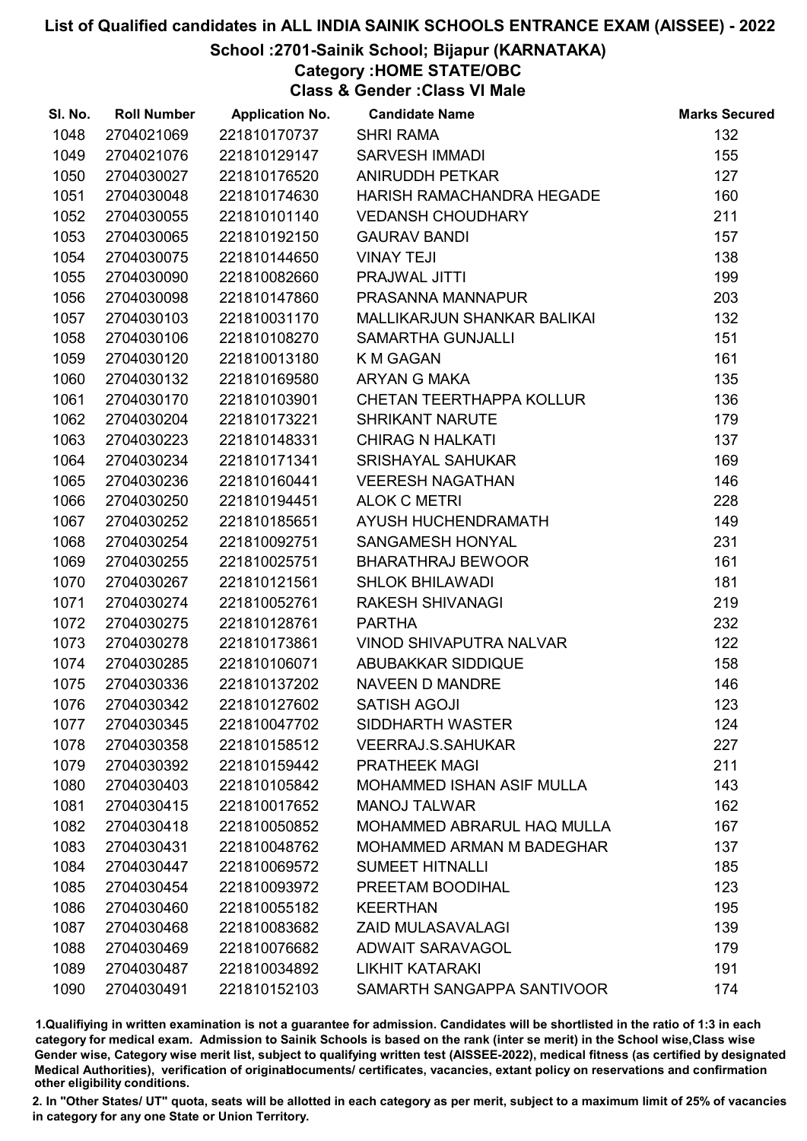### School :2701-Sainik School; Bijapur (KARNATAKA)

Category :HOME STATE/OBC

Class & Gender :Class VI Male

| SI. No. | <b>Roll Number</b> | <b>Application No.</b> | <b>Candidate Name</b>            | <b>Marks Secured</b> |
|---------|--------------------|------------------------|----------------------------------|----------------------|
| 1048    | 2704021069         | 221810170737           | <b>SHRI RAMA</b>                 | 132                  |
| 1049    | 2704021076         | 221810129147           | <b>SARVESH IMMADI</b>            | 155                  |
| 1050    | 2704030027         | 221810176520           | <b>ANIRUDDH PETKAR</b>           | 127                  |
| 1051    | 2704030048         | 221810174630           | HARISH RAMACHANDRA HEGADE        | 160                  |
| 1052    | 2704030055         | 221810101140           | <b>VEDANSH CHOUDHARY</b>         | 211                  |
| 1053    | 2704030065         | 221810192150           | <b>GAURAV BANDI</b>              | 157                  |
| 1054    | 2704030075         | 221810144650           | <b>VINAY TEJI</b>                | 138                  |
| 1055    | 2704030090         | 221810082660           | PRAJWAL JITTI                    | 199                  |
| 1056    | 2704030098         | 221810147860           | PRASANNA MANNAPUR                | 203                  |
| 1057    | 2704030103         | 221810031170           | MALLIKARJUN SHANKAR BALIKAI      | 132                  |
| 1058    | 2704030106         | 221810108270           | <b>SAMARTHA GUNJALLI</b>         | 151                  |
| 1059    | 2704030120         | 221810013180           | <b>K M GAGAN</b>                 | 161                  |
| 1060    | 2704030132         | 221810169580           | ARYAN G MAKA                     | 135                  |
| 1061    | 2704030170         | 221810103901           | <b>CHETAN TEERTHAPPA KOLLUR</b>  | 136                  |
| 1062    | 2704030204         | 221810173221           | <b>SHRIKANT NARUTE</b>           | 179                  |
| 1063    | 2704030223         | 221810148331           | <b>CHIRAG N HALKATI</b>          | 137                  |
| 1064    | 2704030234         | 221810171341           | <b>SRISHAYAL SAHUKAR</b>         | 169                  |
| 1065    | 2704030236         | 221810160441           | <b>VEERESH NAGATHAN</b>          | 146                  |
| 1066    | 2704030250         | 221810194451           | <b>ALOK C METRI</b>              | 228                  |
| 1067    | 2704030252         | 221810185651           | AYUSH HUCHENDRAMATH              | 149                  |
| 1068    | 2704030254         | 221810092751           | SANGAMESH HONYAL                 | 231                  |
| 1069    | 2704030255         | 221810025751           | <b>BHARATHRAJ BEWOOR</b>         | 161                  |
| 1070    | 2704030267         | 221810121561           | <b>SHLOK BHILAWADI</b>           | 181                  |
| 1071    | 2704030274         | 221810052761           | <b>RAKESH SHIVANAGI</b>          | 219                  |
| 1072    | 2704030275         | 221810128761           | <b>PARTHA</b>                    | 232                  |
| 1073    | 2704030278         | 221810173861           | VINOD SHIVAPUTRA NALVAR          | 122                  |
| 1074    | 2704030285         | 221810106071           | ABUBAKKAR SIDDIQUE               | 158                  |
| 1075    | 2704030336         | 221810137202           | <b>NAVEEN D MANDRE</b>           | 146                  |
| 1076    | 2704030342         | 221810127602           | <b>SATISH AGOJI</b>              | 123                  |
| 1077    | 2704030345         | 221810047702           | SIDDHARTH WASTER                 | 124                  |
| 1078    | 2704030358         | 221810158512           | <b>VEERRAJ.S.SAHUKAR</b>         | 227                  |
| 1079    | 2704030392         | 221810159442           | <b>PRATHEEK MAGI</b>             | 211                  |
| 1080    | 2704030403         | 221810105842           | <b>MOHAMMED ISHAN ASIF MULLA</b> | 143                  |
| 1081    | 2704030415         | 221810017652           | <b>MANOJ TALWAR</b>              | 162                  |
| 1082    | 2704030418         | 221810050852           | MOHAMMED ABRARUL HAQ MULLA       | 167                  |
| 1083    | 2704030431         | 221810048762           | <b>MOHAMMED ARMAN M BADEGHAR</b> | 137                  |
| 1084    | 2704030447         | 221810069572           | <b>SUMEET HITNALLI</b>           | 185                  |
| 1085    | 2704030454         | 221810093972           | PREETAM BOODIHAL                 | 123                  |
| 1086    | 2704030460         | 221810055182           | <b>KEERTHAN</b>                  | 195                  |
| 1087    | 2704030468         | 221810083682           | <b>ZAID MULASAVALAGI</b>         | 139                  |
| 1088    | 2704030469         | 221810076682           | <b>ADWAIT SARAVAGOL</b>          | 179                  |
| 1089    | 2704030487         | 221810034892           | <b>LIKHIT KATARAKI</b>           | 191                  |
| 1090    | 2704030491         | 221810152103           | SAMARTH SANGAPPA SANTIVOOR       | 174                  |

1.Qualifiying in written examination is not a guarantee for admission. Candidates will be shortlisted in the ratio of 1:3 in each category for medical exam. Admission to Sainik Schools is based on the rank (inter se merit) in the School wise,Class wise Gender wise, Category wise merit list, subject to qualifying written test (AISSEE-2022), medical fitness (as certified by designated Medical Authorities), verification of originablocuments/ certificates, vacancies, extant policy on reservations and confirmation other eligibility conditions.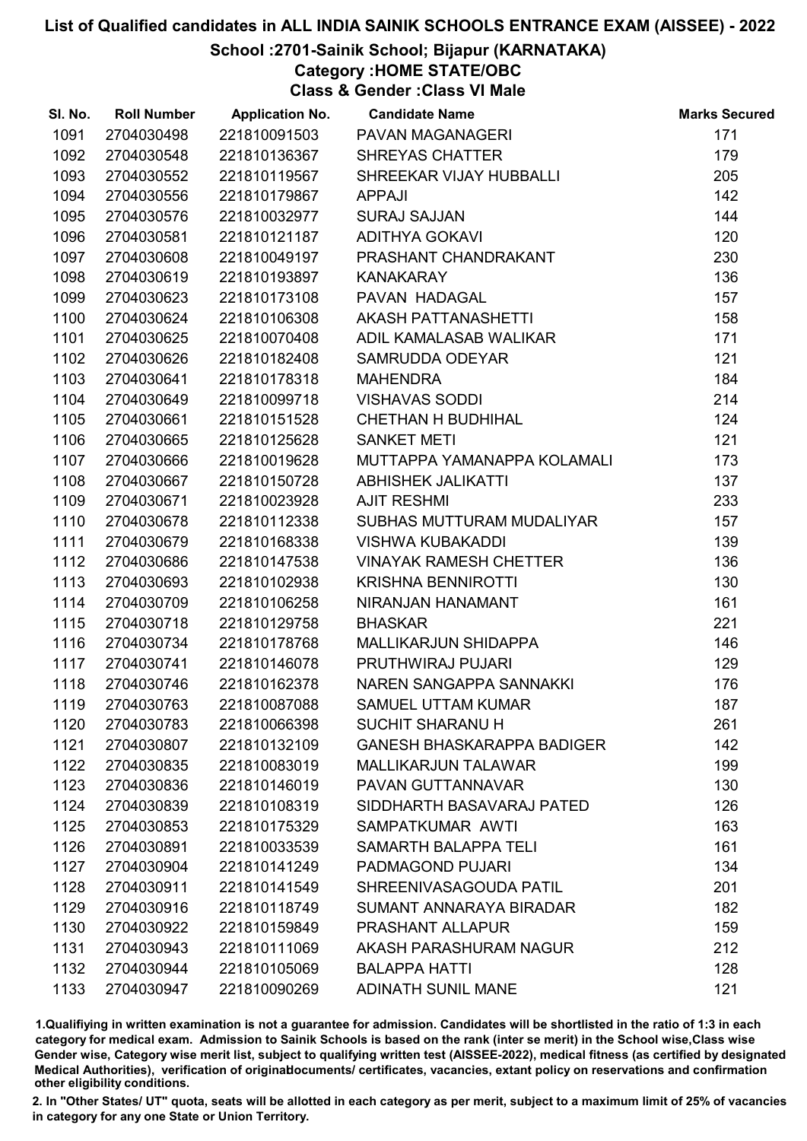### School :2701-Sainik School; Bijapur (KARNATAKA)

Category :HOME STATE/OBC

Class & Gender :Class VI Male

| SI. No. | <b>Roll Number</b> | <b>Application No.</b> | <b>Candidate Name</b>             | <b>Marks Secured</b> |
|---------|--------------------|------------------------|-----------------------------------|----------------------|
| 1091    | 2704030498         | 221810091503           | PAVAN MAGANAGERI                  | 171                  |
| 1092    | 2704030548         | 221810136367           | <b>SHREYAS CHATTER</b>            | 179                  |
| 1093    | 2704030552         | 221810119567           | SHREEKAR VIJAY HUBBALLI           | 205                  |
| 1094    | 2704030556         | 221810179867           | <b>APPAJI</b>                     | 142                  |
| 1095    | 2704030576         | 221810032977           | <b>SURAJ SAJJAN</b>               | 144                  |
| 1096    | 2704030581         | 221810121187           | <b>ADITHYA GOKAVI</b>             | 120                  |
| 1097    | 2704030608         | 221810049197           | PRASHANT CHANDRAKANT              | 230                  |
| 1098    | 2704030619         | 221810193897           | <b>KANAKARAY</b>                  | 136                  |
| 1099    | 2704030623         | 221810173108           | PAVAN HADAGAL                     | 157                  |
| 1100    | 2704030624         | 221810106308           | AKASH PATTANASHETTI               | 158                  |
| 1101    | 2704030625         | 221810070408           | ADIL KAMALASAB WALIKAR            | 171                  |
| 1102    | 2704030626         | 221810182408           | <b>SAMRUDDA ODEYAR</b>            | 121                  |
| 1103    | 2704030641         | 221810178318           | <b>MAHENDRA</b>                   | 184                  |
| 1104    | 2704030649         | 221810099718           | <b>VISHAVAS SODDI</b>             | 214                  |
| 1105    | 2704030661         | 221810151528           | <b>CHETHAN H BUDHIHAL</b>         | 124                  |
| 1106    | 2704030665         | 221810125628           | <b>SANKET METI</b>                | 121                  |
| 1107    | 2704030666         | 221810019628           | MUTTAPPA YAMANAPPA KOLAMALI       | 173                  |
| 1108    | 2704030667         | 221810150728           | <b>ABHISHEK JALIKATTI</b>         | 137                  |
| 1109    | 2704030671         | 221810023928           | <b>AJIT RESHMI</b>                | 233                  |
| 1110    | 2704030678         | 221810112338           | SUBHAS MUTTURAM MUDALIYAR         | 157                  |
| 1111    | 2704030679         | 221810168338           | <b>VISHWA KUBAKADDI</b>           | 139                  |
| 1112    | 2704030686         | 221810147538           | <b>VINAYAK RAMESH CHETTER</b>     | 136                  |
| 1113    | 2704030693         | 221810102938           | <b>KRISHNA BENNIROTTI</b>         | 130                  |
| 1114    | 2704030709         | 221810106258           | NIRANJAN HANAMANT                 | 161                  |
| 1115    | 2704030718         | 221810129758           | <b>BHASKAR</b>                    | 221                  |
| 1116    | 2704030734         | 221810178768           | <b>MALLIKARJUN SHIDAPPA</b>       | 146                  |
| 1117    | 2704030741         | 221810146078           | PRUTHWIRAJ PUJARI                 | 129                  |
| 1118    | 2704030746         | 221810162378           | NAREN SANGAPPA SANNAKKI           | 176                  |
| 1119    | 2704030763         | 221810087088           | <b>SAMUEL UTTAM KUMAR</b>         | 187                  |
| 1120    | 2704030783         | 221810066398           | <b>SUCHIT SHARANU H</b>           | 261                  |
| 1121    | 2704030807         | 221810132109           | <b>GANESH BHASKARAPPA BADIGER</b> | 142                  |
| 1122    | 2704030835         | 221810083019           | <b>MALLIKARJUN TALAWAR</b>        | 199                  |
| 1123    | 2704030836         | 221810146019           | <b>PAVAN GUTTANNAVAR</b>          | 130                  |
| 1124    | 2704030839         | 221810108319           | SIDDHARTH BASAVARAJ PATED         | 126                  |
| 1125    | 2704030853         | 221810175329           | SAMPATKUMAR AWTI                  | 163                  |
| 1126    | 2704030891         | 221810033539           | <b>SAMARTH BALAPPA TELI</b>       | 161                  |
| 1127    | 2704030904         | 221810141249           | PADMAGOND PUJARI                  | 134                  |
| 1128    | 2704030911         | 221810141549           | SHREENIVASAGOUDA PATIL            | 201                  |
| 1129    | 2704030916         | 221810118749           | SUMANT ANNARAYA BIRADAR           | 182                  |
| 1130    | 2704030922         | 221810159849           | PRASHANT ALLAPUR                  | 159                  |
| 1131    | 2704030943         | 221810111069           | AKASH PARASHURAM NAGUR            | 212                  |
| 1132    | 2704030944         | 221810105069           | <b>BALAPPA HATTI</b>              | 128                  |
| 1133    | 2704030947         | 221810090269           | ADINATH SUNIL MANE                | 121                  |

1.Qualifiying in written examination is not a guarantee for admission. Candidates will be shortlisted in the ratio of 1:3 in each category for medical exam. Admission to Sainik Schools is based on the rank (inter se merit) in the School wise,Class wise Gender wise, Category wise merit list, subject to qualifying written test (AISSEE-2022), medical fitness (as certified by designated Medical Authorities), verification of originablocuments/ certificates, vacancies, extant policy on reservations and confirmation other eligibility conditions.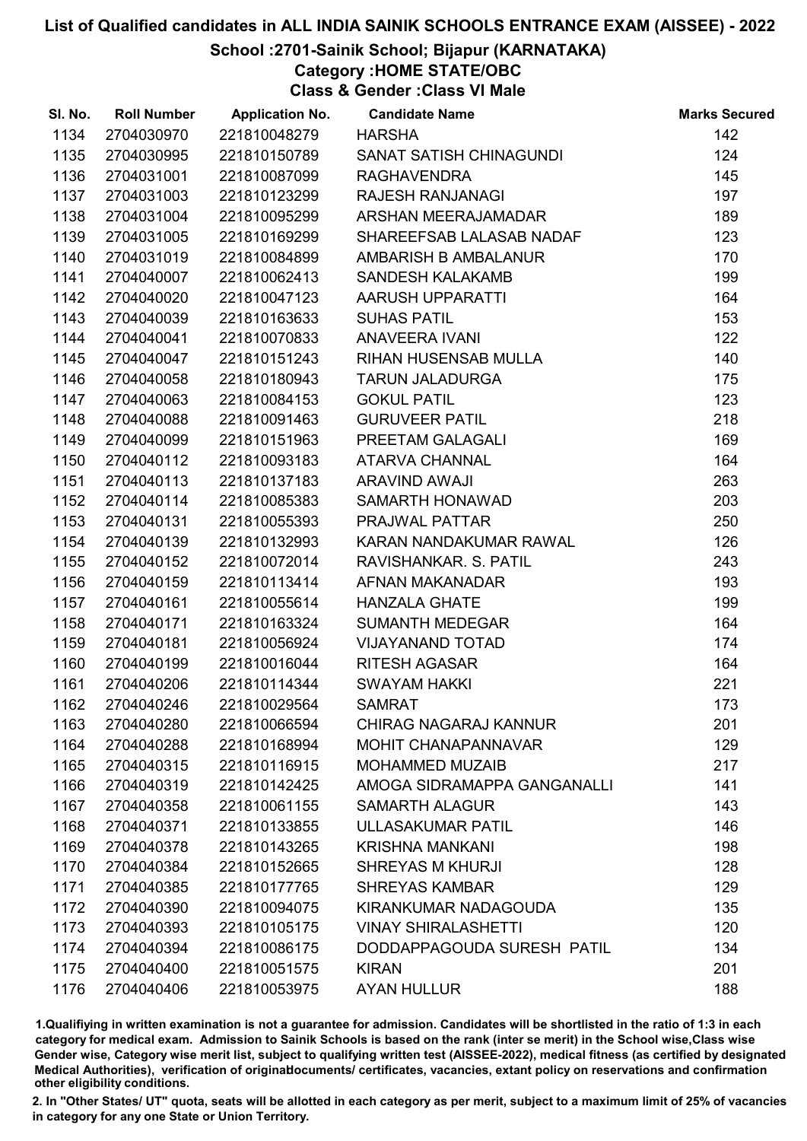### School :2701-Sainik School; Bijapur (KARNATAKA)

Category :HOME STATE/OBC

Class & Gender :Class VI Male

| SI. No. | <b>Roll Number</b> | <b>Application No.</b> | <b>Candidate Name</b>        | <b>Marks Secured</b> |
|---------|--------------------|------------------------|------------------------------|----------------------|
| 1134    | 2704030970         | 221810048279           | <b>HARSHA</b>                | 142                  |
| 1135    | 2704030995         | 221810150789           | SANAT SATISH CHINAGUNDI      | 124                  |
| 1136    | 2704031001         | 221810087099           | <b>RAGHAVENDRA</b>           | 145                  |
| 1137    | 2704031003         | 221810123299           | <b>RAJESH RANJANAGI</b>      | 197                  |
| 1138    | 2704031004         | 221810095299           | ARSHAN MEERAJAMADAR          | 189                  |
| 1139    | 2704031005         | 221810169299           | SHAREEFSAB LALASAB NADAF     | 123                  |
| 1140    | 2704031019         | 221810084899           | AMBARISH B AMBALANUR         | 170                  |
| 1141    | 2704040007         | 221810062413           | <b>SANDESH KALAKAMB</b>      | 199                  |
| 1142    | 2704040020         | 221810047123           | AARUSH UPPARATTI             | 164                  |
| 1143    | 2704040039         | 221810163633           | <b>SUHAS PATIL</b>           | 153                  |
| 1144    | 2704040041         | 221810070833           | <b>ANAVEERA IVANI</b>        | 122                  |
| 1145    | 2704040047         | 221810151243           | RIHAN HUSENSAB MULLA         | 140                  |
| 1146    | 2704040058         | 221810180943           | <b>TARUN JALADURGA</b>       | 175                  |
| 1147    | 2704040063         | 221810084153           | <b>GOKUL PATIL</b>           | 123                  |
| 1148    | 2704040088         | 221810091463           | <b>GURUVEER PATIL</b>        | 218                  |
| 1149    | 2704040099         | 221810151963           | PREETAM GALAGALI             | 169                  |
| 1150    | 2704040112         | 221810093183           | <b>ATARVA CHANNAL</b>        | 164                  |
| 1151    | 2704040113         | 221810137183           | <b>ARAVIND AWAJI</b>         | 263                  |
| 1152    | 2704040114         | 221810085383           | SAMARTH HONAWAD              | 203                  |
| 1153    | 2704040131         | 221810055393           | PRAJWAL PATTAR               | 250                  |
| 1154    | 2704040139         | 221810132993           | KARAN NANDAKUMAR RAWAL       | 126                  |
| 1155    | 2704040152         | 221810072014           | RAVISHANKAR. S. PATIL        | 243                  |
| 1156    | 2704040159         | 221810113414           | AFNAN MAKANADAR              | 193                  |
| 1157    | 2704040161         | 221810055614           | <b>HANZALA GHATE</b>         | 199                  |
| 1158    | 2704040171         | 221810163324           | <b>SUMANTH MEDEGAR</b>       | 164                  |
| 1159    | 2704040181         | 221810056924           | <b>VIJAYANAND TOTAD</b>      | 174                  |
| 1160    | 2704040199         | 221810016044           | <b>RITESH AGASAR</b>         | 164                  |
| 1161    | 2704040206         | 221810114344           | <b>SWAYAM HAKKI</b>          | 221                  |
| 1162    | 2704040246         | 221810029564           | <b>SAMRAT</b>                | 173                  |
| 1163    | 2704040280         | 221810066594           | <b>CHIRAG NAGARAJ KANNUR</b> | 201                  |
| 1164    | 2704040288         | 221810168994           | MOHIT CHANAPANNAVAR          | 129                  |
| 1165    | 2704040315         | 221810116915           | <b>MOHAMMED MUZAIB</b>       | 217                  |
| 1166    | 2704040319         | 221810142425           | AMOGA SIDRAMAPPA GANGANALLI  | 141                  |
| 1167    | 2704040358         | 221810061155           | <b>SAMARTH ALAGUR</b>        | 143                  |
| 1168    | 2704040371         | 221810133855           | <b>ULLASAKUMAR PATIL</b>     | 146                  |
| 1169    | 2704040378         | 221810143265           | <b>KRISHNA MANKANI</b>       | 198                  |
| 1170    | 2704040384         | 221810152665           | <b>SHREYAS M KHURJI</b>      | 128                  |
| 1171    | 2704040385         | 221810177765           | <b>SHREYAS KAMBAR</b>        | 129                  |
| 1172    | 2704040390         | 221810094075           | KIRANKUMAR NADAGOUDA         | 135                  |
| 1173    | 2704040393         | 221810105175           | <b>VINAY SHIRALASHETTI</b>   | 120                  |
| 1174    | 2704040394         | 221810086175           | DODDAPPAGOUDA SURESH PATIL   | 134                  |
| 1175    | 2704040400         | 221810051575           | <b>KIRAN</b>                 | 201                  |
| 1176    | 2704040406         | 221810053975           | <b>AYAN HULLUR</b>           | 188                  |

1.Qualifiying in written examination is not a guarantee for admission. Candidates will be shortlisted in the ratio of 1:3 in each category for medical exam. Admission to Sainik Schools is based on the rank (inter se merit) in the School wise,Class wise Gender wise, Category wise merit list, subject to qualifying written test (AISSEE-2022), medical fitness (as certified by designated Medical Authorities), verification of originablocuments/ certificates, vacancies, extant policy on reservations and confirmation other eligibility conditions.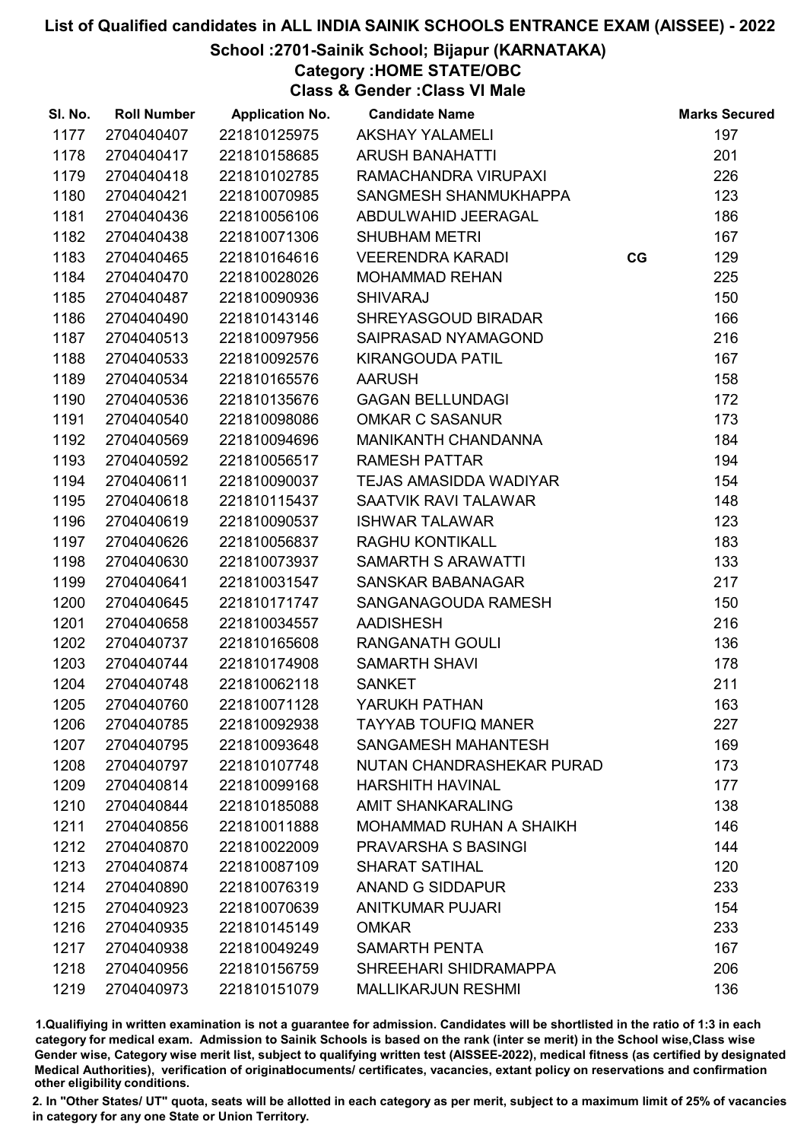### School :2701-Sainik School; Bijapur (KARNATAKA)

Category :HOME STATE/OBC

Class & Gender :Class VI Male

| SI. No. | <b>Roll Number</b> | <b>Application No.</b> | <b>Candidate Name</b>          |    | <b>Marks Secured</b> |
|---------|--------------------|------------------------|--------------------------------|----|----------------------|
| 1177    | 2704040407         | 221810125975           | <b>AKSHAY YALAMELI</b>         |    | 197                  |
| 1178    | 2704040417         | 221810158685           | <b>ARUSH BANAHATTI</b>         |    | 201                  |
| 1179    | 2704040418         | 221810102785           | RAMACHANDRA VIRUPAXI           |    | 226                  |
| 1180    | 2704040421         | 221810070985           | SANGMESH SHANMUKHAPPA          |    | 123                  |
| 1181    | 2704040436         | 221810056106           | ABDULWAHID JEERAGAL            |    | 186                  |
| 1182    | 2704040438         | 221810071306           | <b>SHUBHAM METRI</b>           |    | 167                  |
| 1183    | 2704040465         | 221810164616           | <b>VEERENDRA KARADI</b>        | CG | 129                  |
| 1184    | 2704040470         | 221810028026           | <b>MOHAMMAD REHAN</b>          |    | 225                  |
| 1185    | 2704040487         | 221810090936           | <b>SHIVARAJ</b>                |    | 150                  |
| 1186    | 2704040490         | 221810143146           | SHREYASGOUD BIRADAR            |    | 166                  |
| 1187    | 2704040513         | 221810097956           | SAIPRASAD NYAMAGOND            |    | 216                  |
| 1188    | 2704040533         | 221810092576           | <b>KIRANGOUDA PATIL</b>        |    | 167                  |
| 1189    | 2704040534         | 221810165576           | <b>AARUSH</b>                  |    | 158                  |
| 1190    | 2704040536         | 221810135676           | <b>GAGAN BELLUNDAGI</b>        |    | 172                  |
| 1191    | 2704040540         | 221810098086           | <b>OMKAR C SASANUR</b>         |    | 173                  |
| 1192    | 2704040569         | 221810094696           | MANIKANTH CHANDANNA            |    | 184                  |
| 1193    | 2704040592         | 221810056517           | <b>RAMESH PATTAR</b>           |    | 194                  |
| 1194    | 2704040611         | 221810090037           | TEJAS AMASIDDA WADIYAR         |    | 154                  |
| 1195    | 2704040618         | 221810115437           | SAATVIK RAVI TALAWAR           |    | 148                  |
| 1196    | 2704040619         | 221810090537           | <b>ISHWAR TALAWAR</b>          |    | 123                  |
| 1197    | 2704040626         | 221810056837           | <b>RAGHU KONTIKALL</b>         |    | 183                  |
| 1198    | 2704040630         | 221810073937           | SAMARTH S ARAWATTI             |    | 133                  |
| 1199    | 2704040641         | 221810031547           | <b>SANSKAR BABANAGAR</b>       |    | 217                  |
| 1200    | 2704040645         | 221810171747           | SANGANAGOUDA RAMESH            |    | 150                  |
| 1201    | 2704040658         | 221810034557           | <b>AADISHESH</b>               |    | 216                  |
| 1202    | 2704040737         | 221810165608           | <b>RANGANATH GOULI</b>         |    | 136                  |
| 1203    | 2704040744         | 221810174908           | <b>SAMARTH SHAVI</b>           |    | 178                  |
| 1204    | 2704040748         | 221810062118           | <b>SANKET</b>                  |    | 211                  |
| 1205    | 2704040760         | 221810071128           | YARUKH PATHAN                  |    | 163                  |
| 1206    | 2704040785         | 221810092938           | <b>TAYYAB TOUFIQ MANER</b>     |    | 227                  |
| 1207    | 2704040795         | 221810093648           | SANGAMESH MAHANTESH            |    | 169                  |
| 1208    | 2704040797         | 221810107748           | NUTAN CHANDRASHEKAR PURAD      |    | 173                  |
| 1209    | 2704040814         | 221810099168           | <b>HARSHITH HAVINAL</b>        |    | 177                  |
| 1210    | 2704040844         | 221810185088           | <b>AMIT SHANKARALING</b>       |    | 138                  |
| 1211    | 2704040856         | 221810011888           | <b>MOHAMMAD RUHAN A SHAIKH</b> |    | 146                  |
| 1212    | 2704040870         | 221810022009           | <b>PRAVARSHA S BASINGI</b>     |    | 144                  |
| 1213    | 2704040874         | 221810087109           | <b>SHARAT SATIHAL</b>          |    | 120                  |
| 1214    | 2704040890         | 221810076319           | <b>ANAND G SIDDAPUR</b>        |    | 233                  |
| 1215    | 2704040923         | 221810070639           | <b>ANITKUMAR PUJARI</b>        |    | 154                  |
| 1216    | 2704040935         | 221810145149           | <b>OMKAR</b>                   |    | 233                  |
| 1217    | 2704040938         | 221810049249           | <b>SAMARTH PENTA</b>           |    | 167                  |
| 1218    | 2704040956         | 221810156759           | SHREEHARI SHIDRAMAPPA          |    | 206                  |
| 1219    | 2704040973         | 221810151079           | <b>MALLIKARJUN RESHMI</b>      |    | 136                  |

1.Qualifiying in written examination is not a guarantee for admission. Candidates will be shortlisted in the ratio of 1:3 in each category for medical exam. Admission to Sainik Schools is based on the rank (inter se merit) in the School wise,Class wise Gender wise, Category wise merit list, subject to qualifying written test (AISSEE-2022), medical fitness (as certified by designated Medical Authorities), verification of originablocuments/ certificates, vacancies, extant policy on reservations and confirmation other eligibility conditions.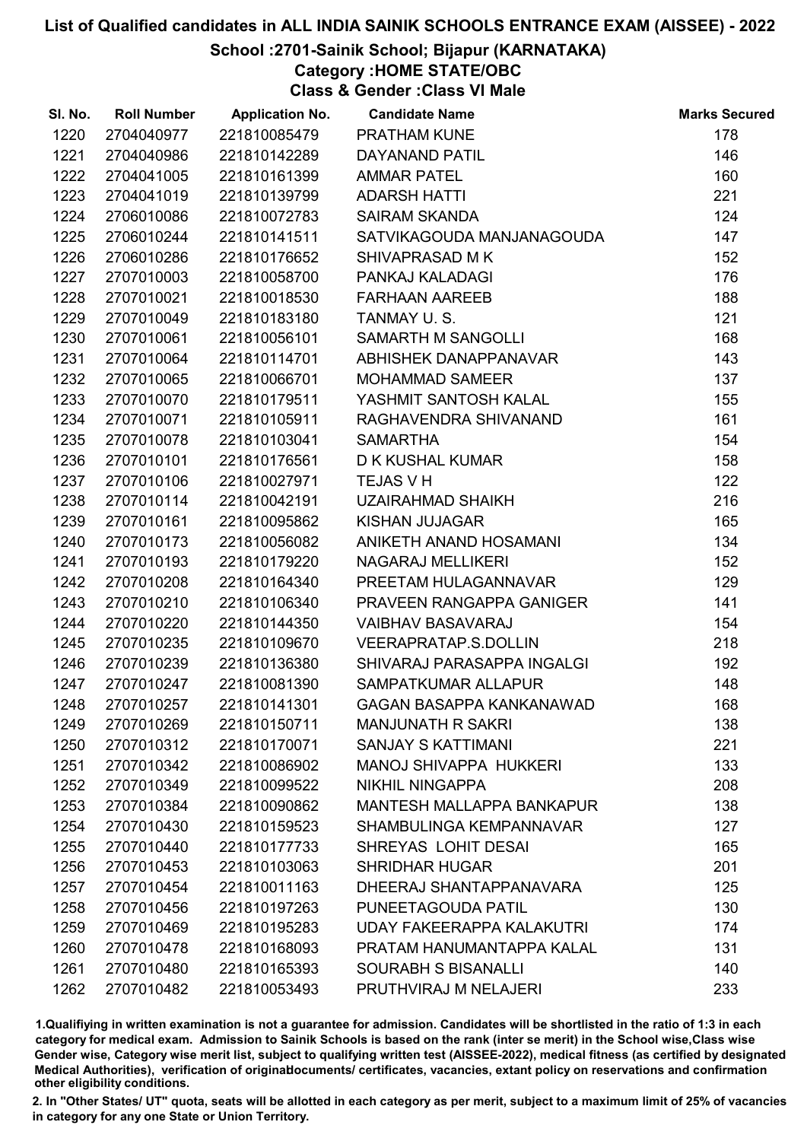### School :2701-Sainik School; Bijapur (KARNATAKA)

Category :HOME STATE/OBC

Class & Gender :Class VI Male

| SI. No. | <b>Roll Number</b> | <b>Application No.</b> | <b>Candidate Name</b>            | <b>Marks Secured</b> |
|---------|--------------------|------------------------|----------------------------------|----------------------|
| 1220    | 2704040977         | 221810085479           | <b>PRATHAM KUNE</b>              | 178                  |
| 1221    | 2704040986         | 221810142289           | DAYANAND PATIL                   | 146                  |
| 1222    | 2704041005         | 221810161399           | <b>AMMAR PATEL</b>               | 160                  |
| 1223    | 2704041019         | 221810139799           | <b>ADARSH HATTI</b>              | 221                  |
| 1224    | 2706010086         | 221810072783           | <b>SAIRAM SKANDA</b>             | 124                  |
| 1225    | 2706010244         | 221810141511           | SATVIKAGOUDA MANJANAGOUDA        | 147                  |
| 1226    | 2706010286         | 221810176652           | SHIVAPRASAD M K                  | 152                  |
| 1227    | 2707010003         | 221810058700           | PANKAJ KALADAGI                  | 176                  |
| 1228    | 2707010021         | 221810018530           | <b>FARHAAN AAREEB</b>            | 188                  |
| 1229    | 2707010049         | 221810183180           | TANMAY U.S.                      | 121                  |
| 1230    | 2707010061         | 221810056101           | SAMARTH M SANGOLLI               | 168                  |
| 1231    | 2707010064         | 221810114701           | ABHISHEK DANAPPANAVAR            | 143                  |
| 1232    | 2707010065         | 221810066701           | <b>MOHAMMAD SAMEER</b>           | 137                  |
| 1233    | 2707010070         | 221810179511           | YASHMIT SANTOSH KALAL            | 155                  |
| 1234    | 2707010071         | 221810105911           | RAGHAVENDRA SHIVANAND            | 161                  |
| 1235    | 2707010078         | 221810103041           | <b>SAMARTHA</b>                  | 154                  |
| 1236    | 2707010101         | 221810176561           | D K KUSHAL KUMAR                 | 158                  |
| 1237    | 2707010106         | 221810027971           | <b>TEJAS V H</b>                 | 122                  |
| 1238    | 2707010114         | 221810042191           | <b>UZAIRAHMAD SHAIKH</b>         | 216                  |
| 1239    | 2707010161         | 221810095862           | <b>KISHAN JUJAGAR</b>            | 165                  |
| 1240    | 2707010173         | 221810056082           | ANIKETH ANAND HOSAMANI           | 134                  |
| 1241    | 2707010193         | 221810179220           | NAGARAJ MELLIKERI                | 152                  |
| 1242    | 2707010208         | 221810164340           | PREETAM HULAGANNAVAR             | 129                  |
| 1243    | 2707010210         | 221810106340           | PRAVEEN RANGAPPA GANIGER         | 141                  |
| 1244    | 2707010220         | 221810144350           | <b>VAIBHAV BASAVARAJ</b>         | 154                  |
| 1245    | 2707010235         | 221810109670           | <b>VEERAPRATAP.S.DOLLIN</b>      | 218                  |
| 1246    | 2707010239         | 221810136380           | SHIVARAJ PARASAPPA INGALGI       | 192                  |
| 1247    | 2707010247         | 221810081390           | SAMPATKUMAR ALLAPUR              | 148                  |
| 1248    | 2707010257         | 221810141301           | <b>GAGAN BASAPPA KANKANAWAD</b>  | 168                  |
| 1249    | 2707010269         | 221810150711           | <b>MANJUNATH R SAKRI</b>         | 138                  |
| 1250    | 2707010312         | 221810170071           | <b>SANJAY S KATTIMANI</b>        | 221                  |
| 1251    | 2707010342         | 221810086902           | <b>MANOJ SHIVAPPA HUKKERI</b>    | 133                  |
| 1252    | 2707010349         | 221810099522           | <b>NIKHIL NINGAPPA</b>           | 208                  |
| 1253    | 2707010384         | 221810090862           | <b>MANTESH MALLAPPA BANKAPUR</b> | 138                  |
| 1254    | 2707010430         | 221810159523           | SHAMBULINGA KEMPANNAVAR          | 127                  |
| 1255    | 2707010440         | 221810177733           | SHREYAS LOHIT DESAI              | 165                  |
| 1256    | 2707010453         | 221810103063           | <b>SHRIDHAR HUGAR</b>            | 201                  |
| 1257    | 2707010454         | 221810011163           | DHEERAJ SHANTAPPANAVARA          | 125                  |
| 1258    | 2707010456         | 221810197263           | PUNEETAGOUDA PATIL               | 130                  |
| 1259    | 2707010469         | 221810195283           | <b>UDAY FAKEERAPPA KALAKUTRI</b> | 174                  |
| 1260    | 2707010478         | 221810168093           | PRATAM HANUMANTAPPA KALAL        | 131                  |
| 1261    | 2707010480         | 221810165393           | <b>SOURABH S BISANALLI</b>       | 140                  |
| 1262    | 2707010482         | 221810053493           | PRUTHVIRAJ M NELAJERI            | 233                  |

1.Qualifiying in written examination is not a guarantee for admission. Candidates will be shortlisted in the ratio of 1:3 in each category for medical exam. Admission to Sainik Schools is based on the rank (inter se merit) in the School wise,Class wise Gender wise, Category wise merit list, subject to qualifying written test (AISSEE-2022), medical fitness (as certified by designated Medical Authorities), verification of originablocuments/ certificates, vacancies, extant policy on reservations and confirmation other eligibility conditions.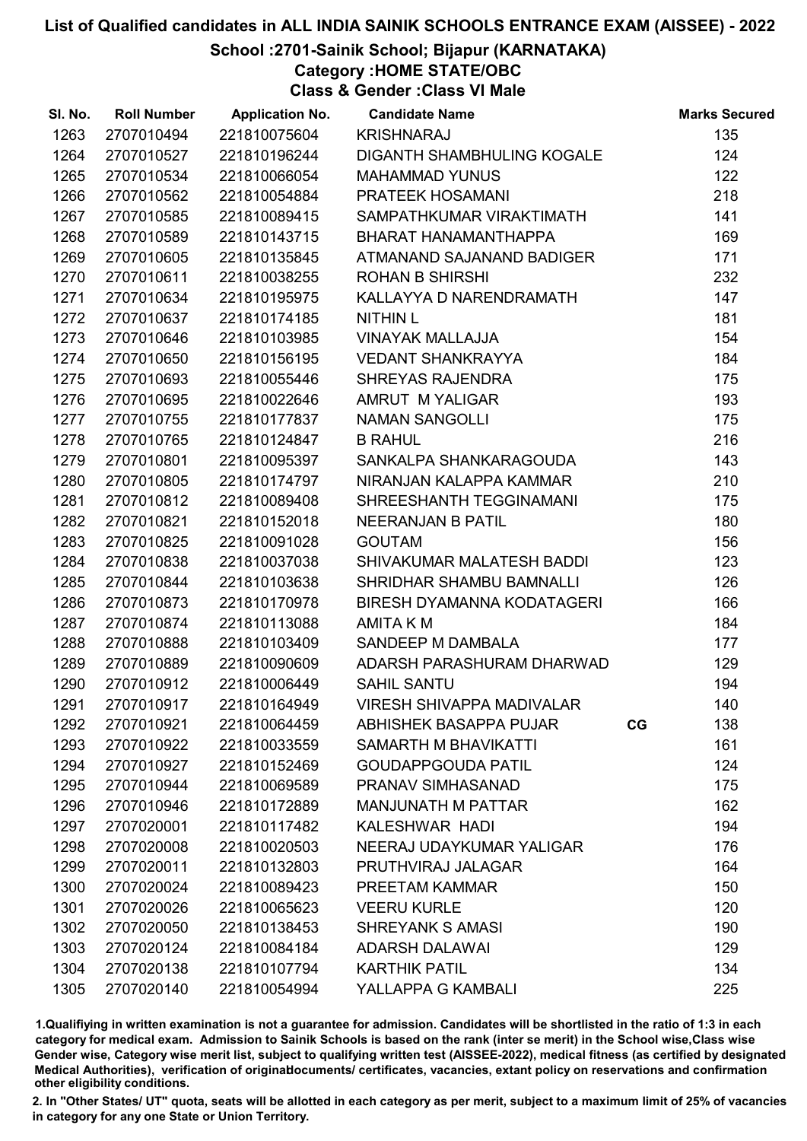### School :2701-Sainik School; Bijapur (KARNATAKA)

Category :HOME STATE/OBC

Class & Gender :Class VI Male

| SI. No. | <b>Roll Number</b> | <b>Application No.</b> | <b>Candidate Name</b>             |    | <b>Marks Secured</b> |
|---------|--------------------|------------------------|-----------------------------------|----|----------------------|
| 1263    | 2707010494         | 221810075604           | <b>KRISHNARAJ</b>                 |    | 135                  |
| 1264    | 2707010527         | 221810196244           | <b>DIGANTH SHAMBHULING KOGALE</b> |    | 124                  |
| 1265    | 2707010534         | 221810066054           | <b>MAHAMMAD YUNUS</b>             |    | 122                  |
| 1266    | 2707010562         | 221810054884           | PRATEEK HOSAMANI                  |    | 218                  |
| 1267    | 2707010585         | 221810089415           | SAMPATHKUMAR VIRAKTIMATH          |    | 141                  |
| 1268    | 2707010589         | 221810143715           | BHARAT HANAMANTHAPPA              |    | 169                  |
| 1269    | 2707010605         | 221810135845           | ATMANAND SAJANAND BADIGER         |    | 171                  |
| 1270    | 2707010611         | 221810038255           | <b>ROHAN B SHIRSHI</b>            |    | 232                  |
| 1271    | 2707010634         | 221810195975           | KALLAYYA D NARENDRAMATH           |    | 147                  |
| 1272    | 2707010637         | 221810174185           | <b>NITHIN L</b>                   |    | 181                  |
| 1273    | 2707010646         | 221810103985           | <b>VINAYAK MALLAJJA</b>           |    | 154                  |
| 1274    | 2707010650         | 221810156195           | <b>VEDANT SHANKRAYYA</b>          |    | 184                  |
| 1275    | 2707010693         | 221810055446           | SHREYAS RAJENDRA                  |    | 175                  |
| 1276    | 2707010695         | 221810022646           | AMRUT M YALIGAR                   |    | 193                  |
| 1277    | 2707010755         | 221810177837           | <b>NAMAN SANGOLLI</b>             |    | 175                  |
| 1278    | 2707010765         | 221810124847           | <b>B RAHUL</b>                    |    | 216                  |
| 1279    | 2707010801         | 221810095397           | SANKALPA SHANKARAGOUDA            |    | 143                  |
| 1280    | 2707010805         | 221810174797           | NIRANJAN KALAPPA KAMMAR           |    | 210                  |
| 1281    | 2707010812         | 221810089408           | SHREESHANTH TEGGINAMANI           |    | 175                  |
| 1282    | 2707010821         | 221810152018           | <b>NEERANJAN B PATIL</b>          |    | 180                  |
| 1283    | 2707010825         | 221810091028           | <b>GOUTAM</b>                     |    | 156                  |
| 1284    | 2707010838         | 221810037038           | SHIVAKUMAR MALATESH BADDI         |    | 123                  |
| 1285    | 2707010844         | 221810103638           | SHRIDHAR SHAMBU BAMNALLI          |    | 126                  |
| 1286    | 2707010873         | 221810170978           | <b>BIRESH DYAMANNA KODATAGERI</b> |    | 166                  |
| 1287    | 2707010874         | 221810113088           | <b>AMITA K M</b>                  |    | 184                  |
| 1288    | 2707010888         | 221810103409           | SANDEEP M DAMBALA                 |    | 177                  |
| 1289    | 2707010889         | 221810090609           | ADARSH PARASHURAM DHARWAD         |    | 129                  |
| 1290    | 2707010912         | 221810006449           | <b>SAHIL SANTU</b>                |    | 194                  |
| 1291    | 2707010917         | 221810164949           | <b>VIRESH SHIVAPPA MADIVALAR</b>  |    | 140                  |
| 1292    | 2707010921         | 221810064459           | <b>ABHISHEK BASAPPA PUJAR</b>     | CG | 138                  |
| 1293    | 2707010922         | 221810033559           | SAMARTH M BHAVIKATTI              |    | 161                  |
| 1294    | 2707010927         | 221810152469           | <b>GOUDAPPGOUDA PATIL</b>         |    | 124                  |
| 1295    | 2707010944         | 221810069589           | PRANAV SIMHASANAD                 |    | 175                  |
| 1296    | 2707010946         | 221810172889           | <b>MANJUNATH M PATTAR</b>         |    | 162                  |
| 1297    | 2707020001         | 221810117482           | KALESHWAR HADI                    |    | 194                  |
| 1298    | 2707020008         | 221810020503           | NEERAJ UDAYKUMAR YALIGAR          |    | 176                  |
| 1299    | 2707020011         | 221810132803           | PRUTHVIRAJ JALAGAR                |    | 164                  |
| 1300    | 2707020024         | 221810089423           | PREETAM KAMMAR                    |    | 150                  |
| 1301    | 2707020026         | 221810065623           | <b>VEERU KURLE</b>                |    | 120                  |
| 1302    | 2707020050         | 221810138453           | <b>SHREYANK S AMASI</b>           |    | 190                  |
| 1303    | 2707020124         | 221810084184           | <b>ADARSH DALAWAI</b>             |    | 129                  |
| 1304    | 2707020138         | 221810107794           | <b>KARTHIK PATIL</b>              |    | 134                  |
| 1305    | 2707020140         | 221810054994           | YALLAPPA G KAMBALI                |    | 225                  |

1.Qualifiying in written examination is not a guarantee for admission. Candidates will be shortlisted in the ratio of 1:3 in each category for medical exam. Admission to Sainik Schools is based on the rank (inter se merit) in the School wise,Class wise Gender wise, Category wise merit list, subject to qualifying written test (AISSEE-2022), medical fitness (as certified by designated Medical Authorities), verification of originablocuments/ certificates, vacancies, extant policy on reservations and confirmation other eligibility conditions.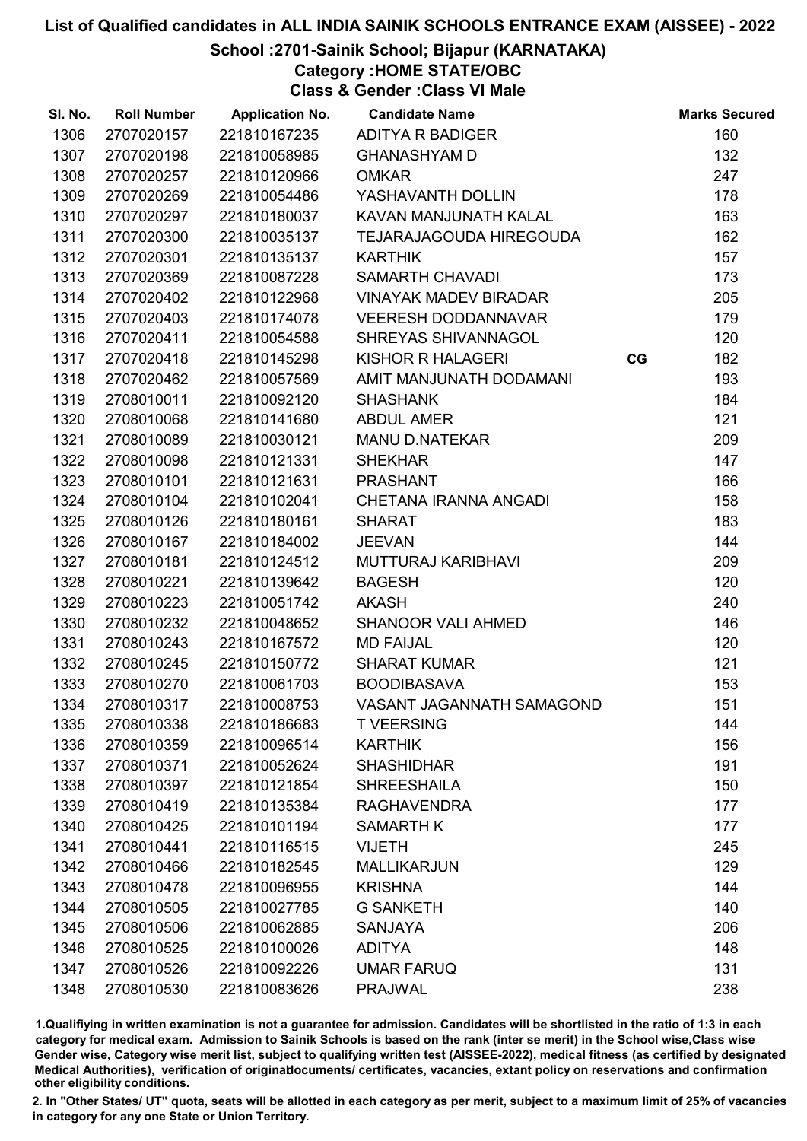### School :2701-Sainik School; Bijapur (KARNATAKA)

Category :HOME STATE/OBC

Class & Gender :Class VI Male

| SI. No. | <b>Roll Number</b> | <b>Application No.</b> | <b>Candidate Name</b>          |    | <b>Marks Secured</b> |
|---------|--------------------|------------------------|--------------------------------|----|----------------------|
| 1306    | 2707020157         | 221810167235           | <b>ADITYA R BADIGER</b>        |    | 160                  |
| 1307    | 2707020198         | 221810058985           | <b>GHANASHYAM D</b>            |    | 132                  |
| 1308    | 2707020257         | 221810120966           | <b>OMKAR</b>                   |    | 247                  |
| 1309    | 2707020269         | 221810054486           | YASHAVANTH DOLLIN              |    | 178                  |
| 1310    | 2707020297         | 221810180037           | KAVAN MANJUNATH KALAL          |    | 163                  |
| 1311    | 2707020300         | 221810035137           | <b>TEJARAJAGOUDA HIREGOUDA</b> |    | 162                  |
| 1312    | 2707020301         | 221810135137           | <b>KARTHIK</b>                 |    | 157                  |
| 1313    | 2707020369         | 221810087228           | <b>SAMARTH CHAVADI</b>         |    | 173                  |
| 1314    | 2707020402         | 221810122968           | <b>VINAYAK MADEV BIRADAR</b>   |    | 205                  |
| 1315    | 2707020403         | 221810174078           | <b>VEERESH DODDANNAVAR</b>     |    | 179                  |
| 1316    | 2707020411         | 221810054588           | SHREYAS SHIVANNAGOL            |    | 120                  |
| 1317    | 2707020418         | 221810145298           | KISHOR R HALAGERI              | CG | 182                  |
| 1318    | 2707020462         | 221810057569           | AMIT MANJUNATH DODAMANI        |    | 193                  |
| 1319    | 2708010011         | 221810092120           | <b>SHASHANK</b>                |    | 184                  |
| 1320    | 2708010068         | 221810141680           | <b>ABDUL AMER</b>              |    | 121                  |
| 1321    | 2708010089         | 221810030121           | <b>MANU D.NATEKAR</b>          |    | 209                  |
| 1322    | 2708010098         | 221810121331           | <b>SHEKHAR</b>                 |    | 147                  |
| 1323    | 2708010101         | 221810121631           | <b>PRASHANT</b>                |    | 166                  |
| 1324    | 2708010104         | 221810102041           | CHETANA IRANNA ANGADI          |    | 158                  |
| 1325    | 2708010126         | 221810180161           | <b>SHARAT</b>                  |    | 183                  |
| 1326    | 2708010167         | 221810184002           | <b>JEEVAN</b>                  |    | 144                  |
| 1327    | 2708010181         | 221810124512           | <b>MUTTURAJ KARIBHAVI</b>      |    | 209                  |
| 1328    | 2708010221         | 221810139642           | <b>BAGESH</b>                  |    | 120                  |
| 1329    | 2708010223         | 221810051742           | <b>AKASH</b>                   |    | 240                  |
| 1330    | 2708010232         | 221810048652           | <b>SHANOOR VALI AHMED</b>      |    | 146                  |
| 1331    | 2708010243         | 221810167572           | <b>MD FAIJAL</b>               |    | 120                  |
| 1332    | 2708010245         | 221810150772           | <b>SHARAT KUMAR</b>            |    | 121                  |
| 1333    | 2708010270         | 221810061703           | <b>BOODIBASAVA</b>             |    | 153                  |
| 1334    | 2708010317         | 221810008753           | VASANT JAGANNATH SAMAGOND      |    | 151                  |
| 1335    | 2708010338         | 221810186683           | <b>T VEERSING</b>              |    | 144                  |
| 1336    | 2708010359         | 221810096514           | <b>KARTHIK</b>                 |    | 156                  |
| 1337    | 2708010371         | 221810052624           | <b>SHASHIDHAR</b>              |    | 191                  |
| 1338    | 2708010397         | 221810121854           | <b>SHREESHAILA</b>             |    | 150                  |
| 1339    | 2708010419         | 221810135384           | <b>RAGHAVENDRA</b>             |    | 177                  |
| 1340    | 2708010425         | 221810101194           | <b>SAMARTH K</b>               |    | 177                  |
| 1341    | 2708010441         | 221810116515           | <b>VIJETH</b>                  |    | 245                  |
| 1342    | 2708010466         | 221810182545           | <b>MALLIKARJUN</b>             |    | 129                  |
| 1343    | 2708010478         | 221810096955           | <b>KRISHNA</b>                 |    | 144                  |
| 1344    | 2708010505         | 221810027785           | <b>G SANKETH</b>               |    | 140                  |
| 1345    | 2708010506         | 221810062885           | <b>SANJAYA</b>                 |    | 206                  |
| 1346    | 2708010525         | 221810100026           | <b>ADITYA</b>                  |    | 148                  |
| 1347    | 2708010526         | 221810092226           | <b>UMAR FARUQ</b>              |    | 131                  |
| 1348    | 2708010530         | 221810083626           | <b>PRAJWAL</b>                 |    | 238                  |

1.Qualifiying in written examination is not a guarantee for admission. Candidates will be shortlisted in the ratio of 1:3 in each category for medical exam. Admission to Sainik Schools is based on the rank (inter se merit) in the School wise,Class wise Gender wise, Category wise merit list, subject to qualifying written test (AISSEE-2022), medical fitness (as certified by designated Medical Authorities), verification of originablocuments/ certificates, vacancies, extant policy on reservations and confirmation other eligibility conditions.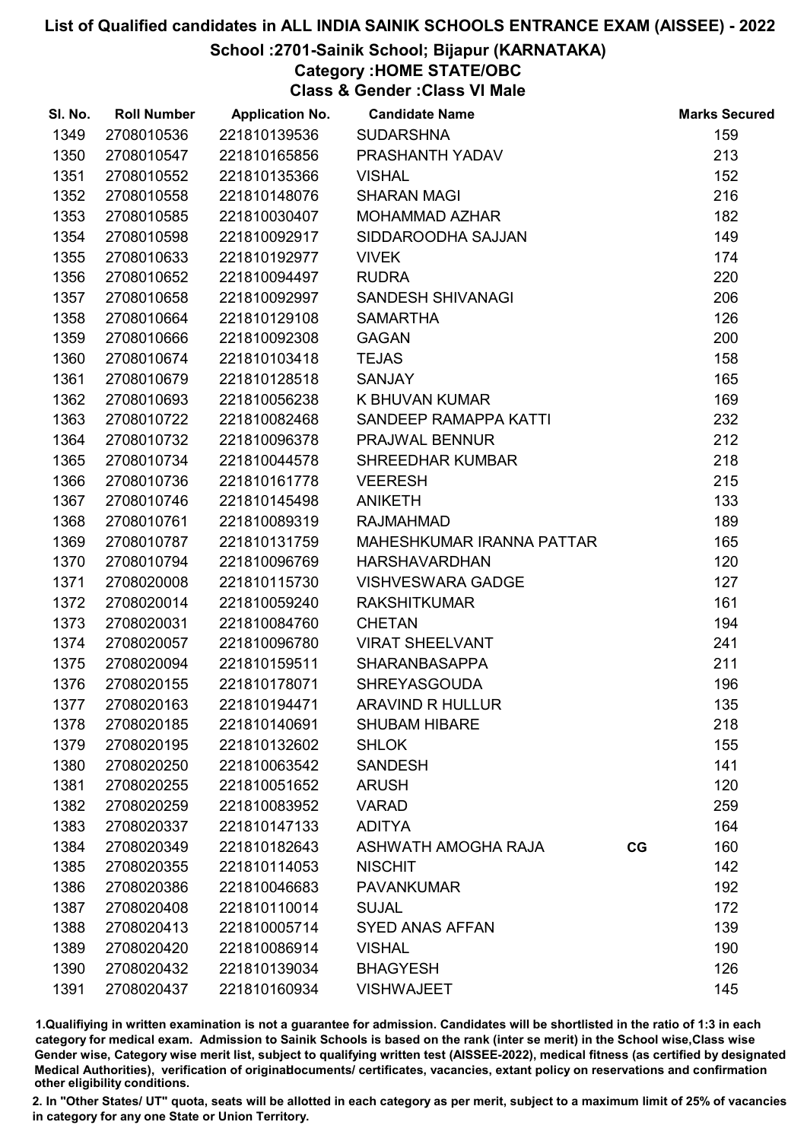#### School :2701-Sainik School; Bijapur (KARNATAKA)

Category :HOME STATE/OBC

Class & Gender :Class VI Male

| SI. No. | <b>Roll Number</b> | <b>Application No.</b> | <b>Candidate Name</b>     |    | <b>Marks Secured</b> |
|---------|--------------------|------------------------|---------------------------|----|----------------------|
| 1349    | 2708010536         | 221810139536           | <b>SUDARSHNA</b>          |    | 159                  |
| 1350    | 2708010547         | 221810165856           | PRASHANTH YADAV           |    | 213                  |
| 1351    | 2708010552         | 221810135366           | <b>VISHAL</b>             |    | 152                  |
| 1352    | 2708010558         | 221810148076           | <b>SHARAN MAGI</b>        |    | 216                  |
| 1353    | 2708010585         | 221810030407           | MOHAMMAD AZHAR            |    | 182                  |
| 1354    | 2708010598         | 221810092917           | SIDDAROODHA SAJJAN        |    | 149                  |
| 1355    | 2708010633         | 221810192977           | <b>VIVEK</b>              |    | 174                  |
| 1356    | 2708010652         | 221810094497           | <b>RUDRA</b>              |    | 220                  |
| 1357    | 2708010658         | 221810092997           | SANDESH SHIVANAGI         |    | 206                  |
| 1358    | 2708010664         | 221810129108           | <b>SAMARTHA</b>           |    | 126                  |
| 1359    | 2708010666         | 221810092308           | <b>GAGAN</b>              |    | 200                  |
| 1360    | 2708010674         | 221810103418           | <b>TEJAS</b>              |    | 158                  |
| 1361    | 2708010679         | 221810128518           | <b>SANJAY</b>             |    | 165                  |
| 1362    | 2708010693         | 221810056238           | K BHUVAN KUMAR            |    | 169                  |
| 1363    | 2708010722         | 221810082468           | SANDEEP RAMAPPA KATTI     |    | 232                  |
| 1364    | 2708010732         | 221810096378           | PRAJWAL BENNUR            |    | 212                  |
| 1365    | 2708010734         | 221810044578           | <b>SHREEDHAR KUMBAR</b>   |    | 218                  |
| 1366    | 2708010736         | 221810161778           | <b>VEERESH</b>            |    | 215                  |
| 1367    | 2708010746         | 221810145498           | <b>ANIKETH</b>            |    | 133                  |
| 1368    | 2708010761         | 221810089319           | <b>RAJMAHMAD</b>          |    | 189                  |
| 1369    | 2708010787         | 221810131759           | MAHESHKUMAR IRANNA PATTAR |    | 165                  |
| 1370    | 2708010794         | 221810096769           | <b>HARSHAVARDHAN</b>      |    | 120                  |
| 1371    | 2708020008         | 221810115730           | <b>VISHVESWARA GADGE</b>  |    | 127                  |
| 1372    | 2708020014         | 221810059240           | <b>RAKSHITKUMAR</b>       |    | 161                  |
| 1373    | 2708020031         | 221810084760           | <b>CHETAN</b>             |    | 194                  |
| 1374    | 2708020057         | 221810096780           | <b>VIRAT SHEELVANT</b>    |    | 241                  |
| 1375    | 2708020094         | 221810159511           | <b>SHARANBASAPPA</b>      |    | 211                  |
| 1376    | 2708020155         | 221810178071           | <b>SHREYASGOUDA</b>       |    | 196                  |
| 1377    | 2708020163         | 221810194471           | <b>ARAVIND R HULLUR</b>   |    | 135                  |
| 1378    | 2708020185         | 221810140691           | <b>SHUBAM HIBARE</b>      |    | 218                  |
| 1379    | 2708020195         | 221810132602           | <b>SHLOK</b>              |    | 155                  |
| 1380    | 2708020250         | 221810063542           | <b>SANDESH</b>            |    | 141                  |
| 1381    | 2708020255         | 221810051652           | <b>ARUSH</b>              |    | 120                  |
| 1382    | 2708020259         | 221810083952           | <b>VARAD</b>              |    | 259                  |
| 1383    | 2708020337         | 221810147133           | <b>ADITYA</b>             |    | 164                  |
| 1384    | 2708020349         | 221810182643           | ASHWATH AMOGHA RAJA       | CG | 160                  |
| 1385    | 2708020355         | 221810114053           | <b>NISCHIT</b>            |    | 142                  |
| 1386    | 2708020386         | 221810046683           | <b>PAVANKUMAR</b>         |    | 192                  |
| 1387    | 2708020408         | 221810110014           | <b>SUJAL</b>              |    | 172                  |
| 1388    | 2708020413         | 221810005714           | <b>SYED ANAS AFFAN</b>    |    | 139                  |
| 1389    | 2708020420         | 221810086914           | <b>VISHAL</b>             |    | 190                  |
| 1390    | 2708020432         | 221810139034           | <b>BHAGYESH</b>           |    | 126                  |
| 1391    | 2708020437         | 221810160934           | <b>VISHWAJEET</b>         |    | 145                  |

1.Qualifiying in written examination is not a guarantee for admission. Candidates will be shortlisted in the ratio of 1:3 in each category for medical exam. Admission to Sainik Schools is based on the rank (inter se merit) in the School wise,Class wise Gender wise, Category wise merit list, subject to qualifying written test (AISSEE-2022), medical fitness (as certified by designated Medical Authorities), verification of originablocuments/ certificates, vacancies, extant policy on reservations and confirmation other eligibility conditions.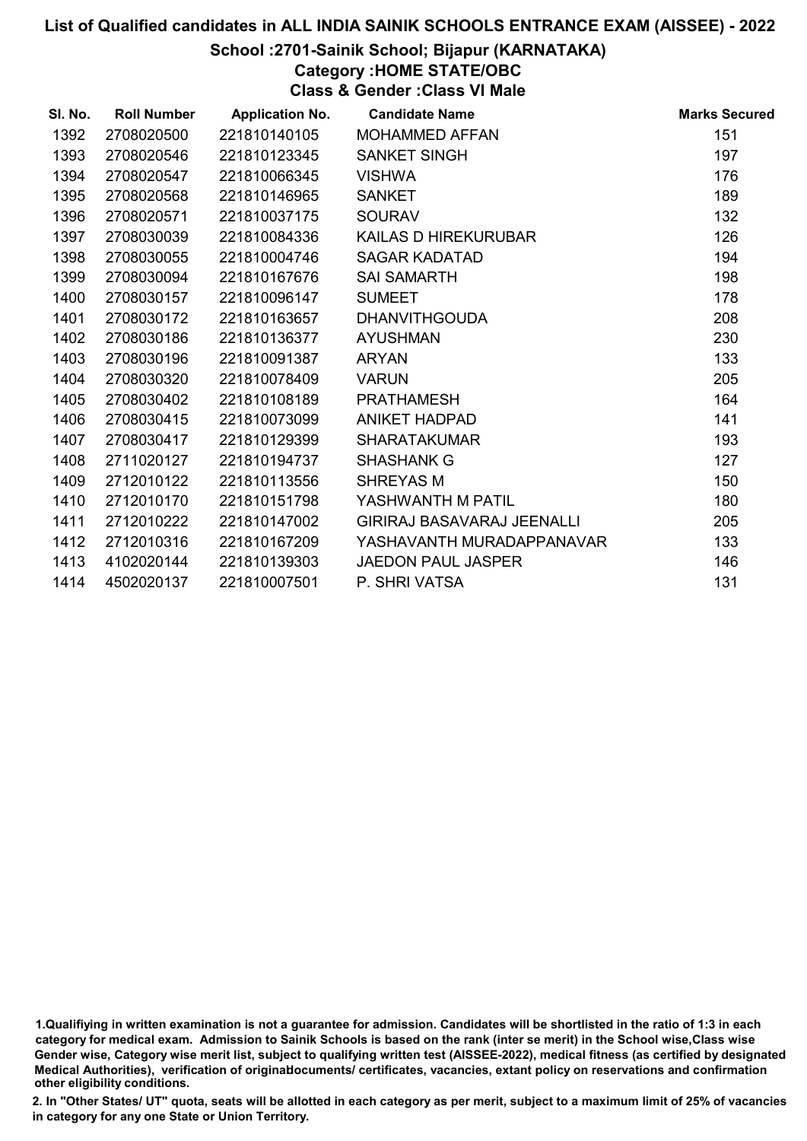### School :2701-Sainik School; Bijapur (KARNATAKA)

Category :HOME STATE/OBC

Class & Gender :Class VI Male

| SI. No. | <b>Roll Number</b> | <b>Application No.</b> | <b>Candidate Name</b>      | <b>Marks Secured</b> |
|---------|--------------------|------------------------|----------------------------|----------------------|
| 1392    | 2708020500         | 221810140105           | <b>MOHAMMED AFFAN</b>      | 151                  |
| 1393    | 2708020546         | 221810123345           | <b>SANKET SINGH</b>        | 197                  |
| 1394    | 2708020547         | 221810066345           | <b>VISHWA</b>              | 176                  |
| 1395    | 2708020568         | 221810146965           | <b>SANKET</b>              | 189                  |
| 1396    | 2708020571         | 221810037175           | <b>SOURAV</b>              | 132                  |
| 1397    | 2708030039         | 221810084336           | KAILAS D HIREKURUBAR       | 126                  |
| 1398    | 2708030055         | 221810004746           | <b>SAGAR KADATAD</b>       | 194                  |
| 1399    | 2708030094         | 221810167676           | <b>SAI SAMARTH</b>         | 198                  |
| 1400    | 2708030157         | 221810096147           | <b>SUMEET</b>              | 178                  |
| 1401    | 2708030172         | 221810163657           | <b>DHANVITHGOUDA</b>       | 208                  |
| 1402    | 2708030186         | 221810136377           | <b>AYUSHMAN</b>            | 230                  |
| 1403    | 2708030196         | 221810091387           | <b>ARYAN</b>               | 133                  |
| 1404    | 2708030320         | 221810078409           | <b>VARUN</b>               | 205                  |
| 1405    | 2708030402         | 221810108189           | <b>PRATHAMESH</b>          | 164                  |
| 1406    | 2708030415         | 221810073099           | <b>ANIKET HADPAD</b>       | 141                  |
| 1407    | 2708030417         | 221810129399           | <b>SHARATAKUMAR</b>        | 193                  |
| 1408    | 2711020127         | 221810194737           | <b>SHASHANK G</b>          | 127                  |
| 1409    | 2712010122         | 221810113556           | <b>SHREYAS M</b>           | 150                  |
| 1410    | 2712010170         | 221810151798           | YASHWANTH M PATIL          | 180                  |
| 1411    | 2712010222         | 221810147002           | GIRIRAJ BASAVARAJ JEENALLI | 205                  |
| 1412    | 2712010316         | 221810167209           | YASHAVANTH MURADAPPANAVAR  | 133                  |
| 1413    | 4102020144         | 221810139303           | <b>JAEDON PAUL JASPER</b>  | 146                  |
| 1414    | 4502020137         | 221810007501           | P. SHRI VATSA              | 131                  |

<sup>1.</sup>Qualifiying in written examination is not a guarantee for admission. Candidates will be shortlisted in the ratio of 1:3 in each category for medical exam. Admission to Sainik Schools is based on the rank (inter se merit) in the School wise,Class wise Gender wise, Category wise merit list, subject to qualifying written test (AISSEE-2022), medical fitness (as certified by designated Medical Authorities), verification of originablocuments/ certificates, vacancies, extant policy on reservations and confirmation other eligibility conditions.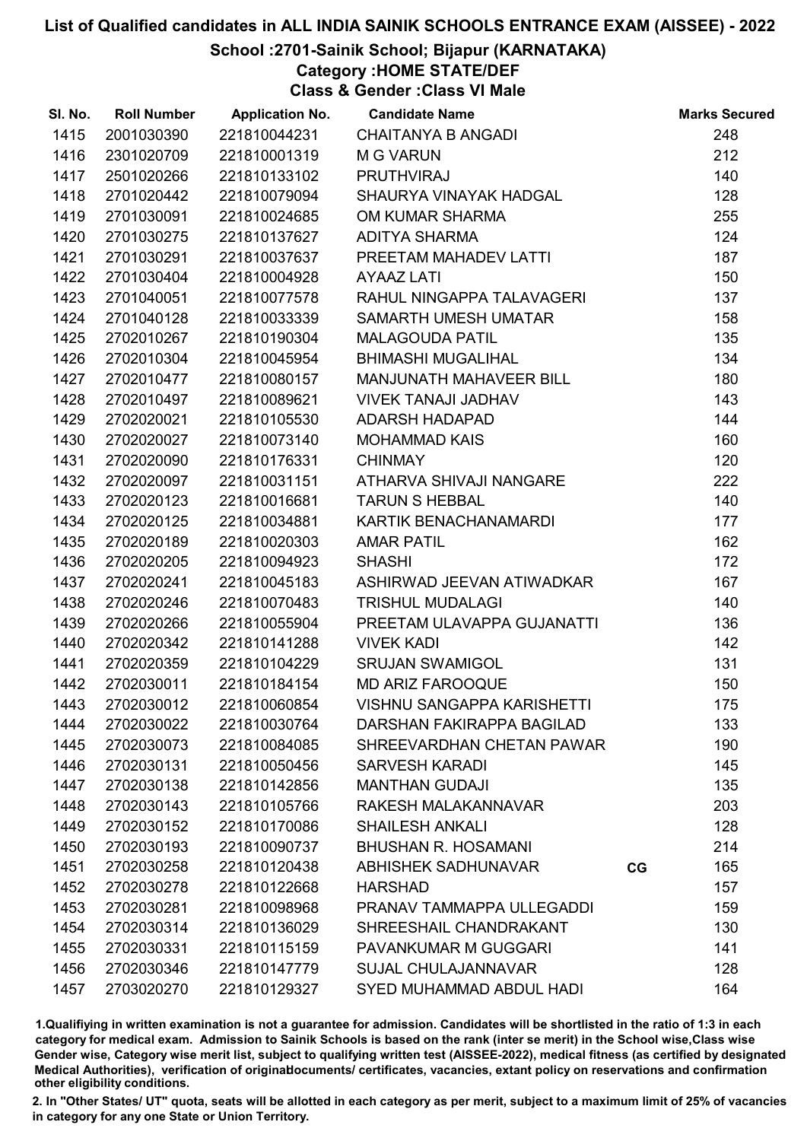## School :2701-Sainik School; Bijapur (KARNATAKA)

## Category :HOME STATE/DEF

Class & Gender :Class VI Male

| SI. No. | <b>Roll Number</b> | <b>Application No.</b> | <b>Candidate Name</b>             |    | <b>Marks Secured</b> |
|---------|--------------------|------------------------|-----------------------------------|----|----------------------|
| 1415    | 2001030390         | 221810044231           | <b>CHAITANYA B ANGADI</b>         |    | 248                  |
| 1416    | 2301020709         | 221810001319           | <b>M G VARUN</b>                  |    | 212                  |
| 1417    | 2501020266         | 221810133102           | <b>PRUTHVIRAJ</b>                 |    | 140                  |
| 1418    | 2701020442         | 221810079094           | SHAURYA VINAYAK HADGAL            |    | 128                  |
| 1419    | 2701030091         | 221810024685           | OM KUMAR SHARMA                   |    | 255                  |
| 1420    | 2701030275         | 221810137627           | <b>ADITYA SHARMA</b>              |    | 124                  |
| 1421    | 2701030291         | 221810037637           | PREETAM MAHADEV LATTI             |    | 187                  |
| 1422    | 2701030404         | 221810004928           | <b>AYAAZ LATI</b>                 |    | 150                  |
| 1423    | 2701040051         | 221810077578           | RAHUL NINGAPPA TALAVAGERI         |    | 137                  |
| 1424    | 2701040128         | 221810033339           | SAMARTH UMESH UMATAR              |    | 158                  |
| 1425    | 2702010267         | 221810190304           | <b>MALAGOUDA PATIL</b>            |    | 135                  |
| 1426    | 2702010304         | 221810045954           | <b>BHIMASHI MUGALIHAL</b>         |    | 134                  |
| 1427    | 2702010477         | 221810080157           | MANJUNATH MAHAVEER BILL           |    | 180                  |
| 1428    | 2702010497         | 221810089621           | <b>VIVEK TANAJI JADHAV</b>        |    | 143                  |
| 1429    | 2702020021         | 221810105530           | ADARSH HADAPAD                    |    | 144                  |
| 1430    | 2702020027         | 221810073140           | <b>MOHAMMAD KAIS</b>              |    | 160                  |
| 1431    | 2702020090         | 221810176331           | <b>CHINMAY</b>                    |    | 120                  |
| 1432    | 2702020097         | 221810031151           | ATHARVA SHIVAJI NANGARE           |    | 222                  |
| 1433    | 2702020123         | 221810016681           | <b>TARUN S HEBBAL</b>             |    | 140                  |
| 1434    | 2702020125         | 221810034881           | KARTIK BENACHANAMARDI             |    | 177                  |
| 1435    | 2702020189         | 221810020303           | <b>AMAR PATIL</b>                 |    | 162                  |
| 1436    | 2702020205         | 221810094923           | <b>SHASHI</b>                     |    | 172                  |
| 1437    | 2702020241         | 221810045183           | ASHIRWAD JEEVAN ATIWADKAR         |    | 167                  |
| 1438    | 2702020246         | 221810070483           | <b>TRISHUL MUDALAGI</b>           |    | 140                  |
| 1439    | 2702020266         | 221810055904           | PREETAM ULAVAPPA GUJANATTI        |    | 136                  |
| 1440    | 2702020342         | 221810141288           | <b>VIVEK KADI</b>                 |    | 142                  |
| 1441    | 2702020359         | 221810104229           | <b>SRUJAN SWAMIGOL</b>            |    | 131                  |
| 1442    | 2702030011         | 221810184154           | <b>MD ARIZ FAROOQUE</b>           |    | 150                  |
| 1443    | 2702030012         | 221810060854           | <b>VISHNU SANGAPPA KARISHETTI</b> |    | 175                  |
| 1444    | 2702030022         | 221810030764           | DARSHAN FAKIRAPPA BAGILAD         |    | 133                  |
| 1445    | 2702030073         | 221810084085           | SHREEVARDHAN CHETAN PAWAR         |    | 190                  |
| 1446    | 2702030131         | 221810050456           | <b>SARVESH KARADI</b>             |    | 145                  |
| 1447    | 2702030138         | 221810142856           | <b>MANTHAN GUDAJI</b>             |    | 135                  |
| 1448    | 2702030143         | 221810105766           | RAKESH MALAKANNAVAR               |    | 203                  |
| 1449    | 2702030152         | 221810170086           | <b>SHAILESH ANKALI</b>            |    | 128                  |
| 1450    | 2702030193         | 221810090737           | <b>BHUSHAN R. HOSAMANI</b>        |    | 214                  |
| 1451    | 2702030258         | 221810120438           | ABHISHEK SADHUNAVAR               | CG | 165                  |
| 1452    | 2702030278         | 221810122668           | <b>HARSHAD</b>                    |    | 157                  |
| 1453    | 2702030281         | 221810098968           | PRANAV TAMMAPPA ULLEGADDI         |    | 159                  |
| 1454    | 2702030314         | 221810136029           | SHREESHAIL CHANDRAKANT            |    | 130                  |
| 1455    | 2702030331         | 221810115159           | PAVANKUMAR M GUGGARI              |    | 141                  |
| 1456    | 2702030346         | 221810147779           | <b>SUJAL CHULAJANNAVAR</b>        |    | 128                  |
| 1457    | 2703020270         | 221810129327           | SYED MUHAMMAD ABDUL HADI          |    | 164                  |

1.Qualifiying in written examination is not a guarantee for admission. Candidates will be shortlisted in the ratio of 1:3 in each category for medical exam. Admission to Sainik Schools is based on the rank (inter se merit) in the School wise,Class wise Gender wise, Category wise merit list, subject to qualifying written test (AISSEE-2022), medical fitness (as certified by designated Medical Authorities), verification of originablocuments/ certificates, vacancies, extant policy on reservations and confirmation other eligibility conditions.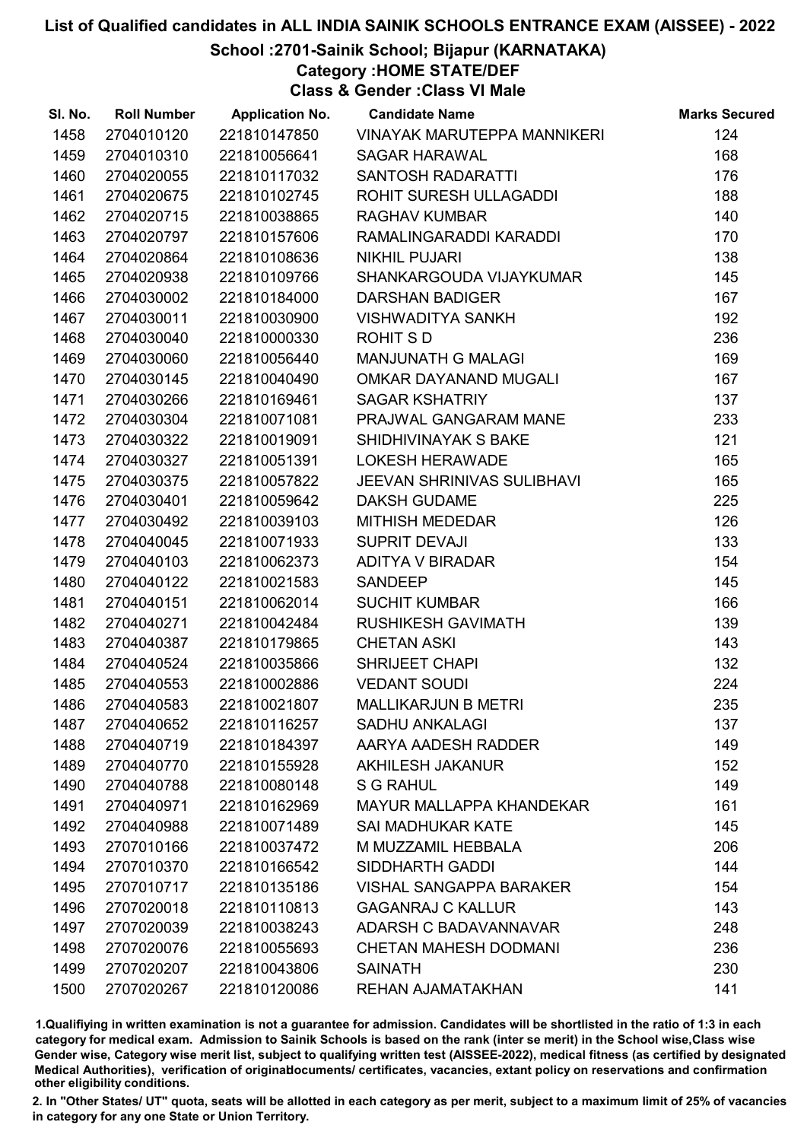## School :2701-Sainik School; Bijapur (KARNATAKA)

Category :HOME STATE/DEF

Class & Gender :Class VI Male

| SI. No. | <b>Roll Number</b> | <b>Application No.</b> | <b>Candidate Name</b>             | <b>Marks Secured</b> |
|---------|--------------------|------------------------|-----------------------------------|----------------------|
| 1458    | 2704010120         | 221810147850           | VINAYAK MARUTEPPA MANNIKERI       | 124                  |
| 1459    | 2704010310         | 221810056641           | <b>SAGAR HARAWAL</b>              | 168                  |
| 1460    | 2704020055         | 221810117032           | SANTOSH RADARATTI                 | 176                  |
| 1461    | 2704020675         | 221810102745           | ROHIT SURESH ULLAGADDI            | 188                  |
| 1462    | 2704020715         | 221810038865           | <b>RAGHAV KUMBAR</b>              | 140                  |
| 1463    | 2704020797         | 221810157606           | RAMALINGARADDI KARADDI            | 170                  |
| 1464    | 2704020864         | 221810108636           | <b>NIKHIL PUJARI</b>              | 138                  |
| 1465    | 2704020938         | 221810109766           | SHANKARGOUDA VIJAYKUMAR           | 145                  |
| 1466    | 2704030002         | 221810184000           | <b>DARSHAN BADIGER</b>            | 167                  |
| 1467    | 2704030011         | 221810030900           | <b>VISHWADITYA SANKH</b>          | 192                  |
| 1468    | 2704030040         | 221810000330           | ROHIT S D                         | 236                  |
| 1469    | 2704030060         | 221810056440           | <b>MANJUNATH G MALAGI</b>         | 169                  |
| 1470    | 2704030145         | 221810040490           | OMKAR DAYANAND MUGALI             | 167                  |
| 1471    | 2704030266         | 221810169461           | <b>SAGAR KSHATRIY</b>             | 137                  |
| 1472    | 2704030304         | 221810071081           | PRAJWAL GANGARAM MANE             | 233                  |
| 1473    | 2704030322         | 221810019091           | SHIDHIVINAYAK S BAKE              | 121                  |
| 1474    | 2704030327         | 221810051391           | <b>LOKESH HERAWADE</b>            | 165                  |
| 1475    | 2704030375         | 221810057822           | <b>JEEVAN SHRINIVAS SULIBHAVI</b> | 165                  |
| 1476    | 2704030401         | 221810059642           | <b>DAKSH GUDAME</b>               | 225                  |
| 1477    | 2704030492         | 221810039103           | MITHISH MEDEDAR                   | 126                  |
| 1478    | 2704040045         | 221810071933           | SUPRIT DEVAJI                     | 133                  |
| 1479    | 2704040103         | 221810062373           | <b>ADITYA V BIRADAR</b>           | 154                  |
| 1480    | 2704040122         | 221810021583           | <b>SANDEEP</b>                    | 145                  |
| 1481    | 2704040151         | 221810062014           | <b>SUCHIT KUMBAR</b>              | 166                  |
| 1482    | 2704040271         | 221810042484           | <b>RUSHIKESH GAVIMATH</b>         | 139                  |
| 1483    | 2704040387         | 221810179865           | <b>CHETAN ASKI</b>                | 143                  |
| 1484    | 2704040524         | 221810035866           | <b>SHRIJEET CHAPI</b>             | 132                  |
| 1485    | 2704040553         | 221810002886           | <b>VEDANT SOUDI</b>               | 224                  |
| 1486    | 2704040583         | 221810021807           | <b>MALLIKARJUN B METRI</b>        | 235                  |
| 1487    | 2704040652         | 221810116257           | <b>SADHU ANKALAGI</b>             | 137                  |
| 1488    | 2704040719         | 221810184397           | AARYA AADESH RADDER               | 149                  |
| 1489    | 2704040770         | 221810155928           | <b>AKHILESH JAKANUR</b>           | 152                  |
| 1490    | 2704040788         | 221810080148           | S G RAHUL                         | 149                  |
| 1491    | 2704040971         | 221810162969           | <b>MAYUR MALLAPPA KHANDEKAR</b>   | 161                  |
| 1492    | 2704040988         | 221810071489           | SAI MADHUKAR KATE                 | 145                  |
| 1493    | 2707010166         | 221810037472           | M MUZZAMIL HEBBALA                | 206                  |
| 1494    | 2707010370         | 221810166542           | SIDDHARTH GADDI                   | 144                  |
| 1495    | 2707010717         | 221810135186           | <b>VISHAL SANGAPPA BARAKER</b>    | 154                  |
| 1496    | 2707020018         | 221810110813           | <b>GAGANRAJ C KALLUR</b>          | 143                  |
| 1497    | 2707020039         | 221810038243           | ADARSH C BADAVANNAVAR             | 248                  |
| 1498    | 2707020076         | 221810055693           | <b>CHETAN MAHESH DODMANI</b>      | 236                  |
| 1499    | 2707020207         | 221810043806           | <b>SAINATH</b>                    | 230                  |
| 1500    | 2707020267         | 221810120086           | <b>REHAN AJAMATAKHAN</b>          | 141                  |

1.Qualifiying in written examination is not a guarantee for admission. Candidates will be shortlisted in the ratio of 1:3 in each category for medical exam. Admission to Sainik Schools is based on the rank (inter se merit) in the School wise,Class wise Gender wise, Category wise merit list, subject to qualifying written test (AISSEE-2022), medical fitness (as certified by designated Medical Authorities), verification of originablocuments/ certificates, vacancies, extant policy on reservations and confirmation other eligibility conditions.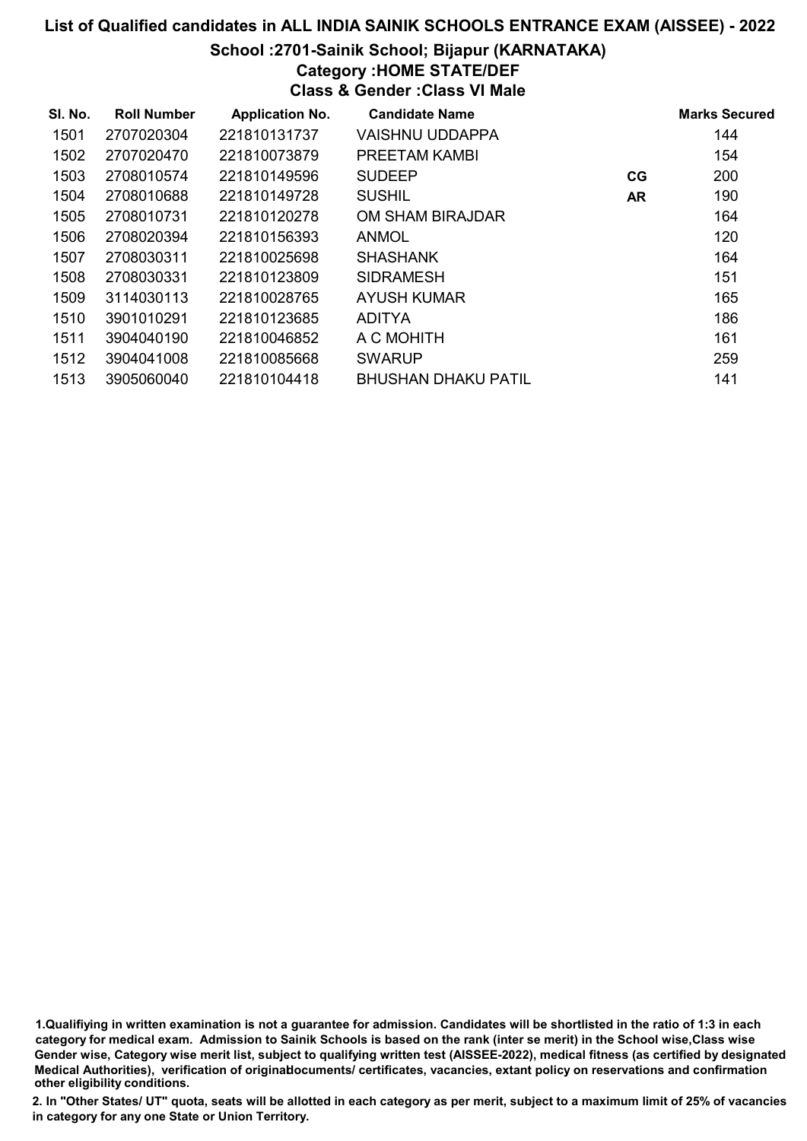# List of Qualified candidates in ALL INDIA SAINIK SCHOOLS ENTRANCE EXAM (AISSEE) - 2022 School :2701-Sainik School; Bijapur (KARNATAKA) Category :HOME STATE/DEF Class & Gender :Class VI Male

| SI. No. | <b>Roll Number</b> | <b>Application No.</b> | <b>Candidate Name</b>      |           | <b>Marks Secured</b> |
|---------|--------------------|------------------------|----------------------------|-----------|----------------------|
| 1501    | 2707020304         | 221810131737           | <b>VAISHNU UDDAPPA</b>     |           | 144                  |
| 1502    | 2707020470         | 221810073879           | PREETAM KAMBI              |           | 154                  |
| 1503    | 2708010574         | 221810149596           | <b>SUDEEP</b>              | CG        | 200                  |
| 1504    | 2708010688         | 221810149728           | <b>SUSHIL</b>              | <b>AR</b> | 190                  |
| 1505    | 2708010731         | 221810120278           | OM SHAM BIRAJDAR           |           | 164                  |
| 1506    | 2708020394         | 221810156393           | <b>ANMOL</b>               |           | 120                  |
| 1507    | 2708030311         | 221810025698           | <b>SHASHANK</b>            |           | 164                  |
| 1508    | 2708030331         | 221810123809           | <b>SIDRAMESH</b>           |           | 151                  |
| 1509    | 3114030113         | 221810028765           | AYUSH KUMAR                |           | 165                  |
| 1510    | 3901010291         | 221810123685           | <b>ADITYA</b>              |           | 186                  |
| 1511    | 3904040190         | 221810046852           | A C MOHITH                 |           | 161                  |
| 1512    | 3904041008         | 221810085668           | <b>SWARUP</b>              |           | 259                  |
| 1513    | 3905060040         | 221810104418           | <b>BHUSHAN DHAKU PATIL</b> |           | 141                  |

1.Qualifiying in written examination is not a guarantee for admission. Candidates will be shortlisted in the ratio of 1:3 in each category for medical exam. Admission to Sainik Schools is based on the rank (inter se merit) in the School wise,Class wise Gender wise, Category wise merit list, subject to qualifying written test (AISSEE-2022), medical fitness (as certified by designated Medical Authorities), verification of originablocuments/ certificates, vacancies, extant policy on reservations and confirmation other eligibility conditions.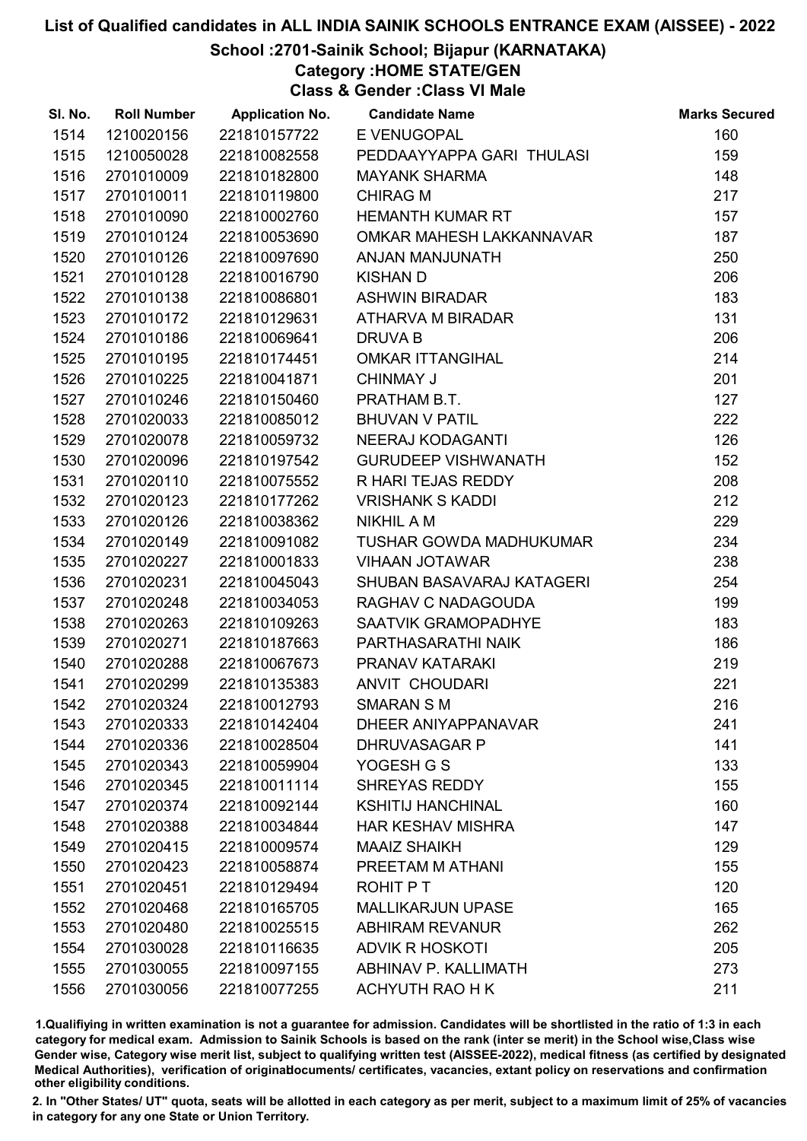### School :2701-Sainik School; Bijapur (KARNATAKA)

Category :HOME STATE/GEN

Class & Gender :Class VI Male

| SI. No. | <b>Roll Number</b> | <b>Application No.</b> | <b>Candidate Name</b>          | <b>Marks Secured</b> |
|---------|--------------------|------------------------|--------------------------------|----------------------|
| 1514    | 1210020156         | 221810157722           | E VENUGOPAL                    | 160                  |
| 1515    | 1210050028         | 221810082558           | PEDDAAYYAPPA GARI THULASI      | 159                  |
| 1516    | 2701010009         | 221810182800           | <b>MAYANK SHARMA</b>           | 148                  |
| 1517    | 2701010011         | 221810119800           | <b>CHIRAG M</b>                | 217                  |
| 1518    | 2701010090         | 221810002760           | <b>HEMANTH KUMAR RT</b>        | 157                  |
| 1519    | 2701010124         | 221810053690           | OMKAR MAHESH LAKKANNAVAR       | 187                  |
| 1520    | 2701010126         | 221810097690           | ANJAN MANJUNATH                | 250                  |
| 1521    | 2701010128         | 221810016790           | <b>KISHAN D</b>                | 206                  |
| 1522    | 2701010138         | 221810086801           | <b>ASHWIN BIRADAR</b>          | 183                  |
| 1523    | 2701010172         | 221810129631           | ATHARVA M BIRADAR              | 131                  |
| 1524    | 2701010186         | 221810069641           | DRUVA B                        | 206                  |
| 1525    | 2701010195         | 221810174451           | <b>OMKAR ITTANGIHAL</b>        | 214                  |
| 1526    | 2701010225         | 221810041871           | <b>CHINMAY J</b>               | 201                  |
| 1527    | 2701010246         | 221810150460           | PRATHAM B.T.                   | 127                  |
| 1528    | 2701020033         | 221810085012           | <b>BHUVAN V PATIL</b>          | 222                  |
| 1529    | 2701020078         | 221810059732           | <b>NEERAJ KODAGANTI</b>        | 126                  |
| 1530    | 2701020096         | 221810197542           | <b>GURUDEEP VISHWANATH</b>     | 152                  |
| 1531    | 2701020110         | 221810075552           | R HARI TEJAS REDDY             | 208                  |
| 1532    | 2701020123         | 221810177262           | <b>VRISHANK S KADDI</b>        | 212                  |
| 1533    | 2701020126         | 221810038362           | <b>NIKHIL A M</b>              | 229                  |
| 1534    | 2701020149         | 221810091082           | <b>TUSHAR GOWDA MADHUKUMAR</b> | 234                  |
| 1535    | 2701020227         | 221810001833           | <b>VIHAAN JOTAWAR</b>          | 238                  |
| 1536    | 2701020231         | 221810045043           | SHUBAN BASAVARAJ KATAGERI      | 254                  |
| 1537    | 2701020248         | 221810034053           | RAGHAV C NADAGOUDA             | 199                  |
| 1538    | 2701020263         | 221810109263           | SAATVIK GRAMOPADHYE            | 183                  |
| 1539    | 2701020271         | 221810187663           | PARTHASARATHI NAIK             | 186                  |
| 1540    | 2701020288         | 221810067673           | PRANAV KATARAKI                | 219                  |
| 1541    | 2701020299         | 221810135383           | <b>ANVIT CHOUDARI</b>          | 221                  |
| 1542    | 2701020324         | 221810012793           | <b>SMARAN S M</b>              | 216                  |
| 1543    | 2701020333         | 221810142404           | DHEER ANIYAPPANAVAR            | 241                  |
| 1544    | 2701020336         | 221810028504           | <b>DHRUVASAGAR P</b>           | 141                  |
| 1545    | 2701020343         | 221810059904           | YOGESH G S                     | 133                  |
| 1546    | 2701020345         | 221810011114           | <b>SHREYAS REDDY</b>           | 155                  |
| 1547    | 2701020374         | 221810092144           | <b>KSHITIJ HANCHINAL</b>       | 160                  |
| 1548    | 2701020388         | 221810034844           | <b>HAR KESHAV MISHRA</b>       | 147                  |
| 1549    | 2701020415         | 221810009574           | <b>MAAIZ SHAIKH</b>            | 129                  |
| 1550    | 2701020423         | 221810058874           | PREETAM M ATHANI               | 155                  |
| 1551    | 2701020451         | 221810129494           | ROHIT P T                      | 120                  |
| 1552    | 2701020468         | 221810165705           | <b>MALLIKARJUN UPASE</b>       | 165                  |
| 1553    | 2701020480         | 221810025515           | <b>ABHIRAM REVANUR</b>         | 262                  |
| 1554    | 2701030028         | 221810116635           | <b>ADVIK R HOSKOTI</b>         | 205                  |
| 1555    | 2701030055         | 221810097155           | ABHINAV P. KALLIMATH           | 273                  |
| 1556    | 2701030056         | 221810077255           | ACHYUTH RAO H K                | 211                  |

1.Qualifiying in written examination is not a guarantee for admission. Candidates will be shortlisted in the ratio of 1:3 in each category for medical exam. Admission to Sainik Schools is based on the rank (inter se merit) in the School wise,Class wise Gender wise, Category wise merit list, subject to qualifying written test (AISSEE-2022), medical fitness (as certified by designated Medical Authorities), verification of originablocuments/ certificates, vacancies, extant policy on reservations and confirmation other eligibility conditions.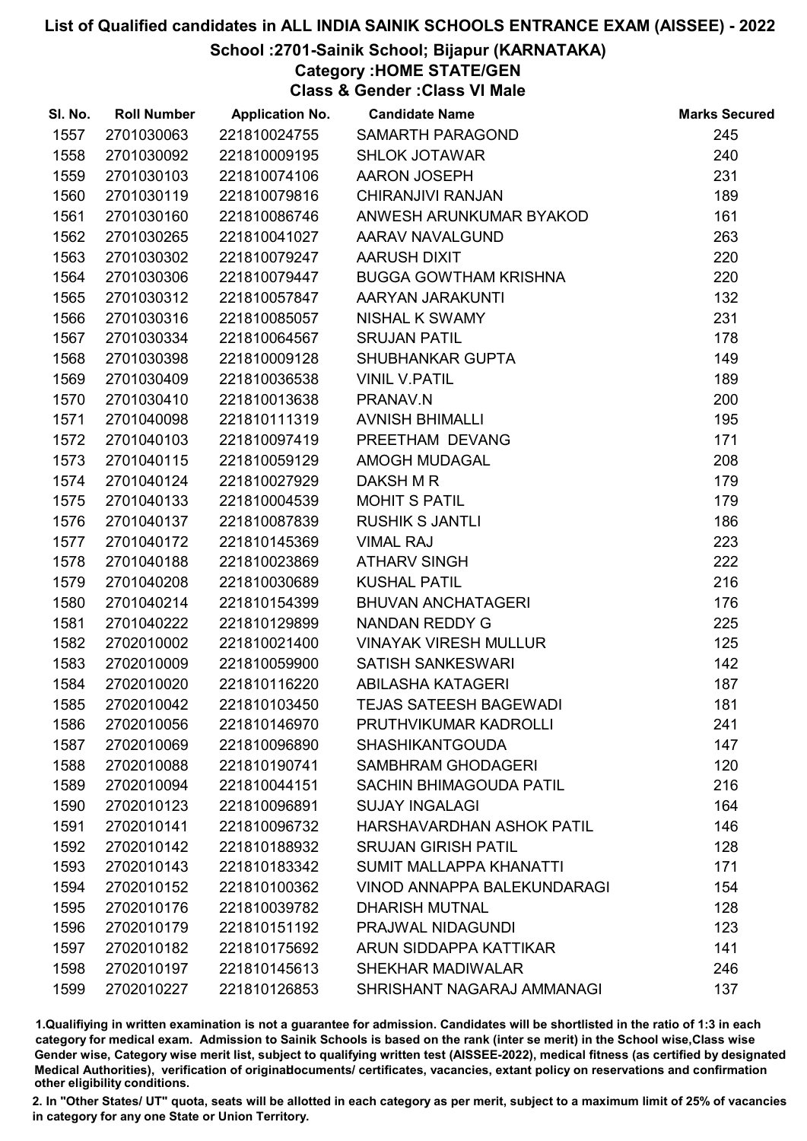### School :2701-Sainik School; Bijapur (KARNATAKA)

Category :HOME STATE/GEN

Class & Gender :Class VI Male

| SI. No. | <b>Roll Number</b> | <b>Application No.</b> | <b>Candidate Name</b>              | <b>Marks Secured</b> |
|---------|--------------------|------------------------|------------------------------------|----------------------|
| 1557    | 2701030063         | 221810024755           | SAMARTH PARAGOND                   | 245                  |
| 1558    | 2701030092         | 221810009195           | <b>SHLOK JOTAWAR</b>               | 240                  |
| 1559    | 2701030103         | 221810074106           | AARON JOSEPH                       | 231                  |
| 1560    | 2701030119         | 221810079816           | <b>CHIRANJIVI RANJAN</b>           | 189                  |
| 1561    | 2701030160         | 221810086746           | ANWESH ARUNKUMAR BYAKOD            | 161                  |
| 1562    | 2701030265         | 221810041027           | AARAV NAVALGUND                    | 263                  |
| 1563    | 2701030302         | 221810079247           | AARUSH DIXIT                       | 220                  |
| 1564    | 2701030306         | 221810079447           | <b>BUGGA GOWTHAM KRISHNA</b>       | 220                  |
| 1565    | 2701030312         | 221810057847           | AARYAN JARAKUNTI                   | 132                  |
| 1566    | 2701030316         | 221810085057           | <b>NISHAL K SWAMY</b>              | 231                  |
| 1567    | 2701030334         | 221810064567           | <b>SRUJAN PATIL</b>                | 178                  |
| 1568    | 2701030398         | 221810009128           | SHUBHANKAR GUPTA                   | 149                  |
| 1569    | 2701030409         | 221810036538           | <b>VINIL V.PATIL</b>               | 189                  |
| 1570    | 2701030410         | 221810013638           | PRANAV.N                           | 200                  |
| 1571    | 2701040098         | 221810111319           | <b>AVNISH BHIMALLI</b>             | 195                  |
| 1572    | 2701040103         | 221810097419           | PREETHAM DEVANG                    | 171                  |
| 1573    | 2701040115         | 221810059129           | AMOGH MUDAGAL                      | 208                  |
| 1574    | 2701040124         | 221810027929           | DAKSH M R                          | 179                  |
| 1575    | 2701040133         | 221810004539           | <b>MOHIT S PATIL</b>               | 179                  |
| 1576    | 2701040137         | 221810087839           | <b>RUSHIK S JANTLI</b>             | 186                  |
| 1577    | 2701040172         | 221810145369           | <b>VIMAL RAJ</b>                   | 223                  |
| 1578    | 2701040188         | 221810023869           | <b>ATHARV SINGH</b>                | 222                  |
| 1579    | 2701040208         | 221810030689           | <b>KUSHAL PATIL</b>                | 216                  |
| 1580    | 2701040214         | 221810154399           | <b>BHUVAN ANCHATAGERI</b>          | 176                  |
| 1581    | 2701040222         | 221810129899           | NANDAN REDDY G                     | 225                  |
| 1582    | 2702010002         | 221810021400           | <b>VINAYAK VIRESH MULLUR</b>       | 125                  |
| 1583    | 2702010009         | 221810059900           | <b>SATISH SANKESWARI</b>           | 142                  |
| 1584    | 2702010020         | 221810116220           | ABILASHA KATAGERI                  | 187                  |
| 1585    | 2702010042         | 221810103450           | <b>TEJAS SATEESH BAGEWADI</b>      | 181                  |
| 1586    | 2702010056         | 221810146970           | PRUTHVIKUMAR KADROLLI              | 241                  |
| 1587    | 2702010069         | 221810096890           | <b>SHASHIKANTGOUDA</b>             | 147                  |
| 1588    | 2702010088         | 221810190741           | <b>SAMBHRAM GHODAGERI</b>          | 120                  |
| 1589    | 2702010094         | 221810044151           | <b>SACHIN BHIMAGOUDA PATIL</b>     | 216                  |
| 1590    | 2702010123         | 221810096891           | <b>SUJAY INGALAGI</b>              | 164                  |
| 1591    | 2702010141         | 221810096732           | HARSHAVARDHAN ASHOK PATIL          | 146                  |
| 1592    | 2702010142         | 221810188932           | <b>SRUJAN GIRISH PATIL</b>         | 128                  |
| 1593    | 2702010143         | 221810183342           | SUMIT MALLAPPA KHANATTI            | 171                  |
| 1594    | 2702010152         | 221810100362           | <b>VINOD ANNAPPA BALEKUNDARAGI</b> | 154                  |
| 1595    | 2702010176         | 221810039782           | <b>DHARISH MUTNAL</b>              | 128                  |
| 1596    | 2702010179         | 221810151192           | PRAJWAL NIDAGUNDI                  | 123                  |
| 1597    | 2702010182         | 221810175692           | ARUN SIDDAPPA KATTIKAR             | 141                  |
| 1598    | 2702010197         | 221810145613           | <b>SHEKHAR MADIWALAR</b>           | 246                  |
| 1599    | 2702010227         | 221810126853           | SHRISHANT NAGARAJ AMMANAGI         | 137                  |

1.Qualifiying in written examination is not a guarantee for admission. Candidates will be shortlisted in the ratio of 1:3 in each category for medical exam. Admission to Sainik Schools is based on the rank (inter se merit) in the School wise,Class wise Gender wise, Category wise merit list, subject to qualifying written test (AISSEE-2022), medical fitness (as certified by designated Medical Authorities), verification of originablocuments/ certificates, vacancies, extant policy on reservations and confirmation other eligibility conditions.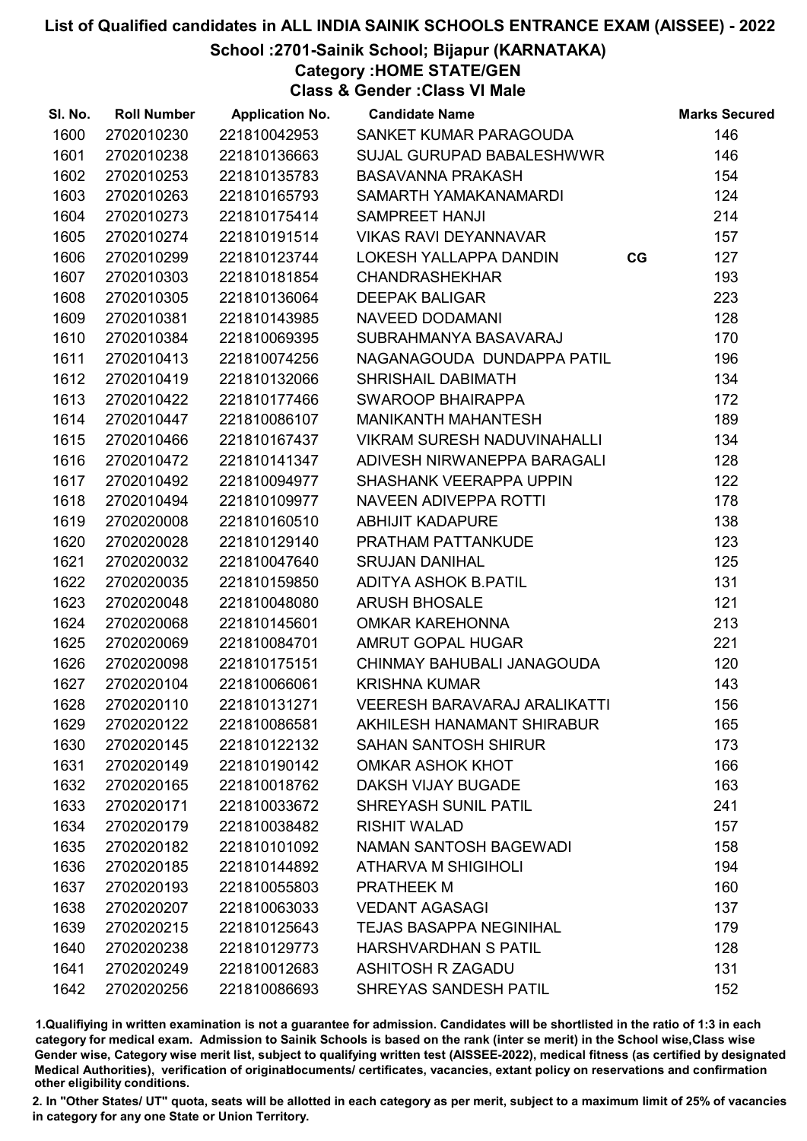School :2701-Sainik School; Bijapur (KARNATAKA)

Category :HOME STATE/GEN

Class & Gender :Class VI Male

| SI. No. | <b>Roll Number</b> | <b>Application No.</b> | <b>Candidate Name</b>               |    | <b>Marks Secured</b> |
|---------|--------------------|------------------------|-------------------------------------|----|----------------------|
| 1600    | 2702010230         | 221810042953           | SANKET KUMAR PARAGOUDA              |    | 146                  |
| 1601    | 2702010238         | 221810136663           | SUJAL GURUPAD BABALESHWWR           |    | 146                  |
| 1602    | 2702010253         | 221810135783           | <b>BASAVANNA PRAKASH</b>            |    | 154                  |
| 1603    | 2702010263         | 221810165793           | SAMARTH YAMAKANAMARDI               |    | 124                  |
| 1604    | 2702010273         | 221810175414           | <b>SAMPREET HANJI</b>               |    | 214                  |
| 1605    | 2702010274         | 221810191514           | <b>VIKAS RAVI DEYANNAVAR</b>        |    | 157                  |
| 1606    | 2702010299         | 221810123744           | LOKESH YALLAPPA DANDIN              | CG | 127                  |
| 1607    | 2702010303         | 221810181854           | <b>CHANDRASHEKHAR</b>               |    | 193                  |
| 1608    | 2702010305         | 221810136064           | <b>DEEPAK BALIGAR</b>               |    | 223                  |
| 1609    | 2702010381         | 221810143985           | <b>NAVEED DODAMANI</b>              |    | 128                  |
| 1610    | 2702010384         | 221810069395           | SUBRAHMANYA BASAVARAJ               |    | 170                  |
| 1611    | 2702010413         | 221810074256           | NAGANAGOUDA DUNDAPPA PATIL          |    | 196                  |
| 1612    | 2702010419         | 221810132066           | SHRISHAIL DABIMATH                  |    | 134                  |
| 1613    | 2702010422         | 221810177466           | <b>SWAROOP BHAIRAPPA</b>            |    | 172                  |
| 1614    | 2702010447         | 221810086107           | MANIKANTH MAHANTESH                 |    | 189                  |
| 1615    | 2702010466         | 221810167437           | VIKRAM SURESH NADUVINAHALLI         |    | 134                  |
| 1616    | 2702010472         | 221810141347           | ADIVESH NIRWANEPPA BARAGALI         |    | 128                  |
| 1617    | 2702010492         | 221810094977           | SHASHANK VEERAPPA UPPIN             |    | 122                  |
| 1618    | 2702010494         | 221810109977           | NAVEEN ADIVEPPA ROTTI               |    | 178                  |
| 1619    | 2702020008         | 221810160510           | <b>ABHIJIT KADAPURE</b>             |    | 138                  |
| 1620    | 2702020028         | 221810129140           | PRATHAM PATTANKUDE                  |    | 123                  |
| 1621    | 2702020032         | 221810047640           | <b>SRUJAN DANIHAL</b>               |    | 125                  |
| 1622    | 2702020035         | 221810159850           | ADITYA ASHOK B.PATIL                |    | 131                  |
| 1623    | 2702020048         | 221810048080           | <b>ARUSH BHOSALE</b>                |    | 121                  |
| 1624    | 2702020068         | 221810145601           | <b>OMKAR KAREHONNA</b>              |    | 213                  |
| 1625    | 2702020069         | 221810084701           | AMRUT GOPAL HUGAR                   |    | 221                  |
| 1626    | 2702020098         | 221810175151           | CHINMAY BAHUBALI JANAGOUDA          |    | 120                  |
| 1627    | 2702020104         | 221810066061           | <b>KRISHNA KUMAR</b>                |    | 143                  |
| 1628    | 2702020110         | 221810131271           | <b>VEERESH BARAVARAJ ARALIKATTI</b> |    | 156                  |
| 1629    | 2702020122         | 221810086581           | AKHILESH HANAMANT SHIRABUR          |    | 165                  |
| 1630    | 2702020145         | 221810122132           | <b>SAHAN SANTOSH SHIRUR</b>         |    | 173                  |
| 1631    | 2702020149         | 221810190142           | <b>OMKAR ASHOK KHOT</b>             |    | 166                  |
| 1632    | 2702020165         | 221810018762           | <b>DAKSH VIJAY BUGADE</b>           |    | 163                  |
| 1633    | 2702020171         | 221810033672           | <b>SHREYASH SUNIL PATIL</b>         |    | 241                  |
| 1634    | 2702020179         | 221810038482           | <b>RISHIT WALAD</b>                 |    | 157                  |
| 1635    | 2702020182         | 221810101092           | <b>NAMAN SANTOSH BAGEWADI</b>       |    | 158                  |
| 1636    | 2702020185         | 221810144892           | <b>ATHARVA M SHIGIHOLI</b>          |    | 194                  |
| 1637    | 2702020193         | 221810055803           | <b>PRATHEEK M</b>                   |    | 160                  |
| 1638    | 2702020207         | 221810063033           | <b>VEDANT AGASAGI</b>               |    | 137                  |
| 1639    | 2702020215         | 221810125643           | <b>TEJAS BASAPPA NEGINIHAL</b>      |    | 179                  |
| 1640    | 2702020238         | 221810129773           | <b>HARSHVARDHAN S PATIL</b>         |    | 128                  |
| 1641    | 2702020249         | 221810012683           | <b>ASHITOSH R ZAGADU</b>            |    | 131                  |
| 1642    | 2702020256         | 221810086693           | SHREYAS SANDESH PATIL               |    | 152                  |

1.Qualifiying in written examination is not a guarantee for admission. Candidates will be shortlisted in the ratio of 1:3 in each category for medical exam. Admission to Sainik Schools is based on the rank (inter se merit) in the School wise,Class wise Gender wise, Category wise merit list, subject to qualifying written test (AISSEE-2022), medical fitness (as certified by designated Medical Authorities), verification of originablocuments/ certificates, vacancies, extant policy on reservations and confirmation other eligibility conditions.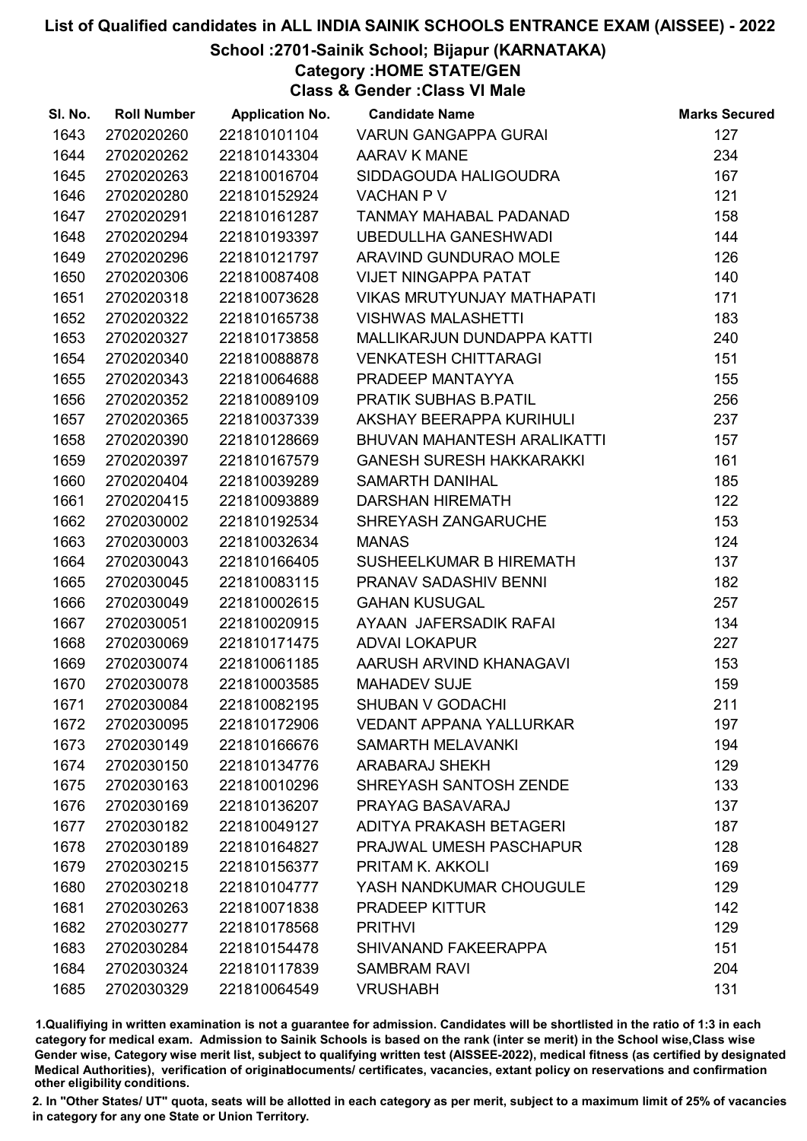#### School :2701-Sainik School; Bijapur (KARNATAKA)

Category :HOME STATE/GEN

Class & Gender :Class VI Male

| SI. No. | <b>Roll Number</b> | <b>Application No.</b> | <b>Candidate Name</b>             | <b>Marks Secured</b> |
|---------|--------------------|------------------------|-----------------------------------|----------------------|
| 1643    | 2702020260         | 221810101104           | <b>VARUN GANGAPPA GURAI</b>       | 127                  |
| 1644    | 2702020262         | 221810143304           | AARAV K MANE                      | 234                  |
| 1645    | 2702020263         | 221810016704           | SIDDAGOUDA HALIGOUDRA             | 167                  |
| 1646    | 2702020280         | 221810152924           | <b>VACHAN P V</b>                 | 121                  |
| 1647    | 2702020291         | 221810161287           | TANMAY MAHABAL PADANAD            | 158                  |
| 1648    | 2702020294         | 221810193397           | <b>UBEDULLHA GANESHWADI</b>       | 144                  |
| 1649    | 2702020296         | 221810121797           | ARAVIND GUNDURAO MOLE             | 126                  |
| 1650    | 2702020306         | 221810087408           | <b>VIJET NINGAPPA PATAT</b>       | 140                  |
| 1651    | 2702020318         | 221810073628           | <b>VIKAS MRUTYUNJAY MATHAPATI</b> | 171                  |
| 1652    | 2702020322         | 221810165738           | <b>VISHWAS MALASHETTI</b>         | 183                  |
| 1653    | 2702020327         | 221810173858           | MALLIKARJUN DUNDAPPA KATTI        | 240                  |
| 1654    | 2702020340         | 221810088878           | <b>VENKATESH CHITTARAGI</b>       | 151                  |
| 1655    | 2702020343         | 221810064688           | PRADEEP MANTAYYA                  | 155                  |
| 1656    | 2702020352         | 221810089109           | <b>PRATIK SUBHAS B.PATIL</b>      | 256                  |
| 1657    | 2702020365         | 221810037339           | AKSHAY BEERAPPA KURIHULI          | 237                  |
| 1658    | 2702020390         | 221810128669           | BHUVAN MAHANTESH ARALIKATTI       | 157                  |
| 1659    | 2702020397         | 221810167579           | <b>GANESH SURESH HAKKARAKKI</b>   | 161                  |
| 1660    | 2702020404         | 221810039289           | <b>SAMARTH DANIHAL</b>            | 185                  |
| 1661    | 2702020415         | 221810093889           | <b>DARSHAN HIREMATH</b>           | 122                  |
| 1662    | 2702030002         | 221810192534           | SHREYASH ZANGARUCHE               | 153                  |
| 1663    | 2702030003         | 221810032634           | <b>MANAS</b>                      | 124                  |
| 1664    | 2702030043         | 221810166405           | SUSHEELKUMAR B HIREMATH           | 137                  |
| 1665    | 2702030045         | 221810083115           | PRANAV SADASHIV BENNI             | 182                  |
| 1666    | 2702030049         | 221810002615           | <b>GAHAN KUSUGAL</b>              | 257                  |
| 1667    | 2702030051         | 221810020915           | AYAAN JAFERSADIK RAFAI            | 134                  |
| 1668    | 2702030069         | 221810171475           | <b>ADVAI LOKAPUR</b>              | 227                  |
| 1669    | 2702030074         | 221810061185           | AARUSH ARVIND KHANAGAVI           | 153                  |
| 1670    | 2702030078         | 221810003585           | <b>MAHADEV SUJE</b>               | 159                  |
| 1671    | 2702030084         | 221810082195           | <b>SHUBAN V GODACHI</b>           | 211                  |
| 1672    | 2702030095         | 221810172906           | <b>VEDANT APPANA YALLURKAR</b>    | 197                  |
| 1673    | 2702030149         | 221810166676           | <b>SAMARTH MELAVANKI</b>          | 194                  |
| 1674    | 2702030150         | 221810134776           | <b>ARABARAJ SHEKH</b>             | 129                  |
| 1675    | 2702030163         | 221810010296           | SHREYASH SANTOSH ZENDE            | 133                  |
| 1676    | 2702030169         | 221810136207           | PRAYAG BASAVARAJ                  | 137                  |
| 1677    | 2702030182         | 221810049127           | ADITYA PRAKASH BETAGERI           | 187                  |
| 1678    | 2702030189         | 221810164827           | PRAJWAL UMESH PASCHAPUR           | 128                  |
| 1679    | 2702030215         | 221810156377           | PRITAM K. AKKOLI                  | 169                  |
| 1680    | 2702030218         | 221810104777           | YASH NANDKUMAR CHOUGULE           | 129                  |
| 1681    | 2702030263         | 221810071838           | PRADEEP KITTUR                    | 142                  |
| 1682    | 2702030277         | 221810178568           | <b>PRITHVI</b>                    | 129                  |
| 1683    | 2702030284         | 221810154478           | SHIVANAND FAKEERAPPA              | 151                  |
| 1684    | 2702030324         | 221810117839           | <b>SAMBRAM RAVI</b>               | 204                  |
| 1685    | 2702030329         | 221810064549           | <b>VRUSHABH</b>                   | 131                  |

1.Qualifiying in written examination is not a guarantee for admission. Candidates will be shortlisted in the ratio of 1:3 in each category for medical exam. Admission to Sainik Schools is based on the rank (inter se merit) in the School wise,Class wise Gender wise, Category wise merit list, subject to qualifying written test (AISSEE-2022), medical fitness (as certified by designated Medical Authorities), verification of originablocuments/ certificates, vacancies, extant policy on reservations and confirmation other eligibility conditions.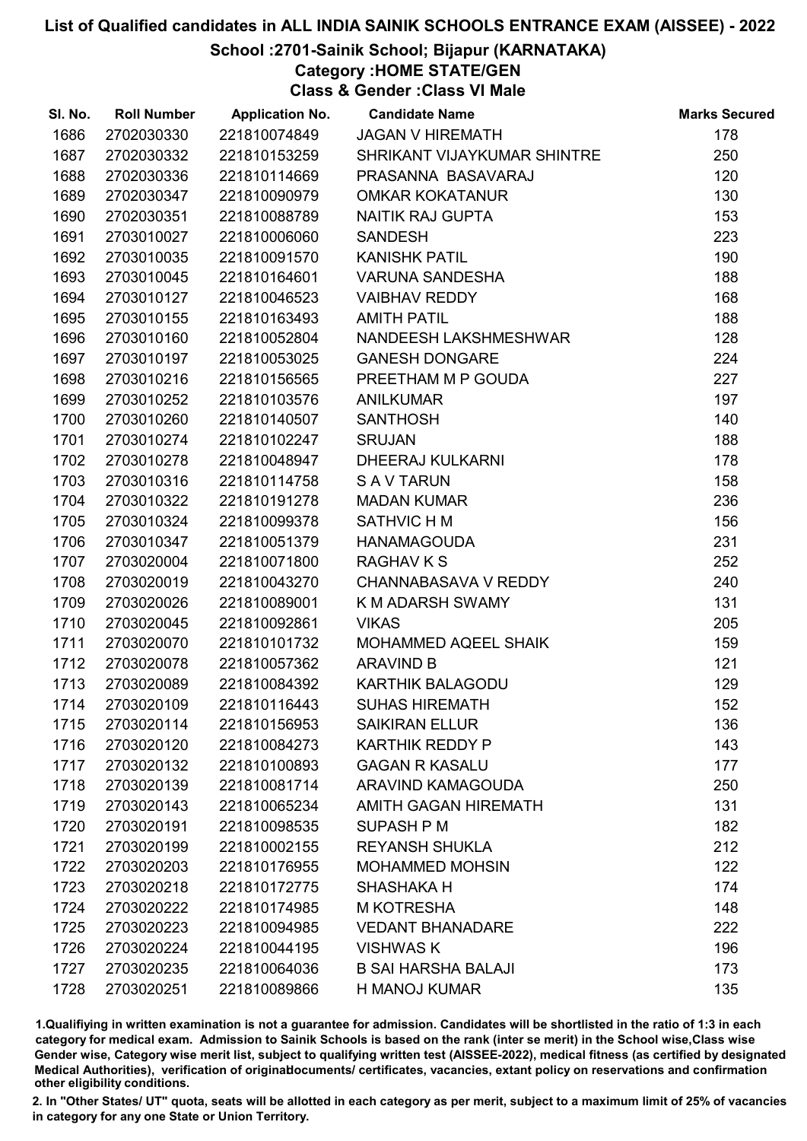#### School :2701-Sainik School; Bijapur (KARNATAKA)

Category :HOME STATE/GEN

Class & Gender :Class VI Male

| SI. No. | <b>Roll Number</b> | <b>Application No.</b> | <b>Candidate Name</b>       | <b>Marks Secured</b> |
|---------|--------------------|------------------------|-----------------------------|----------------------|
| 1686    | 2702030330         | 221810074849           | <b>JAGAN V HIREMATH</b>     | 178                  |
| 1687    | 2702030332         | 221810153259           | SHRIKANT VIJAYKUMAR SHINTRE | 250                  |
| 1688    | 2702030336         | 221810114669           | PRASANNA BASAVARAJ          | 120                  |
| 1689    | 2702030347         | 221810090979           | <b>OMKAR KOKATANUR</b>      | 130                  |
| 1690    | 2702030351         | 221810088789           | <b>NAITIK RAJ GUPTA</b>     | 153                  |
| 1691    | 2703010027         | 221810006060           | <b>SANDESH</b>              | 223                  |
| 1692    | 2703010035         | 221810091570           | <b>KANISHK PATIL</b>        | 190                  |
| 1693    | 2703010045         | 221810164601           | <b>VARUNA SANDESHA</b>      | 188                  |
| 1694    | 2703010127         | 221810046523           | <b>VAIBHAV REDDY</b>        | 168                  |
| 1695    | 2703010155         | 221810163493           | <b>AMITH PATIL</b>          | 188                  |
| 1696    | 2703010160         | 221810052804           | NANDEESH LAKSHMESHWAR       | 128                  |
| 1697    | 2703010197         | 221810053025           | <b>GANESH DONGARE</b>       | 224                  |
| 1698    | 2703010216         | 221810156565           | PREETHAM M P GOUDA          | 227                  |
| 1699    | 2703010252         | 221810103576           | <b>ANILKUMAR</b>            | 197                  |
| 1700    | 2703010260         | 221810140507           | <b>SANTHOSH</b>             | 140                  |
| 1701    | 2703010274         | 221810102247           | <b>SRUJAN</b>               | 188                  |
| 1702    | 2703010278         | 221810048947           | <b>DHEERAJ KULKARNI</b>     | 178                  |
| 1703    | 2703010316         | 221810114758           | <b>SAV TARUN</b>            | 158                  |
| 1704    | 2703010322         | 221810191278           | <b>MADAN KUMAR</b>          | 236                  |
| 1705    | 2703010324         | 221810099378           | SATHVIC H M                 | 156                  |
| 1706    | 2703010347         | 221810051379           | <b>HANAMAGOUDA</b>          | 231                  |
| 1707    | 2703020004         | 221810071800           | <b>RAGHAV K S</b>           | 252                  |
| 1708    | 2703020019         | 221810043270           | CHANNABASAVA V REDDY        | 240                  |
| 1709    | 2703020026         | 221810089001           | K M ADARSH SWAMY            | 131                  |
| 1710    | 2703020045         | 221810092861           | <b>VIKAS</b>                | 205                  |
| 1711    | 2703020070         | 221810101732           | MOHAMMED AQEEL SHAIK        | 159                  |
| 1712    | 2703020078         | 221810057362           | <b>ARAVIND B</b>            | 121                  |
| 1713    | 2703020089         | 221810084392           | <b>KARTHIK BALAGODU</b>     | 129                  |
| 1714    | 2703020109         | 221810116443           | <b>SUHAS HIREMATH</b>       | 152                  |
| 1715    | 2703020114         | 221810156953           | <b>SAIKIRAN ELLUR</b>       | 136                  |
| 1716    | 2703020120         | 221810084273           | <b>KARTHIK REDDY P</b>      | 143                  |
| 1717    | 2703020132         | 221810100893           | <b>GAGAN R KASALU</b>       | 177                  |
| 1718    | 2703020139         | 221810081714           | ARAVIND KAMAGOUDA           | 250                  |
| 1719    | 2703020143         | 221810065234           | <b>AMITH GAGAN HIREMATH</b> | 131                  |
| 1720    | 2703020191         | 221810098535           | <b>SUPASH P M</b>           | 182                  |
| 1721    | 2703020199         | 221810002155           | <b>REYANSH SHUKLA</b>       | 212                  |
| 1722    | 2703020203         | 221810176955           | <b>MOHAMMED MOHSIN</b>      | 122                  |
| 1723    | 2703020218         | 221810172775           | SHASHAKA H                  | 174                  |
| 1724    | 2703020222         | 221810174985           | <b>M KOTRESHA</b>           | 148                  |
| 1725    | 2703020223         | 221810094985           | <b>VEDANT BHANADARE</b>     | 222                  |
| 1726    | 2703020224         | 221810044195           | <b>VISHWAS K</b>            | 196                  |
| 1727    | 2703020235         | 221810064036           | <b>B SAI HARSHA BALAJI</b>  | 173                  |
| 1728    | 2703020251         | 221810089866           | H MANOJ KUMAR               | 135                  |

1.Qualifiying in written examination is not a guarantee for admission. Candidates will be shortlisted in the ratio of 1:3 in each category for medical exam. Admission to Sainik Schools is based on the rank (inter se merit) in the School wise,Class wise Gender wise, Category wise merit list, subject to qualifying written test (AISSEE-2022), medical fitness (as certified by designated Medical Authorities), verification of originablocuments/ certificates, vacancies, extant policy on reservations and confirmation other eligibility conditions.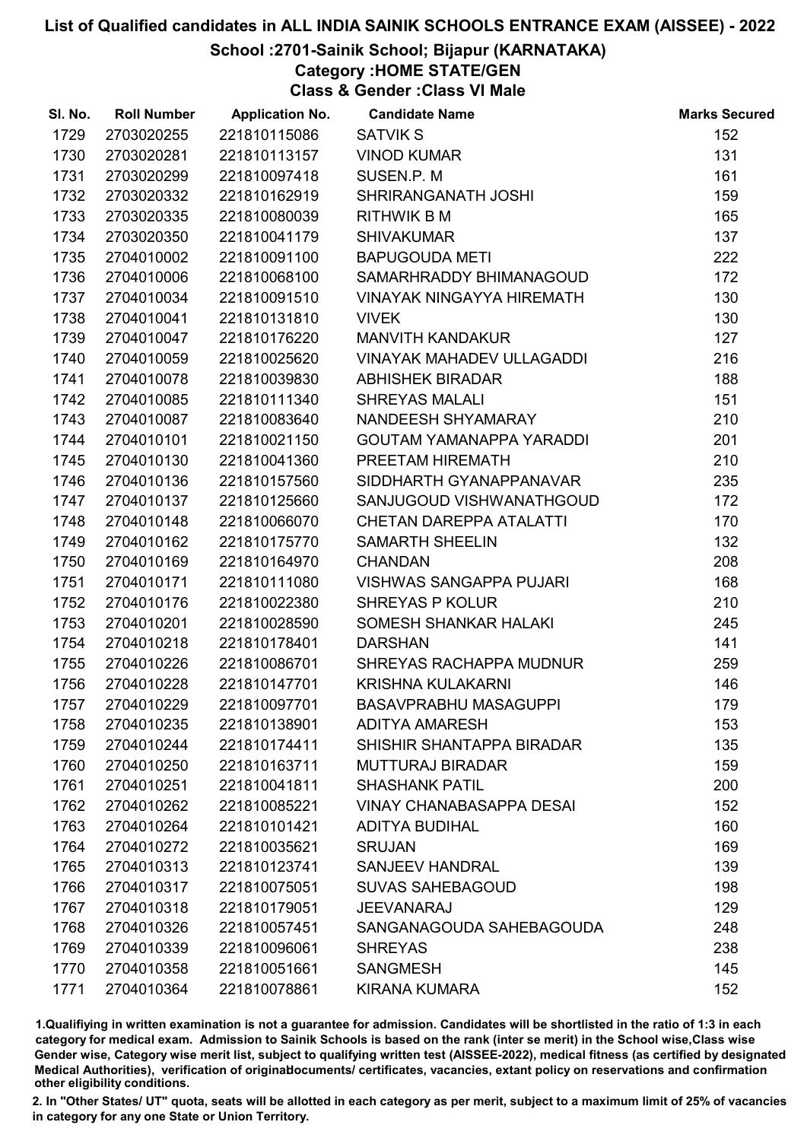#### School :2701-Sainik School; Bijapur (KARNATAKA)

Category :HOME STATE/GEN

Class & Gender :Class VI Male

| SI. No. | <b>Roll Number</b> | <b>Application No.</b> | <b>Candidate Name</b>            | <b>Marks Secured</b> |
|---------|--------------------|------------------------|----------------------------------|----------------------|
| 1729    | 2703020255         | 221810115086           | <b>SATVIK S</b>                  | 152                  |
| 1730    | 2703020281         | 221810113157           | <b>VINOD KUMAR</b>               | 131                  |
| 1731    | 2703020299         | 221810097418           | SUSEN.P. M                       | 161                  |
| 1732    | 2703020332         | 221810162919           | SHRIRANGANATH JOSHI              | 159                  |
| 1733    | 2703020335         | 221810080039           | <b>RITHWIK B M</b>               | 165                  |
| 1734    | 2703020350         | 221810041179           | <b>SHIVAKUMAR</b>                | 137                  |
| 1735    | 2704010002         | 221810091100           | <b>BAPUGOUDA METI</b>            | 222                  |
| 1736    | 2704010006         | 221810068100           | SAMARHRADDY BHIMANAGOUD          | 172                  |
| 1737    | 2704010034         | 221810091510           | <b>VINAYAK NINGAYYA HIREMATH</b> | 130                  |
| 1738    | 2704010041         | 221810131810           | <b>VIVEK</b>                     | 130                  |
| 1739    | 2704010047         | 221810176220           | <b>MANVITH KANDAKUR</b>          | 127                  |
| 1740    | 2704010059         | 221810025620           | <b>VINAYAK MAHADEV ULLAGADDI</b> | 216                  |
| 1741    | 2704010078         | 221810039830           | <b>ABHISHEK BIRADAR</b>          | 188                  |
| 1742    | 2704010085         | 221810111340           | <b>SHREYAS MALALI</b>            | 151                  |
| 1743    | 2704010087         | 221810083640           | NANDEESH SHYAMARAY               | 210                  |
| 1744    | 2704010101         | 221810021150           | GOUTAM YAMANAPPA YARADDI         | 201                  |
| 1745    | 2704010130         | 221810041360           | PREETAM HIREMATH                 | 210                  |
| 1746    | 2704010136         | 221810157560           | SIDDHARTH GYANAPPANAVAR          | 235                  |
| 1747    | 2704010137         | 221810125660           | SANJUGOUD VISHWANATHGOUD         | 172                  |
| 1748    | 2704010148         | 221810066070           | <b>CHETAN DAREPPA ATALATTI</b>   | 170                  |
| 1749    | 2704010162         | 221810175770           | <b>SAMARTH SHEELIN</b>           | 132                  |
| 1750    | 2704010169         | 221810164970           | <b>CHANDAN</b>                   | 208                  |
| 1751    | 2704010171         | 221810111080           | <b>VISHWAS SANGAPPA PUJARI</b>   | 168                  |
| 1752    | 2704010176         | 221810022380           | <b>SHREYAS P KOLUR</b>           | 210                  |
| 1753    | 2704010201         | 221810028590           | SOMESH SHANKAR HALAKI            | 245                  |
| 1754    | 2704010218         | 221810178401           | <b>DARSHAN</b>                   | 141                  |
| 1755    | 2704010226         | 221810086701           | <b>SHREYAS RACHAPPA MUDNUR</b>   | 259                  |
| 1756    | 2704010228         | 221810147701           | <b>KRISHNA KULAKARNI</b>         | 146                  |
| 1757    | 2704010229         | 221810097701           | <b>BASAVPRABHU MASAGUPPI</b>     | 179                  |
| 1758    | 2704010235         | 221810138901           | <b>ADITYA AMARESH</b>            | 153                  |
| 1759    | 2704010244         | 221810174411           | SHISHIR SHANTAPPA BIRADAR        | 135                  |
| 1760    | 2704010250         | 221810163711           | <b>MUTTURAJ BIRADAR</b>          | 159                  |
| 1761    | 2704010251         | 221810041811           | <b>SHASHANK PATIL</b>            | 200                  |
| 1762    | 2704010262         | 221810085221           | <b>VINAY CHANABASAPPA DESAI</b>  | 152                  |
| 1763    | 2704010264         | 221810101421           | <b>ADITYA BUDIHAL</b>            | 160                  |
| 1764    | 2704010272         | 221810035621           | <b>SRUJAN</b>                    | 169                  |
| 1765    | 2704010313         | 221810123741           | <b>SANJEEV HANDRAL</b>           | 139                  |
| 1766    | 2704010317         | 221810075051           | <b>SUVAS SAHEBAGOUD</b>          | 198                  |
| 1767    | 2704010318         | 221810179051           | JEEVANARAJ                       | 129                  |
| 1768    | 2704010326         | 221810057451           | SANGANAGOUDA SAHEBAGOUDA         | 248                  |
| 1769    | 2704010339         | 221810096061           | <b>SHREYAS</b>                   | 238                  |
| 1770    | 2704010358         | 221810051661           | <b>SANGMESH</b>                  | 145                  |
| 1771    | 2704010364         | 221810078861           | KIRANA KUMARA                    | 152                  |

1.Qualifiying in written examination is not a guarantee for admission. Candidates will be shortlisted in the ratio of 1:3 in each category for medical exam. Admission to Sainik Schools is based on the rank (inter se merit) in the School wise,Class wise Gender wise, Category wise merit list, subject to qualifying written test (AISSEE-2022), medical fitness (as certified by designated Medical Authorities), verification of originablocuments/ certificates, vacancies, extant policy on reservations and confirmation other eligibility conditions.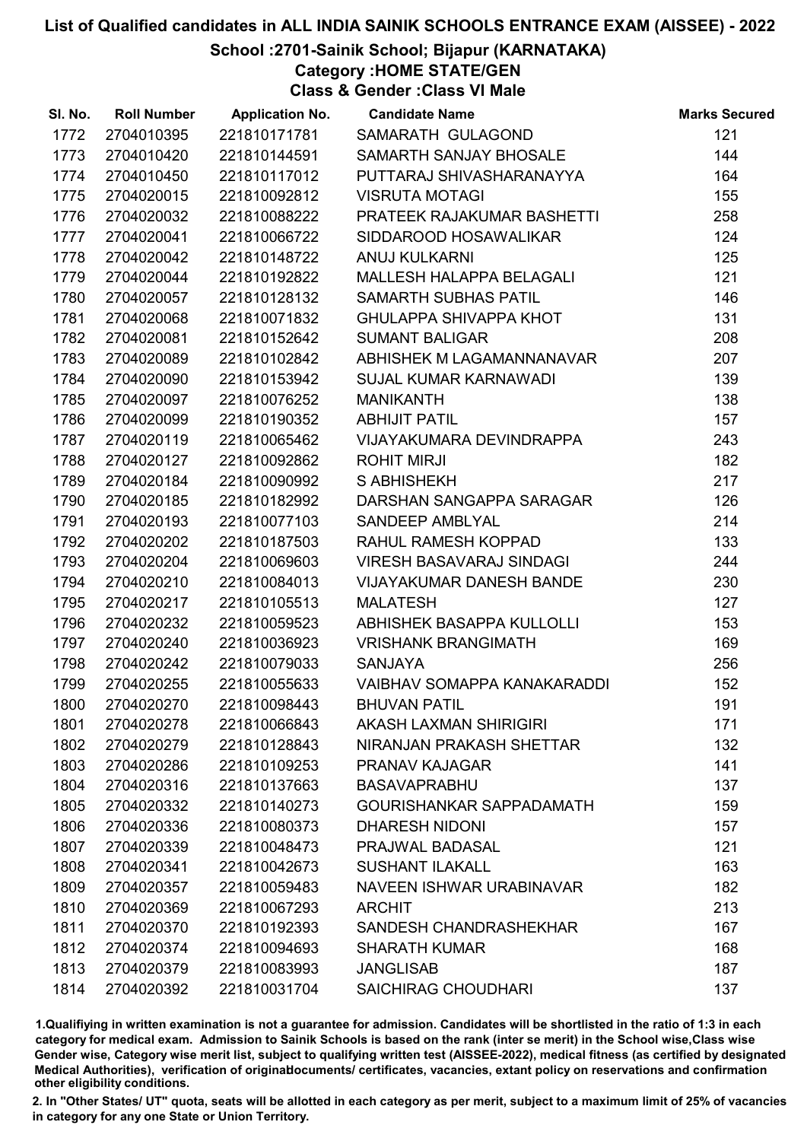## School :2701-Sainik School; Bijapur (KARNATAKA)

Category :HOME STATE/GEN

Class & Gender :Class VI Male

| SI. No. | <b>Roll Number</b> | <b>Application No.</b> | <b>Candidate Name</b>              | <b>Marks Secured</b> |
|---------|--------------------|------------------------|------------------------------------|----------------------|
| 1772    | 2704010395         | 221810171781           | SAMARATH GULAGOND                  | 121                  |
| 1773    | 2704010420         | 221810144591           | SAMARTH SANJAY BHOSALE             | 144                  |
| 1774    | 2704010450         | 221810117012           | PUTTARAJ SHIVASHARANAYYA           | 164                  |
| 1775    | 2704020015         | 221810092812           | <b>VISRUTA MOTAGI</b>              | 155                  |
| 1776    | 2704020032         | 221810088222           | PRATEEK RAJAKUMAR BASHETTI         | 258                  |
| 1777    | 2704020041         | 221810066722           | SIDDAROOD HOSAWALIKAR              | 124                  |
| 1778    | 2704020042         | 221810148722           | ANUJ KULKARNI                      | 125                  |
| 1779    | 2704020044         | 221810192822           | <b>MALLESH HALAPPA BELAGALI</b>    | 121                  |
| 1780    | 2704020057         | 221810128132           | <b>SAMARTH SUBHAS PATIL</b>        | 146                  |
| 1781    | 2704020068         | 221810071832           | <b>GHULAPPA SHIVAPPA KHOT</b>      | 131                  |
| 1782    | 2704020081         | 221810152642           | <b>SUMANT BALIGAR</b>              | 208                  |
| 1783    | 2704020089         | 221810102842           | ABHISHEK M LAGAMANNANAVAR          | 207                  |
| 1784    | 2704020090         | 221810153942           | <b>SUJAL KUMAR KARNAWADI</b>       | 139                  |
| 1785    | 2704020097         | 221810076252           | <b>MANIKANTH</b>                   | 138                  |
| 1786    | 2704020099         | 221810190352           | <b>ABHIJIT PATIL</b>               | 157                  |
| 1787    | 2704020119         | 221810065462           | VIJAYAKUMARA DEVINDRAPPA           | 243                  |
| 1788    | 2704020127         | 221810092862           | <b>ROHIT MIRJI</b>                 | 182                  |
| 1789    | 2704020184         | 221810090992           | S ABHISHEKH                        | 217                  |
| 1790    | 2704020185         | 221810182992           | DARSHAN SANGAPPA SARAGAR           | 126                  |
| 1791    | 2704020193         | 221810077103           | <b>SANDEEP AMBLYAL</b>             | 214                  |
| 1792    | 2704020202         | 221810187503           | RAHUL RAMESH KOPPAD                | 133                  |
| 1793    | 2704020204         | 221810069603           | <b>VIRESH BASAVARAJ SINDAGI</b>    | 244                  |
| 1794    | 2704020210         | 221810084013           | <b>VIJAYAKUMAR DANESH BANDE</b>    | 230                  |
| 1795    | 2704020217         | 221810105513           | <b>MALATESH</b>                    | 127                  |
| 1796    | 2704020232         | 221810059523           | ABHISHEK BASAPPA KULLOLLI          | 153                  |
| 1797    | 2704020240         | 221810036923           | <b>VRISHANK BRANGIMATH</b>         | 169                  |
| 1798    | 2704020242         | 221810079033           | <b>SANJAYA</b>                     | 256                  |
| 1799    | 2704020255         | 221810055633           | <b>VAIBHAV SOMAPPA KANAKARADDI</b> | 152                  |
| 1800    | 2704020270         | 221810098443           | <b>BHUVAN PATIL</b>                | 191                  |
| 1801    | 2704020278         | 221810066843           | <b>AKASH LAXMAN SHIRIGIRI</b>      | 171                  |
| 1802    | 2704020279         | 221810128843           | NIRANJAN PRAKASH SHETTAR           | 132                  |
| 1803    | 2704020286         | 221810109253           | <b>PRANAV KAJAGAR</b>              | 141                  |
| 1804    | 2704020316         | 221810137663           | <b>BASAVAPRABHU</b>                | 137                  |
| 1805    | 2704020332         | 221810140273           | GOURISHANKAR SAPPADAMATH           | 159                  |
| 1806    | 2704020336         | 221810080373           | <b>DHARESH NIDONI</b>              | 157                  |
| 1807    | 2704020339         | 221810048473           | PRAJWAL BADASAL                    | 121                  |
| 1808    | 2704020341         | 221810042673           | <b>SUSHANT ILAKALL</b>             | 163                  |
| 1809    | 2704020357         | 221810059483           | NAVEEN ISHWAR URABINAVAR           | 182                  |
| 1810    | 2704020369         | 221810067293           | <b>ARCHIT</b>                      | 213                  |
| 1811    | 2704020370         | 221810192393           | SANDESH CHANDRASHEKHAR             | 167                  |
| 1812    | 2704020374         | 221810094693           | <b>SHARATH KUMAR</b>               | 168                  |
| 1813    | 2704020379         | 221810083993           | <b>JANGLISAB</b>                   | 187                  |
| 1814    | 2704020392         | 221810031704           | <b>SAICHIRAG CHOUDHARI</b>         | 137                  |

1.Qualifiying in written examination is not a guarantee for admission. Candidates will be shortlisted in the ratio of 1:3 in each category for medical exam. Admission to Sainik Schools is based on the rank (inter se merit) in the School wise,Class wise Gender wise, Category wise merit list, subject to qualifying written test (AISSEE-2022), medical fitness (as certified by designated Medical Authorities), verification of originablocuments/ certificates, vacancies, extant policy on reservations and confirmation other eligibility conditions.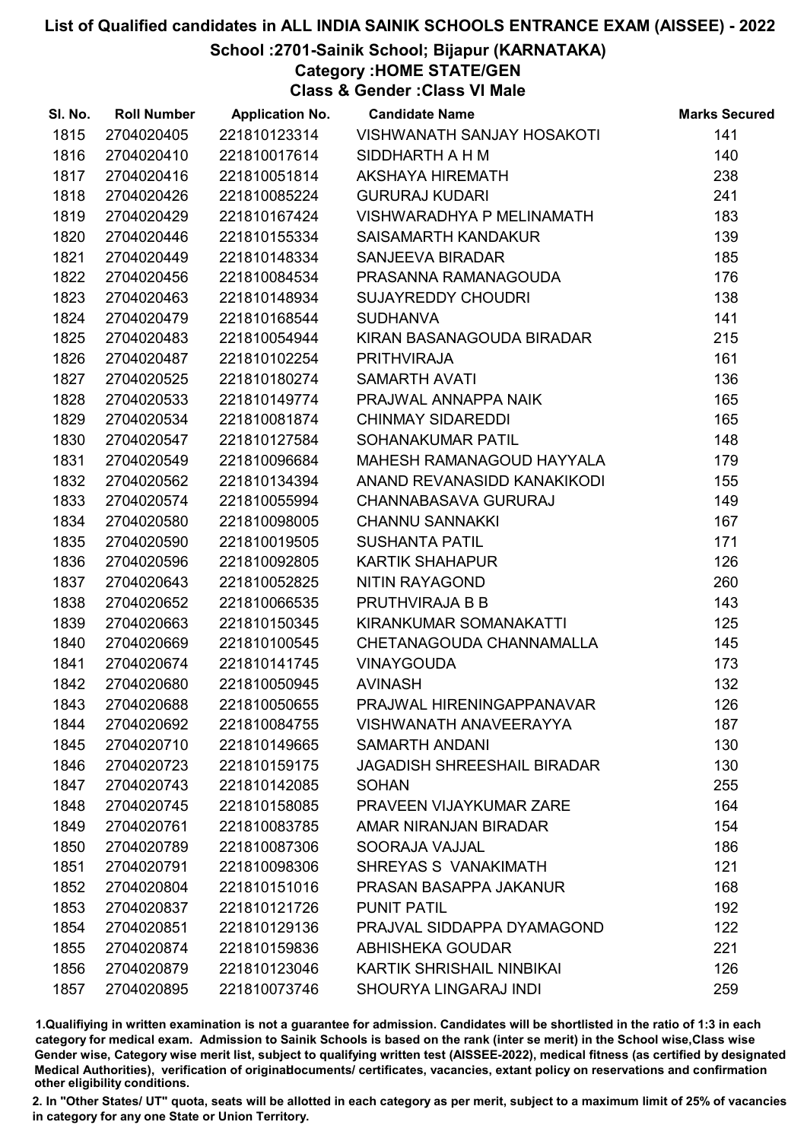#### School :2701-Sainik School; Bijapur (KARNATAKA)

Category :HOME STATE/GEN

Class & Gender :Class VI Male

| SI. No. | <b>Roll Number</b> | <b>Application No.</b> | <b>Candidate Name</b>              | <b>Marks Secured</b> |
|---------|--------------------|------------------------|------------------------------------|----------------------|
| 1815    | 2704020405         | 221810123314           | <b>VISHWANATH SANJAY HOSAKOTI</b>  | 141                  |
| 1816    | 2704020410         | 221810017614           | SIDDHARTH A H M                    | 140                  |
| 1817    | 2704020416         | 221810051814           | <b>AKSHAYA HIREMATH</b>            | 238                  |
| 1818    | 2704020426         | 221810085224           | <b>GURURAJ KUDARI</b>              | 241                  |
| 1819    | 2704020429         | 221810167424           | VISHWARADHYA P MELINAMATH          | 183                  |
| 1820    | 2704020446         | 221810155334           | SAISAMARTH KANDAKUR                | 139                  |
| 1821    | 2704020449         | 221810148334           | <b>SANJEEVA BIRADAR</b>            | 185                  |
| 1822    | 2704020456         | 221810084534           | PRASANNA RAMANAGOUDA               | 176                  |
| 1823    | 2704020463         | 221810148934           | <b>SUJAYREDDY CHOUDRI</b>          | 138                  |
| 1824    | 2704020479         | 221810168544           | <b>SUDHANVA</b>                    | 141                  |
| 1825    | 2704020483         | 221810054944           | KIRAN BASANAGOUDA BIRADAR          | 215                  |
| 1826    | 2704020487         | 221810102254           | <b>PRITHVIRAJA</b>                 | 161                  |
| 1827    | 2704020525         | 221810180274           | <b>SAMARTH AVATI</b>               | 136                  |
| 1828    | 2704020533         | 221810149774           | PRAJWAL ANNAPPA NAIK               | 165                  |
| 1829    | 2704020534         | 221810081874           | <b>CHINMAY SIDAREDDI</b>           | 165                  |
| 1830    | 2704020547         | 221810127584           | SOHANAKUMAR PATIL                  | 148                  |
| 1831    | 2704020549         | 221810096684           | MAHESH RAMANAGOUD HAYYALA          | 179                  |
| 1832    | 2704020562         | 221810134394           | ANAND REVANASIDD KANAKIKODI        | 155                  |
| 1833    | 2704020574         | 221810055994           | CHANNABASAVA GURURAJ               | 149                  |
| 1834    | 2704020580         | 221810098005           | <b>CHANNU SANNAKKI</b>             | 167                  |
| 1835    | 2704020590         | 221810019505           | <b>SUSHANTA PATIL</b>              | 171                  |
| 1836    | 2704020596         | 221810092805           | <b>KARTIK SHAHAPUR</b>             | 126                  |
| 1837    | 2704020643         | 221810052825           | <b>NITIN RAYAGOND</b>              | 260                  |
| 1838    | 2704020652         | 221810066535           | PRUTHVIRAJA B B                    | 143                  |
| 1839    | 2704020663         | 221810150345           | KIRANKUMAR SOMANAKATTI             | 125                  |
| 1840    | 2704020669         | 221810100545           | CHETANAGOUDA CHANNAMALLA           | 145                  |
| 1841    | 2704020674         | 221810141745           | <b>VINAYGOUDA</b>                  | 173                  |
| 1842    | 2704020680         | 221810050945           | <b>AVINASH</b>                     | 132                  |
| 1843    | 2704020688         | 221810050655           | PRAJWAL HIRENINGAPPANAVAR          | 126                  |
| 1844    | 2704020692         | 221810084755           | <b>VISHWANATH ANAVEERAYYA</b>      | 187                  |
| 1845    | 2704020710         | 221810149665           | <b>SAMARTH ANDANI</b>              | 130                  |
| 1846    | 2704020723         | 221810159175           | <b>JAGADISH SHREESHAIL BIRADAR</b> | 130                  |
| 1847    | 2704020743         | 221810142085           | <b>SOHAN</b>                       | 255                  |
| 1848    | 2704020745         | 221810158085           | PRAVEEN VIJAYKUMAR ZARE            | 164                  |
| 1849    | 2704020761         | 221810083785           | AMAR NIRANJAN BIRADAR              | 154                  |
| 1850    | 2704020789         | 221810087306           | SOORAJA VAJJAL                     | 186                  |
| 1851    | 2704020791         | 221810098306           | SHREYAS S VANAKIMATH               | 121                  |
| 1852    | 2704020804         | 221810151016           | PRASAN BASAPPA JAKANUR             | 168                  |
| 1853    | 2704020837         | 221810121726           | <b>PUNIT PATIL</b>                 | 192                  |
| 1854    | 2704020851         | 221810129136           | PRAJVAL SIDDAPPA DYAMAGOND         | 122                  |
| 1855    | 2704020874         | 221810159836           | ABHISHEKA GOUDAR                   | 221                  |
| 1856    | 2704020879         | 221810123046           | KARTIK SHRISHAIL NINBIKAI          | 126                  |
| 1857    | 2704020895         | 221810073746           | SHOURYA LINGARAJ INDI              | 259                  |

1.Qualifiying in written examination is not a guarantee for admission. Candidates will be shortlisted in the ratio of 1:3 in each category for medical exam. Admission to Sainik Schools is based on the rank (inter se merit) in the School wise,Class wise Gender wise, Category wise merit list, subject to qualifying written test (AISSEE-2022), medical fitness (as certified by designated Medical Authorities), verification of originablocuments/ certificates, vacancies, extant policy on reservations and confirmation other eligibility conditions.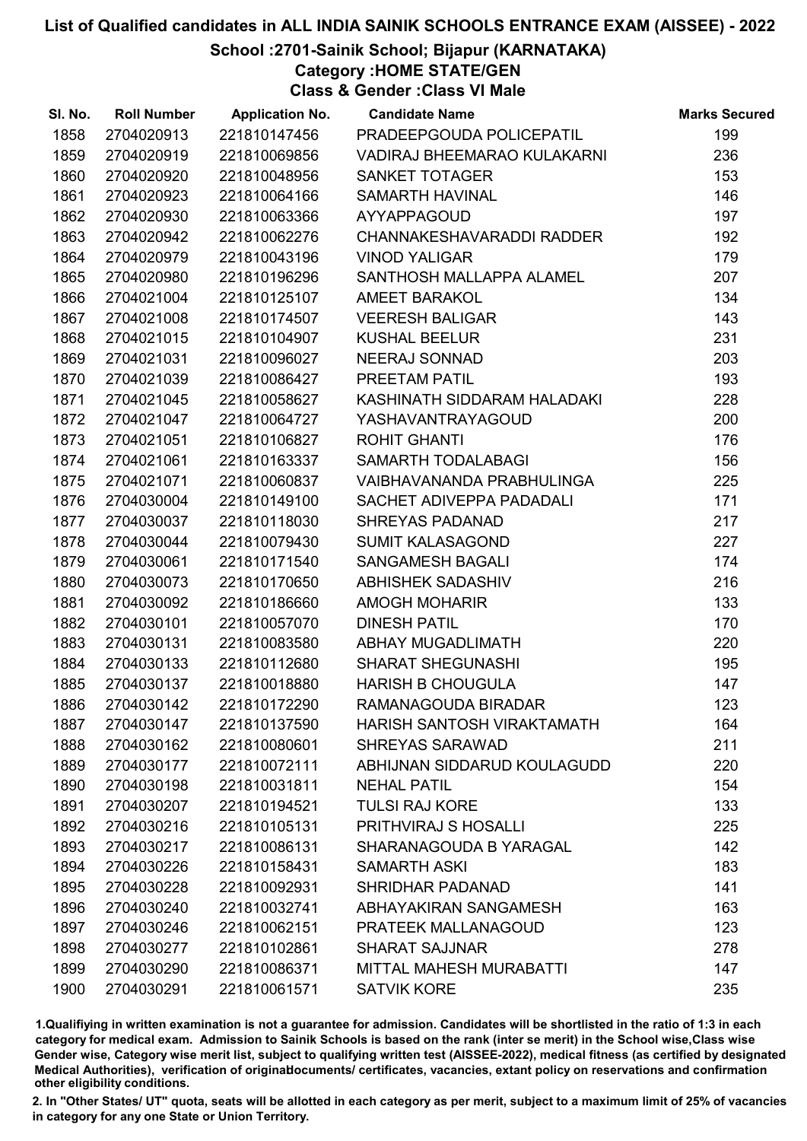## School :2701-Sainik School; Bijapur (KARNATAKA)

Category :HOME STATE/GEN

Class & Gender :Class VI Male

| SI. No. | <b>Roll Number</b> | <b>Application No.</b> | <b>Candidate Name</b>              | <b>Marks Secured</b> |
|---------|--------------------|------------------------|------------------------------------|----------------------|
| 1858    | 2704020913         | 221810147456           | PRADEEPGOUDA POLICEPATIL           | 199                  |
| 1859    | 2704020919         | 221810069856           | <b>VADIRAJ BHEEMARAO KULAKARNI</b> | 236                  |
| 1860    | 2704020920         | 221810048956           | <b>SANKET TOTAGER</b>              | 153                  |
| 1861    | 2704020923         | 221810064166           | SAMARTH HAVINAL                    | 146                  |
| 1862    | 2704020930         | 221810063366           | <b>AYYAPPAGOUD</b>                 | 197                  |
| 1863    | 2704020942         | 221810062276           | <b>CHANNAKESHAVARADDI RADDER</b>   | 192                  |
| 1864    | 2704020979         | 221810043196           | <b>VINOD YALIGAR</b>               | 179                  |
| 1865    | 2704020980         | 221810196296           | SANTHOSH MALLAPPA ALAMEL           | 207                  |
| 1866    | 2704021004         | 221810125107           | <b>AMEET BARAKOL</b>               | 134                  |
| 1867    | 2704021008         | 221810174507           | <b>VEERESH BALIGAR</b>             | 143                  |
| 1868    | 2704021015         | 221810104907           | <b>KUSHAL BEELUR</b>               | 231                  |
| 1869    | 2704021031         | 221810096027           | <b>NEERAJ SONNAD</b>               | 203                  |
| 1870    | 2704021039         | 221810086427           | PREETAM PATIL                      | 193                  |
| 1871    | 2704021045         | 221810058627           | KASHINATH SIDDARAM HALADAKI        | 228                  |
| 1872    | 2704021047         | 221810064727           | <b>YASHAVANTRAYAGOUD</b>           | 200                  |
| 1873    | 2704021051         | 221810106827           | <b>ROHIT GHANTI</b>                | 176                  |
| 1874    | 2704021061         | 221810163337           | SAMARTH TODALABAGI                 | 156                  |
| 1875    | 2704021071         | 221810060837           | VAIBHAVANANDA PRABHULINGA          | 225                  |
| 1876    | 2704030004         | 221810149100           | SACHET ADIVEPPA PADADALI           | 171                  |
| 1877    | 2704030037         | 221810118030           | <b>SHREYAS PADANAD</b>             | 217                  |
| 1878    | 2704030044         | 221810079430           | <b>SUMIT KALASAGOND</b>            | 227                  |
| 1879    | 2704030061         | 221810171540           | <b>SANGAMESH BAGALI</b>            | 174                  |
| 1880    | 2704030073         | 221810170650           | <b>ABHISHEK SADASHIV</b>           | 216                  |
| 1881    | 2704030092         | 221810186660           | <b>AMOGH MOHARIR</b>               | 133                  |
| 1882    | 2704030101         | 221810057070           | <b>DINESH PATIL</b>                | 170                  |
| 1883    | 2704030131         | 221810083580           | <b>ABHAY MUGADLIMATH</b>           | 220                  |
| 1884    | 2704030133         | 221810112680           | <b>SHARAT SHEGUNASHI</b>           | 195                  |
| 1885    | 2704030137         | 221810018880           | <b>HARISH B CHOUGULA</b>           | 147                  |
| 1886    | 2704030142         | 221810172290           | RAMANAGOUDA BIRADAR                | 123                  |
| 1887    | 2704030147         | 221810137590           | HARISH SANTOSH VIRAKTAMATH         | 164                  |
| 1888    | 2704030162         | 221810080601           | SHREYAS SARAWAD                    | 211                  |
| 1889    | 2704030177         | 221810072111           | ABHIJNAN SIDDARUD KOULAGUDD        | 220                  |
| 1890    | 2704030198         | 221810031811           | <b>NEHAL PATIL</b>                 | 154                  |
| 1891    | 2704030207         | 221810194521           | <b>TULSI RAJ KORE</b>              | 133                  |
| 1892    | 2704030216         | 221810105131           | PRITHVIRAJ S HOSALLI               | 225                  |
| 1893    | 2704030217         | 221810086131           | <b>SHARANAGOUDA B YARAGAL</b>      | 142                  |
| 1894    | 2704030226         | 221810158431           | <b>SAMARTH ASKI</b>                | 183                  |
| 1895    | 2704030228         | 221810092931           | <b>SHRIDHAR PADANAD</b>            | 141                  |
| 1896    | 2704030240         | 221810032741           | ABHAYAKIRAN SANGAMESH              | 163                  |
| 1897    | 2704030246         | 221810062151           | PRATEEK MALLANAGOUD                | 123                  |
| 1898    | 2704030277         | 221810102861           | <b>SHARAT SAJJNAR</b>              | 278                  |
| 1899    | 2704030290         | 221810086371           | MITTAL MAHESH MURABATTI            | 147                  |
| 1900    | 2704030291         | 221810061571           | <b>SATVIK KORE</b>                 | 235                  |

1.Qualifiying in written examination is not a guarantee for admission. Candidates will be shortlisted in the ratio of 1:3 in each category for medical exam. Admission to Sainik Schools is based on the rank (inter se merit) in the School wise,Class wise Gender wise, Category wise merit list, subject to qualifying written test (AISSEE-2022), medical fitness (as certified by designated Medical Authorities), verification of originablocuments/ certificates, vacancies, extant policy on reservations and confirmation other eligibility conditions.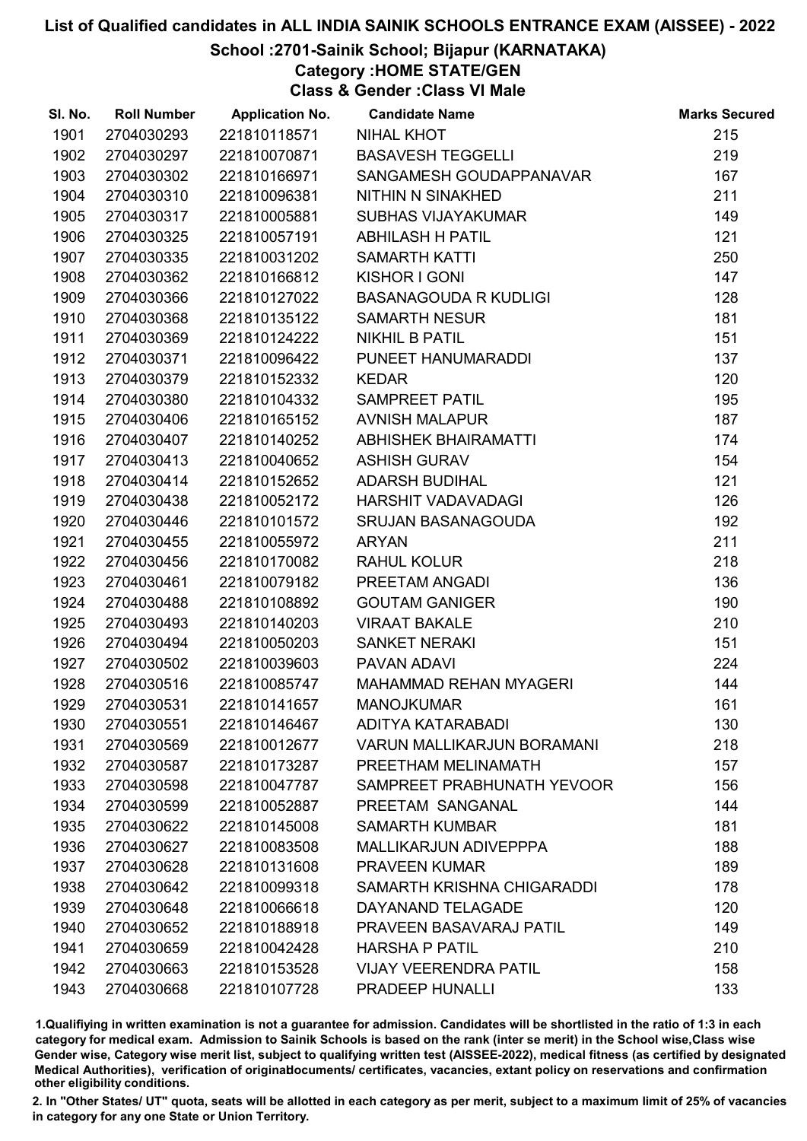### School :2701-Sainik School; Bijapur (KARNATAKA)

Category :HOME STATE/GEN

Class & Gender :Class VI Male

| SI. No. | <b>Roll Number</b> | <b>Application No.</b> | <b>Candidate Name</b>             | <b>Marks Secured</b> |
|---------|--------------------|------------------------|-----------------------------------|----------------------|
| 1901    | 2704030293         | 221810118571           | <b>NIHAL KHOT</b>                 | 215                  |
| 1902    | 2704030297         | 221810070871           | <b>BASAVESH TEGGELLI</b>          | 219                  |
| 1903    | 2704030302         | 221810166971           | SANGAMESH GOUDAPPANAVAR           | 167                  |
| 1904    | 2704030310         | 221810096381           | NITHIN N SINAKHED                 | 211                  |
| 1905    | 2704030317         | 221810005881           | <b>SUBHAS VIJAYAKUMAR</b>         | 149                  |
| 1906    | 2704030325         | 221810057191           | <b>ABHILASH H PATIL</b>           | 121                  |
| 1907    | 2704030335         | 221810031202           | <b>SAMARTH KATTI</b>              | 250                  |
| 1908    | 2704030362         | 221810166812           | KISHOR I GONI                     | 147                  |
| 1909    | 2704030366         | 221810127022           | <b>BASANAGOUDA R KUDLIGI</b>      | 128                  |
| 1910    | 2704030368         | 221810135122           | <b>SAMARTH NESUR</b>              | 181                  |
| 1911    | 2704030369         | 221810124222           | <b>NIKHIL B PATIL</b>             | 151                  |
| 1912    | 2704030371         | 221810096422           | PUNEET HANUMARADDI                | 137                  |
| 1913    | 2704030379         | 221810152332           | <b>KEDAR</b>                      | 120                  |
| 1914    | 2704030380         | 221810104332           | <b>SAMPREET PATIL</b>             | 195                  |
| 1915    | 2704030406         | 221810165152           | <b>AVNISH MALAPUR</b>             | 187                  |
| 1916    | 2704030407         | 221810140252           | <b>ABHISHEK BHAIRAMATTI</b>       | 174                  |
| 1917    | 2704030413         | 221810040652           | <b>ASHISH GURAV</b>               | 154                  |
| 1918    | 2704030414         | 221810152652           | <b>ADARSH BUDIHAL</b>             | 121                  |
| 1919    | 2704030438         | 221810052172           | HARSHIT VADAVADAGI                | 126                  |
| 1920    | 2704030446         | 221810101572           | <b>SRUJAN BASANAGOUDA</b>         | 192                  |
| 1921    | 2704030455         | 221810055972           | <b>ARYAN</b>                      | 211                  |
| 1922    | 2704030456         | 221810170082           | <b>RAHUL KOLUR</b>                | 218                  |
| 1923    | 2704030461         | 221810079182           | PREETAM ANGADI                    | 136                  |
| 1924    | 2704030488         | 221810108892           | <b>GOUTAM GANIGER</b>             | 190                  |
| 1925    | 2704030493         | 221810140203           | <b>VIRAAT BAKALE</b>              | 210                  |
| 1926    | 2704030494         | 221810050203           | <b>SANKET NERAKI</b>              | 151                  |
| 1927    | 2704030502         | 221810039603           | PAVAN ADAVI                       | 224                  |
| 1928    | 2704030516         | 221810085747           | <b>MAHAMMAD REHAN MYAGERI</b>     | 144                  |
| 1929    | 2704030531         | 221810141657           | <b>MANOJKUMAR</b>                 | 161                  |
| 1930    | 2704030551         | 221810146467           | ADITYA KATARABADI                 | 130                  |
| 1931    | 2704030569         | 221810012677           | <b>VARUN MALLIKARJUN BORAMANI</b> | 218                  |
| 1932    | 2704030587         | 221810173287           | PREETHAM MELINAMATH               | 157                  |
| 1933    | 2704030598         | 221810047787           | SAMPREET PRABHUNATH YEVOOR        | 156                  |
| 1934    | 2704030599         | 221810052887           | PREETAM SANGANAL                  | 144                  |
| 1935    | 2704030622         | 221810145008           | <b>SAMARTH KUMBAR</b>             | 181                  |
| 1936    | 2704030627         | 221810083508           | MALLIKARJUN ADIVEPPPA             | 188                  |
| 1937    | 2704030628         | 221810131608           | <b>PRAVEEN KUMAR</b>              | 189                  |
| 1938    | 2704030642         | 221810099318           | SAMARTH KRISHNA CHIGARADDI        | 178                  |
| 1939    | 2704030648         | 221810066618           | DAYANAND TELAGADE                 | 120                  |
| 1940    | 2704030652         | 221810188918           | PRAVEEN BASAVARAJ PATIL           | 149                  |
| 1941    | 2704030659         | 221810042428           | <b>HARSHA P PATIL</b>             | 210                  |
| 1942    | 2704030663         | 221810153528           | <b>VIJAY VEERENDRA PATIL</b>      | 158                  |
| 1943    | 2704030668         | 221810107728           | PRADEEP HUNALLI                   | 133                  |

1.Qualifiying in written examination is not a guarantee for admission. Candidates will be shortlisted in the ratio of 1:3 in each category for medical exam. Admission to Sainik Schools is based on the rank (inter se merit) in the School wise,Class wise Gender wise, Category wise merit list, subject to qualifying written test (AISSEE-2022), medical fitness (as certified by designated Medical Authorities), verification of originablocuments/ certificates, vacancies, extant policy on reservations and confirmation other eligibility conditions.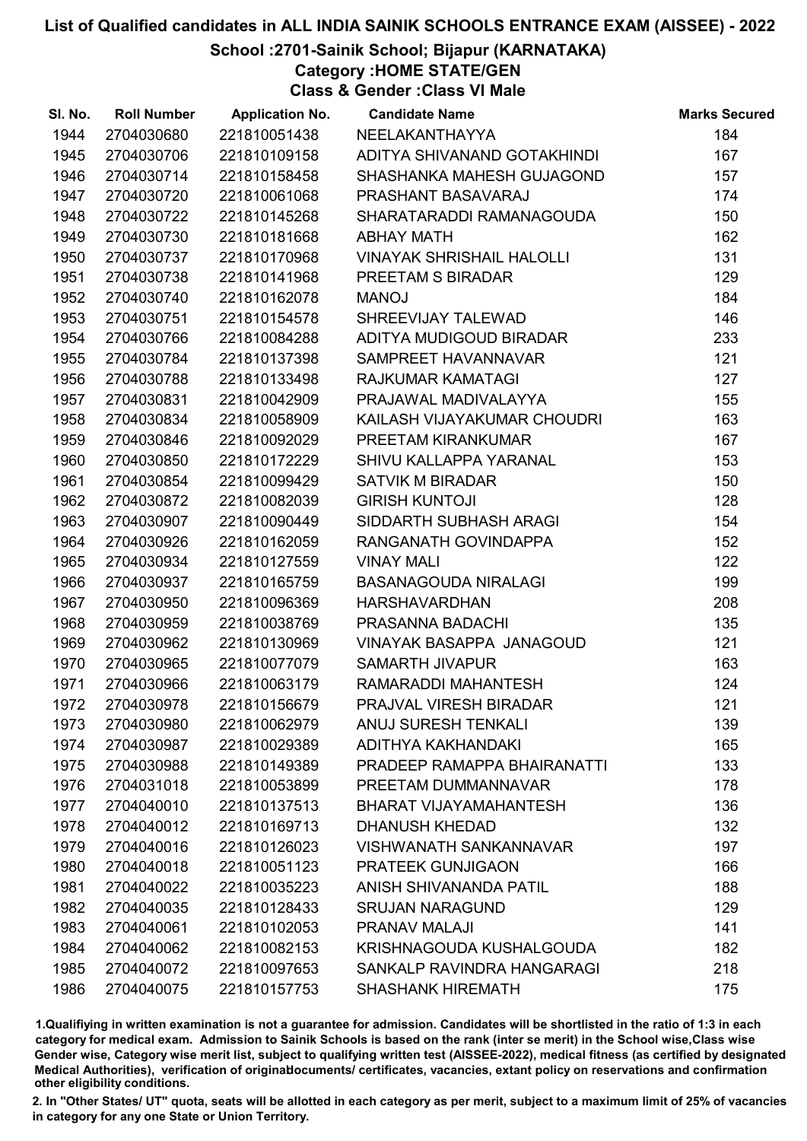## School :2701-Sainik School; Bijapur (KARNATAKA)

Category :HOME STATE/GEN

Class & Gender :Class VI Male

| SI. No. | <b>Roll Number</b> | <b>Application No.</b> | <b>Candidate Name</b>            | <b>Marks Secured</b> |
|---------|--------------------|------------------------|----------------------------------|----------------------|
| 1944    | 2704030680         | 221810051438           | NEELAKANTHAYYA                   | 184                  |
| 1945    | 2704030706         | 221810109158           | ADITYA SHIVANAND GOTAKHINDI      | 167                  |
| 1946    | 2704030714         | 221810158458           | SHASHANKA MAHESH GUJAGOND        | 157                  |
| 1947    | 2704030720         | 221810061068           | PRASHANT BASAVARAJ               | 174                  |
| 1948    | 2704030722         | 221810145268           | SHARATARADDI RAMANAGOUDA         | 150                  |
| 1949    | 2704030730         | 221810181668           | <b>ABHAY MATH</b>                | 162                  |
| 1950    | 2704030737         | 221810170968           | <b>VINAYAK SHRISHAIL HALOLLI</b> | 131                  |
| 1951    | 2704030738         | 221810141968           | PREETAM S BIRADAR                | 129                  |
| 1952    | 2704030740         | 221810162078           | <b>MANOJ</b>                     | 184                  |
| 1953    | 2704030751         | 221810154578           | SHREEVIJAY TALEWAD               | 146                  |
| 1954    | 2704030766         | 221810084288           | ADITYA MUDIGOUD BIRADAR          | 233                  |
| 1955    | 2704030784         | 221810137398           | SAMPREET HAVANNAVAR              | 121                  |
| 1956    | 2704030788         | 221810133498           | RAJKUMAR KAMATAGI                | 127                  |
| 1957    | 2704030831         | 221810042909           | PRAJAWAL MADIVALAYYA             | 155                  |
| 1958    | 2704030834         | 221810058909           | KAILASH VIJAYAKUMAR CHOUDRI      | 163                  |
| 1959    | 2704030846         | 221810092029           | PREETAM KIRANKUMAR               | 167                  |
| 1960    | 2704030850         | 221810172229           | SHIVU KALLAPPA YARANAL           | 153                  |
| 1961    | 2704030854         | 221810099429           | <b>SATVIK M BIRADAR</b>          | 150                  |
| 1962    | 2704030872         | 221810082039           | <b>GIRISH KUNTOJI</b>            | 128                  |
| 1963    | 2704030907         | 221810090449           | SIDDARTH SUBHASH ARAGI           | 154                  |
| 1964    | 2704030926         | 221810162059           | RANGANATH GOVINDAPPA             | 152                  |
| 1965    | 2704030934         | 221810127559           | <b>VINAY MALI</b>                | 122                  |
| 1966    | 2704030937         | 221810165759           | <b>BASANAGOUDA NIRALAGI</b>      | 199                  |
| 1967    | 2704030950         | 221810096369           | <b>HARSHAVARDHAN</b>             | 208                  |
| 1968    | 2704030959         | 221810038769           | PRASANNA BADACHI                 | 135                  |
| 1969    | 2704030962         | 221810130969           | <b>VINAYAK BASAPPA JANAGOUD</b>  | 121                  |
| 1970    | 2704030965         | 221810077079           | <b>SAMARTH JIVAPUR</b>           | 163                  |
| 1971    | 2704030966         | 221810063179           | RAMARADDI MAHANTESH              | 124                  |
| 1972    | 2704030978         | 221810156679           | PRAJVAL VIRESH BIRADAR           | 121                  |
| 1973    | 2704030980         | 221810062979           | <b>ANUJ SURESH TENKALI</b>       | 139                  |
| 1974    | 2704030987         | 221810029389           | ADITHYA KAKHANDAKI               | 165                  |
| 1975    | 2704030988         | 221810149389           | PRADEEP RAMAPPA BHAIRANATTI      | 133                  |
| 1976    | 2704031018         | 221810053899           | PREETAM DUMMANNAVAR              | 178                  |
| 1977    | 2704040010         | 221810137513           | <b>BHARAT VIJAYAMAHANTESH</b>    | 136                  |
| 1978    | 2704040012         | 221810169713           | <b>DHANUSH KHEDAD</b>            | 132                  |
| 1979    | 2704040016         | 221810126023           | <b>VISHWANATH SANKANNAVAR</b>    | 197                  |
| 1980    | 2704040018         | 221810051123           | <b>PRATEEK GUNJIGAON</b>         | 166                  |
| 1981    | 2704040022         | 221810035223           | ANISH SHIVANANDA PATIL           | 188                  |
| 1982    | 2704040035         | 221810128433           | <b>SRUJAN NARAGUND</b>           | 129                  |
| 1983    | 2704040061         | 221810102053           | PRANAV MALAJI                    | 141                  |
| 1984    | 2704040062         | 221810082153           | KRISHNAGOUDA KUSHALGOUDA         | 182                  |
| 1985    | 2704040072         | 221810097653           | SANKALP RAVINDRA HANGARAGI       | 218                  |
| 1986    | 2704040075         | 221810157753           | <b>SHASHANK HIREMATH</b>         | 175                  |

1.Qualifiying in written examination is not a guarantee for admission. Candidates will be shortlisted in the ratio of 1:3 in each category for medical exam. Admission to Sainik Schools is based on the rank (inter se merit) in the School wise,Class wise Gender wise, Category wise merit list, subject to qualifying written test (AISSEE-2022), medical fitness (as certified by designated Medical Authorities), verification of originablocuments/ certificates, vacancies, extant policy on reservations and confirmation other eligibility conditions.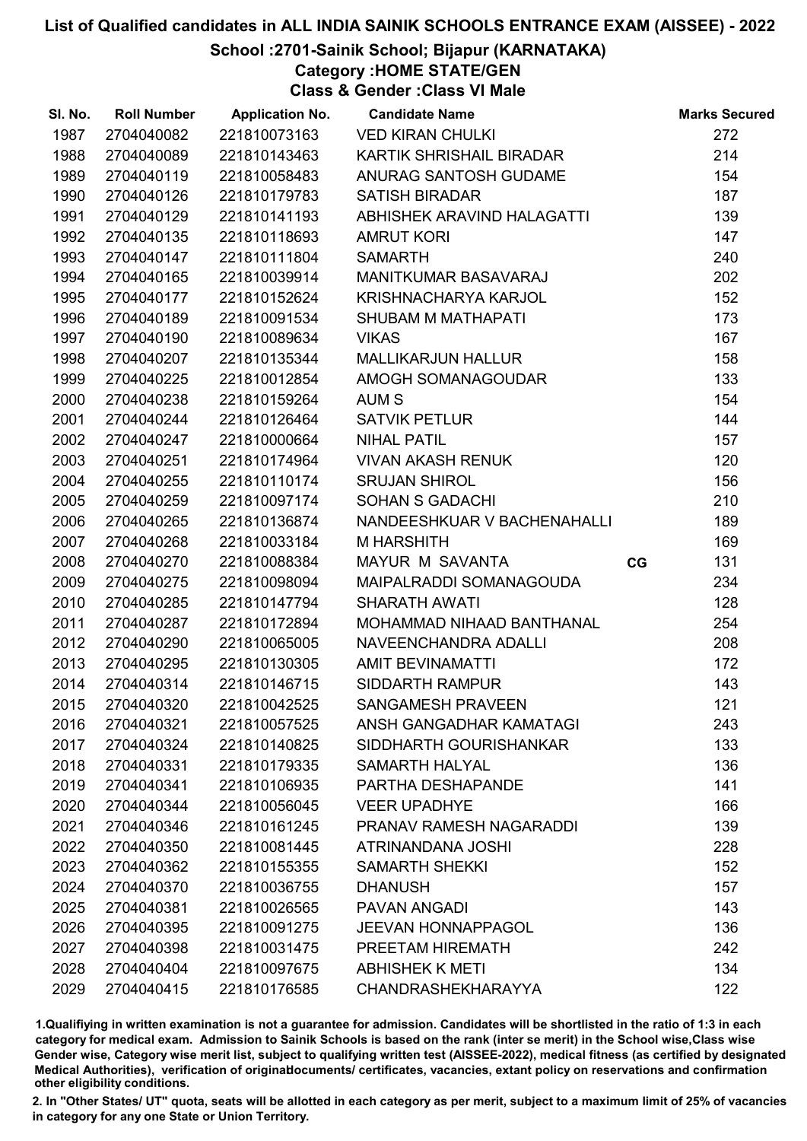#### School :2701-Sainik School; Bijapur (KARNATAKA)

Category :HOME STATE/GEN

Class & Gender :Class VI Male

| SI. No. | <b>Roll Number</b> | <b>Application No.</b> | <b>Candidate Name</b>       |    | <b>Marks Secured</b> |
|---------|--------------------|------------------------|-----------------------------|----|----------------------|
| 1987    | 2704040082         | 221810073163           | <b>VED KIRAN CHULKI</b>     |    | 272                  |
| 1988    | 2704040089         | 221810143463           | KARTIK SHRISHAIL BIRADAR    |    | 214                  |
| 1989    | 2704040119         | 221810058483           | ANURAG SANTOSH GUDAME       |    | 154                  |
| 1990    | 2704040126         | 221810179783           | <b>SATISH BIRADAR</b>       |    | 187                  |
| 1991    | 2704040129         | 221810141193           | ABHISHEK ARAVIND HALAGATTI  |    | 139                  |
| 1992    | 2704040135         | 221810118693           | <b>AMRUT KORI</b>           |    | 147                  |
| 1993    | 2704040147         | 221810111804           | <b>SAMARTH</b>              |    | 240                  |
| 1994    | 2704040165         | 221810039914           | <b>MANITKUMAR BASAVARAJ</b> |    | 202                  |
| 1995    | 2704040177         | 221810152624           | KRISHNACHARYA KARJOL        |    | 152                  |
| 1996    | 2704040189         | 221810091534           | SHUBAM M MATHAPATI          |    | 173                  |
| 1997    | 2704040190         | 221810089634           | <b>VIKAS</b>                |    | 167                  |
| 1998    | 2704040207         | 221810135344           | <b>MALLIKARJUN HALLUR</b>   |    | 158                  |
| 1999    | 2704040225         | 221810012854           | AMOGH SOMANAGOUDAR          |    | 133                  |
| 2000    | 2704040238         | 221810159264           | AUM <sub>S</sub>            |    | 154                  |
| 2001    | 2704040244         | 221810126464           | <b>SATVIK PETLUR</b>        |    | 144                  |
| 2002    | 2704040247         | 221810000664           | <b>NIHAL PATIL</b>          |    | 157                  |
| 2003    | 2704040251         | 221810174964           | <b>VIVAN AKASH RENUK</b>    |    | 120                  |
| 2004    | 2704040255         | 221810110174           | <b>SRUJAN SHIROL</b>        |    | 156                  |
| 2005    | 2704040259         | 221810097174           | <b>SOHAN S GADACHI</b>      |    | 210                  |
| 2006    | 2704040265         | 221810136874           | NANDEESHKUAR V BACHENAHALLI |    | 189                  |
| 2007    | 2704040268         | 221810033184           | M HARSHITH                  |    | 169                  |
| 2008    | 2704040270         | 221810088384           | MAYUR M SAVANTA             | CG | 131                  |
| 2009    | 2704040275         | 221810098094           | MAIPALRADDI SOMANAGOUDA     |    | 234                  |
| 2010    | 2704040285         | 221810147794           | <b>SHARATH AWATI</b>        |    | 128                  |
| 2011    | 2704040287         | 221810172894           | MOHAMMAD NIHAAD BANTHANAL   |    | 254                  |
| 2012    | 2704040290         | 221810065005           | NAVEENCHANDRA ADALLI        |    | 208                  |
| 2013    | 2704040295         | 221810130305           | <b>AMIT BEVINAMATTI</b>     |    | 172                  |
| 2014    | 2704040314         | 221810146715           | <b>SIDDARTH RAMPUR</b>      |    | 143                  |
| 2015    | 2704040320         | 221810042525           | <b>SANGAMESH PRAVEEN</b>    |    | 121                  |
| 2016    | 2704040321         | 221810057525           | ANSH GANGADHAR KAMATAGI     |    | 243                  |
| 2017    | 2704040324         | 221810140825           | SIDDHARTH GOURISHANKAR      |    | 133                  |
| 2018    | 2704040331         | 221810179335           | <b>SAMARTH HALYAL</b>       |    | 136                  |
| 2019    | 2704040341         | 221810106935           | PARTHA DESHAPANDE           |    | 141                  |
| 2020    | 2704040344         | 221810056045           | <b>VEER UPADHYE</b>         |    | 166                  |
| 2021    | 2704040346         | 221810161245           | PRANAV RAMESH NAGARADDI     |    | 139                  |
| 2022    | 2704040350         | 221810081445           | ATRINANDANA JOSHI           |    | 228                  |
| 2023    | 2704040362         | 221810155355           | <b>SAMARTH SHEKKI</b>       |    | 152                  |
| 2024    | 2704040370         | 221810036755           | <b>DHANUSH</b>              |    | 157                  |
| 2025    | 2704040381         | 221810026565           | <b>PAVAN ANGADI</b>         |    | 143                  |
| 2026    | 2704040395         | 221810091275           | <b>JEEVAN HONNAPPAGOL</b>   |    | 136                  |
| 2027    | 2704040398         | 221810031475           | PREETAM HIREMATH            |    | 242                  |
| 2028    | 2704040404         | 221810097675           | <b>ABHISHEK K METI</b>      |    | 134                  |
| 2029    | 2704040415         | 221810176585           | <b>CHANDRASHEKHARAYYA</b>   |    | 122                  |

1.Qualifiying in written examination is not a guarantee for admission. Candidates will be shortlisted in the ratio of 1:3 in each category for medical exam. Admission to Sainik Schools is based on the rank (inter se merit) in the School wise,Class wise Gender wise, Category wise merit list, subject to qualifying written test (AISSEE-2022), medical fitness (as certified by designated Medical Authorities), verification of originablocuments/ certificates, vacancies, extant policy on reservations and confirmation other eligibility conditions.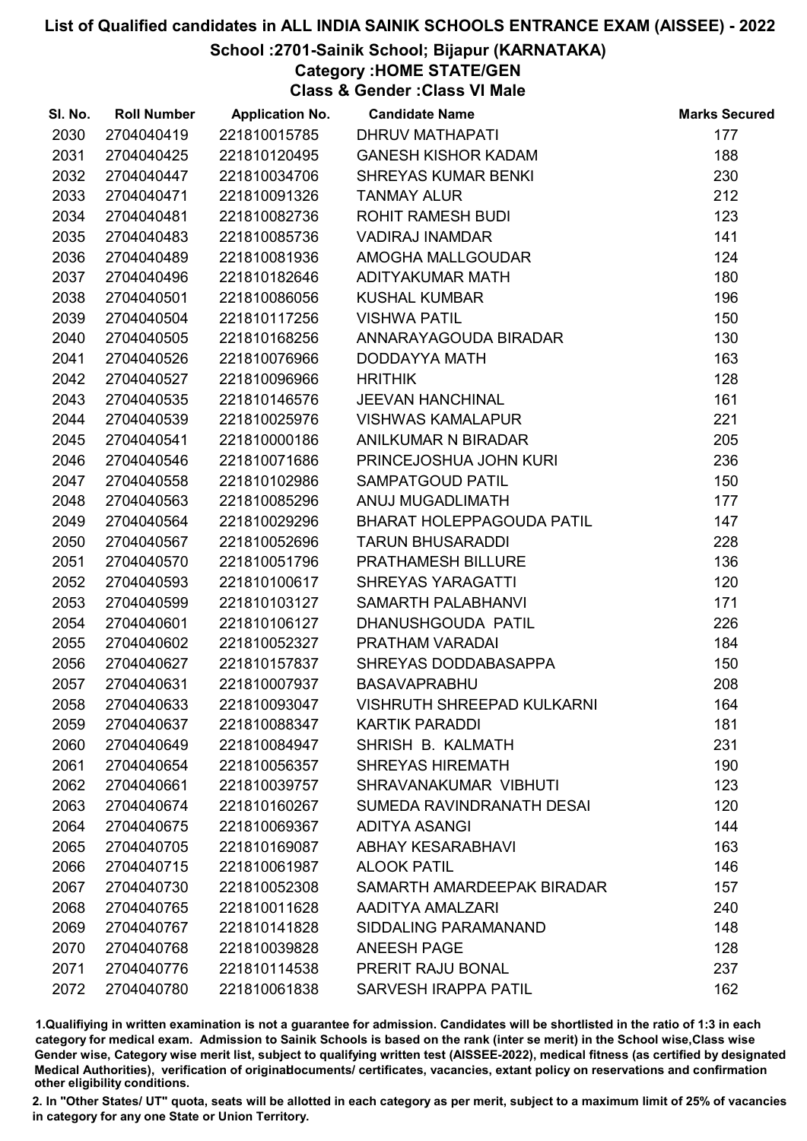## School :2701-Sainik School; Bijapur (KARNATAKA)

Category :HOME STATE/GEN

Class & Gender :Class VI Male

| SI. No. | <b>Roll Number</b> | <b>Application No.</b> | <b>Candidate Name</b>             | <b>Marks Secured</b> |
|---------|--------------------|------------------------|-----------------------------------|----------------------|
| 2030    | 2704040419         | 221810015785           | <b>DHRUV MATHAPATI</b>            | 177                  |
| 2031    | 2704040425         | 221810120495           | <b>GANESH KISHOR KADAM</b>        | 188                  |
| 2032    | 2704040447         | 221810034706           | <b>SHREYAS KUMAR BENKI</b>        | 230                  |
| 2033    | 2704040471         | 221810091326           | <b>TANMAY ALUR</b>                | 212                  |
| 2034    | 2704040481         | 221810082736           | <b>ROHIT RAMESH BUDI</b>          | 123                  |
| 2035    | 2704040483         | 221810085736           | <b>VADIRAJ INAMDAR</b>            | 141                  |
| 2036    | 2704040489         | 221810081936           | AMOGHA MALLGOUDAR                 | 124                  |
| 2037    | 2704040496         | 221810182646           | ADITYAKUMAR MATH                  | 180                  |
| 2038    | 2704040501         | 221810086056           | <b>KUSHAL KUMBAR</b>              | 196                  |
| 2039    | 2704040504         | 221810117256           | <b>VISHWA PATIL</b>               | 150                  |
| 2040    | 2704040505         | 221810168256           | ANNARAYAGOUDA BIRADAR             | 130                  |
| 2041    | 2704040526         | 221810076966           | DODDAYYA MATH                     | 163                  |
| 2042    | 2704040527         | 221810096966           | <b>HRITHIK</b>                    | 128                  |
| 2043    | 2704040535         | 221810146576           | <b>JEEVAN HANCHINAL</b>           | 161                  |
| 2044    | 2704040539         | 221810025976           | <b>VISHWAS KAMALAPUR</b>          | 221                  |
| 2045    | 2704040541         | 221810000186           | ANILKUMAR N BIRADAR               | 205                  |
| 2046    | 2704040546         | 221810071686           | PRINCEJOSHUA JOHN KURI            | 236                  |
| 2047    | 2704040558         | 221810102986           | SAMPATGOUD PATIL                  | 150                  |
| 2048    | 2704040563         | 221810085296           | ANUJ MUGADLIMATH                  | 177                  |
| 2049    | 2704040564         | 221810029296           | <b>BHARAT HOLEPPAGOUDA PATIL</b>  | 147                  |
| 2050    | 2704040567         | 221810052696           | <b>TARUN BHUSARADDI</b>           | 228                  |
| 2051    | 2704040570         | 221810051796           | PRATHAMESH BILLURE                | 136                  |
| 2052    | 2704040593         | 221810100617           | <b>SHREYAS YARAGATTI</b>          | 120                  |
| 2053    | 2704040599         | 221810103127           | SAMARTH PALABHANVI                | 171                  |
| 2054    | 2704040601         | 221810106127           | DHANUSHGOUDA PATIL                | 226                  |
| 2055    | 2704040602         | 221810052327           | PRATHAM VARADAI                   | 184                  |
| 2056    | 2704040627         | 221810157837           | SHREYAS DODDABASAPPA              | 150                  |
| 2057    | 2704040631         | 221810007937           | <b>BASAVAPRABHU</b>               | 208                  |
| 2058    | 2704040633         | 221810093047           | <b>VISHRUTH SHREEPAD KULKARNI</b> | 164                  |
| 2059    | 2704040637         | 221810088347           | <b>KARTIK PARADDI</b>             | 181                  |
| 2060    | 2704040649         | 221810084947           | SHRISH B. KALMATH                 | 231                  |
| 2061    | 2704040654         | 221810056357           | <b>SHREYAS HIREMATH</b>           | 190                  |
| 2062    | 2704040661         | 221810039757           | SHRAVANAKUMAR VIBHUTI             | 123                  |
| 2063    | 2704040674         | 221810160267           | SUMEDA RAVINDRANATH DESAI         | 120                  |
| 2064    | 2704040675         | 221810069367           | ADITYA ASANGI                     | 144                  |
| 2065    | 2704040705         | 221810169087           | <b>ABHAY KESARABHAVI</b>          | 163                  |
| 2066    | 2704040715         | 221810061987           | <b>ALOOK PATIL</b>                | 146                  |
| 2067    | 2704040730         | 221810052308           | SAMARTH AMARDEEPAK BIRADAR        | 157                  |
| 2068    | 2704040765         | 221810011628           | AADITYA AMALZARI                  | 240                  |
| 2069    | 2704040767         | 221810141828           | SIDDALING PARAMANAND              | 148                  |
| 2070    | 2704040768         | 221810039828           | <b>ANEESH PAGE</b>                | 128                  |
| 2071    | 2704040776         | 221810114538           | PRERIT RAJU BONAL                 | 237                  |
| 2072    | 2704040780         | 221810061838           | <b>SARVESH IRAPPA PATIL</b>       | 162                  |

1.Qualifiying in written examination is not a guarantee for admission. Candidates will be shortlisted in the ratio of 1:3 in each category for medical exam. Admission to Sainik Schools is based on the rank (inter se merit) in the School wise,Class wise Gender wise, Category wise merit list, subject to qualifying written test (AISSEE-2022), medical fitness (as certified by designated Medical Authorities), verification of originablocuments/ certificates, vacancies, extant policy on reservations and confirmation other eligibility conditions.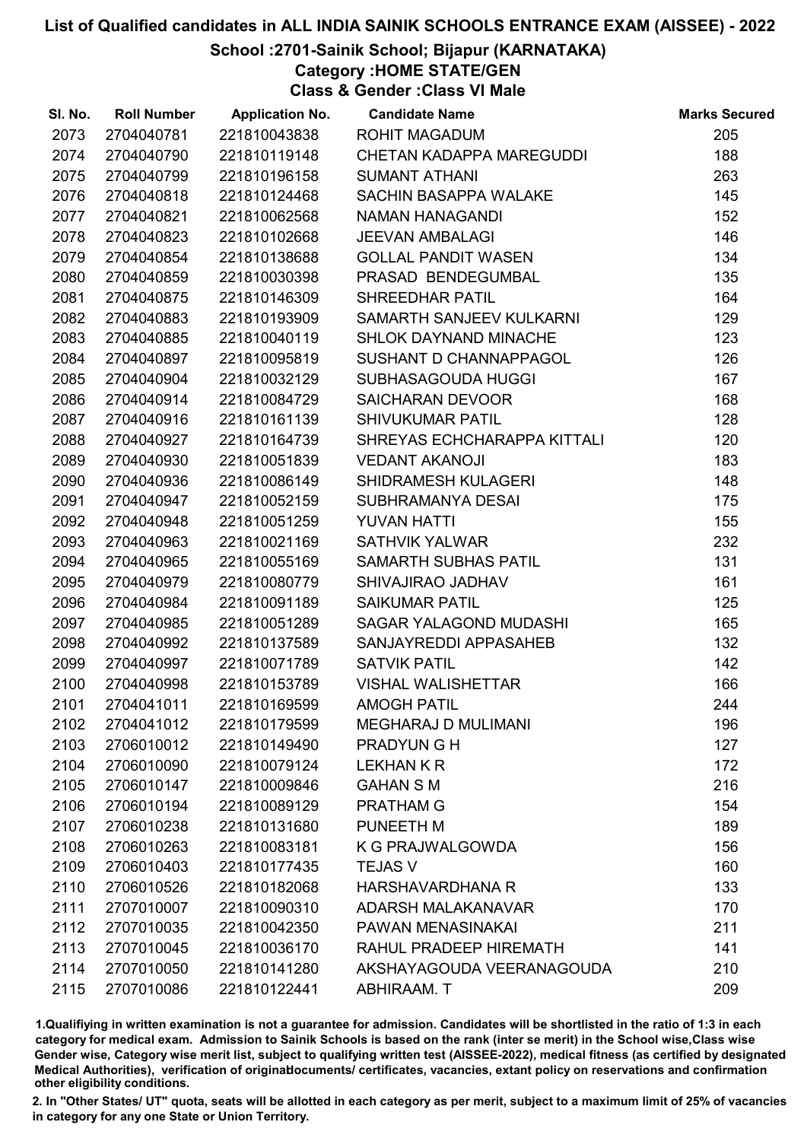## School :2701-Sainik School; Bijapur (KARNATAKA)

Category :HOME STATE/GEN

Class & Gender :Class VI Male

| SI. No. | <b>Roll Number</b> | <b>Application No.</b> | <b>Candidate Name</b>        | <b>Marks Secured</b> |
|---------|--------------------|------------------------|------------------------------|----------------------|
| 2073    | 2704040781         | 221810043838           | <b>ROHIT MAGADUM</b>         | 205                  |
| 2074    | 2704040790         | 221810119148           | CHETAN KADAPPA MAREGUDDI     | 188                  |
| 2075    | 2704040799         | 221810196158           | <b>SUMANT ATHANI</b>         | 263                  |
| 2076    | 2704040818         | 221810124468           | SACHIN BASAPPA WALAKE        | 145                  |
| 2077    | 2704040821         | 221810062568           | <b>NAMAN HANAGANDI</b>       | 152                  |
| 2078    | 2704040823         | 221810102668           | <b>JEEVAN AMBALAGI</b>       | 146                  |
| 2079    | 2704040854         | 221810138688           | <b>GOLLAL PANDIT WASEN</b>   | 134                  |
| 2080    | 2704040859         | 221810030398           | PRASAD BENDEGUMBAL           | 135                  |
| 2081    | 2704040875         | 221810146309           | SHREEDHAR PATIL              | 164                  |
| 2082    | 2704040883         | 221810193909           | SAMARTH SANJEEV KULKARNI     | 129                  |
| 2083    | 2704040885         | 221810040119           | <b>SHLOK DAYNAND MINACHE</b> | 123                  |
| 2084    | 2704040897         | 221810095819           | SUSHANT D CHANNAPPAGOL       | 126                  |
| 2085    | 2704040904         | 221810032129           | SUBHASAGOUDA HUGGI           | 167                  |
| 2086    | 2704040914         | 221810084729           | <b>SAICHARAN DEVOOR</b>      | 168                  |
| 2087    | 2704040916         | 221810161139           | <b>SHIVUKUMAR PATIL</b>      | 128                  |
| 2088    | 2704040927         | 221810164739           | SHREYAS ECHCHARAPPA KITTALI  | 120                  |
| 2089    | 2704040930         | 221810051839           | <b>VEDANT AKANOJI</b>        | 183                  |
| 2090    | 2704040936         | 221810086149           | SHIDRAMESH KULAGERI          | 148                  |
| 2091    | 2704040947         | 221810052159           | SUBHRAMANYA DESAI            | 175                  |
| 2092    | 2704040948         | 221810051259           | <b>YUVAN HATTI</b>           | 155                  |
| 2093    | 2704040963         | 221810021169           | <b>SATHVIK YALWAR</b>        | 232                  |
| 2094    | 2704040965         | 221810055169           | SAMARTH SUBHAS PATIL         | 131                  |
| 2095    | 2704040979         | 221810080779           | SHIVAJIRAO JADHAV            | 161                  |
| 2096    | 2704040984         | 221810091189           | <b>SAIKUMAR PATIL</b>        | 125                  |
| 2097    | 2704040985         | 221810051289           | SAGAR YALAGOND MUDASHI       | 165                  |
| 2098    | 2704040992         | 221810137589           | SANJAYREDDI APPASAHEB        | 132                  |
| 2099    | 2704040997         | 221810071789           | <b>SATVIK PATIL</b>          | 142                  |
| 2100    | 2704040998         | 221810153789           | <b>VISHAL WALISHETTAR</b>    | 166                  |
| 2101    | 2704041011         | 221810169599           | <b>AMOGH PATIL</b>           | 244                  |
| 2102    | 2704041012         | 221810179599           | <b>MEGHARAJ D MULIMANI</b>   | 196                  |
| 2103    | 2706010012         | 221810149490           | <b>PRADYUNGH</b>             | 127                  |
| 2104    | 2706010090         | 221810079124           | <b>LEKHAN K R</b>            | 172                  |
| 2105    | 2706010147         | 221810009846           | <b>GAHAN S M</b>             | 216                  |
| 2106    | 2706010194         | 221810089129           | <b>PRATHAM G</b>             | 154                  |
| 2107    | 2706010238         | 221810131680           | PUNEETH M                    | 189                  |
| 2108    | 2706010263         | 221810083181           | K G PRAJWALGOWDA             | 156                  |
| 2109    | 2706010403         | 221810177435           | <b>TEJAS V</b>               | 160                  |
| 2110    | 2706010526         | 221810182068           | <b>HARSHAVARDHANA R</b>      | 133                  |
| 2111    | 2707010007         | 221810090310           | ADARSH MALAKANAVAR           | 170                  |
| 2112    | 2707010035         | 221810042350           | PAWAN MENASINAKAI            | 211                  |
| 2113    | 2707010045         | 221810036170           | RAHUL PRADEEP HIREMATH       | 141                  |
| 2114    | 2707010050         | 221810141280           | AKSHAYAGOUDA VEERANAGOUDA    | 210                  |
| 2115    | 2707010086         | 221810122441           | ABHIRAAM. T                  | 209                  |

1.Qualifiying in written examination is not a guarantee for admission. Candidates will be shortlisted in the ratio of 1:3 in each category for medical exam. Admission to Sainik Schools is based on the rank (inter se merit) in the School wise,Class wise Gender wise, Category wise merit list, subject to qualifying written test (AISSEE-2022), medical fitness (as certified by designated Medical Authorities), verification of originablocuments/ certificates, vacancies, extant policy on reservations and confirmation other eligibility conditions.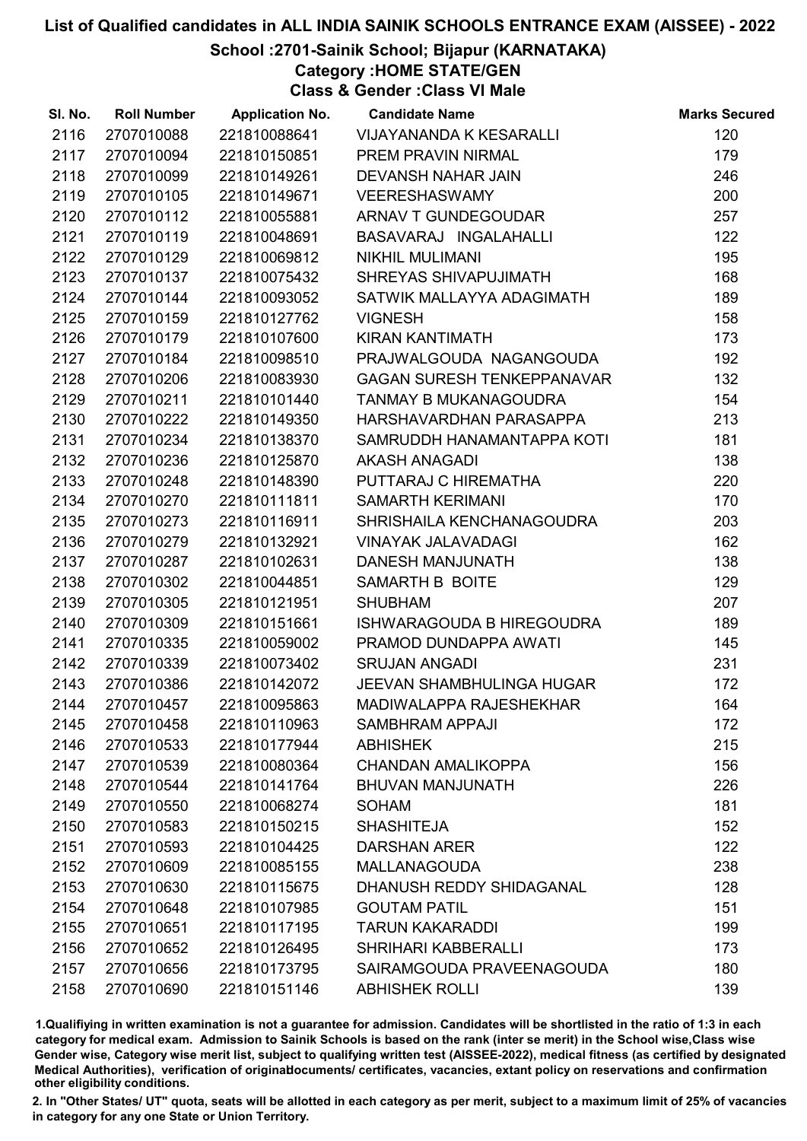#### School :2701-Sainik School; Bijapur (KARNATAKA)

Category :HOME STATE/GEN

Class & Gender :Class VI Male

| SI. No. | <b>Roll Number</b> | <b>Application No.</b> | <b>Candidate Name</b>             | <b>Marks Secured</b> |
|---------|--------------------|------------------------|-----------------------------------|----------------------|
| 2116    | 2707010088         | 221810088641           | VIJAYANANDA K KESARALLI           | 120                  |
| 2117    | 2707010094         | 221810150851           | PREM PRAVIN NIRMAL                | 179                  |
| 2118    | 2707010099         | 221810149261           | DEVANSH NAHAR JAIN                | 246                  |
| 2119    | 2707010105         | 221810149671           | <b>VEERESHASWAMY</b>              | 200                  |
| 2120    | 2707010112         | 221810055881           | ARNAV T GUNDEGOUDAR               | 257                  |
| 2121    | 2707010119         | 221810048691           | BASAVARAJ INGALAHALLI             | 122                  |
| 2122    | 2707010129         | 221810069812           | <b>NIKHIL MULIMANI</b>            | 195                  |
| 2123    | 2707010137         | 221810075432           | SHREYAS SHIVAPUJIMATH             | 168                  |
| 2124    | 2707010144         | 221810093052           | SATWIK MALLAYYA ADAGIMATH         | 189                  |
| 2125    | 2707010159         | 221810127762           | <b>VIGNESH</b>                    | 158                  |
| 2126    | 2707010179         | 221810107600           | <b>KIRAN KANTIMATH</b>            | 173                  |
| 2127    | 2707010184         | 221810098510           | PRAJWALGOUDA NAGANGOUDA           | 192                  |
| 2128    | 2707010206         | 221810083930           | <b>GAGAN SURESH TENKEPPANAVAR</b> | 132                  |
| 2129    | 2707010211         | 221810101440           | <b>TANMAY B MUKANAGOUDRA</b>      | 154                  |
| 2130    | 2707010222         | 221810149350           | HARSHAVARDHAN PARASAPPA           | 213                  |
| 2131    | 2707010234         | 221810138370           | SAMRUDDH HANAMANTAPPA KOTI        | 181                  |
| 2132    | 2707010236         | 221810125870           | <b>AKASH ANAGADI</b>              | 138                  |
| 2133    | 2707010248         | 221810148390           | PUTTARAJ C HIREMATHA              | 220                  |
| 2134    | 2707010270         | 221810111811           | <b>SAMARTH KERIMANI</b>           | 170                  |
| 2135    | 2707010273         | 221810116911           | SHRISHAILA KENCHANAGOUDRA         | 203                  |
| 2136    | 2707010279         | 221810132921           | <b>VINAYAK JALAVADAGI</b>         | 162                  |
| 2137    | 2707010287         | 221810102631           | DANESH MANJUNATH                  | 138                  |
| 2138    | 2707010302         | 221810044851           | SAMARTH B BOITE                   | 129                  |
| 2139    | 2707010305         | 221810121951           | <b>SHUBHAM</b>                    | 207                  |
| 2140    | 2707010309         | 221810151661           | <b>ISHWARAGOUDA B HIREGOUDRA</b>  | 189                  |
| 2141    | 2707010335         | 221810059002           | PRAMOD DUNDAPPA AWATI             | 145                  |
| 2142    | 2707010339         | 221810073402           | <b>SRUJAN ANGADI</b>              | 231                  |
| 2143    | 2707010386         | 221810142072           | <b>JEEVAN SHAMBHULINGA HUGAR</b>  | 172                  |
| 2144    | 2707010457         | 221810095863           | MADIWALAPPA RAJESHEKHAR           | 164                  |
| 2145    | 2707010458         | 221810110963           | <b>SAMBHRAM APPAJI</b>            | 172                  |
| 2146    | 2707010533         | 221810177944           | <b>ABHISHEK</b>                   | 215                  |
| 2147    | 2707010539         | 221810080364           | <b>CHANDAN AMALIKOPPA</b>         | 156                  |
| 2148    | 2707010544         | 221810141764           | <b>BHUVAN MANJUNATH</b>           | 226                  |
| 2149    | 2707010550         | 221810068274           | <b>SOHAM</b>                      | 181                  |
| 2150    | 2707010583         | 221810150215           | <b>SHASHITEJA</b>                 | 152                  |
| 2151    | 2707010593         | 221810104425           | <b>DARSHAN ARER</b>               | 122                  |
| 2152    | 2707010609         | 221810085155           | <b>MALLANAGOUDA</b>               | 238                  |
| 2153    | 2707010630         | 221810115675           | DHANUSH REDDY SHIDAGANAL          | 128                  |
| 2154    | 2707010648         | 221810107985           | <b>GOUTAM PATIL</b>               | 151                  |
| 2155    | 2707010651         | 221810117195           | <b>TARUN KAKARADDI</b>            | 199                  |
| 2156    | 2707010652         | 221810126495           | <b>SHRIHARI KABBERALLI</b>        | 173                  |
| 2157    | 2707010656         | 221810173795           | SAIRAMGOUDA PRAVEENAGOUDA         | 180                  |
| 2158    | 2707010690         | 221810151146           | <b>ABHISHEK ROLLI</b>             | 139                  |

1.Qualifiying in written examination is not a guarantee for admission. Candidates will be shortlisted in the ratio of 1:3 in each category for medical exam. Admission to Sainik Schools is based on the rank (inter se merit) in the School wise,Class wise Gender wise, Category wise merit list, subject to qualifying written test (AISSEE-2022), medical fitness (as certified by designated Medical Authorities), verification of originablocuments/ certificates, vacancies, extant policy on reservations and confirmation other eligibility conditions.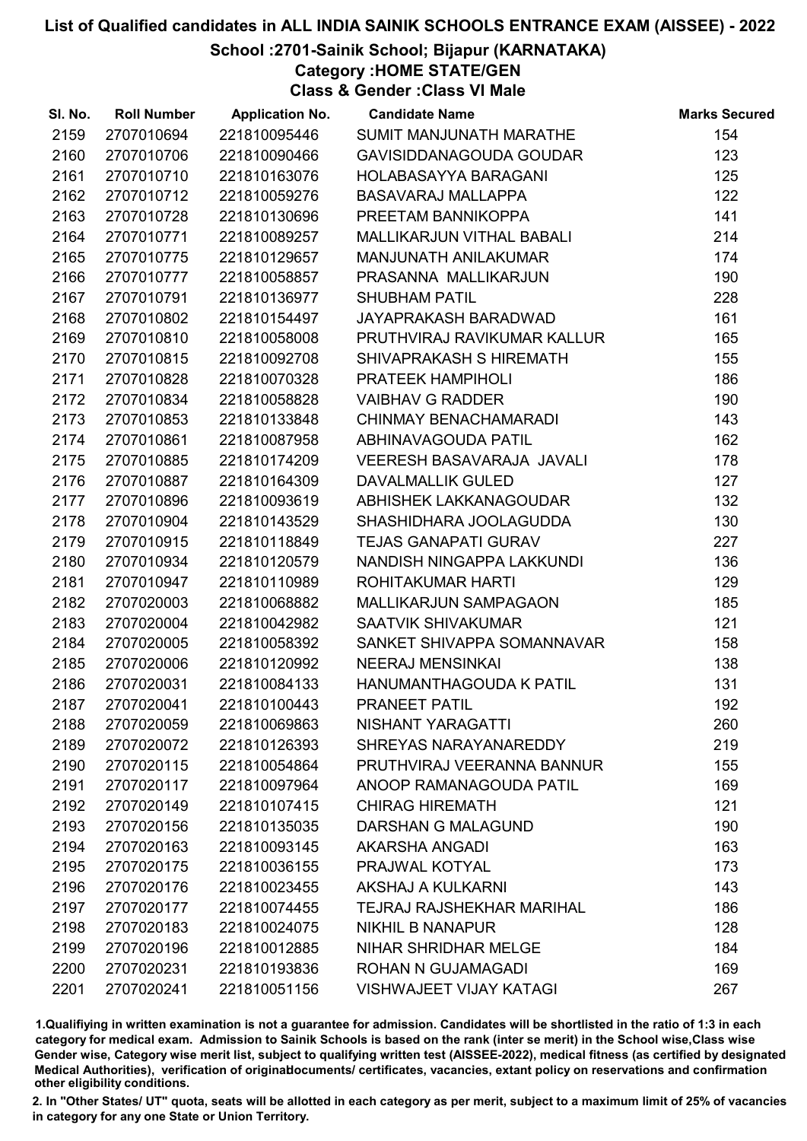## School :2701-Sainik School; Bijapur (KARNATAKA)

Category :HOME STATE/GEN

Class & Gender :Class VI Male

| SI. No. | <b>Roll Number</b> | <b>Application No.</b> | <b>Candidate Name</b>            | <b>Marks Secured</b> |
|---------|--------------------|------------------------|----------------------------------|----------------------|
| 2159    | 2707010694         | 221810095446           | SUMIT MANJUNATH MARATHE          | 154                  |
| 2160    | 2707010706         | 221810090466           | GAVISIDDANAGOUDA GOUDAR          | 123                  |
| 2161    | 2707010710         | 221810163076           | HOLABASAYYA BARAGANI             | 125                  |
| 2162    | 2707010712         | 221810059276           | <b>BASAVARAJ MALLAPPA</b>        | 122                  |
| 2163    | 2707010728         | 221810130696           | PREETAM BANNIKOPPA               | 141                  |
| 2164    | 2707010771         | 221810089257           | MALLIKARJUN VITHAL BABALI        | 214                  |
| 2165    | 2707010775         | 221810129657           | MANJUNATH ANILAKUMAR             | 174                  |
| 2166    | 2707010777         | 221810058857           | PRASANNA MALLIKARJUN             | 190                  |
| 2167    | 2707010791         | 221810136977           | <b>SHUBHAM PATIL</b>             | 228                  |
| 2168    | 2707010802         | 221810154497           | JAYAPRAKASH BARADWAD             | 161                  |
| 2169    | 2707010810         | 221810058008           | PRUTHVIRAJ RAVIKUMAR KALLUR      | 165                  |
| 2170    | 2707010815         | 221810092708           | SHIVAPRAKASH S HIREMATH          | 155                  |
| 2171    | 2707010828         | 221810070328           | PRATEEK HAMPIHOLI                | 186                  |
| 2172    | 2707010834         | 221810058828           | <b>VAIBHAV G RADDER</b>          | 190                  |
| 2173    | 2707010853         | 221810133848           | CHINMAY BENACHAMARADI            | 143                  |
| 2174    | 2707010861         | 221810087958           | ABHINAVAGOUDA PATIL              | 162                  |
| 2175    | 2707010885         | 221810174209           | <b>VEERESH BASAVARAJA JAVALI</b> | 178                  |
| 2176    | 2707010887         | 221810164309           | <b>DAVALMALLIK GULED</b>         | 127                  |
| 2177    | 2707010896         | 221810093619           | ABHISHEK LAKKANAGOUDAR           | 132                  |
| 2178    | 2707010904         | 221810143529           | SHASHIDHARA JOOLAGUDDA           | 130                  |
| 2179    | 2707010915         | 221810118849           | <b>TEJAS GANAPATI GURAV</b>      | 227                  |
| 2180    | 2707010934         | 221810120579           | NANDISH NINGAPPA LAKKUNDI        | 136                  |
| 2181    | 2707010947         | 221810110989           | ROHITAKUMAR HARTI                | 129                  |
| 2182    | 2707020003         | 221810068882           | <b>MALLIKARJUN SAMPAGAON</b>     | 185                  |
| 2183    | 2707020004         | 221810042982           | <b>SAATVIK SHIVAKUMAR</b>        | 121                  |
| 2184    | 2707020005         | 221810058392           | SANKET SHIVAPPA SOMANNAVAR       | 158                  |
| 2185    | 2707020006         | 221810120992           | <b>NEERAJ MENSINKAI</b>          | 138                  |
| 2186    | 2707020031         | 221810084133           | HANUMANTHAGOUDA K PATIL          | 131                  |
| 2187    | 2707020041         | 221810100443           | PRANEET PATIL                    | 192                  |
| 2188    | 2707020059         | 221810069863           | NISHANT YARAGATTI                | 260                  |
| 2189    | 2707020072         | 221810126393           | SHREYAS NARAYANAREDDY            | 219                  |
| 2190    | 2707020115         | 221810054864           | PRUTHVIRAJ VEERANNA BANNUR       | 155                  |
| 2191    | 2707020117         | 221810097964           | ANOOP RAMANAGOUDA PATIL          | 169                  |
| 2192    | 2707020149         | 221810107415           | <b>CHIRAG HIREMATH</b>           | 121                  |
| 2193    | 2707020156         | 221810135035           | <b>DARSHAN G MALAGUND</b>        | 190                  |
| 2194    | 2707020163         | 221810093145           | <b>AKARSHA ANGADI</b>            | 163                  |
| 2195    | 2707020175         | 221810036155           | PRAJWAL KOTYAL                   | 173                  |
| 2196    | 2707020176         | 221810023455           | AKSHAJ A KULKARNI                | 143                  |
| 2197    | 2707020177         | 221810074455           | TEJRAJ RAJSHEKHAR MARIHAL        | 186                  |
| 2198    | 2707020183         | 221810024075           | <b>NIKHIL B NANAPUR</b>          | 128                  |
| 2199    | 2707020196         | 221810012885           | NIHAR SHRIDHAR MELGE             | 184                  |
| 2200    | 2707020231         | 221810193836           | ROHAN N GUJAMAGADI               | 169                  |
| 2201    | 2707020241         | 221810051156           | <b>VISHWAJEET VIJAY KATAGI</b>   | 267                  |

1.Qualifiying in written examination is not a guarantee for admission. Candidates will be shortlisted in the ratio of 1:3 in each category for medical exam. Admission to Sainik Schools is based on the rank (inter se merit) in the School wise,Class wise Gender wise, Category wise merit list, subject to qualifying written test (AISSEE-2022), medical fitness (as certified by designated Medical Authorities), verification of originablocuments/ certificates, vacancies, extant policy on reservations and confirmation other eligibility conditions.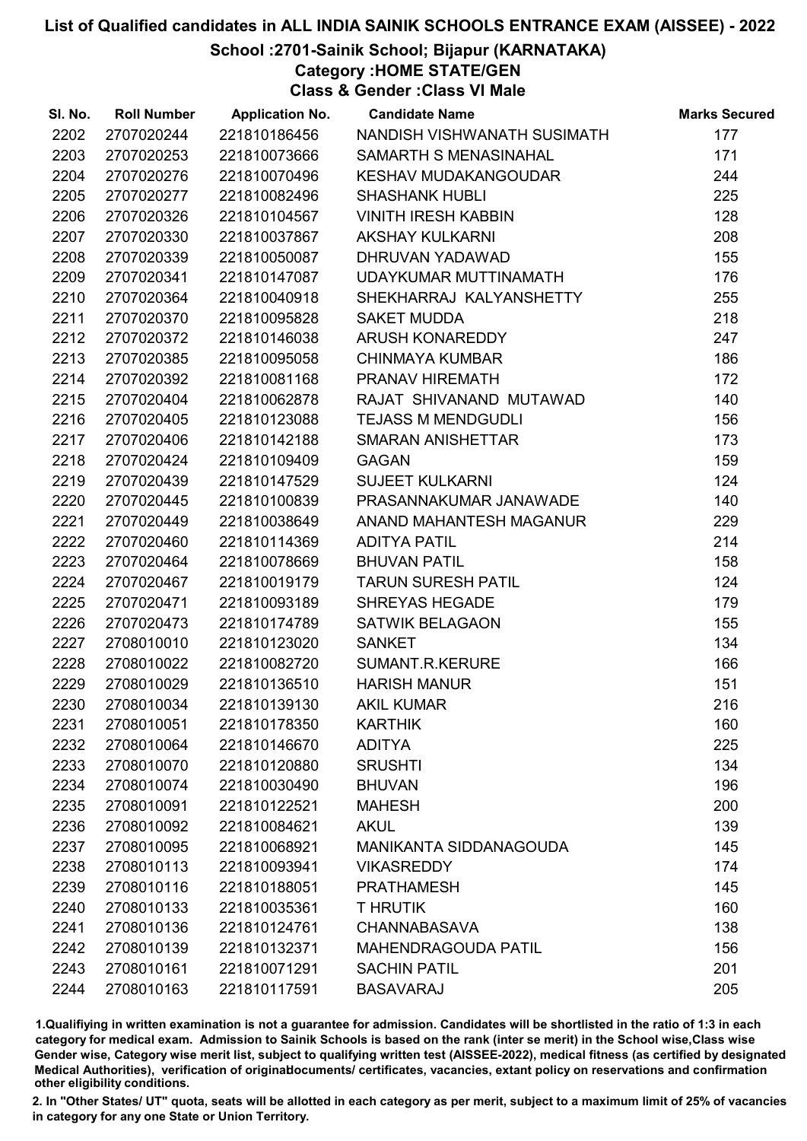## School :2701-Sainik School; Bijapur (KARNATAKA)

Category :HOME STATE/GEN

Class & Gender :Class VI Male

| SI. No. | <b>Roll Number</b> | <b>Application No.</b> | <b>Candidate Name</b>         | <b>Marks Secured</b> |
|---------|--------------------|------------------------|-------------------------------|----------------------|
| 2202    | 2707020244         | 221810186456           | NANDISH VISHWANATH SUSIMATH   | 177                  |
| 2203    | 2707020253         | 221810073666           | SAMARTH S MENASINAHAL         | 171                  |
| 2204    | 2707020276         | 221810070496           | <b>KESHAV MUDAKANGOUDAR</b>   | 244                  |
| 2205    | 2707020277         | 221810082496           | <b>SHASHANK HUBLI</b>         | 225                  |
| 2206    | 2707020326         | 221810104567           | <b>VINITH IRESH KABBIN</b>    | 128                  |
| 2207    | 2707020330         | 221810037867           | <b>AKSHAY KULKARNI</b>        | 208                  |
| 2208    | 2707020339         | 221810050087           | DHRUVAN YADAWAD               | 155                  |
| 2209    | 2707020341         | 221810147087           | UDAYKUMAR MUTTINAMATH         | 176                  |
| 2210    | 2707020364         | 221810040918           | SHEKHARRAJ KALYANSHETTY       | 255                  |
| 2211    | 2707020370         | 221810095828           | <b>SAKET MUDDA</b>            | 218                  |
| 2212    | 2707020372         | 221810146038           | ARUSH KONAREDDY               | 247                  |
| 2213    | 2707020385         | 221810095058           | <b>CHINMAYA KUMBAR</b>        | 186                  |
| 2214    | 2707020392         | 221810081168           | PRANAV HIREMATH               | 172                  |
| 2215    | 2707020404         | 221810062878           | RAJAT SHIVANAND MUTAWAD       | 140                  |
| 2216    | 2707020405         | 221810123088           | <b>TEJASS M MENDGUDLI</b>     | 156                  |
| 2217    | 2707020406         | 221810142188           | <b>SMARAN ANISHETTAR</b>      | 173                  |
| 2218    | 2707020424         | 221810109409           | <b>GAGAN</b>                  | 159                  |
| 2219    | 2707020439         | 221810147529           | <b>SUJEET KULKARNI</b>        | 124                  |
| 2220    | 2707020445         | 221810100839           | PRASANNAKUMAR JANAWADE        | 140                  |
| 2221    | 2707020449         | 221810038649           | ANAND MAHANTESH MAGANUR       | 229                  |
| 2222    | 2707020460         | 221810114369           | <b>ADITYA PATIL</b>           | 214                  |
| 2223    | 2707020464         | 221810078669           | <b>BHUVAN PATIL</b>           | 158                  |
| 2224    | 2707020467         | 221810019179           | <b>TARUN SURESH PATIL</b>     | 124                  |
| 2225    | 2707020471         | 221810093189           | <b>SHREYAS HEGADE</b>         | 179                  |
| 2226    | 2707020473         | 221810174789           | <b>SATWIK BELAGAON</b>        | 155                  |
| 2227    | 2708010010         | 221810123020           | <b>SANKET</b>                 | 134                  |
| 2228    | 2708010022         | 221810082720           | SUMANT.R.KERURE               | 166                  |
| 2229    | 2708010029         | 221810136510           | <b>HARISH MANUR</b>           | 151                  |
| 2230    | 2708010034         | 221810139130           | <b>AKIL KUMAR</b>             | 216                  |
| 2231    | 2708010051         | 221810178350           | <b>KARTHIK</b>                | 160                  |
| 2232    | 2708010064         | 221810146670           | <b>ADITYA</b>                 | 225                  |
| 2233    | 2708010070         | 221810120880           | <b>SRUSHTI</b>                | 134                  |
| 2234    | 2708010074         | 221810030490           | <b>BHUVAN</b>                 | 196                  |
| 2235    | 2708010091         | 221810122521           | <b>MAHESH</b>                 | 200                  |
| 2236    | 2708010092         | 221810084621           | <b>AKUL</b>                   | 139                  |
| 2237    | 2708010095         | 221810068921           | <b>MANIKANTA SIDDANAGOUDA</b> | 145                  |
| 2238    | 2708010113         | 221810093941           | <b>VIKASREDDY</b>             | 174                  |
| 2239    | 2708010116         | 221810188051           | <b>PRATHAMESH</b>             | 145                  |
| 2240    | 2708010133         | 221810035361           | <b>T HRUTIK</b>               | 160                  |
| 2241    | 2708010136         | 221810124761           | <b>CHANNABASAVA</b>           | 138                  |
| 2242    | 2708010139         | 221810132371           | <b>MAHENDRAGOUDA PATIL</b>    | 156                  |
| 2243    | 2708010161         | 221810071291           | <b>SACHIN PATIL</b>           | 201                  |
| 2244    | 2708010163         | 221810117591           | <b>BASAVARAJ</b>              | 205                  |

1.Qualifiying in written examination is not a guarantee for admission. Candidates will be shortlisted in the ratio of 1:3 in each category for medical exam. Admission to Sainik Schools is based on the rank (inter se merit) in the School wise,Class wise Gender wise, Category wise merit list, subject to qualifying written test (AISSEE-2022), medical fitness (as certified by designated Medical Authorities), verification of originablocuments/ certificates, vacancies, extant policy on reservations and confirmation other eligibility conditions.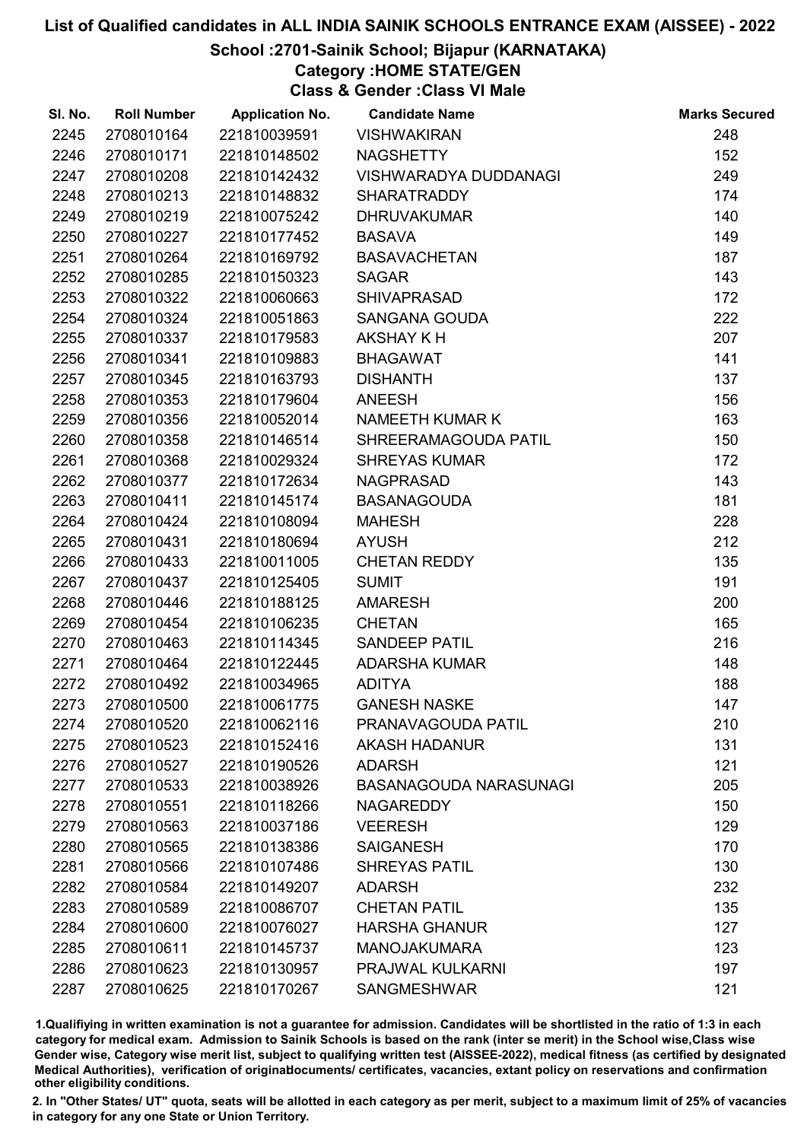### School :2701-Sainik School; Bijapur (KARNATAKA)

Category :HOME STATE/GEN

Class & Gender :Class VI Male

| SI. No. | <b>Roll Number</b> | <b>Application No.</b> | <b>Candidate Name</b>        | <b>Marks Secured</b> |
|---------|--------------------|------------------------|------------------------------|----------------------|
| 2245    | 2708010164         | 221810039591           | <b>VISHWAKIRAN</b>           | 248                  |
| 2246    | 2708010171         | 221810148502           | <b>NAGSHETTY</b>             | 152                  |
| 2247    | 2708010208         | 221810142432           | <b>VISHWARADYA DUDDANAGI</b> | 249                  |
| 2248    | 2708010213         | 221810148832           | <b>SHARATRADDY</b>           | 174                  |
| 2249    | 2708010219         | 221810075242           | <b>DHRUVAKUMAR</b>           | 140                  |
| 2250    | 2708010227         | 221810177452           | <b>BASAVA</b>                | 149                  |
| 2251    | 2708010264         | 221810169792           | <b>BASAVACHETAN</b>          | 187                  |
| 2252    | 2708010285         | 221810150323           | <b>SAGAR</b>                 | 143                  |
| 2253    | 2708010322         | 221810060663           | <b>SHIVAPRASAD</b>           | 172                  |
| 2254    | 2708010324         | 221810051863           | SANGANA GOUDA                | 222                  |
| 2255    | 2708010337         | 221810179583           | <b>AKSHAY KH</b>             | 207                  |
| 2256    | 2708010341         | 221810109883           | <b>BHAGAWAT</b>              | 141                  |
| 2257    | 2708010345         | 221810163793           | <b>DISHANTH</b>              | 137                  |
| 2258    | 2708010353         | 221810179604           | <b>ANEESH</b>                | 156                  |
| 2259    | 2708010356         | 221810052014           | <b>NAMEETH KUMAR K</b>       | 163                  |
| 2260    | 2708010358         | 221810146514           | SHREERAMAGOUDA PATIL         | 150                  |
| 2261    | 2708010368         | 221810029324           | <b>SHREYAS KUMAR</b>         | 172                  |
| 2262    | 2708010377         | 221810172634           | <b>NAGPRASAD</b>             | 143                  |
| 2263    | 2708010411         | 221810145174           | <b>BASANAGOUDA</b>           | 181                  |
| 2264    | 2708010424         | 221810108094           | <b>MAHESH</b>                | 228                  |
| 2265    | 2708010431         | 221810180694           | <b>AYUSH</b>                 | 212                  |
| 2266    | 2708010433         | 221810011005           | <b>CHETAN REDDY</b>          | 135                  |
| 2267    | 2708010437         | 221810125405           | <b>SUMIT</b>                 | 191                  |
| 2268    | 2708010446         | 221810188125           | <b>AMARESH</b>               | 200                  |
| 2269    | 2708010454         | 221810106235           | <b>CHETAN</b>                | 165                  |
| 2270    | 2708010463         | 221810114345           | <b>SANDEEP PATIL</b>         | 216                  |
| 2271    | 2708010464         | 221810122445           | <b>ADARSHA KUMAR</b>         | 148                  |
| 2272    | 2708010492         | 221810034965           | <b>ADITYA</b>                | 188                  |
| 2273    | 2708010500         | 221810061775           | <b>GANESH NASKE</b>          | 147                  |
| 2274    | 2708010520         | 221810062116           | PRANAVAGOUDA PATIL           | 210                  |
| 2275    | 2708010523         | 221810152416           | <b>AKASH HADANUR</b>         | 131                  |
| 2276    | 2708010527         | 221810190526           | <b>ADARSH</b>                | 121                  |
| 2277    | 2708010533         | 221810038926           | BASANAGOUDA NARASUNAGI       | 205                  |
| 2278    | 2708010551         | 221810118266           | <b>NAGAREDDY</b>             | 150                  |
| 2279    | 2708010563         | 221810037186           | <b>VEERESH</b>               | 129                  |
| 2280    | 2708010565         | 221810138386           | <b>SAIGANESH</b>             | 170                  |
| 2281    | 2708010566         | 221810107486           | <b>SHREYAS PATIL</b>         | 130                  |
| 2282    | 2708010584         | 221810149207           | <b>ADARSH</b>                | 232                  |
| 2283    | 2708010589         | 221810086707           | <b>CHETAN PATIL</b>          | 135                  |
| 2284    | 2708010600         | 221810076027           | <b>HARSHA GHANUR</b>         | 127                  |
| 2285    | 2708010611         | 221810145737           | <b>MANOJAKUMARA</b>          | 123                  |
| 2286    | 2708010623         | 221810130957           | PRAJWAL KULKARNI             | 197                  |
| 2287    | 2708010625         | 221810170267           | <b>SANGMESHWAR</b>           | 121                  |

1.Qualifiying in written examination is not a guarantee for admission. Candidates will be shortlisted in the ratio of 1:3 in each category for medical exam. Admission to Sainik Schools is based on the rank (inter se merit) in the School wise,Class wise Gender wise, Category wise merit list, subject to qualifying written test (AISSEE-2022), medical fitness (as certified by designated Medical Authorities), verification of originablocuments/ certificates, vacancies, extant policy on reservations and confirmation other eligibility conditions.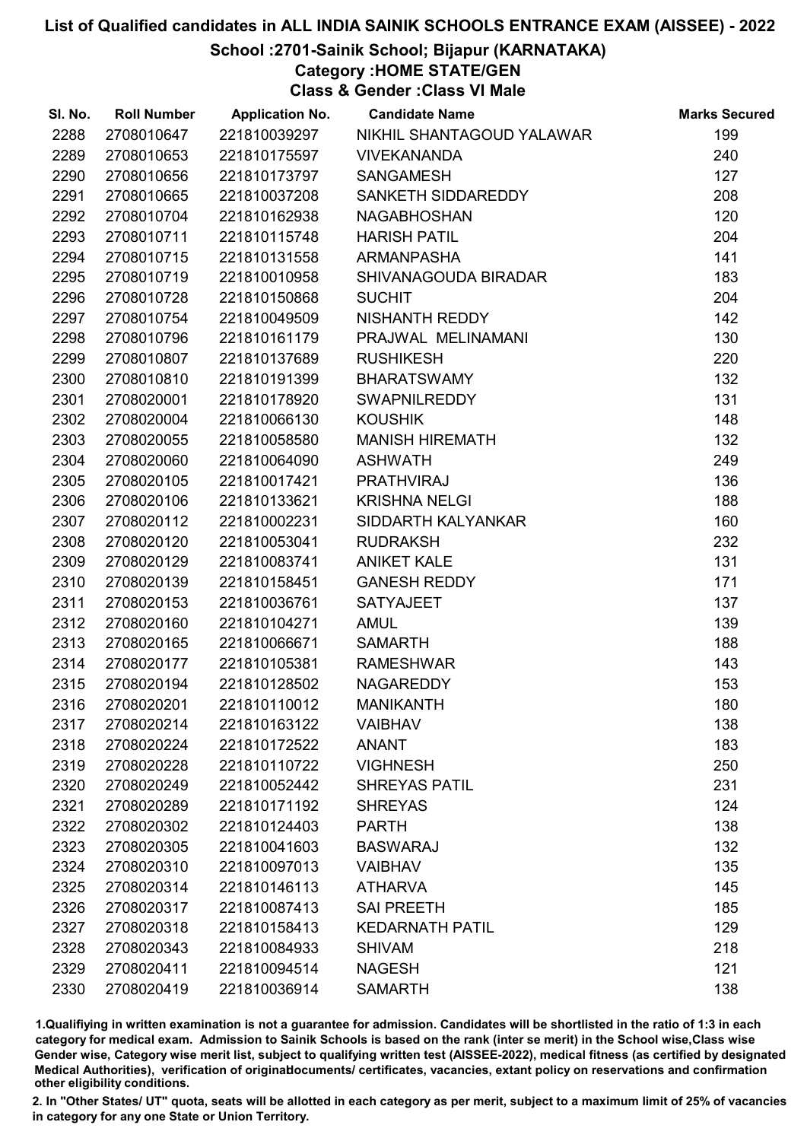### School :2701-Sainik School; Bijapur (KARNATAKA)

Category :HOME STATE/GEN

Class & Gender :Class VI Male

| SI. No. | <b>Roll Number</b> | <b>Application No.</b> | <b>Candidate Name</b>     | <b>Marks Secured</b> |
|---------|--------------------|------------------------|---------------------------|----------------------|
| 2288    | 2708010647         | 221810039297           | NIKHIL SHANTAGOUD YALAWAR | 199                  |
| 2289    | 2708010653         | 221810175597           | <b>VIVEKANANDA</b>        | 240                  |
| 2290    | 2708010656         | 221810173797           | <b>SANGAMESH</b>          | 127                  |
| 2291    | 2708010665         | 221810037208           | SANKETH SIDDAREDDY        | 208                  |
| 2292    | 2708010704         | 221810162938           | <b>NAGABHOSHAN</b>        | 120                  |
| 2293    | 2708010711         | 221810115748           | <b>HARISH PATIL</b>       | 204                  |
| 2294    | 2708010715         | 221810131558           | <b>ARMANPASHA</b>         | 141                  |
| 2295    | 2708010719         | 221810010958           | SHIVANAGOUDA BIRADAR      | 183                  |
| 2296    | 2708010728         | 221810150868           | <b>SUCHIT</b>             | 204                  |
| 2297    | 2708010754         | 221810049509           | NISHANTH REDDY            | 142                  |
| 2298    | 2708010796         | 221810161179           | PRAJWAL MELINAMANI        | 130                  |
| 2299    | 2708010807         | 221810137689           | <b>RUSHIKESH</b>          | 220                  |
| 2300    | 2708010810         | 221810191399           | <b>BHARATSWAMY</b>        | 132                  |
| 2301    | 2708020001         | 221810178920           | <b>SWAPNILREDDY</b>       | 131                  |
| 2302    | 2708020004         | 221810066130           | <b>KOUSHIK</b>            | 148                  |
| 2303    | 2708020055         | 221810058580           | <b>MANISH HIREMATH</b>    | 132                  |
| 2304    | 2708020060         | 221810064090           | <b>ASHWATH</b>            | 249                  |
| 2305    | 2708020105         | 221810017421           | <b>PRATHVIRAJ</b>         | 136                  |
| 2306    | 2708020106         | 221810133621           | <b>KRISHNA NELGI</b>      | 188                  |
| 2307    | 2708020112         | 221810002231           | SIDDARTH KALYANKAR        | 160                  |
| 2308    | 2708020120         | 221810053041           | <b>RUDRAKSH</b>           | 232                  |
| 2309    | 2708020129         | 221810083741           | <b>ANIKET KALE</b>        | 131                  |
| 2310    | 2708020139         | 221810158451           | <b>GANESH REDDY</b>       | 171                  |
| 2311    | 2708020153         | 221810036761           | <b>SATYAJEET</b>          | 137                  |
| 2312    | 2708020160         | 221810104271           | <b>AMUL</b>               | 139                  |
| 2313    | 2708020165         | 221810066671           | <b>SAMARTH</b>            | 188                  |
| 2314    | 2708020177         | 221810105381           | <b>RAMESHWAR</b>          | 143                  |
| 2315    | 2708020194         | 221810128502           | <b>NAGAREDDY</b>          | 153                  |
| 2316    | 2708020201         | 221810110012           | <b>MANIKANTH</b>          | 180                  |
| 2317    | 2708020214         | 221810163122           | <b>VAIBHAV</b>            | 138                  |
| 2318    | 2708020224         | 221810172522           | <b>ANANT</b>              | 183                  |
| 2319    | 2708020228         | 221810110722           | <b>VIGHNESH</b>           | 250                  |
| 2320    | 2708020249         | 221810052442           | <b>SHREYAS PATIL</b>      | 231                  |
| 2321    | 2708020289         | 221810171192           | <b>SHREYAS</b>            | 124                  |
| 2322    | 2708020302         | 221810124403           | <b>PARTH</b>              | 138                  |
| 2323    | 2708020305         | 221810041603           | <b>BASWARAJ</b>           | 132                  |
| 2324    | 2708020310         | 221810097013           | <b>VAIBHAV</b>            | 135                  |
| 2325    | 2708020314         | 221810146113           | <b>ATHARVA</b>            | 145                  |
| 2326    | 2708020317         | 221810087413           | <b>SAI PREETH</b>         | 185                  |
| 2327    | 2708020318         | 221810158413           | <b>KEDARNATH PATIL</b>    | 129                  |
| 2328    | 2708020343         | 221810084933           | <b>SHIVAM</b>             | 218                  |
| 2329    | 2708020411         | 221810094514           | <b>NAGESH</b>             | 121                  |
| 2330    | 2708020419         | 221810036914           | <b>SAMARTH</b>            | 138                  |

1.Qualifiying in written examination is not a guarantee for admission. Candidates will be shortlisted in the ratio of 1:3 in each category for medical exam. Admission to Sainik Schools is based on the rank (inter se merit) in the School wise,Class wise Gender wise, Category wise merit list, subject to qualifying written test (AISSEE-2022), medical fitness (as certified by designated Medical Authorities), verification of originablocuments/ certificates, vacancies, extant policy on reservations and confirmation other eligibility conditions.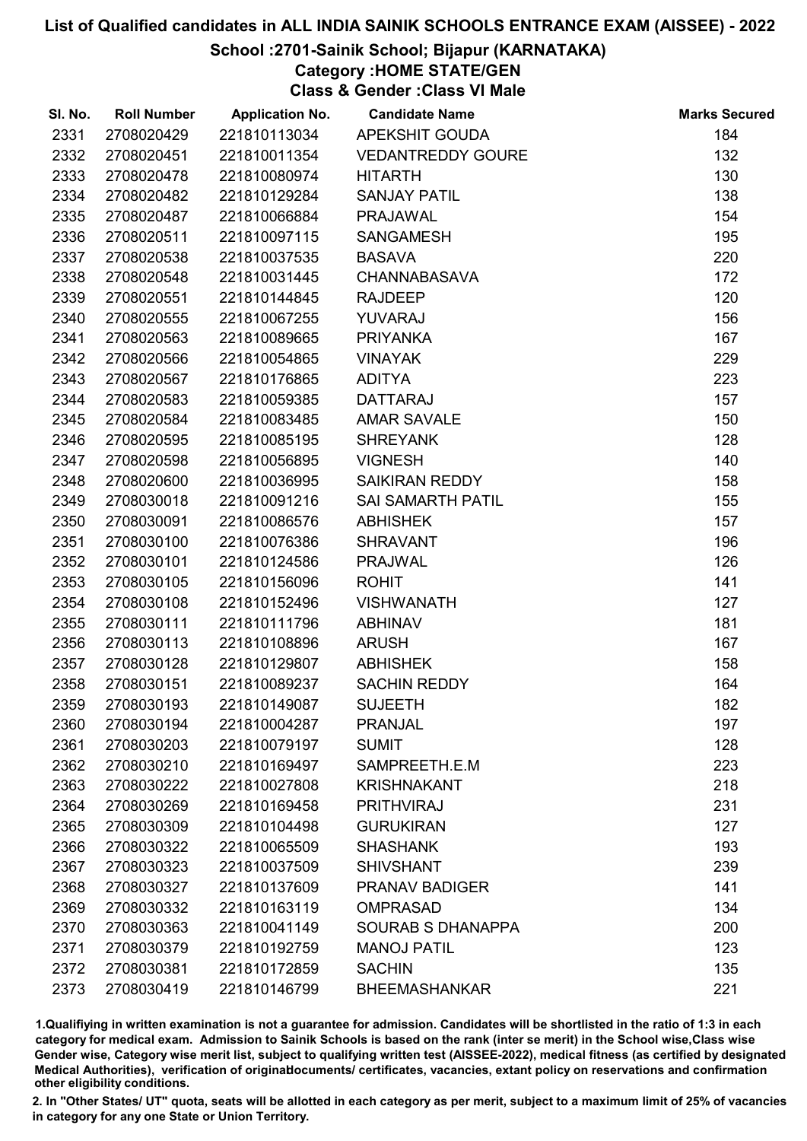### School :2701-Sainik School; Bijapur (KARNATAKA)

Category :HOME STATE/GEN

Class & Gender :Class VI Male

| SI. No. | <b>Roll Number</b> | <b>Application No.</b> | <b>Candidate Name</b>    | <b>Marks Secured</b> |
|---------|--------------------|------------------------|--------------------------|----------------------|
| 2331    | 2708020429         | 221810113034           | APEKSHIT GOUDA           | 184                  |
| 2332    | 2708020451         | 221810011354           | <b>VEDANTREDDY GOURE</b> | 132                  |
| 2333    | 2708020478         | 221810080974           | <b>HITARTH</b>           | 130                  |
| 2334    | 2708020482         | 221810129284           | <b>SANJAY PATIL</b>      | 138                  |
| 2335    | 2708020487         | 221810066884           | <b>PRAJAWAL</b>          | 154                  |
| 2336    | 2708020511         | 221810097115           | <b>SANGAMESH</b>         | 195                  |
| 2337    | 2708020538         | 221810037535           | <b>BASAVA</b>            | 220                  |
| 2338    | 2708020548         | 221810031445           | <b>CHANNABASAVA</b>      | 172                  |
| 2339    | 2708020551         | 221810144845           | <b>RAJDEEP</b>           | 120                  |
| 2340    | 2708020555         | 221810067255           | YUVARAJ                  | 156                  |
| 2341    | 2708020563         | 221810089665           | <b>PRIYANKA</b>          | 167                  |
| 2342    | 2708020566         | 221810054865           | <b>VINAYAK</b>           | 229                  |
| 2343    | 2708020567         | 221810176865           | <b>ADITYA</b>            | 223                  |
| 2344    | 2708020583         | 221810059385           | <b>DATTARAJ</b>          | 157                  |
| 2345    | 2708020584         | 221810083485           | <b>AMAR SAVALE</b>       | 150                  |
| 2346    | 2708020595         | 221810085195           | <b>SHREYANK</b>          | 128                  |
| 2347    | 2708020598         | 221810056895           | <b>VIGNESH</b>           | 140                  |
| 2348    | 2708020600         | 221810036995           | <b>SAIKIRAN REDDY</b>    | 158                  |
| 2349    | 2708030018         | 221810091216           | <b>SAI SAMARTH PATIL</b> | 155                  |
| 2350    | 2708030091         | 221810086576           | <b>ABHISHEK</b>          | 157                  |
| 2351    | 2708030100         | 221810076386           | <b>SHRAVANT</b>          | 196                  |
| 2352    | 2708030101         | 221810124586           | <b>PRAJWAL</b>           | 126                  |
| 2353    | 2708030105         | 221810156096           | <b>ROHIT</b>             | 141                  |
| 2354    | 2708030108         | 221810152496           | <b>VISHWANATH</b>        | 127                  |
| 2355    | 2708030111         | 221810111796           | <b>ABHINAV</b>           | 181                  |
| 2356    | 2708030113         | 221810108896           | <b>ARUSH</b>             | 167                  |
| 2357    | 2708030128         | 221810129807           | <b>ABHISHEK</b>          | 158                  |
| 2358    | 2708030151         | 221810089237           | <b>SACHIN REDDY</b>      | 164                  |
| 2359    | 2708030193         | 221810149087           | <b>SUJEETH</b>           | 182                  |
| 2360    | 2708030194         | 221810004287           | <b>PRANJAL</b>           | 197                  |
| 2361    | 2708030203         | 221810079197           | <b>SUMIT</b>             | 128                  |
| 2362    | 2708030210         | 221810169497           | SAMPREETH.E.M            | 223                  |
| 2363    | 2708030222         | 221810027808           | <b>KRISHNAKANT</b>       | 218                  |
| 2364    | 2708030269         | 221810169458           | <b>PRITHVIRAJ</b>        | 231                  |
| 2365    | 2708030309         | 221810104498           | <b>GURUKIRAN</b>         | 127                  |
| 2366    | 2708030322         | 221810065509           | <b>SHASHANK</b>          | 193                  |
| 2367    | 2708030323         | 221810037509           | <b>SHIVSHANT</b>         | 239                  |
| 2368    | 2708030327         | 221810137609           | <b>PRANAV BADIGER</b>    | 141                  |
| 2369    | 2708030332         | 221810163119           | <b>OMPRASAD</b>          | 134                  |
| 2370    | 2708030363         | 221810041149           | <b>SOURAB S DHANAPPA</b> | 200                  |
| 2371    | 2708030379         | 221810192759           | <b>MANOJ PATIL</b>       | 123                  |
| 2372    | 2708030381         | 221810172859           | <b>SACHIN</b>            | 135                  |
| 2373    | 2708030419         | 221810146799           | <b>BHEEMASHANKAR</b>     | 221                  |

1.Qualifiying in written examination is not a guarantee for admission. Candidates will be shortlisted in the ratio of 1:3 in each category for medical exam. Admission to Sainik Schools is based on the rank (inter se merit) in the School wise,Class wise Gender wise, Category wise merit list, subject to qualifying written test (AISSEE-2022), medical fitness (as certified by designated Medical Authorities), verification of originablocuments/ certificates, vacancies, extant policy on reservations and confirmation other eligibility conditions.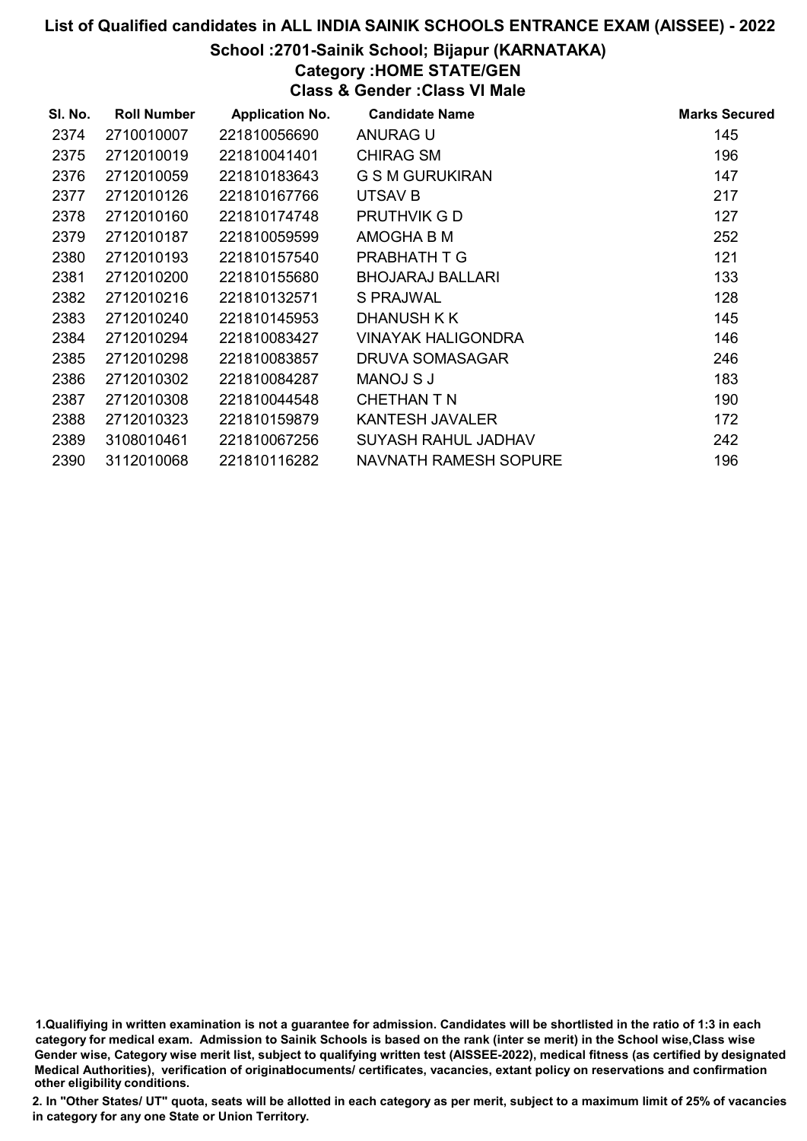#### School :2701-Sainik School; Bijapur (KARNATAKA)

Category :HOME STATE/GEN

Class & Gender :Class VI Male

| SI. No. | <b>Roll Number</b> | <b>Application No.</b> | <b>Candidate Name</b>        | <b>Marks Secured</b> |
|---------|--------------------|------------------------|------------------------------|----------------------|
| 2374    | 2710010007         | 221810056690           | ANURAG U                     | 145                  |
| 2375    | 2712010019         | 221810041401           | <b>CHIRAG SM</b>             | 196                  |
| 2376    | 2712010059         | 221810183643           | <b>G S M GURUKIRAN</b>       | 147                  |
| 2377    | 2712010126         | 221810167766           | UTSAV B                      | 217                  |
| 2378    | 2712010160         | 221810174748           | PRUTHVIK G D                 | 127                  |
| 2379    | 2712010187         | 221810059599           | AMOGHA B M                   | 252                  |
| 2380    | 2712010193         | 221810157540           | PRABHATH T G                 | 121                  |
| 2381    | 2712010200         | 221810155680           | <b>BHOJARAJ BALLARI</b>      | 133                  |
| 2382    | 2712010216         | 221810132571           | S PRAJWAL                    | 128                  |
| 2383    | 2712010240         | 221810145953           | DHANUSH K K                  | 145                  |
| 2384    | 2712010294         | 221810083427           | <b>VINAYAK HALIGONDRA</b>    | 146                  |
| 2385    | 2712010298         | 221810083857           | DRUVA SOMASAGAR              | 246                  |
| 2386    | 2712010302         | 221810084287           | MANOJ S J                    | 183                  |
| 2387    | 2712010308         | 221810044548           | CHETHAN T N                  | 190                  |
| 2388    | 2712010323         | 221810159879           | KANTESH JAVALER              | 172                  |
| 2389    | 3108010461         | 221810067256           | SUYASH RAHUL JADHAV          | 242                  |
| 2390    | 3112010068         | 221810116282           | <b>NAVNATH RAMESH SOPURE</b> | 196                  |

<sup>1.</sup>Qualifiying in written examination is not a guarantee for admission. Candidates will be shortlisted in the ratio of 1:3 in each category for medical exam. Admission to Sainik Schools is based on the rank (inter se merit) in the School wise,Class wise Gender wise, Category wise merit list, subject to qualifying written test (AISSEE-2022), medical fitness (as certified by designated Medical Authorities), verification of originablocuments/ certificates, vacancies, extant policy on reservations and confirmation other eligibility conditions.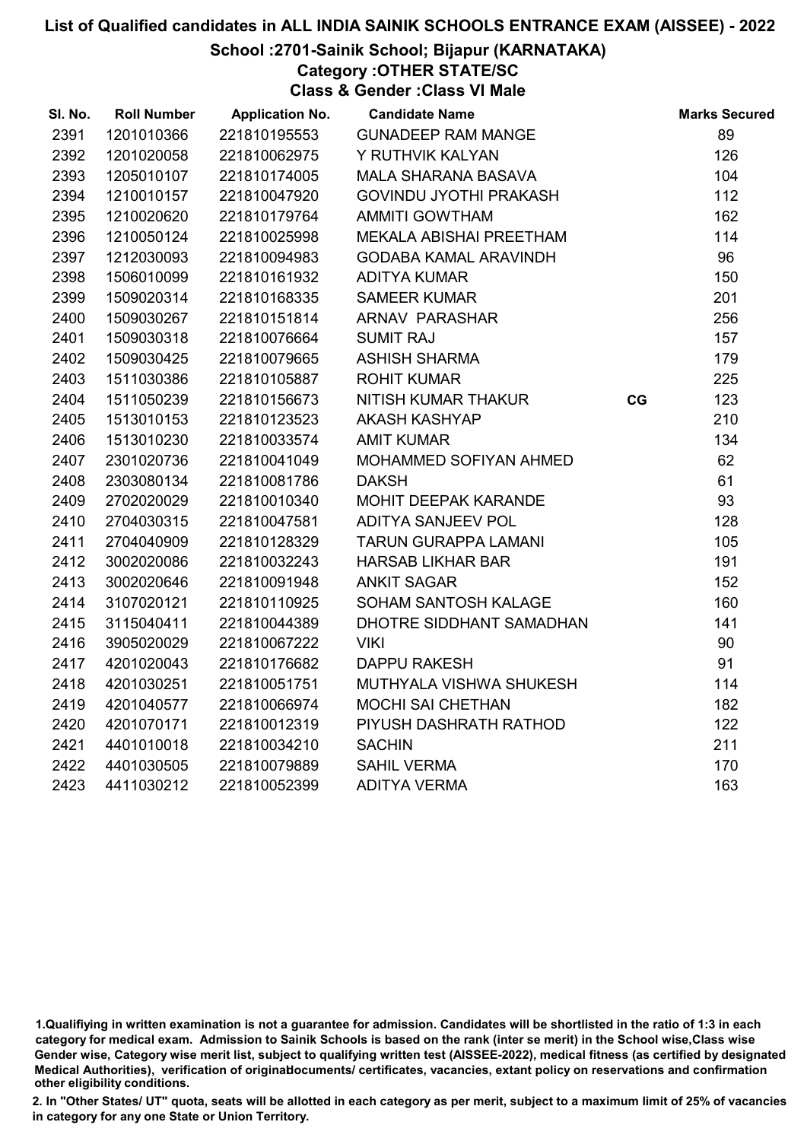# School :2701-Sainik School; Bijapur (KARNATAKA)

Category :OTHER STATE/SC

Class & Gender :Class VI Male

| SI. No. | <b>Roll Number</b> | <b>Application No.</b> | <b>Candidate Name</b>         |    | <b>Marks Secured</b> |
|---------|--------------------|------------------------|-------------------------------|----|----------------------|
| 2391    | 1201010366         | 221810195553           | <b>GUNADEEP RAM MANGE</b>     |    | 89                   |
| 2392    | 1201020058         | 221810062975           | Y RUTHVIK KALYAN              |    | 126                  |
| 2393    | 1205010107         | 221810174005           | <b>MALA SHARANA BASAVA</b>    |    | 104                  |
| 2394    | 1210010157         | 221810047920           | <b>GOVINDU JYOTHI PRAKASH</b> |    | 112                  |
| 2395    | 1210020620         | 221810179764           | <b>AMMITI GOWTHAM</b>         |    | 162                  |
| 2396    | 1210050124         | 221810025998           | MEKALA ABISHAI PREETHAM       |    | 114                  |
| 2397    | 1212030093         | 221810094983           | <b>GODABA KAMAL ARAVINDH</b>  |    | 96                   |
| 2398    | 1506010099         | 221810161932           | <b>ADITYA KUMAR</b>           |    | 150                  |
| 2399    | 1509020314         | 221810168335           | <b>SAMEER KUMAR</b>           |    | 201                  |
| 2400    | 1509030267         | 221810151814           | ARNAV PARASHAR                |    | 256                  |
| 2401    | 1509030318         | 221810076664           | <b>SUMIT RAJ</b>              |    | 157                  |
| 2402    | 1509030425         | 221810079665           | <b>ASHISH SHARMA</b>          |    | 179                  |
| 2403    | 1511030386         | 221810105887           | <b>ROHIT KUMAR</b>            |    | 225                  |
| 2404    | 1511050239         | 221810156673           | NITISH KUMAR THAKUR           | CG | 123                  |
| 2405    | 1513010153         | 221810123523           | <b>AKASH KASHYAP</b>          |    | 210                  |
| 2406    | 1513010230         | 221810033574           | <b>AMIT KUMAR</b>             |    | 134                  |
| 2407    | 2301020736         | 221810041049           | MOHAMMED SOFIYAN AHMED        |    | 62                   |
| 2408    | 2303080134         | 221810081786           | <b>DAKSH</b>                  |    | 61                   |
| 2409    | 2702020029         | 221810010340           | MOHIT DEEPAK KARANDE          |    | 93                   |
| 2410    | 2704030315         | 221810047581           | <b>ADITYA SANJEEV POL</b>     |    | 128                  |
| 2411    | 2704040909         | 221810128329           | <b>TARUN GURAPPA LAMANI</b>   |    | 105                  |
| 2412    | 3002020086         | 221810032243           | <b>HARSAB LIKHAR BAR</b>      |    | 191                  |
| 2413    | 3002020646         | 221810091948           | <b>ANKIT SAGAR</b>            |    | 152                  |
| 2414    | 3107020121         | 221810110925           | SOHAM SANTOSH KALAGE          |    | 160                  |
| 2415    | 3115040411         | 221810044389           | DHOTRE SIDDHANT SAMADHAN      |    | 141                  |
| 2416    | 3905020029         | 221810067222           | <b>VIKI</b>                   |    | 90                   |
| 2417    | 4201020043         | 221810176682           | <b>DAPPU RAKESH</b>           |    | 91                   |
| 2418    | 4201030251         | 221810051751           | MUTHYALA VISHWA SHUKESH       |    | 114                  |
| 2419    | 4201040577         | 221810066974           | <b>MOCHI SAI CHETHAN</b>      |    | 182                  |
| 2420    | 4201070171         | 221810012319           | PIYUSH DASHRATH RATHOD        |    | 122                  |
| 2421    | 4401010018         | 221810034210           | <b>SACHIN</b>                 |    | 211                  |
| 2422    | 4401030505         | 221810079889           | <b>SAHIL VERMA</b>            |    | 170                  |
| 2423    | 4411030212         | 221810052399           | <b>ADITYA VERMA</b>           |    | 163                  |

<sup>1.</sup>Qualifiying in written examination is not a guarantee for admission. Candidates will be shortlisted in the ratio of 1:3 in each category for medical exam. Admission to Sainik Schools is based on the rank (inter se merit) in the School wise,Class wise Gender wise, Category wise merit list, subject to qualifying written test (AISSEE-2022), medical fitness (as certified by designated Medical Authorities), verification of originablocuments/ certificates, vacancies, extant policy on reservations and confirmation other eligibility conditions.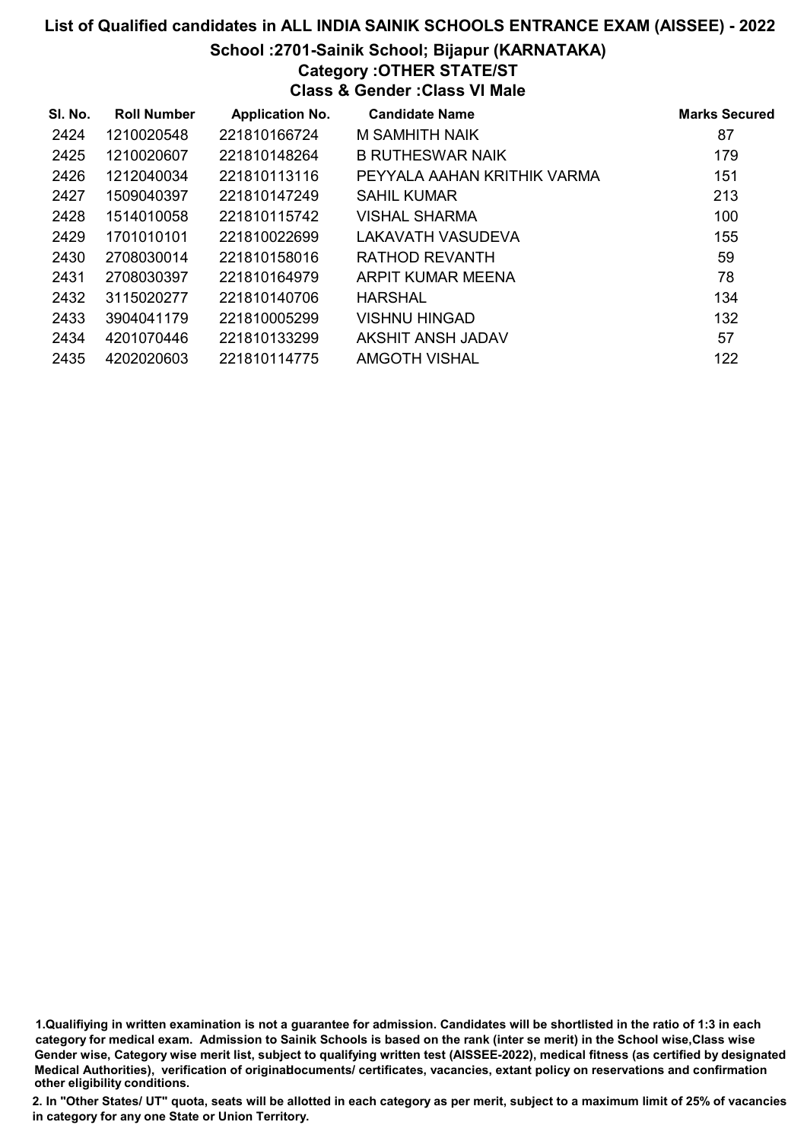# List of Qualified candidates in ALL INDIA SAINIK SCHOOLS ENTRANCE EXAM (AISSEE) - 2022 School :2701-Sainik School; Bijapur (KARNATAKA) Category :OTHER STATE/ST Class & Gender :Class VI Male

| SI. No. | <b>Roll Number</b> | <b>Application No.</b> | <b>Candidate Name</b>       | <b>Marks Secured</b> |
|---------|--------------------|------------------------|-----------------------------|----------------------|
| 2424    | 1210020548         | 221810166724           | M SAMHITH NAIK              | 87                   |
| 2425    | 1210020607         | 221810148264           | <b>B RUTHESWAR NAIK</b>     | 179                  |
| 2426    | 1212040034         | 221810113116           | PEYYALA AAHAN KRITHIK VARMA | 151                  |
| 2427    | 1509040397         | 221810147249           | <b>SAHIL KUMAR</b>          | 213                  |
| 2428    | 1514010058         | 221810115742           | <b>VISHAL SHARMA</b>        | 100                  |
| 2429    | 1701010101         | 221810022699           | LAKAVATH VASUDEVA           | 155                  |
| 2430    | 2708030014         | 221810158016           | RATHOD REVANTH              | 59                   |
| 2431    | 2708030397         | 221810164979           | ARPIT KUMAR MEENA           | 78                   |
| 2432    | 3115020277         | 221810140706           | <b>HARSHAL</b>              | 134                  |
| 2433    | 3904041179         | 221810005299           | VISHNU HINGAD               | 132                  |
| 2434    | 4201070446         | 221810133299           | AKSHIT ANSH JADAV           | 57                   |
| 2435    | 4202020603         | 221810114775           | AMGOTH VISHAL               | 122                  |

1.Qualifiying in written examination is not a guarantee for admission. Candidates will be shortlisted in the ratio of 1:3 in each category for medical exam. Admission to Sainik Schools is based on the rank (inter se merit) in the School wise,Class wise Gender wise, Category wise merit list, subject to qualifying written test (AISSEE-2022), medical fitness (as certified by designated Medical Authorities), verification of originablocuments/ certificates, vacancies, extant policy on reservations and confirmation other eligibility conditions.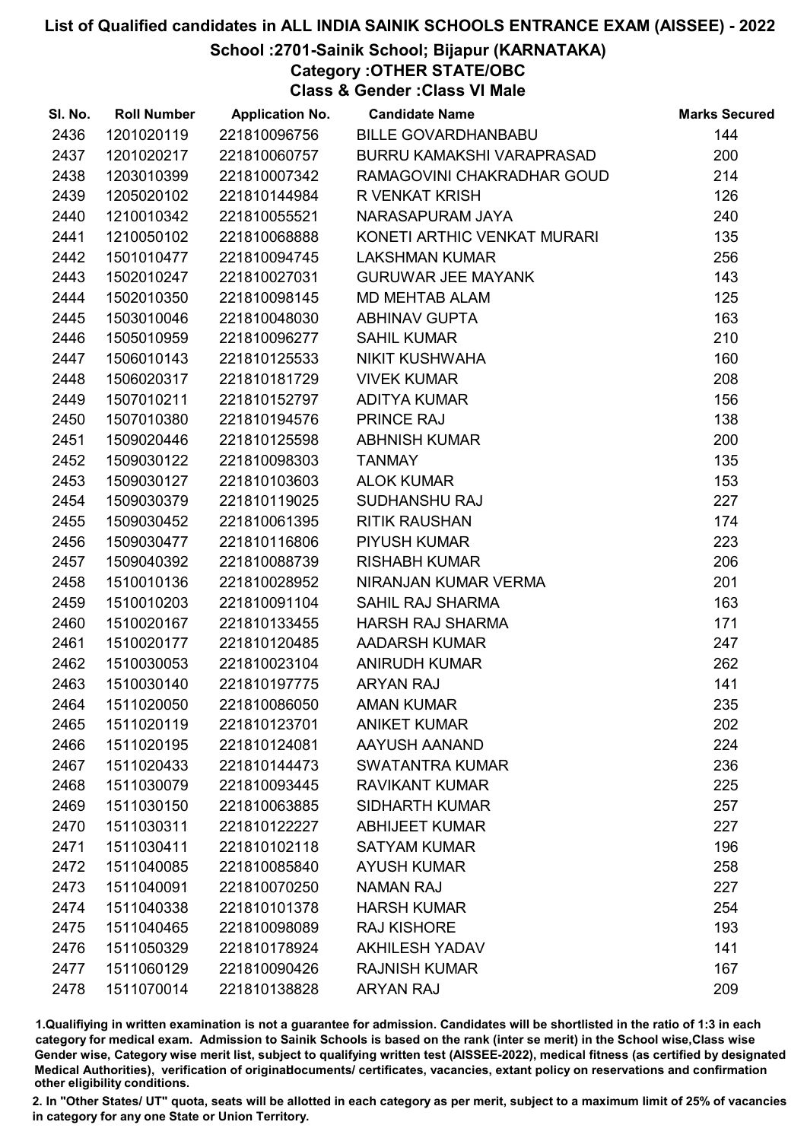## School :2701-Sainik School; Bijapur (KARNATAKA)

Category :OTHER STATE/OBC

Class & Gender :Class VI Male

| SI. No. | <b>Roll Number</b> | <b>Application No.</b> | <b>Candidate Name</b>       | <b>Marks Secured</b> |
|---------|--------------------|------------------------|-----------------------------|----------------------|
| 2436    | 1201020119         | 221810096756           | <b>BILLE GOVARDHANBABU</b>  | 144                  |
| 2437    | 1201020217         | 221810060757           | BURRU KAMAKSHI VARAPRASAD   | 200                  |
| 2438    | 1203010399         | 221810007342           | RAMAGOVINI CHAKRADHAR GOUD  | 214                  |
| 2439    | 1205020102         | 221810144984           | <b>R VENKAT KRISH</b>       | 126                  |
| 2440    | 1210010342         | 221810055521           | NARASAPURAM JAYA            | 240                  |
| 2441    | 1210050102         | 221810068888           | KONETI ARTHIC VENKAT MURARI | 135                  |
| 2442    | 1501010477         | 221810094745           | <b>LAKSHMAN KUMAR</b>       | 256                  |
| 2443    | 1502010247         | 221810027031           | <b>GURUWAR JEE MAYANK</b>   | 143                  |
| 2444    | 1502010350         | 221810098145           | <b>MD MEHTAB ALAM</b>       | 125                  |
| 2445    | 1503010046         | 221810048030           | <b>ABHINAV GUPTA</b>        | 163                  |
| 2446    | 1505010959         | 221810096277           | <b>SAHIL KUMAR</b>          | 210                  |
| 2447    | 1506010143         | 221810125533           | NIKIT KUSHWAHA              | 160                  |
| 2448    | 1506020317         | 221810181729           | <b>VIVEK KUMAR</b>          | 208                  |
| 2449    | 1507010211         | 221810152797           | <b>ADITYA KUMAR</b>         | 156                  |
| 2450    | 1507010380         | 221810194576           | <b>PRINCE RAJ</b>           | 138                  |
| 2451    | 1509020446         | 221810125598           | <b>ABHNISH KUMAR</b>        | 200                  |
| 2452    | 1509030122         | 221810098303           | <b>TANMAY</b>               | 135                  |
| 2453    | 1509030127         | 221810103603           | <b>ALOK KUMAR</b>           | 153                  |
| 2454    | 1509030379         | 221810119025           | SUDHANSHU RAJ               | 227                  |
| 2455    | 1509030452         | 221810061395           | <b>RITIK RAUSHAN</b>        | 174                  |
| 2456    | 1509030477         | 221810116806           | PIYUSH KUMAR                | 223                  |
| 2457    | 1509040392         | 221810088739           | <b>RISHABH KUMAR</b>        | 206                  |
| 2458    | 1510010136         | 221810028952           | NIRANJAN KUMAR VERMA        | 201                  |
| 2459    | 1510010203         | 221810091104           | <b>SAHIL RAJ SHARMA</b>     | 163                  |
| 2460    | 1510020167         | 221810133455           | <b>HARSH RAJ SHARMA</b>     | 171                  |
| 2461    | 1510020177         | 221810120485           | <b>AADARSH KUMAR</b>        | 247                  |
| 2462    | 1510030053         | 221810023104           | <b>ANIRUDH KUMAR</b>        | 262                  |
| 2463    | 1510030140         | 221810197775           | <b>ARYAN RAJ</b>            | 141                  |
| 2464    | 1511020050         | 221810086050           | <b>AMAN KUMAR</b>           | 235                  |
| 2465    | 1511020119         | 221810123701           | <b>ANIKET KUMAR</b>         | 202                  |
| 2466    | 1511020195         | 221810124081           | AAYUSH AANAND               | 224                  |
| 2467    | 1511020433         | 221810144473           | <b>SWATANTRA KUMAR</b>      | 236                  |
| 2468    | 1511030079         | 221810093445           | <b>RAVIKANT KUMAR</b>       | 225                  |
| 2469    | 1511030150         | 221810063885           | <b>SIDHARTH KUMAR</b>       | 257                  |
| 2470    | 1511030311         | 221810122227           | <b>ABHIJEET KUMAR</b>       | 227                  |
| 2471    | 1511030411         | 221810102118           | <b>SATYAM KUMAR</b>         | 196                  |
| 2472    | 1511040085         | 221810085840           | <b>AYUSH KUMAR</b>          | 258                  |
| 2473    | 1511040091         | 221810070250           | <b>NAMAN RAJ</b>            | 227                  |
| 2474    | 1511040338         | 221810101378           | <b>HARSH KUMAR</b>          | 254                  |
| 2475    | 1511040465         | 221810098089           | <b>RAJ KISHORE</b>          | 193                  |
| 2476    | 1511050329         | 221810178924           | <b>AKHILESH YADAV</b>       | 141                  |
| 2477    | 1511060129         | 221810090426           | <b>RAJNISH KUMAR</b>        | 167                  |
| 2478    | 1511070014         | 221810138828           | <b>ARYAN RAJ</b>            | 209                  |

1.Qualifiying in written examination is not a guarantee for admission. Candidates will be shortlisted in the ratio of 1:3 in each category for medical exam. Admission to Sainik Schools is based on the rank (inter se merit) in the School wise,Class wise Gender wise, Category wise merit list, subject to qualifying written test (AISSEE-2022), medical fitness (as certified by designated Medical Authorities), verification of originablocuments/ certificates, vacancies, extant policy on reservations and confirmation other eligibility conditions.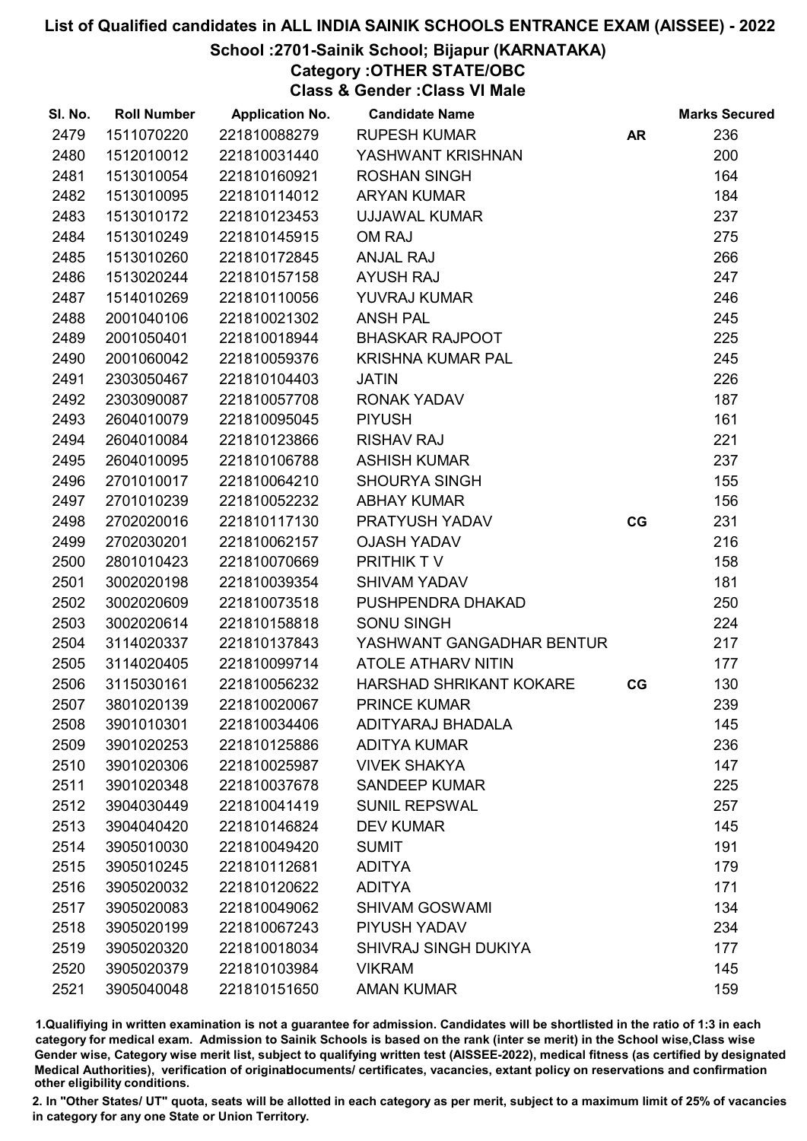## School :2701-Sainik School; Bijapur (KARNATAKA)

Category :OTHER STATE/OBC

Class & Gender :Class VI Male

| SI. No. | <b>Roll Number</b> | <b>Application No.</b> | <b>Candidate Name</b>       |           | <b>Marks Secured</b> |
|---------|--------------------|------------------------|-----------------------------|-----------|----------------------|
| 2479    | 1511070220         | 221810088279           | <b>RUPESH KUMAR</b>         | <b>AR</b> | 236                  |
| 2480    | 1512010012         | 221810031440           | YASHWANT KRISHNAN           |           | 200                  |
| 2481    | 1513010054         | 221810160921           | <b>ROSHAN SINGH</b>         |           | 164                  |
| 2482    | 1513010095         | 221810114012           | <b>ARYAN KUMAR</b>          |           | 184                  |
| 2483    | 1513010172         | 221810123453           | <b>UJJAWAL KUMAR</b>        |           | 237                  |
| 2484    | 1513010249         | 221810145915           | OM RAJ                      |           | 275                  |
| 2485    | 1513010260         | 221810172845           | <b>ANJAL RAJ</b>            |           | 266                  |
| 2486    | 1513020244         | 221810157158           | <b>AYUSH RAJ</b>            |           | 247                  |
| 2487    | 1514010269         | 221810110056           | YUVRAJ KUMAR                |           | 246                  |
| 2488    | 2001040106         | 221810021302           | <b>ANSH PAL</b>             |           | 245                  |
| 2489    | 2001050401         | 221810018944           | <b>BHASKAR RAJPOOT</b>      |           | 225                  |
| 2490    | 2001060042         | 221810059376           | <b>KRISHNA KUMAR PAL</b>    |           | 245                  |
| 2491    | 2303050467         | 221810104403           | <b>JATIN</b>                |           | 226                  |
| 2492    | 2303090087         | 221810057708           | <b>RONAK YADAV</b>          |           | 187                  |
| 2493    | 2604010079         | 221810095045           | <b>PIYUSH</b>               |           | 161                  |
| 2494    | 2604010084         | 221810123866           | <b>RISHAV RAJ</b>           |           | 221                  |
| 2495    | 2604010095         | 221810106788           | <b>ASHISH KUMAR</b>         |           | 237                  |
| 2496    | 2701010017         | 221810064210           | <b>SHOURYA SINGH</b>        |           | 155                  |
| 2497    | 2701010239         | 221810052232           | <b>ABHAY KUMAR</b>          |           | 156                  |
| 2498    | 2702020016         | 221810117130           | PRATYUSH YADAV              | CG        | 231                  |
| 2499    | 2702030201         | 221810062157           | <b>OJASH YADAV</b>          |           | 216                  |
| 2500    | 2801010423         | 221810070669           | PRITHIK TV                  |           | 158                  |
| 2501    | 3002020198         | 221810039354           | <b>SHIVAM YADAV</b>         |           | 181                  |
| 2502    | 3002020609         | 221810073518           | PUSHPENDRA DHAKAD           |           | 250                  |
| 2503    | 3002020614         | 221810158818           | <b>SONU SINGH</b>           |           | 224                  |
| 2504    | 3114020337         | 221810137843           | YASHWANT GANGADHAR BENTUR   |           | 217                  |
| 2505    | 3114020405         | 221810099714           | <b>ATOLE ATHARV NITIN</b>   |           | 177                  |
| 2506    | 3115030161         | 221810056232           | HARSHAD SHRIKANT KOKARE     | CG        | 130                  |
| 2507    | 3801020139         | 221810020067           | <b>PRINCE KUMAR</b>         |           | 239                  |
| 2508    | 3901010301         | 221810034406           | ADITYARAJ BHADALA           |           | 145                  |
| 2509    | 3901020253         | 221810125886           | <b>ADITYA KUMAR</b>         |           | 236                  |
| 2510    | 3901020306         | 221810025987           | <b>VIVEK SHAKYA</b>         |           | 147                  |
| 2511    | 3901020348         | 221810037678           | <b>SANDEEP KUMAR</b>        |           | 225                  |
| 2512    | 3904030449         | 221810041419           | <b>SUNIL REPSWAL</b>        |           | 257                  |
| 2513    | 3904040420         | 221810146824           | <b>DEV KUMAR</b>            |           | 145                  |
| 2514    | 3905010030         | 221810049420           | <b>SUMIT</b>                |           | 191                  |
| 2515    | 3905010245         | 221810112681           | <b>ADITYA</b>               |           | 179                  |
| 2516    | 3905020032         | 221810120622           | <b>ADITYA</b>               |           | 171                  |
| 2517    | 3905020083         | 221810049062           | <b>SHIVAM GOSWAMI</b>       |           | 134                  |
| 2518    | 3905020199         | 221810067243           | PIYUSH YADAV                |           | 234                  |
| 2519    | 3905020320         | 221810018034           | <b>SHIVRAJ SINGH DUKIYA</b> |           | 177                  |
| 2520    | 3905020379         | 221810103984           | <b>VIKRAM</b>               |           | 145                  |
| 2521    | 3905040048         | 221810151650           | <b>AMAN KUMAR</b>           |           | 159                  |

1.Qualifiying in written examination is not a guarantee for admission. Candidates will be shortlisted in the ratio of 1:3 in each category for medical exam. Admission to Sainik Schools is based on the rank (inter se merit) in the School wise,Class wise Gender wise, Category wise merit list, subject to qualifying written test (AISSEE-2022), medical fitness (as certified by designated Medical Authorities), verification of originablocuments/ certificates, vacancies, extant policy on reservations and confirmation other eligibility conditions.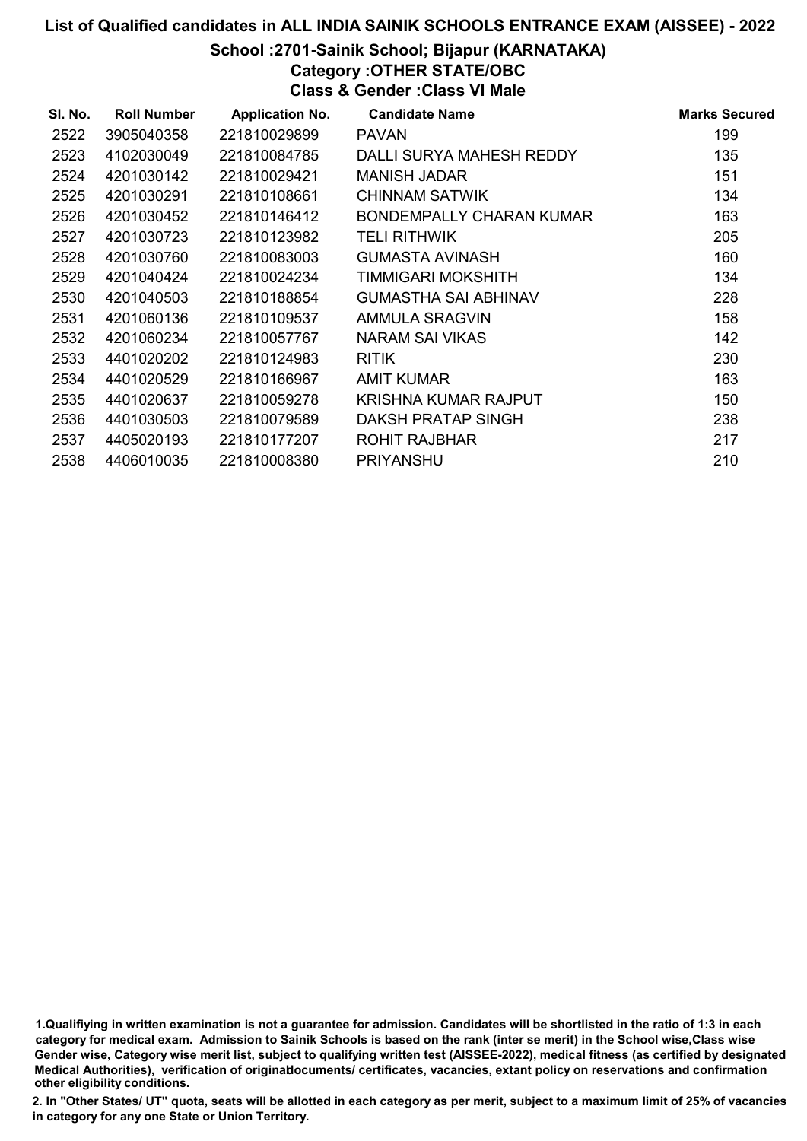# List of Qualified candidates in ALL INDIA SAINIK SCHOOLS ENTRANCE EXAM (AISSEE) - 2022 School :2701-Sainik School; Bijapur (KARNATAKA)

# Category :OTHER STATE/OBC

Class & Gender :Class VI Male

| SI. No. | <b>Roll Number</b> | <b>Application No.</b> | <b>Candidate Name</b>       | <b>Marks Secured</b> |
|---------|--------------------|------------------------|-----------------------------|----------------------|
| 2522    | 3905040358         | 221810029899           | <b>PAVAN</b>                | 199                  |
| 2523    | 4102030049         | 221810084785           | DALLI SURYA MAHESH REDDY    | 135                  |
| 2524    | 4201030142         | 221810029421           | <b>MANISH JADAR</b>         | 151                  |
| 2525    | 4201030291         | 221810108661           | CHINNAM SATWIK              | 134                  |
| 2526    | 4201030452         | 221810146412           | BONDEMPALLY CHARAN KUMAR    | 163                  |
| 2527    | 4201030723         | 221810123982           | <b>TELI RITHWIK</b>         | 205                  |
| 2528    | 4201030760         | 221810083003           | GUMASTA AVINASH             | 160                  |
| 2529    | 4201040424         | 221810024234           | TIMMIGARI MOKSHITH          | 134                  |
| 2530    | 4201040503         | 221810188854           | <b>GUMASTHA SAI ABHINAV</b> | 228                  |
| 2531    | 4201060136         | 221810109537           | AMMULA SRAGVIN              | 158                  |
| 2532    | 4201060234         | 221810057767           | NARAM SAI VIKAS             | 142                  |
| 2533    | 4401020202         | 221810124983           | <b>RITIK</b>                | 230                  |
| 2534    | 4401020529         | 221810166967           | <b>AMIT KUMAR</b>           | 163                  |
| 2535    | 4401020637         | 221810059278           | KRISHNA KUMAR RAJPUT        | 150                  |
| 2536    | 4401030503         | 221810079589           | DAKSH PRATAP SINGH          | 238                  |
| 2537    | 4405020193         | 221810177207           | ROHIT RAJBHAR               | 217                  |
| 2538    | 4406010035         | 221810008380           | <b>PRIYANSHU</b>            | 210                  |

<sup>1.</sup>Qualifiying in written examination is not a guarantee for admission. Candidates will be shortlisted in the ratio of 1:3 in each category for medical exam. Admission to Sainik Schools is based on the rank (inter se merit) in the School wise,Class wise Gender wise, Category wise merit list, subject to qualifying written test (AISSEE-2022), medical fitness (as certified by designated Medical Authorities), verification of originablocuments/ certificates, vacancies, extant policy on reservations and confirmation other eligibility conditions.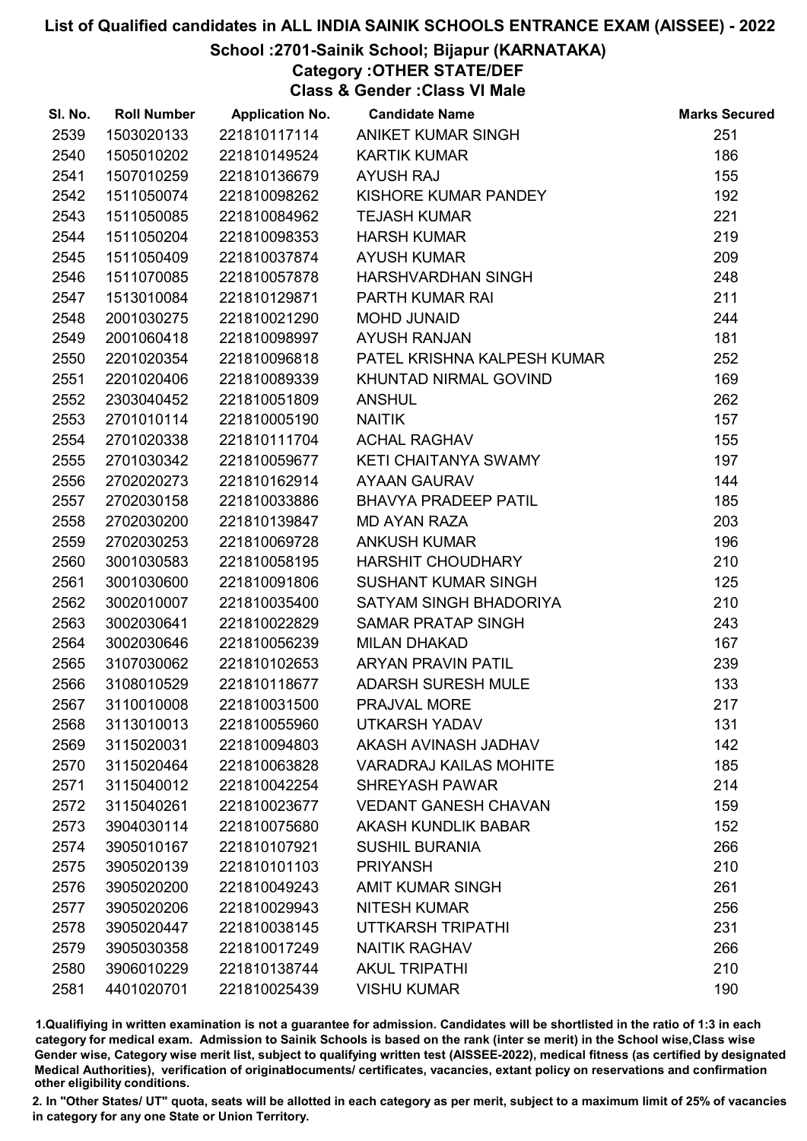### School :2701-Sainik School; Bijapur (KARNATAKA)

Category :OTHER STATE/DEF

Class & Gender :Class VI Male

| SI. No. | <b>Roll Number</b> | <b>Application No.</b> | <b>Candidate Name</b>         | <b>Marks Secured</b> |
|---------|--------------------|------------------------|-------------------------------|----------------------|
| 2539    | 1503020133         | 221810117114           | ANIKET KUMAR SINGH            | 251                  |
| 2540    | 1505010202         | 221810149524           | <b>KARTIK KUMAR</b>           | 186                  |
| 2541    | 1507010259         | 221810136679           | <b>AYUSH RAJ</b>              | 155                  |
| 2542    | 1511050074         | 221810098262           | KISHORE KUMAR PANDEY          | 192                  |
| 2543    | 1511050085         | 221810084962           | <b>TEJASH KUMAR</b>           | 221                  |
| 2544    | 1511050204         | 221810098353           | <b>HARSH KUMAR</b>            | 219                  |
| 2545    | 1511050409         | 221810037874           | <b>AYUSH KUMAR</b>            | 209                  |
| 2546    | 1511070085         | 221810057878           | HARSHVARDHAN SINGH            | 248                  |
| 2547    | 1513010084         | 221810129871           | PARTH KUMAR RAI               | 211                  |
| 2548    | 2001030275         | 221810021290           | <b>MOHD JUNAID</b>            | 244                  |
| 2549    | 2001060418         | 221810098997           | <b>AYUSH RANJAN</b>           | 181                  |
| 2550    | 2201020354         | 221810096818           | PATEL KRISHNA KALPESH KUMAR   | 252                  |
| 2551    | 2201020406         | 221810089339           | KHUNTAD NIRMAL GOVIND         | 169                  |
| 2552    | 2303040452         | 221810051809           | <b>ANSHUL</b>                 | 262                  |
| 2553    | 2701010114         | 221810005190           | <b>NAITIK</b>                 | 157                  |
| 2554    | 2701020338         | 221810111704           | <b>ACHAL RAGHAV</b>           | 155                  |
| 2555    | 2701030342         | 221810059677           | KETI CHAITANYA SWAMY          | 197                  |
| 2556    | 2702020273         | 221810162914           | <b>AYAAN GAURAV</b>           | 144                  |
| 2557    | 2702030158         | 221810033886           | <b>BHAVYA PRADEEP PATIL</b>   | 185                  |
| 2558    | 2702030200         | 221810139847           | <b>MD AYAN RAZA</b>           | 203                  |
| 2559    | 2702030253         | 221810069728           | <b>ANKUSH KUMAR</b>           | 196                  |
| 2560    | 3001030583         | 221810058195           | HARSHIT CHOUDHARY             | 210                  |
| 2561    | 3001030600         | 221810091806           | <b>SUSHANT KUMAR SINGH</b>    | 125                  |
| 2562    | 3002010007         | 221810035400           | SATYAM SINGH BHADORIYA        | 210                  |
| 2563    | 3002030641         | 221810022829           | <b>SAMAR PRATAP SINGH</b>     | 243                  |
| 2564    | 3002030646         | 221810056239           | <b>MILAN DHAKAD</b>           | 167                  |
| 2565    | 3107030062         | 221810102653           | <b>ARYAN PRAVIN PATIL</b>     | 239                  |
| 2566    | 3108010529         | 221810118677           | <b>ADARSH SURESH MULE</b>     | 133                  |
| 2567    | 3110010008         | 221810031500           | PRAJVAL MORE                  | 217                  |
| 2568    | 3113010013         | 221810055960           | <b>UTKARSH YADAV</b>          | 131                  |
| 2569    | 3115020031         | 221810094803           | AKASH AVINASH JADHAV          | 142                  |
| 2570    | 3115020464         | 221810063828           | <b>VARADRAJ KAILAS MOHITE</b> | 185                  |
| 2571    | 3115040012         | 221810042254           | <b>SHREYASH PAWAR</b>         | 214                  |
| 2572    | 3115040261         | 221810023677           | <b>VEDANT GANESH CHAVAN</b>   | 159                  |
| 2573    | 3904030114         | 221810075680           | <b>AKASH KUNDLIK BABAR</b>    | 152                  |
| 2574    | 3905010167         | 221810107921           | <b>SUSHIL BURANIA</b>         | 266                  |
| 2575    | 3905020139         | 221810101103           | <b>PRIYANSH</b>               | 210                  |
| 2576    | 3905020200         | 221810049243           | <b>AMIT KUMAR SINGH</b>       | 261                  |
| 2577    | 3905020206         | 221810029943           | <b>NITESH KUMAR</b>           | 256                  |
| 2578    | 3905020447         | 221810038145           | UTTKARSH TRIPATHI             | 231                  |
| 2579    | 3905030358         | 221810017249           | <b>NAITIK RAGHAV</b>          | 266                  |
| 2580    | 3906010229         | 221810138744           | <b>AKUL TRIPATHI</b>          | 210                  |
| 2581    | 4401020701         | 221810025439           | <b>VISHU KUMAR</b>            | 190                  |

1.Qualifiying in written examination is not a guarantee for admission. Candidates will be shortlisted in the ratio of 1:3 in each category for medical exam. Admission to Sainik Schools is based on the rank (inter se merit) in the School wise,Class wise Gender wise, Category wise merit list, subject to qualifying written test (AISSEE-2022), medical fitness (as certified by designated Medical Authorities), verification of originablocuments/ certificates, vacancies, extant policy on reservations and confirmation other eligibility conditions.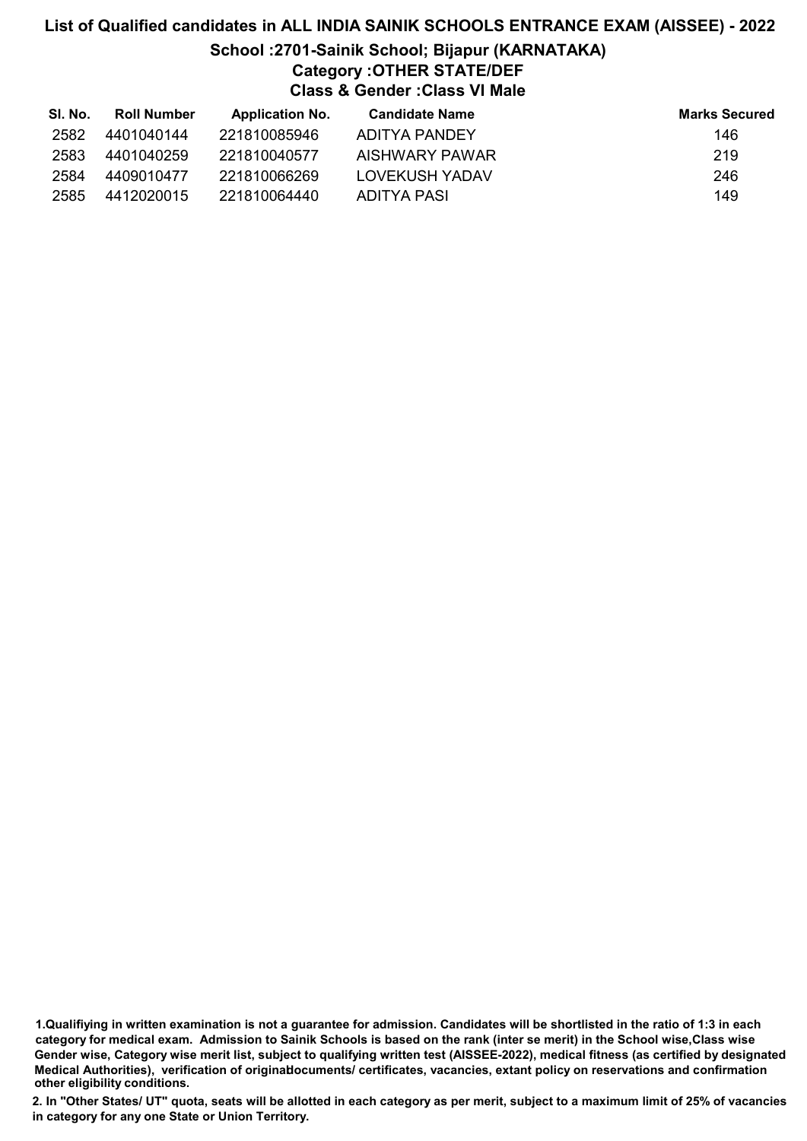# List of Qualified candidates in ALL INDIA SAINIK SCHOOLS ENTRANCE EXAM (AISSEE) - 2022 School :2701-Sainik School; Bijapur (KARNATAKA) Category :OTHER STATE/DEF Class & Gender :Class VI Male

| SI. No. | <b>Roll Number</b> | <b>Application No.</b> | Candidate Name | <b>Marks Secured</b> |
|---------|--------------------|------------------------|----------------|----------------------|
| 2582    | 4401040144         | 221810085946           | ADITYA PANDEY  | 146                  |
| 2583    | 4401040259         | 221810040577           | AISHWARY PAWAR | 219                  |
| 2584    | 4409010477         | 221810066269           | LOVEKUSH YADAV | 246                  |
| 2585    | 4412020015         | 221810064440           | ADITYA PASI    | 149                  |

1.Qualifiying in written examination is not a guarantee for admission. Candidates will be shortlisted in the ratio of 1:3 in each category for medical exam. Admission to Sainik Schools is based on the rank (inter se merit) in the School wise,Class wise Gender wise, Category wise merit list, subject to qualifying written test (AISSEE-2022), medical fitness (as certified by designated Medical Authorities), verification of originablocuments/ certificates, vacancies, extant policy on reservations and confirmation other eligibility conditions.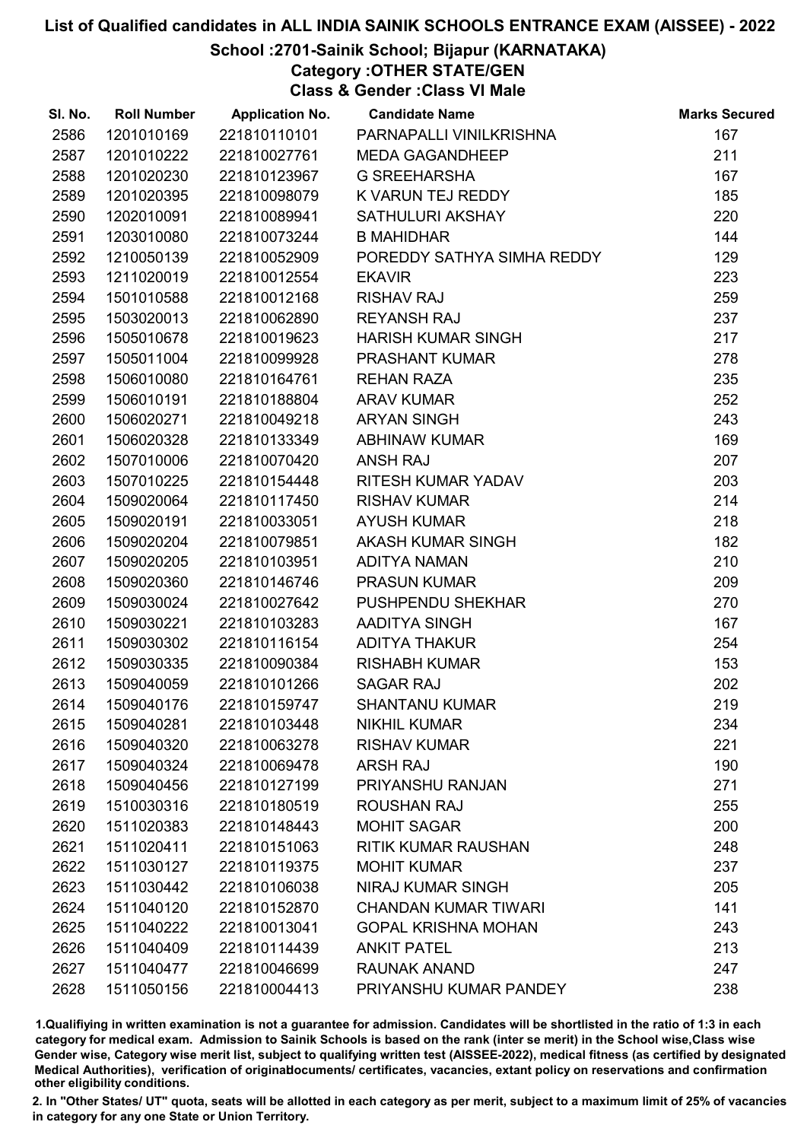### School :2701-Sainik School; Bijapur (KARNATAKA)

Category :OTHER STATE/GEN

Class & Gender :Class VI Male

| SI. No. | <b>Roll Number</b> | <b>Application No.</b> | <b>Candidate Name</b>       | <b>Marks Secured</b> |
|---------|--------------------|------------------------|-----------------------------|----------------------|
| 2586    | 1201010169         | 221810110101           | PARNAPALLI VINILKRISHNA     | 167                  |
| 2587    | 1201010222         | 221810027761           | <b>MEDA GAGANDHEEP</b>      | 211                  |
| 2588    | 1201020230         | 221810123967           | <b>G SREEHARSHA</b>         | 167                  |
| 2589    | 1201020395         | 221810098079           | K VARUN TEJ REDDY           | 185                  |
| 2590    | 1202010091         | 221810089941           | SATHULURI AKSHAY            | 220                  |
| 2591    | 1203010080         | 221810073244           | <b>B MAHIDHAR</b>           | 144                  |
| 2592    | 1210050139         | 221810052909           | POREDDY SATHYA SIMHA REDDY  | 129                  |
| 2593    | 1211020019         | 221810012554           | <b>EKAVIR</b>               | 223                  |
| 2594    | 1501010588         | 221810012168           | <b>RISHAV RAJ</b>           | 259                  |
| 2595    | 1503020013         | 221810062890           | <b>REYANSH RAJ</b>          | 237                  |
| 2596    | 1505010678         | 221810019623           | <b>HARISH KUMAR SINGH</b>   | 217                  |
| 2597    | 1505011004         | 221810099928           | <b>PRASHANT KUMAR</b>       | 278                  |
| 2598    | 1506010080         | 221810164761           | <b>REHAN RAZA</b>           | 235                  |
| 2599    | 1506010191         | 221810188804           | <b>ARAV KUMAR</b>           | 252                  |
| 2600    | 1506020271         | 221810049218           | <b>ARYAN SINGH</b>          | 243                  |
| 2601    | 1506020328         | 221810133349           | <b>ABHINAW KUMAR</b>        | 169                  |
| 2602    | 1507010006         | 221810070420           | <b>ANSH RAJ</b>             | 207                  |
| 2603    | 1507010225         | 221810154448           | RITESH KUMAR YADAV          | 203                  |
| 2604    | 1509020064         | 221810117450           | <b>RISHAV KUMAR</b>         | 214                  |
| 2605    | 1509020191         | 221810033051           | <b>AYUSH KUMAR</b>          | 218                  |
| 2606    | 1509020204         | 221810079851           | AKASH KUMAR SINGH           | 182                  |
| 2607    | 1509020205         | 221810103951           | <b>ADITYA NAMAN</b>         | 210                  |
| 2608    | 1509020360         | 221810146746           | <b>PRASUN KUMAR</b>         | 209                  |
| 2609    | 1509030024         | 221810027642           | <b>PUSHPENDU SHEKHAR</b>    | 270                  |
| 2610    | 1509030221         | 221810103283           | AADITYA SINGH               | 167                  |
| 2611    | 1509030302         | 221810116154           | <b>ADITYA THAKUR</b>        | 254                  |
| 2612    | 1509030335         | 221810090384           | <b>RISHABH KUMAR</b>        | 153                  |
| 2613    | 1509040059         | 221810101266           | <b>SAGAR RAJ</b>            | 202                  |
| 2614    | 1509040176         | 221810159747           | <b>SHANTANU KUMAR</b>       | 219                  |
| 2615    | 1509040281         | 221810103448           | <b>NIKHIL KUMAR</b>         | 234                  |
| 2616    | 1509040320         | 221810063278           | <b>RISHAV KUMAR</b>         | 221                  |
| 2617    | 1509040324         | 221810069478           | <b>ARSH RAJ</b>             | 190                  |
| 2618    | 1509040456         | 221810127199           | PRIYANSHU RANJAN            | 271                  |
| 2619    | 1510030316         | 221810180519           | <b>ROUSHAN RAJ</b>          | 255                  |
| 2620    | 1511020383         | 221810148443           | <b>MOHIT SAGAR</b>          | 200                  |
| 2621    | 1511020411         | 221810151063           | <b>RITIK KUMAR RAUSHAN</b>  | 248                  |
| 2622    | 1511030127         | 221810119375           | <b>MOHIT KUMAR</b>          | 237                  |
| 2623    | 1511030442         | 221810106038           | <b>NIRAJ KUMAR SINGH</b>    | 205                  |
| 2624    | 1511040120         | 221810152870           | <b>CHANDAN KUMAR TIWARI</b> | 141                  |
| 2625    | 1511040222         | 221810013041           | <b>GOPAL KRISHNA MOHAN</b>  | 243                  |
| 2626    | 1511040409         | 221810114439           | <b>ANKIT PATEL</b>          | 213                  |
| 2627    | 1511040477         | 221810046699           | <b>RAUNAK ANAND</b>         | 247                  |
| 2628    | 1511050156         | 221810004413           | PRIYANSHU KUMAR PANDEY      | 238                  |

1.Qualifiying in written examination is not a guarantee for admission. Candidates will be shortlisted in the ratio of 1:3 in each category for medical exam. Admission to Sainik Schools is based on the rank (inter se merit) in the School wise,Class wise Gender wise, Category wise merit list, subject to qualifying written test (AISSEE-2022), medical fitness (as certified by designated Medical Authorities), verification of originablocuments/ certificates, vacancies, extant policy on reservations and confirmation other eligibility conditions.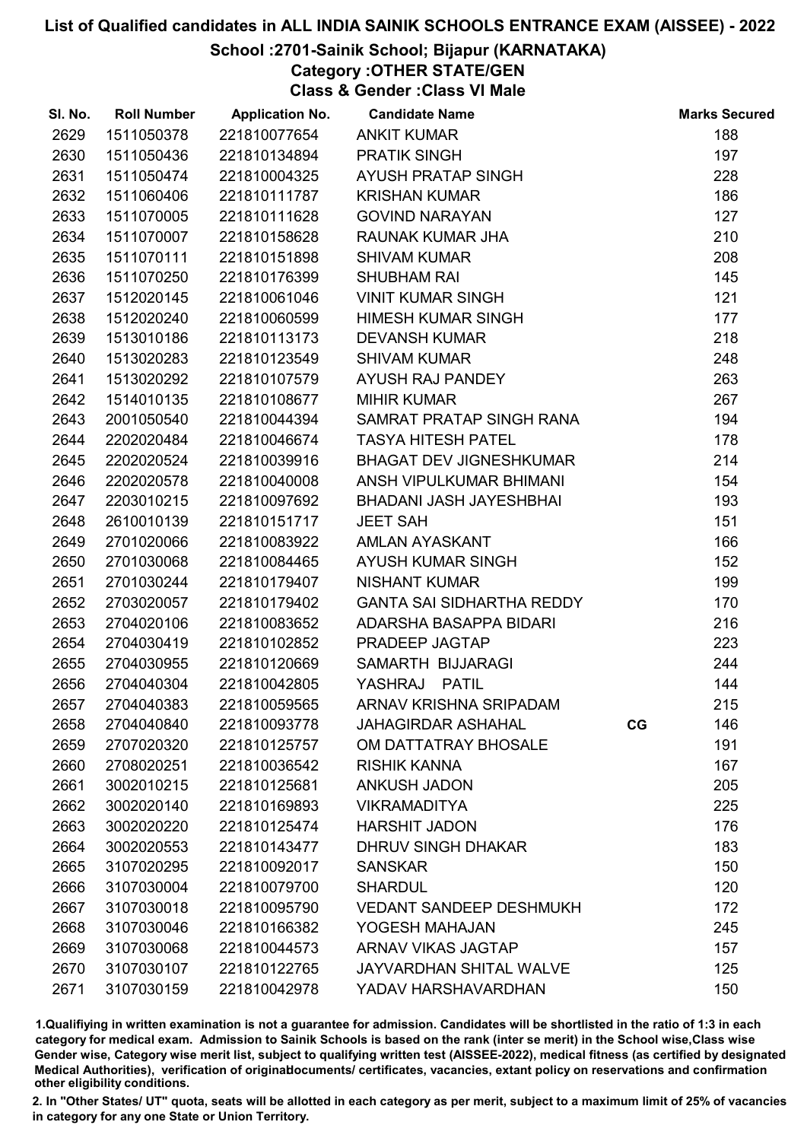## School :2701-Sainik School; Bijapur (KARNATAKA)

Category :OTHER STATE/GEN

Class & Gender :Class VI Male

| SI. No. | <b>Roll Number</b> | <b>Application No.</b> | <b>Candidate Name</b>          |    | <b>Marks Secured</b> |
|---------|--------------------|------------------------|--------------------------------|----|----------------------|
| 2629    | 1511050378         | 221810077654           | <b>ANKIT KUMAR</b>             |    | 188                  |
| 2630    | 1511050436         | 221810134894           | <b>PRATIK SINGH</b>            |    | 197                  |
| 2631    | 1511050474         | 221810004325           | AYUSH PRATAP SINGH             |    | 228                  |
| 2632    | 1511060406         | 221810111787           | <b>KRISHAN KUMAR</b>           |    | 186                  |
| 2633    | 1511070005         | 221810111628           | <b>GOVIND NARAYAN</b>          |    | 127                  |
| 2634    | 1511070007         | 221810158628           | RAUNAK KUMAR JHA               |    | 210                  |
| 2635    | 1511070111         | 221810151898           | <b>SHIVAM KUMAR</b>            |    | 208                  |
| 2636    | 1511070250         | 221810176399           | <b>SHUBHAM RAI</b>             |    | 145                  |
| 2637    | 1512020145         | 221810061046           | <b>VINIT KUMAR SINGH</b>       |    | 121                  |
| 2638    | 1512020240         | 221810060599           | <b>HIMESH KUMAR SINGH</b>      |    | 177                  |
| 2639    | 1513010186         | 221810113173           | <b>DEVANSH KUMAR</b>           |    | 218                  |
| 2640    | 1513020283         | 221810123549           | <b>SHIVAM KUMAR</b>            |    | 248                  |
| 2641    | 1513020292         | 221810107579           | AYUSH RAJ PANDEY               |    | 263                  |
| 2642    | 1514010135         | 221810108677           | <b>MIHIR KUMAR</b>             |    | 267                  |
| 2643    | 2001050540         | 221810044394           | SAMRAT PRATAP SINGH RANA       |    | 194                  |
| 2644    | 2202020484         | 221810046674           | <b>TASYA HITESH PATEL</b>      |    | 178                  |
| 2645    | 2202020524         | 221810039916           | <b>BHAGAT DEV JIGNESHKUMAR</b> |    | 214                  |
| 2646    | 2202020578         | 221810040008           | ANSH VIPULKUMAR BHIMANI        |    | 154                  |
| 2647    | 2203010215         | 221810097692           | BHADANI JASH JAYESHBHAI        |    | 193                  |
| 2648    | 2610010139         | 221810151717           | <b>JEET SAH</b>                |    | 151                  |
| 2649    | 2701020066         | 221810083922           | AMLAN AYASKANT                 |    | 166                  |
| 2650    | 2701030068         | 221810084465           | <b>AYUSH KUMAR SINGH</b>       |    | 152                  |
| 2651    | 2701030244         | 221810179407           | <b>NISHANT KUMAR</b>           |    | 199                  |
| 2652    | 2703020057         | 221810179402           | GANTA SAI SIDHARTHA REDDY      |    | 170                  |
| 2653    | 2704020106         | 221810083652           | ADARSHA BASAPPA BIDARI         |    | 216                  |
| 2654    | 2704030419         | 221810102852           | PRADEEP JAGTAP                 |    | 223                  |
| 2655    | 2704030955         | 221810120669           | SAMARTH BIJJARAGI              |    | 244                  |
| 2656    | 2704040304         | 221810042805           | YASHRAJ PATIL                  |    | 144                  |
| 2657    | 2704040383         | 221810059565           | ARNAV KRISHNA SRIPADAM         |    | 215                  |
| 2658    | 2704040840         | 221810093778           | <b>JAHAGIRDAR ASHAHAL</b>      | CG | 146                  |
| 2659    | 2707020320         | 221810125757           | OM DATTATRAY BHOSALE           |    | 191                  |
| 2660    | 2708020251         | 221810036542           | <b>RISHIK KANNA</b>            |    | 167                  |
| 2661    | 3002010215         | 221810125681           | <b>ANKUSH JADON</b>            |    | 205                  |
| 2662    | 3002020140         | 221810169893           | <b>VIKRAMADITYA</b>            |    | 225                  |
| 2663    | 3002020220         | 221810125474           | <b>HARSHIT JADON</b>           |    | 176                  |
| 2664    | 3002020553         | 221810143477           | <b>DHRUV SINGH DHAKAR</b>      |    | 183                  |
| 2665    | 3107020295         | 221810092017           | <b>SANSKAR</b>                 |    | 150                  |
| 2666    | 3107030004         | 221810079700           | <b>SHARDUL</b>                 |    | 120                  |
| 2667    | 3107030018         | 221810095790           | <b>VEDANT SANDEEP DESHMUKH</b> |    | 172                  |
| 2668    | 3107030046         | 221810166382           | YOGESH MAHAJAN                 |    | 245                  |
| 2669    | 3107030068         | 221810044573           | <b>ARNAV VIKAS JAGTAP</b>      |    | 157                  |
| 2670    | 3107030107         | 221810122765           | <b>JAYVARDHAN SHITAL WALVE</b> |    | 125                  |
| 2671    | 3107030159         | 221810042978           | YADAV HARSHAVARDHAN            |    | 150                  |

1.Qualifiying in written examination is not a guarantee for admission. Candidates will be shortlisted in the ratio of 1:3 in each category for medical exam. Admission to Sainik Schools is based on the rank (inter se merit) in the School wise,Class wise Gender wise, Category wise merit list, subject to qualifying written test (AISSEE-2022), medical fitness (as certified by designated Medical Authorities), verification of originablocuments/ certificates, vacancies, extant policy on reservations and confirmation other eligibility conditions.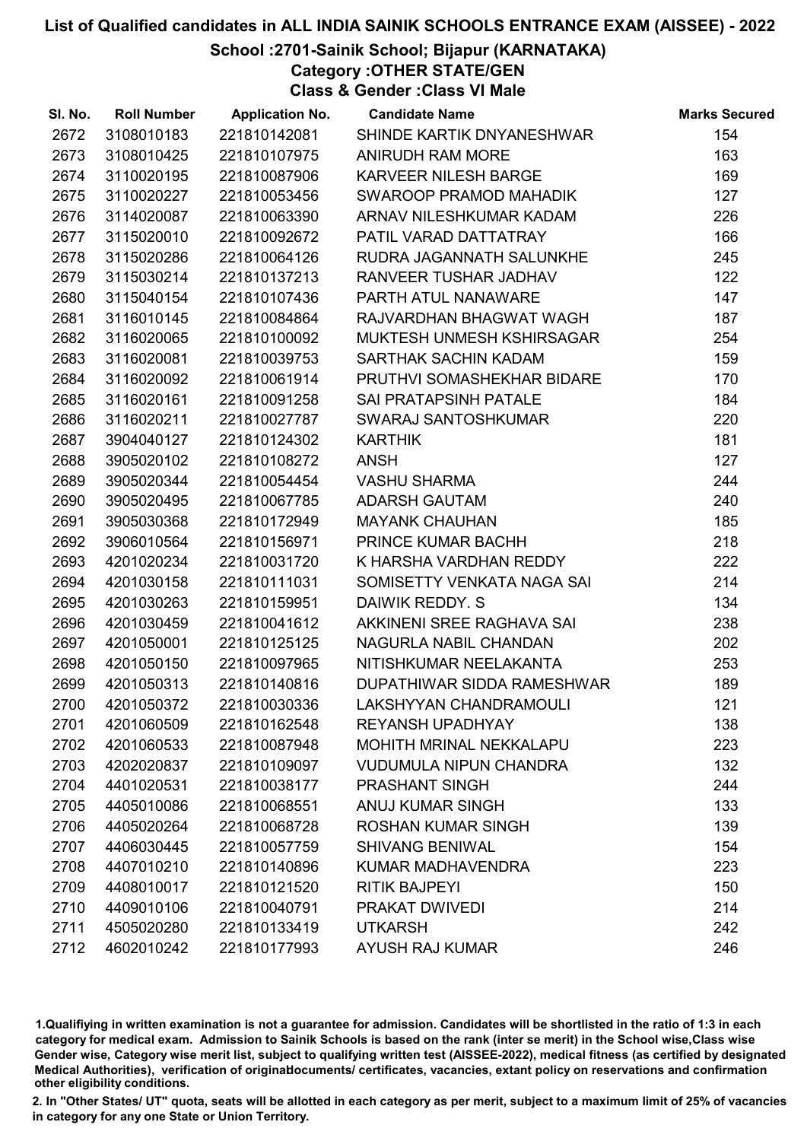## School :2701-Sainik School; Bijapur (KARNATAKA)

Category :OTHER STATE/GEN

Class & Gender :Class VI Male

| SI. No. | <b>Roll Number</b> | <b>Application No.</b> | <b>Candidate Name</b>          | <b>Marks Secured</b> |
|---------|--------------------|------------------------|--------------------------------|----------------------|
| 2672    | 3108010183         | 221810142081           | SHINDE KARTIK DNYANESHWAR      | 154                  |
| 2673    | 3108010425         | 221810107975           | ANIRUDH RAM MORE               | 163                  |
| 2674    | 3110020195         | 221810087906           | <b>KARVEER NILESH BARGE</b>    | 169                  |
| 2675    | 3110020227         | 221810053456           | SWAROOP PRAMOD MAHADIK         | 127                  |
| 2676    | 3114020087         | 221810063390           | ARNAV NILESHKUMAR KADAM        | 226                  |
| 2677    | 3115020010         | 221810092672           | PATIL VARAD DATTATRAY          | 166                  |
| 2678    | 3115020286         | 221810064126           | RUDRA JAGANNATH SALUNKHE       | 245                  |
| 2679    | 3115030214         | 221810137213           | RANVEER TUSHAR JADHAV          | 122                  |
| 2680    | 3115040154         | 221810107436           | PARTH ATUL NANAWARE            | 147                  |
| 2681    | 3116010145         | 221810084864           | RAJVARDHAN BHAGWAT WAGH        | 187                  |
| 2682    | 3116020065         | 221810100092           | MUKTESH UNMESH KSHIRSAGAR      | 254                  |
| 2683    | 3116020081         | 221810039753           | SARTHAK SACHIN KADAM           | 159                  |
| 2684    | 3116020092         | 221810061914           | PRUTHVI SOMASHEKHAR BIDARE     | 170                  |
| 2685    | 3116020161         | 221810091258           | <b>SAI PRATAPSINH PATALE</b>   | 184                  |
| 2686    | 3116020211         | 221810027787           | SWARAJ SANTOSHKUMAR            | 220                  |
| 2687    | 3904040127         | 221810124302           | <b>KARTHIK</b>                 | 181                  |
| 2688    | 3905020102         | 221810108272           | <b>ANSH</b>                    | 127                  |
| 2689    | 3905020344         | 221810054454           | <b>VASHU SHARMA</b>            | 244                  |
| 2690    | 3905020495         | 221810067785           | <b>ADARSH GAUTAM</b>           | 240                  |
| 2691    | 3905030368         | 221810172949           | <b>MAYANK CHAUHAN</b>          | 185                  |
| 2692    | 3906010564         | 221810156971           | PRINCE KUMAR BACHH             | 218                  |
| 2693    | 4201020234         | 221810031720           | K HARSHA VARDHAN REDDY         | 222                  |
| 2694    | 4201030158         | 221810111031           | SOMISETTY VENKATA NAGA SAI     | 214                  |
| 2695    | 4201030263         | 221810159951           | DAIWIK REDDY. S                | 134                  |
| 2696    | 4201030459         | 221810041612           | AKKINENI SREE RAGHAVA SAI      | 238                  |
| 2697    | 4201050001         | 221810125125           | NAGURLA NABIL CHANDAN          | 202                  |
| 2698    | 4201050150         | 221810097965           | NITISHKUMAR NEELAKANTA         | 253                  |
| 2699    | 4201050313         | 221810140816           | DUPATHIWAR SIDDA RAMESHWAR     | 189                  |
| 2700    | 4201050372         | 221810030336           | LAKSHYYAN CHANDRAMOULI         | 121                  |
| 2701    | 4201060509         | 221810162548           | <b>REYANSH UPADHYAY</b>        | 138                  |
| 2702    | 4201060533         | 221810087948           | <b>MOHITH MRINAL NEKKALAPU</b> | 223                  |
| 2703    | 4202020837         | 221810109097           | <b>VUDUMULA NIPUN CHANDRA</b>  | 132                  |
| 2704    | 4401020531         | 221810038177           | <b>PRASHANT SINGH</b>          | 244                  |
| 2705    | 4405010086         | 221810068551           | <b>ANUJ KUMAR SINGH</b>        | 133                  |
| 2706    | 4405020264         | 221810068728           | <b>ROSHAN KUMAR SINGH</b>      | 139                  |
| 2707    | 4406030445         | 221810057759           | <b>SHIVANG BENIWAL</b>         | 154                  |
| 2708    | 4407010210         | 221810140896           | KUMAR MADHAVENDRA              | 223                  |
| 2709    | 4408010017         | 221810121520           | <b>RITIK BAJPEYI</b>           | 150                  |
| 2710    | 4409010106         | 221810040791           | PRAKAT DWIVEDI                 | 214                  |
| 2711    | 4505020280         | 221810133419           | <b>UTKARSH</b>                 | 242                  |
| 2712    | 4602010242         | 221810177993           | <b>AYUSH RAJ KUMAR</b>         | 246                  |

1.Qualifiying in written examination is not a guarantee for admission. Candidates will be shortlisted in the ratio of 1:3 in each category for medical exam. Admission to Sainik Schools is based on the rank (inter se merit) in the School wise,Class wise Gender wise, Category wise merit list, subject to qualifying written test (AISSEE-2022), medical fitness (as certified by designated Medical Authorities), verification of originablocuments/ certificates, vacancies, extant policy on reservations and confirmation other eligibility conditions.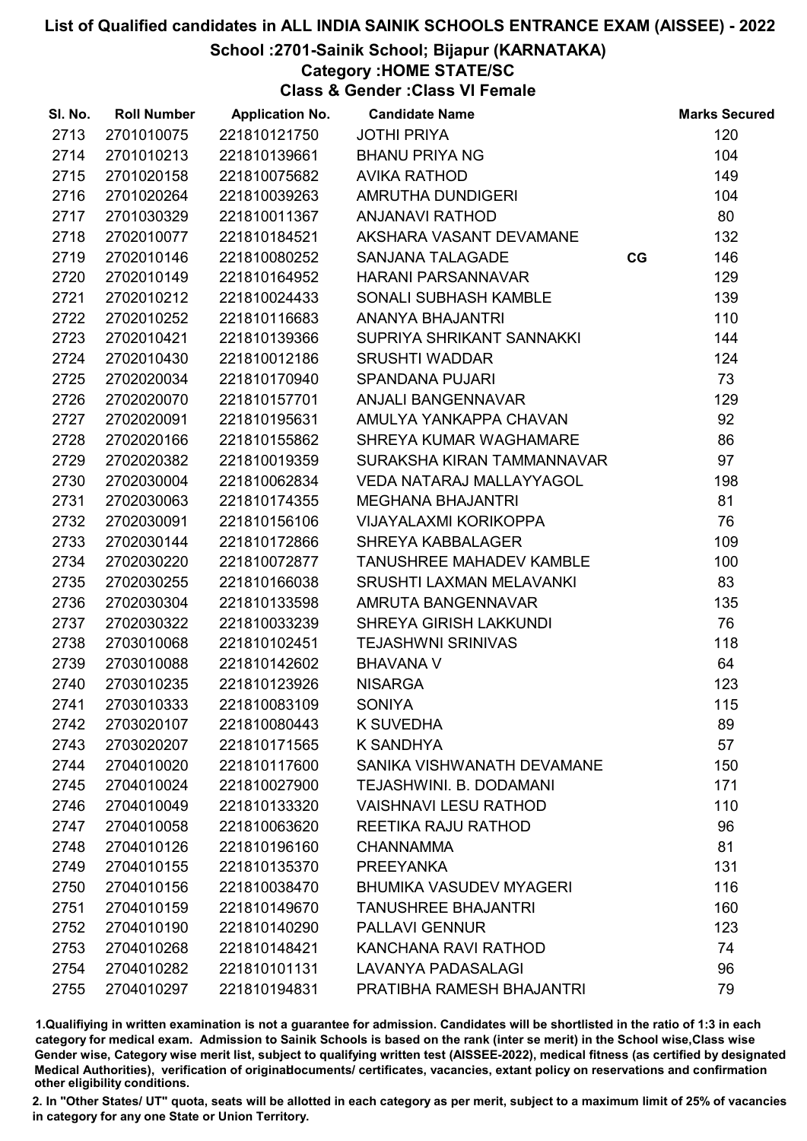# School :2701-Sainik School; Bijapur (KARNATAKA)

Category :HOME STATE/SC

Class & Gender :Class VI Female

| SI. No. | <b>Roll Number</b> | <b>Application No.</b> | <b>Candidate Name</b>           |    | <b>Marks Secured</b> |
|---------|--------------------|------------------------|---------------------------------|----|----------------------|
| 2713    | 2701010075         | 221810121750           | <b>JOTHI PRIYA</b>              |    | 120                  |
| 2714    | 2701010213         | 221810139661           | <b>BHANU PRIYA NG</b>           |    | 104                  |
| 2715    | 2701020158         | 221810075682           | <b>AVIKA RATHOD</b>             |    | 149                  |
| 2716    | 2701020264         | 221810039263           | AMRUTHA DUNDIGERI               |    | 104                  |
| 2717    | 2701030329         | 221810011367           | <b>ANJANAVI RATHOD</b>          |    | 80                   |
| 2718    | 2702010077         | 221810184521           | AKSHARA VASANT DEVAMANE         |    | 132                  |
| 2719    | 2702010146         | 221810080252           | <b>SANJANA TALAGADE</b>         | CG | 146                  |
| 2720    | 2702010149         | 221810164952           | <b>HARANI PARSANNAVAR</b>       |    | 129                  |
| 2721    | 2702010212         | 221810024433           | SONALI SUBHASH KAMBLE           |    | 139                  |
| 2722    | 2702010252         | 221810116683           | <b>ANANYA BHAJANTRI</b>         |    | 110                  |
| 2723    | 2702010421         | 221810139366           | SUPRIYA SHRIKANT SANNAKKI       |    | 144                  |
| 2724    | 2702010430         | 221810012186           | <b>SRUSHTI WADDAR</b>           |    | 124                  |
| 2725    | 2702020034         | 221810170940           | <b>SPANDANA PUJARI</b>          |    | 73                   |
| 2726    | 2702020070         | 221810157701           | ANJALI BANGENNAVAR              |    | 129                  |
| 2727    | 2702020091         | 221810195631           | AMULYA YANKAPPA CHAVAN          |    | 92                   |
| 2728    | 2702020166         | 221810155862           | SHREYA KUMAR WAGHAMARE          |    | 86                   |
| 2729    | 2702020382         | 221810019359           | SURAKSHA KIRAN TAMMANNAVAR      |    | 97                   |
| 2730    | 2702030004         | 221810062834           | <b>VEDA NATARAJ MALLAYYAGOL</b> |    | 198                  |
| 2731    | 2702030063         | 221810174355           | <b>MEGHANA BHAJANTRI</b>        |    | 81                   |
| 2732    | 2702030091         | 221810156106           | <b>VIJAYALAXMI KORIKOPPA</b>    |    | 76                   |
| 2733    | 2702030144         | 221810172866           | <b>SHREYA KABBALAGER</b>        |    | 109                  |
| 2734    | 2702030220         | 221810072877           | TANUSHREE MAHADEV KAMBLE        |    | 100                  |
| 2735    | 2702030255         | 221810166038           | <b>SRUSHTI LAXMAN MELAVANKI</b> |    | 83                   |
| 2736    | 2702030304         | 221810133598           | AMRUTA BANGENNAVAR              |    | 135                  |
| 2737    | 2702030322         | 221810033239           | SHREYA GIRISH LAKKUNDI          |    | 76                   |
| 2738    | 2703010068         | 221810102451           | <b>TEJASHWNI SRINIVAS</b>       |    | 118                  |
| 2739    | 2703010088         | 221810142602           | <b>BHAVANA V</b>                |    | 64                   |
| 2740    | 2703010235         | 221810123926           | <b>NISARGA</b>                  |    | 123                  |
| 2741    | 2703010333         | 221810083109           | <b>SONIYA</b>                   |    | 115                  |
| 2742    | 2703020107         | 221810080443           | <b>K SUVEDHA</b>                |    | 89                   |
| 2743    | 2703020207         | 221810171565           | <b>K SANDHYA</b>                |    | 57                   |
| 2744    | 2704010020         | 221810117600           | SANIKA VISHWANATH DEVAMANE      |    | 150                  |
| 2745    | 2704010024         | 221810027900           | TEJASHWINI. B. DODAMANI         |    | 171                  |
| 2746    | 2704010049         | 221810133320           | <b>VAISHNAVI LESU RATHOD</b>    |    | 110                  |
| 2747    | 2704010058         | 221810063620           | REETIKA RAJU RATHOD             |    | 96                   |
| 2748    | 2704010126         | 221810196160           | <b>CHANNAMMA</b>                |    | 81                   |
| 2749    | 2704010155         | 221810135370           | <b>PREEYANKA</b>                |    | 131                  |
| 2750    | 2704010156         | 221810038470           | <b>BHUMIKA VASUDEV MYAGERI</b>  |    | 116                  |
| 2751    | 2704010159         | 221810149670           | <b>TANUSHREE BHAJANTRI</b>      |    | 160                  |
| 2752    | 2704010190         | 221810140290           | <b>PALLAVI GENNUR</b>           |    | 123                  |
| 2753    | 2704010268         | 221810148421           | <b>KANCHANA RAVI RATHOD</b>     |    | 74                   |
| 2754    | 2704010282         | 221810101131           | <b>LAVANYA PADASALAGI</b>       |    | 96                   |
| 2755    | 2704010297         | 221810194831           | PRATIBHA RAMESH BHAJANTRI       |    | 79                   |

1.Qualifiying in written examination is not a guarantee for admission. Candidates will be shortlisted in the ratio of 1:3 in each category for medical exam. Admission to Sainik Schools is based on the rank (inter se merit) in the School wise,Class wise Gender wise, Category wise merit list, subject to qualifying written test (AISSEE-2022), medical fitness (as certified by designated Medical Authorities), verification of originablocuments/ certificates, vacancies, extant policy on reservations and confirmation other eligibility conditions.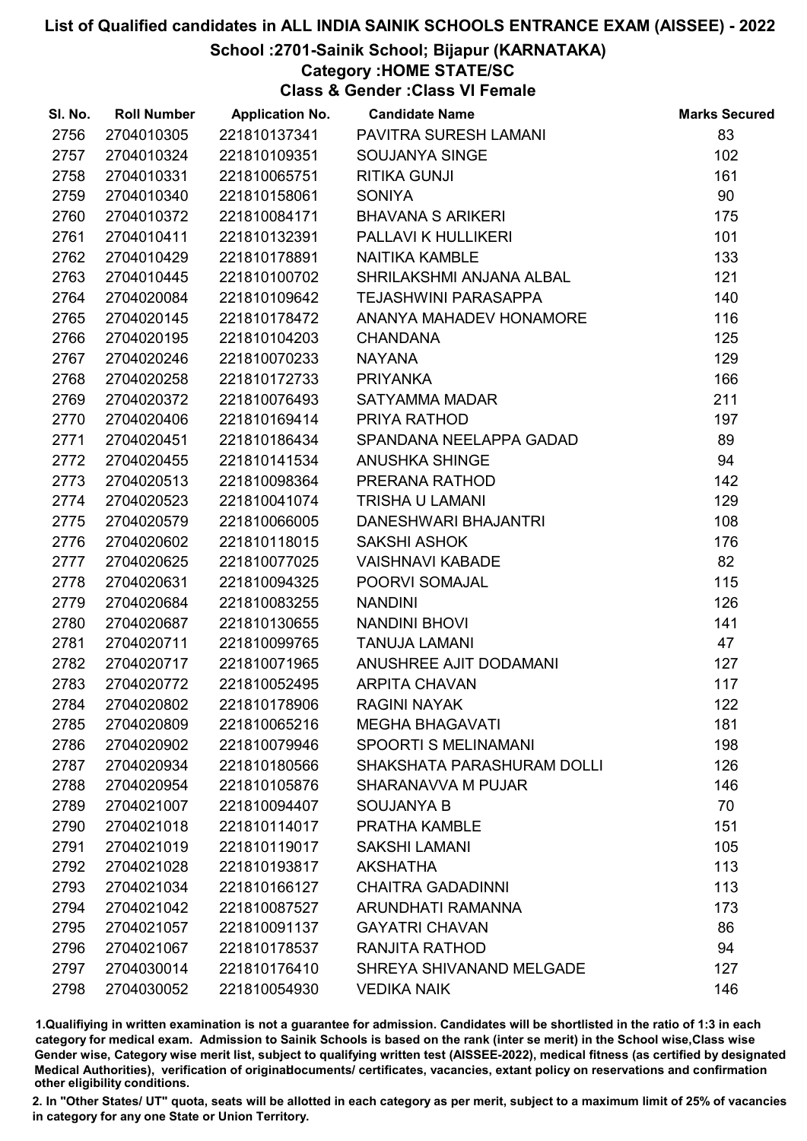# School :2701-Sainik School; Bijapur (KARNATAKA)

Category :HOME STATE/SC

Class & Gender :Class VI Female

| SI. No. | <b>Roll Number</b> | <b>Application No.</b> | <b>Candidate Name</b>       | <b>Marks Secured</b> |
|---------|--------------------|------------------------|-----------------------------|----------------------|
| 2756    | 2704010305         | 221810137341           | PAVITRA SURESH LAMANI       | 83                   |
| 2757    | 2704010324         | 221810109351           | SOUJANYA SINGE              | 102                  |
| 2758    | 2704010331         | 221810065751           | <b>RITIKA GUNJI</b>         | 161                  |
| 2759    | 2704010340         | 221810158061           | <b>SONIYA</b>               | 90                   |
| 2760    | 2704010372         | 221810084171           | <b>BHAVANA S ARIKERI</b>    | 175                  |
| 2761    | 2704010411         | 221810132391           | PALLAVI K HULLIKERI         | 101                  |
| 2762    | 2704010429         | 221810178891           | <b>NAITIKA KAMBLE</b>       | 133                  |
| 2763    | 2704010445         | 221810100702           | SHRILAKSHMI ANJANA ALBAL    | 121                  |
| 2764    | 2704020084         | 221810109642           | <b>TEJASHWINI PARASAPPA</b> | 140                  |
| 2765    | 2704020145         | 221810178472           | ANANYA MAHADEV HONAMORE     | 116                  |
| 2766    | 2704020195         | 221810104203           | <b>CHANDANA</b>             | 125                  |
| 2767    | 2704020246         | 221810070233           | <b>NAYANA</b>               | 129                  |
| 2768    | 2704020258         | 221810172733           | <b>PRIYANKA</b>             | 166                  |
| 2769    | 2704020372         | 221810076493           | SATYAMMA MADAR              | 211                  |
| 2770    | 2704020406         | 221810169414           | PRIYA RATHOD                | 197                  |
| 2771    | 2704020451         | 221810186434           | SPANDANA NEELAPPA GADAD     | 89                   |
| 2772    | 2704020455         | 221810141534           | <b>ANUSHKA SHINGE</b>       | 94                   |
| 2773    | 2704020513         | 221810098364           | PRERANA RATHOD              | 142                  |
| 2774    | 2704020523         | 221810041074           | <b>TRISHA U LAMANI</b>      | 129                  |
| 2775    | 2704020579         | 221810066005           | DANESHWARI BHAJANTRI        | 108                  |
| 2776    | 2704020602         | 221810118015           | <b>SAKSHI ASHOK</b>         | 176                  |
| 2777    | 2704020625         | 221810077025           | <b>VAISHNAVI KABADE</b>     | 82                   |
| 2778    | 2704020631         | 221810094325           | POORVI SOMAJAL              | 115                  |
| 2779    | 2704020684         | 221810083255           | <b>NANDINI</b>              | 126                  |
| 2780    | 2704020687         | 221810130655           | NANDINI BHOVI               | 141                  |
| 2781    | 2704020711         | 221810099765           | <b>TANUJA LAMANI</b>        | 47                   |
| 2782    | 2704020717         | 221810071965           | ANUSHREE AJIT DODAMANI      | 127                  |
| 2783    | 2704020772         | 221810052495           | <b>ARPITA CHAVAN</b>        | 117                  |
| 2784    | 2704020802         | 221810178906           | <b>RAGINI NAYAK</b>         | 122                  |
| 2785    | 2704020809         | 221810065216           | <b>MEGHA BHAGAVATI</b>      | 181                  |
| 2786    | 2704020902         | 221810079946           | <b>SPOORTI S MELINAMANI</b> | 198                  |
| 2787    | 2704020934         | 221810180566           | SHAKSHATA PARASHURAM DOLLI  | 126                  |
| 2788    | 2704020954         | 221810105876           | SHARANAVVA M PUJAR          | 146                  |
| 2789    | 2704021007         | 221810094407           | <b>SOUJANYA B</b>           | 70                   |
| 2790    | 2704021018         | 221810114017           | PRATHA KAMBLE               | 151                  |
| 2791    | 2704021019         | 221810119017           | <b>SAKSHI LAMANI</b>        | 105                  |
| 2792    | 2704021028         | 221810193817           | <b>AKSHATHA</b>             | 113                  |
| 2793    | 2704021034         | 221810166127           | <b>CHAITRA GADADINNI</b>    | 113                  |
| 2794    | 2704021042         | 221810087527           | ARUNDHATI RAMANNA           | 173                  |
| 2795    | 2704021057         | 221810091137           | <b>GAYATRI CHAVAN</b>       | 86                   |
| 2796    | 2704021067         | 221810178537           | <b>RANJITA RATHOD</b>       | 94                   |
| 2797    | 2704030014         | 221810176410           | SHREYA SHIVANAND MELGADE    | 127                  |
| 2798    | 2704030052         | 221810054930           | <b>VEDIKA NAIK</b>          | 146                  |

1.Qualifiying in written examination is not a guarantee for admission. Candidates will be shortlisted in the ratio of 1:3 in each category for medical exam. Admission to Sainik Schools is based on the rank (inter se merit) in the School wise,Class wise Gender wise, Category wise merit list, subject to qualifying written test (AISSEE-2022), medical fitness (as certified by designated Medical Authorities), verification of originablocuments/ certificates, vacancies, extant policy on reservations and confirmation other eligibility conditions.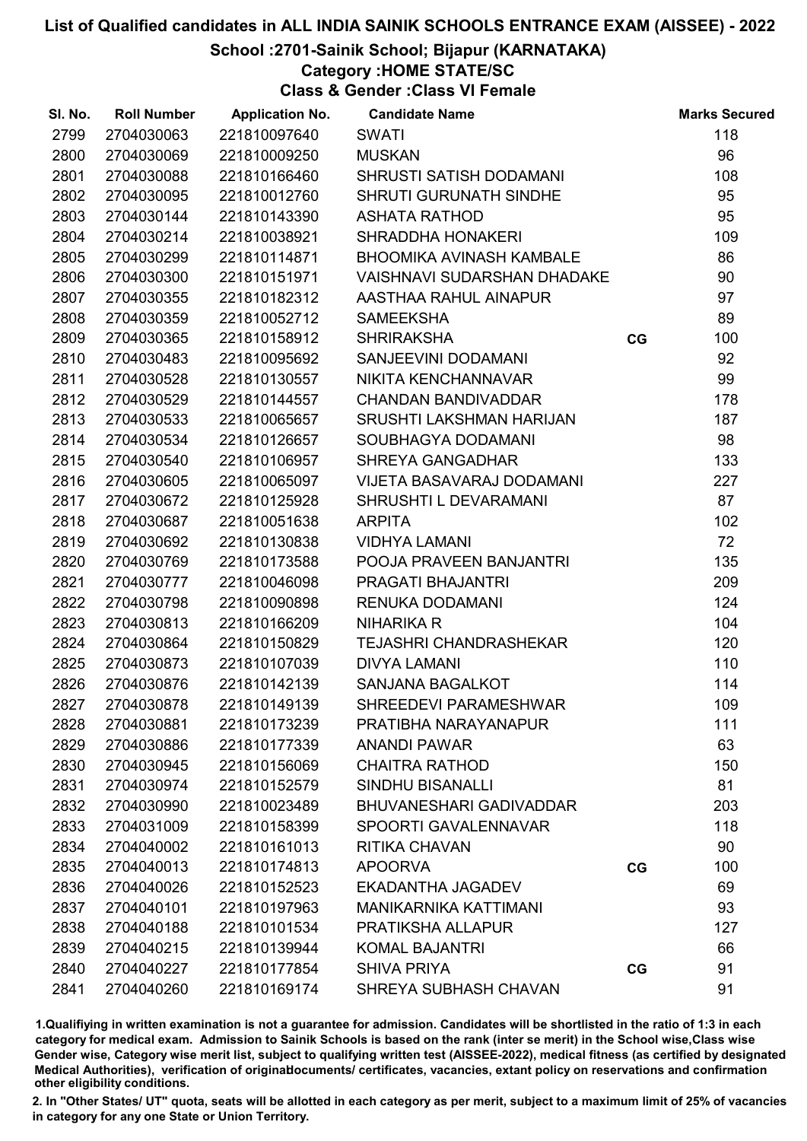# School :2701-Sainik School; Bijapur (KARNATAKA)

# Category :HOME STATE/SC

Class & Gender :Class VI Female

| SI. No. | <b>Roll Number</b> | <b>Application No.</b> | <b>Candidate Name</b>              |    | <b>Marks Secured</b> |
|---------|--------------------|------------------------|------------------------------------|----|----------------------|
| 2799    | 2704030063         | 221810097640           | <b>SWATI</b>                       |    | 118                  |
| 2800    | 2704030069         | 221810009250           | <b>MUSKAN</b>                      |    | 96                   |
| 2801    | 2704030088         | 221810166460           | SHRUSTI SATISH DODAMANI            |    | 108                  |
| 2802    | 2704030095         | 221810012760           | <b>SHRUTI GURUNATH SINDHE</b>      |    | 95                   |
| 2803    | 2704030144         | 221810143390           | <b>ASHATA RATHOD</b>               |    | 95                   |
| 2804    | 2704030214         | 221810038921           | <b>SHRADDHA HONAKERI</b>           |    | 109                  |
| 2805    | 2704030299         | 221810114871           | <b>BHOOMIKA AVINASH KAMBALE</b>    |    | 86                   |
| 2806    | 2704030300         | 221810151971           | <b>VAISHNAVI SUDARSHAN DHADAKE</b> |    | 90                   |
| 2807    | 2704030355         | 221810182312           | AASTHAA RAHUL AINAPUR              |    | 97                   |
| 2808    | 2704030359         | 221810052712           | <b>SAMEEKSHA</b>                   |    | 89                   |
| 2809    | 2704030365         | 221810158912           | <b>SHRIRAKSHA</b>                  | CG | 100                  |
| 2810    | 2704030483         | 221810095692           | SANJEEVINI DODAMANI                |    | 92                   |
| 2811    | 2704030528         | 221810130557           | NIKITA KENCHANNAVAR                |    | 99                   |
| 2812    | 2704030529         | 221810144557           | <b>CHANDAN BANDIVADDAR</b>         |    | 178                  |
| 2813    | 2704030533         | 221810065657           | SRUSHTI LAKSHMAN HARIJAN           |    | 187                  |
| 2814    | 2704030534         | 221810126657           | SOUBHAGYA DODAMANI                 |    | 98                   |
| 2815    | 2704030540         | 221810106957           | <b>SHREYA GANGADHAR</b>            |    | 133                  |
| 2816    | 2704030605         | 221810065097           | <b>VIJETA BASAVARAJ DODAMANI</b>   |    | 227                  |
| 2817    | 2704030672         | 221810125928           | SHRUSHTI L DEVARAMANI              |    | 87                   |
| 2818    | 2704030687         | 221810051638           | <b>ARPITA</b>                      |    | 102                  |
| 2819    | 2704030692         | 221810130838           | <b>VIDHYA LAMANI</b>               |    | 72                   |
| 2820    | 2704030769         | 221810173588           | POOJA PRAVEEN BANJANTRI            |    | 135                  |
| 2821    | 2704030777         | 221810046098           | PRAGATI BHAJANTRI                  |    | 209                  |
| 2822    | 2704030798         | 221810090898           | RENUKA DODAMANI                    |    | 124                  |
| 2823    | 2704030813         | 221810166209           | <b>NIHARIKA R</b>                  |    | 104                  |
| 2824    | 2704030864         | 221810150829           | <b>TEJASHRI CHANDRASHEKAR</b>      |    | 120                  |
| 2825    | 2704030873         | 221810107039           | <b>DIVYA LAMANI</b>                |    | 110                  |
| 2826    | 2704030876         | 221810142139           | SANJANA BAGALKOT                   |    | 114                  |
| 2827    | 2704030878         | 221810149139           | SHREEDEVI PARAMESHWAR              |    | 109                  |
| 2828    | 2704030881         | 221810173239           | PRATIBHA NARAYANAPUR               |    | 111                  |
| 2829    | 2704030886         | 221810177339           | <b>ANANDI PAWAR</b>                |    | 63                   |
| 2830    | 2704030945         | 221810156069           | <b>CHAITRA RATHOD</b>              |    | 150                  |
| 2831    | 2704030974         | 221810152579           | <b>SINDHU BISANALLI</b>            |    | 81                   |
| 2832    | 2704030990         | 221810023489           | <b>BHUVANESHARI GADIVADDAR</b>     |    | 203                  |
| 2833    | 2704031009         | 221810158399           | SPOORTI GAVALENNAVAR               |    | 118                  |
| 2834    | 2704040002         | 221810161013           | <b>RITIKA CHAVAN</b>               |    | 90                   |
| 2835    | 2704040013         | 221810174813           | <b>APOORVA</b>                     | CG | 100                  |
| 2836    | 2704040026         | 221810152523           | EKADANTHA JAGADEV                  |    | 69                   |
| 2837    | 2704040101         | 221810197963           | <b>MANIKARNIKA KATTIMANI</b>       |    | 93                   |
| 2838    | 2704040188         | 221810101534           | PRATIKSHA ALLAPUR                  |    | 127                  |
| 2839    | 2704040215         | 221810139944           | <b>KOMAL BAJANTRI</b>              |    | 66                   |
| 2840    | 2704040227         | 221810177854           | <b>SHIVA PRIYA</b>                 | CG | 91                   |
| 2841    | 2704040260         | 221810169174           | SHREYA SUBHASH CHAVAN              |    | 91                   |

1.Qualifiying in written examination is not a guarantee for admission. Candidates will be shortlisted in the ratio of 1:3 in each category for medical exam. Admission to Sainik Schools is based on the rank (inter se merit) in the School wise,Class wise Gender wise, Category wise merit list, subject to qualifying written test (AISSEE-2022), medical fitness (as certified by designated Medical Authorities), verification of originablocuments/ certificates, vacancies, extant policy on reservations and confirmation other eligibility conditions.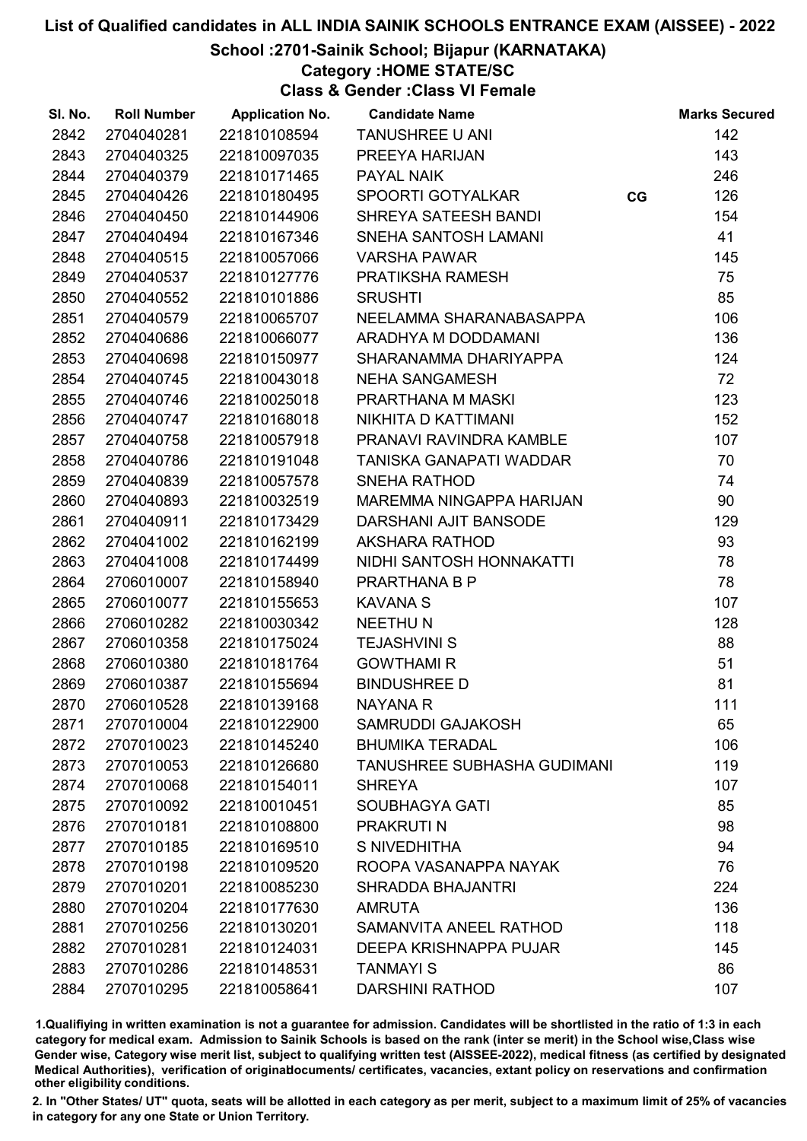# School :2701-Sainik School; Bijapur (KARNATAKA)

Category :HOME STATE/SC

Class & Gender :Class VI Female

| SI. No. | <b>Roll Number</b> | <b>Application No.</b> | <b>Candidate Name</b>       |    | <b>Marks Secured</b> |
|---------|--------------------|------------------------|-----------------------------|----|----------------------|
| 2842    | 2704040281         | 221810108594           | TANUSHREE U ANI             |    | 142                  |
| 2843    | 2704040325         | 221810097035           | PREEYA HARIJAN              |    | 143                  |
| 2844    | 2704040379         | 221810171465           | <b>PAYAL NAIK</b>           |    | 246                  |
| 2845    | 2704040426         | 221810180495           | <b>SPOORTI GOTYALKAR</b>    | CG | 126                  |
| 2846    | 2704040450         | 221810144906           | SHREYA SATEESH BANDI        |    | 154                  |
| 2847    | 2704040494         | 221810167346           | SNEHA SANTOSH LAMANI        |    | 41                   |
| 2848    | 2704040515         | 221810057066           | <b>VARSHA PAWAR</b>         |    | 145                  |
| 2849    | 2704040537         | 221810127776           | PRATIKSHA RAMESH            |    | 75                   |
| 2850    | 2704040552         | 221810101886           | <b>SRUSHTI</b>              |    | 85                   |
| 2851    | 2704040579         | 221810065707           | NEELAMMA SHARANABASAPPA     |    | 106                  |
| 2852    | 2704040686         | 221810066077           | ARADHYA M DODDAMANI         |    | 136                  |
| 2853    | 2704040698         | 221810150977           | SHARANAMMA DHARIYAPPA       |    | 124                  |
| 2854    | 2704040745         | 221810043018           | <b>NEHA SANGAMESH</b>       |    | 72                   |
| 2855    | 2704040746         | 221810025018           | PRARTHANA M MASKI           |    | 123                  |
| 2856    | 2704040747         | 221810168018           | NIKHITA D KATTIMANI         |    | 152                  |
| 2857    | 2704040758         | 221810057918           | PRANAVI RAVINDRA KAMBLE     |    | 107                  |
| 2858    | 2704040786         | 221810191048           | TANISKA GANAPATI WADDAR     |    | 70                   |
| 2859    | 2704040839         | 221810057578           | <b>SNEHA RATHOD</b>         |    | 74                   |
| 2860    | 2704040893         | 221810032519           | MAREMMA NINGAPPA HARIJAN    |    | 90                   |
| 2861    | 2704040911         | 221810173429           | DARSHANI AJIT BANSODE       |    | 129                  |
| 2862    | 2704041002         | 221810162199           | AKSHARA RATHOD              |    | 93                   |
| 2863    | 2704041008         | 221810174499           | NIDHI SANTOSH HONNAKATTI    |    | 78                   |
| 2864    | 2706010007         | 221810158940           | PRARTHANA B P               |    | 78                   |
| 2865    | 2706010077         | 221810155653           | <b>KAVANA S</b>             |    | 107                  |
| 2866    | 2706010282         | 221810030342           | <b>NEETHUN</b>              |    | 128                  |
| 2867    | 2706010358         | 221810175024           | <b>TEJASHVINI S</b>         |    | 88                   |
| 2868    | 2706010380         | 221810181764           | <b>GOWTHAMI R</b>           |    | 51                   |
| 2869    | 2706010387         | 221810155694           | <b>BINDUSHREE D</b>         |    | 81                   |
| 2870    | 2706010528         | 221810139168           | <b>NAYANA R</b>             |    | 111                  |
| 2871    | 2707010004         | 221810122900           | SAMRUDDI GAJAKOSH           |    | 65                   |
| 2872    | 2707010023         | 221810145240           | <b>BHUMIKA TERADAL</b>      |    | 106                  |
| 2873    | 2707010053         | 221810126680           | TANUSHREE SUBHASHA GUDIMANI |    | 119                  |
| 2874    | 2707010068         | 221810154011           | <b>SHREYA</b>               |    | 107                  |
| 2875    | 2707010092         | 221810010451           | <b>SOUBHAGYA GATI</b>       |    | 85                   |
| 2876    | 2707010181         | 221810108800           | <b>PRAKRUTI N</b>           |    | 98                   |
| 2877    | 2707010185         | 221810169510           | S NIVEDHITHA                |    | 94                   |
| 2878    | 2707010198         | 221810109520           | ROOPA VASANAPPA NAYAK       |    | 76                   |
| 2879    | 2707010201         | 221810085230           | SHRADDA BHAJANTRI           |    | 224                  |
| 2880    | 2707010204         | 221810177630           | <b>AMRUTA</b>               |    | 136                  |
| 2881    | 2707010256         | 221810130201           | SAMANVITA ANEEL RATHOD      |    | 118                  |
| 2882    | 2707010281         | 221810124031           | DEEPA KRISHNAPPA PUJAR      |    | 145                  |
| 2883    | 2707010286         | 221810148531           | <b>TANMAYI S</b>            |    | 86                   |
| 2884    | 2707010295         | 221810058641           | <b>DARSHINI RATHOD</b>      |    | 107                  |

1.Qualifiying in written examination is not a guarantee for admission. Candidates will be shortlisted in the ratio of 1:3 in each category for medical exam. Admission to Sainik Schools is based on the rank (inter se merit) in the School wise,Class wise Gender wise, Category wise merit list, subject to qualifying written test (AISSEE-2022), medical fitness (as certified by designated Medical Authorities), verification of originablocuments/ certificates, vacancies, extant policy on reservations and confirmation other eligibility conditions.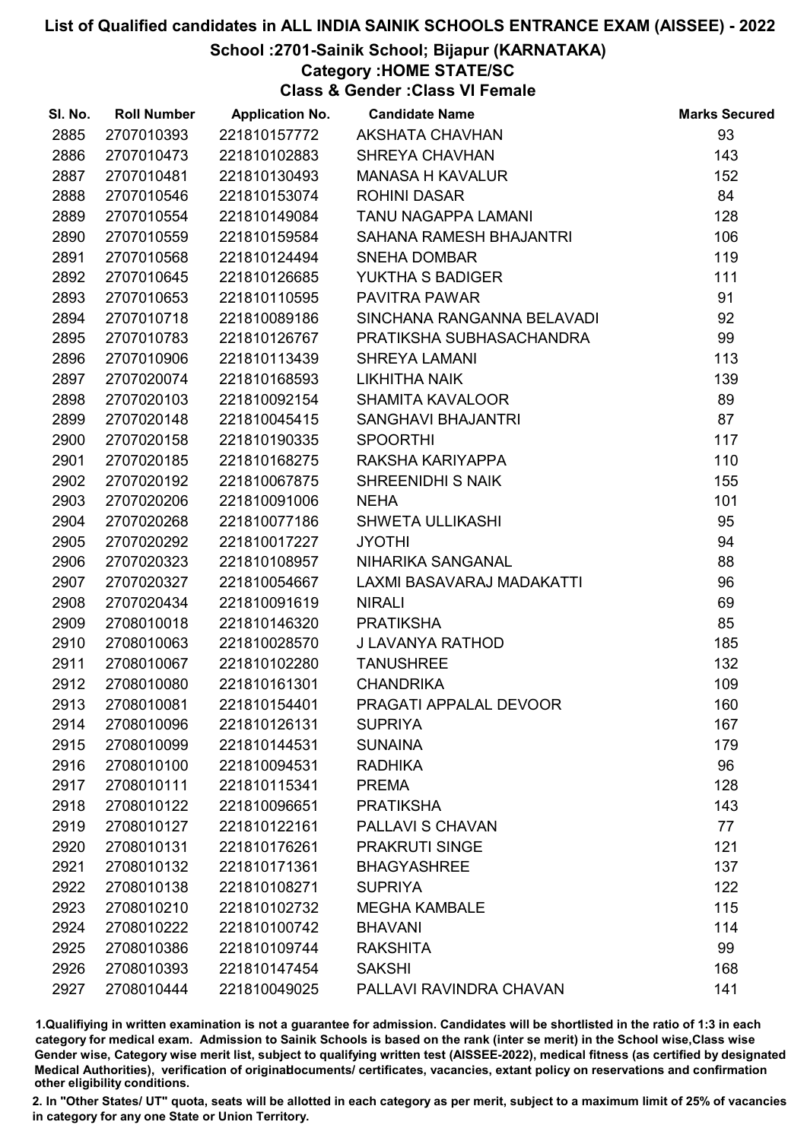## School :2701-Sainik School; Bijapur (KARNATAKA)

Category :HOME STATE/SC

Class & Gender :Class VI Female

| SI. No. | <b>Roll Number</b> | <b>Application No.</b> | <b>Candidate Name</b>      | <b>Marks Secured</b> |
|---------|--------------------|------------------------|----------------------------|----------------------|
| 2885    | 2707010393         | 221810157772           | <b>AKSHATA CHAVHAN</b>     | 93                   |
| 2886    | 2707010473         | 221810102883           | <b>SHREYA CHAVHAN</b>      | 143                  |
| 2887    | 2707010481         | 221810130493           | <b>MANASA H KAVALUR</b>    | 152                  |
| 2888    | 2707010546         | 221810153074           | <b>ROHINI DASAR</b>        | 84                   |
| 2889    | 2707010554         | 221810149084           | TANU NAGAPPA LAMANI        | 128                  |
| 2890    | 2707010559         | 221810159584           | SAHANA RAMESH BHAJANTRI    | 106                  |
| 2891    | 2707010568         | 221810124494           | <b>SNEHA DOMBAR</b>        | 119                  |
| 2892    | 2707010645         | 221810126685           | YUKTHA S BADIGER           | 111                  |
| 2893    | 2707010653         | 221810110595           | <b>PAVITRA PAWAR</b>       | 91                   |
| 2894    | 2707010718         | 221810089186           | SINCHANA RANGANNA BELAVADI | 92                   |
| 2895    | 2707010783         | 221810126767           | PRATIKSHA SUBHASACHANDRA   | 99                   |
| 2896    | 2707010906         | 221810113439           | <b>SHREYA LAMANI</b>       | 113                  |
| 2897    | 2707020074         | 221810168593           | <b>LIKHITHA NAIK</b>       | 139                  |
| 2898    | 2707020103         | 221810092154           | <b>SHAMITA KAVALOOR</b>    | 89                   |
| 2899    | 2707020148         | 221810045415           | SANGHAVI BHAJANTRI         | 87                   |
| 2900    | 2707020158         | 221810190335           | <b>SPOORTHI</b>            | 117                  |
| 2901    | 2707020185         | 221810168275           | RAKSHA KARIYAPPA           | 110                  |
| 2902    | 2707020192         | 221810067875           | <b>SHREENIDHI S NAIK</b>   | 155                  |
| 2903    | 2707020206         | 221810091006           | <b>NEHA</b>                | 101                  |
| 2904    | 2707020268         | 221810077186           | <b>SHWETA ULLIKASHI</b>    | 95                   |
| 2905    | 2707020292         | 221810017227           | <b>JYOTHI</b>              | 94                   |
| 2906    | 2707020323         | 221810108957           | NIHARIKA SANGANAL          | 88                   |
| 2907    | 2707020327         | 221810054667           | LAXMI BASAVARAJ MADAKATTI  | 96                   |
| 2908    | 2707020434         | 221810091619           | <b>NIRALI</b>              | 69                   |
| 2909    | 2708010018         | 221810146320           | <b>PRATIKSHA</b>           | 85                   |
| 2910    | 2708010063         | 221810028570           | J LAVANYA RATHOD           | 185                  |
| 2911    | 2708010067         | 221810102280           | <b>TANUSHREE</b>           | 132                  |
| 2912    | 2708010080         | 221810161301           | <b>CHANDRIKA</b>           | 109                  |
| 2913    | 2708010081         | 221810154401           | PRAGATI APPALAL DEVOOR     | 160                  |
| 2914    | 2708010096         | 221810126131           | <b>SUPRIYA</b>             | 167                  |
| 2915    | 2708010099         | 221810144531           | <b>SUNAINA</b>             | 179                  |
| 2916    | 2708010100         | 221810094531           | <b>RADHIKA</b>             | 96                   |
| 2917    | 2708010111         | 221810115341           | <b>PREMA</b>               | 128                  |
| 2918    | 2708010122         | 221810096651           | <b>PRATIKSHA</b>           | 143                  |
| 2919    | 2708010127         | 221810122161           | PALLAVI S CHAVAN           | 77                   |
| 2920    | 2708010131         | 221810176261           | <b>PRAKRUTI SINGE</b>      | 121                  |
| 2921    | 2708010132         | 221810171361           | <b>BHAGYASHREE</b>         | 137                  |
| 2922    | 2708010138         | 221810108271           | <b>SUPRIYA</b>             | 122                  |
| 2923    | 2708010210         | 221810102732           | <b>MEGHA KAMBALE</b>       | 115                  |
| 2924    | 2708010222         | 221810100742           | <b>BHAVANI</b>             | 114                  |
| 2925    | 2708010386         | 221810109744           | <b>RAKSHITA</b>            | 99                   |
| 2926    | 2708010393         | 221810147454           | <b>SAKSHI</b>              | 168                  |
| 2927    | 2708010444         | 221810049025           | PALLAVI RAVINDRA CHAVAN    | 141                  |

1.Qualifiying in written examination is not a guarantee for admission. Candidates will be shortlisted in the ratio of 1:3 in each category for medical exam. Admission to Sainik Schools is based on the rank (inter se merit) in the School wise,Class wise Gender wise, Category wise merit list, subject to qualifying written test (AISSEE-2022), medical fitness (as certified by designated Medical Authorities), verification of originablocuments/ certificates, vacancies, extant policy on reservations and confirmation other eligibility conditions.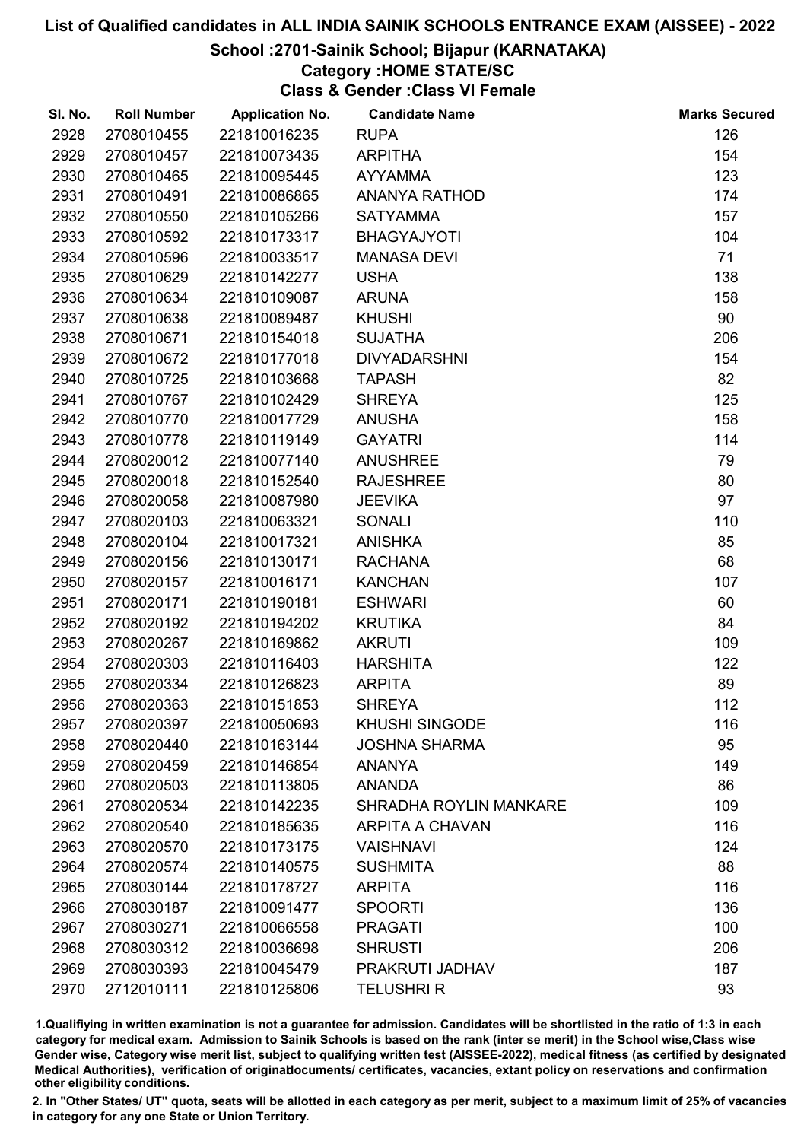## School :2701-Sainik School; Bijapur (KARNATAKA)

## Category :HOME STATE/SC

Class & Gender :Class VI Female

| SI. No. | <b>Roll Number</b> | <b>Application No.</b> | <b>Candidate Name</b>         | <b>Marks Secured</b> |
|---------|--------------------|------------------------|-------------------------------|----------------------|
| 2928    | 2708010455         | 221810016235           | <b>RUPA</b>                   | 126                  |
| 2929    | 2708010457         | 221810073435           | <b>ARPITHA</b>                | 154                  |
| 2930    | 2708010465         | 221810095445           | <b>AYYAMMA</b>                | 123                  |
| 2931    | 2708010491         | 221810086865           | <b>ANANYA RATHOD</b>          | 174                  |
| 2932    | 2708010550         | 221810105266           | <b>SATYAMMA</b>               | 157                  |
| 2933    | 2708010592         | 221810173317           | <b>BHAGYAJYOTI</b>            | 104                  |
| 2934    | 2708010596         | 221810033517           | <b>MANASA DEVI</b>            | 71                   |
| 2935    | 2708010629         | 221810142277           | <b>USHA</b>                   | 138                  |
| 2936    | 2708010634         | 221810109087           | <b>ARUNA</b>                  | 158                  |
| 2937    | 2708010638         | 221810089487           | <b>KHUSHI</b>                 | 90                   |
| 2938    | 2708010671         | 221810154018           | <b>SUJATHA</b>                | 206                  |
| 2939    | 2708010672         | 221810177018           | <b>DIVYADARSHNI</b>           | 154                  |
| 2940    | 2708010725         | 221810103668           | <b>TAPASH</b>                 | 82                   |
| 2941    | 2708010767         | 221810102429           | <b>SHREYA</b>                 | 125                  |
| 2942    | 2708010770         | 221810017729           | <b>ANUSHA</b>                 | 158                  |
| 2943    | 2708010778         | 221810119149           | <b>GAYATRI</b>                | 114                  |
| 2944    | 2708020012         | 221810077140           | <b>ANUSHREE</b>               | 79                   |
| 2945    | 2708020018         | 221810152540           | <b>RAJESHREE</b>              | 80                   |
| 2946    | 2708020058         | 221810087980           | <b>JEEVIKA</b>                | 97                   |
| 2947    | 2708020103         | 221810063321           | <b>SONALI</b>                 | 110                  |
| 2948    | 2708020104         | 221810017321           | <b>ANISHKA</b>                | 85                   |
| 2949    | 2708020156         | 221810130171           | <b>RACHANA</b>                | 68                   |
| 2950    | 2708020157         | 221810016171           | <b>KANCHAN</b>                | 107                  |
| 2951    | 2708020171         | 221810190181           | <b>ESHWARI</b>                | 60                   |
| 2952    | 2708020192         | 221810194202           | <b>KRUTIKA</b>                | 84                   |
| 2953    | 2708020267         | 221810169862           | <b>AKRUTI</b>                 | 109                  |
| 2954    | 2708020303         | 221810116403           | <b>HARSHITA</b>               | 122                  |
| 2955    | 2708020334         | 221810126823           | <b>ARPITA</b>                 | 89                   |
| 2956    | 2708020363         | 221810151853           | <b>SHREYA</b>                 | 112                  |
| 2957    | 2708020397         | 221810050693           | <b>KHUSHI SINGODE</b>         | 116                  |
| 2958    | 2708020440         | 221810163144           | <b>JOSHNA SHARMA</b>          | 95                   |
| 2959    | 2708020459         | 221810146854           | <b>ANANYA</b>                 | 149                  |
| 2960    | 2708020503         | 221810113805           | <b>ANANDA</b>                 | 86                   |
| 2961    | 2708020534         | 221810142235           | <b>SHRADHA ROYLIN MANKARE</b> | 109                  |
| 2962    | 2708020540         | 221810185635           | <b>ARPITA A CHAVAN</b>        | 116                  |
| 2963    | 2708020570         | 221810173175           | <b>VAISHNAVI</b>              | 124                  |
| 2964    | 2708020574         | 221810140575           | <b>SUSHMITA</b>               | 88                   |
| 2965    | 2708030144         | 221810178727           | <b>ARPITA</b>                 | 116                  |
| 2966    | 2708030187         | 221810091477           | <b>SPOORTI</b>                | 136                  |
| 2967    | 2708030271         | 221810066558           | <b>PRAGATI</b>                | 100                  |
| 2968    | 2708030312         | 221810036698           | <b>SHRUSTI</b>                | 206                  |
| 2969    | 2708030393         | 221810045479           | PRAKRUTI JADHAV               | 187                  |
| 2970    | 2712010111         | 221810125806           | <b>TELUSHRI R</b>             | 93                   |

1.Qualifiying in written examination is not a guarantee for admission. Candidates will be shortlisted in the ratio of 1:3 in each category for medical exam. Admission to Sainik Schools is based on the rank (inter se merit) in the School wise,Class wise Gender wise, Category wise merit list, subject to qualifying written test (AISSEE-2022), medical fitness (as certified by designated Medical Authorities), verification of originablocuments/ certificates, vacancies, extant policy on reservations and confirmation other eligibility conditions.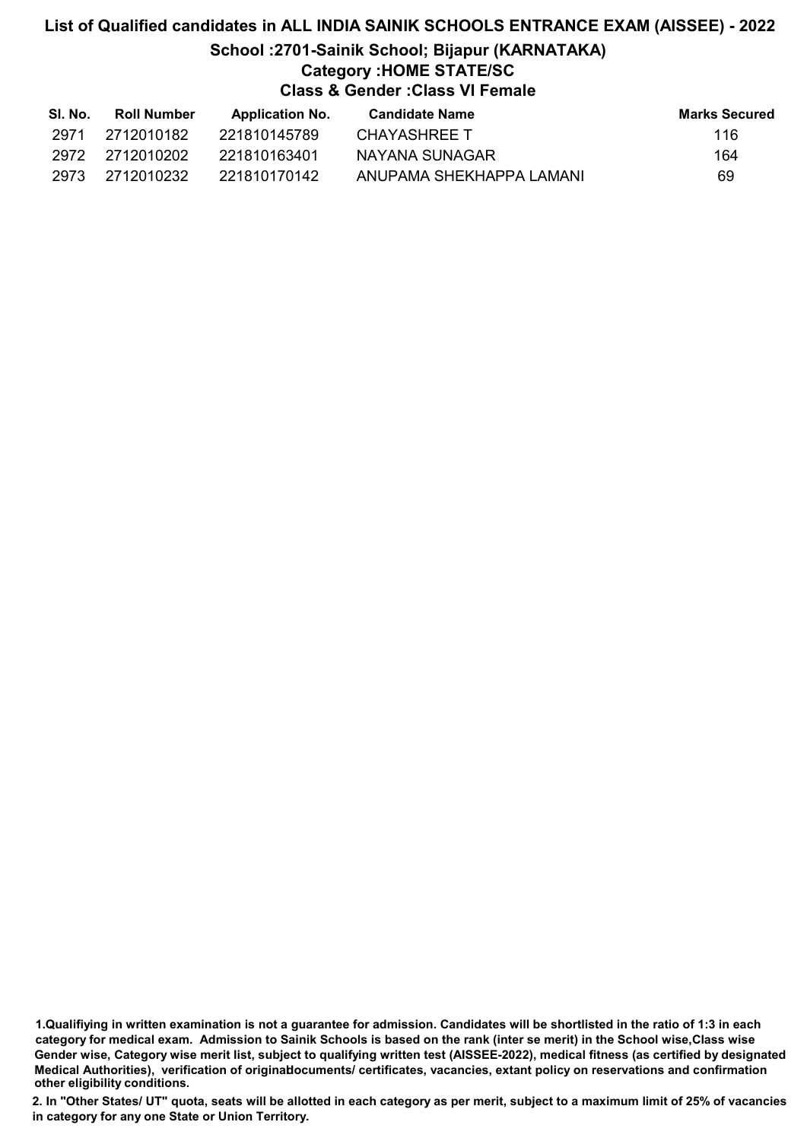## List of Qualified candidates in ALL INDIA SAINIK SCHOOLS ENTRANCE EXAM (AISSEE) - 2022 School :2701-Sainik School; Bijapur (KARNATAKA) Category :HOME STATE/SC Class & Gender :Class VI Female

| SI. No. | Roll Number  | <b>Application No.</b> | Candidate Name           | <b>Marks Secured</b> |
|---------|--------------|------------------------|--------------------------|----------------------|
| 2971    | 2712010182   | 221810145789           | CHAYASHREE T             | 116.                 |
| 2972    | - 2712010202 | 221810163401           | NAYANA SUNAGAR           | 164                  |
| 2973    | - 2712010232 | 221810170142           | ANUPAMA SHEKHAPPA LAMANI | 69                   |

1.Qualifiying in written examination is not a guarantee for admission. Candidates will be shortlisted in the ratio of 1:3 in each category for medical exam. Admission to Sainik Schools is based on the rank (inter se merit) in the School wise,Class wise Gender wise, Category wise merit list, subject to qualifying written test (AISSEE-2022), medical fitness (as certified by designated Medical Authorities), verification of originablocuments/ certificates, vacancies, extant policy on reservations and confirmation other eligibility conditions.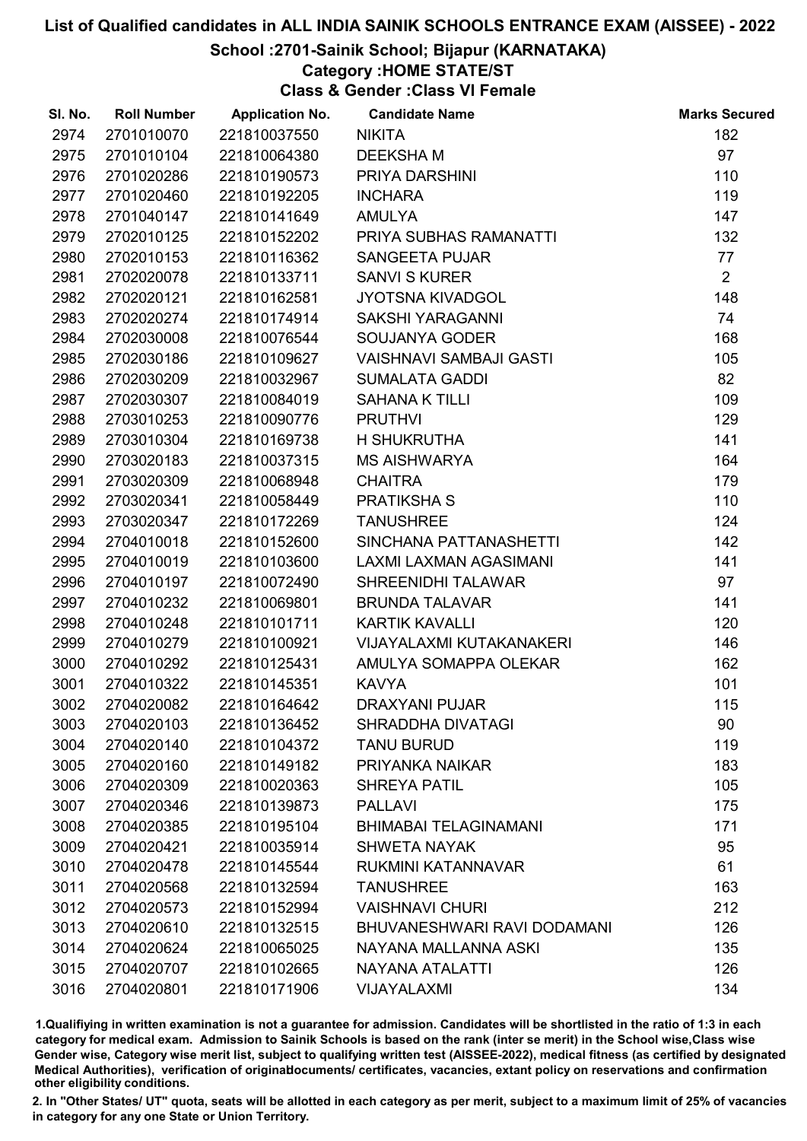## School :2701-Sainik School; Bijapur (KARNATAKA)

## Category :HOME STATE/ST

Class & Gender :Class VI Female

| SI. No. | <b>Roll Number</b> | <b>Application No.</b> | <b>Candidate Name</b>          | <b>Marks Secured</b> |
|---------|--------------------|------------------------|--------------------------------|----------------------|
| 2974    | 2701010070         | 221810037550           | <b>NIKITA</b>                  | 182                  |
| 2975    | 2701010104         | 221810064380           | <b>DEEKSHAM</b>                | 97                   |
| 2976    | 2701020286         | 221810190573           | PRIYA DARSHINI                 | 110                  |
| 2977    | 2701020460         | 221810192205           | <b>INCHARA</b>                 | 119                  |
| 2978    | 2701040147         | 221810141649           | <b>AMULYA</b>                  | 147                  |
| 2979    | 2702010125         | 221810152202           | PRIYA SUBHAS RAMANATTI         | 132                  |
| 2980    | 2702010153         | 221810116362           | <b>SANGEETA PUJAR</b>          | 77                   |
| 2981    | 2702020078         | 221810133711           | <b>SANVI S KURER</b>           | $\overline{2}$       |
| 2982    | 2702020121         | 221810162581           | <b>JYOTSNA KIVADGOL</b>        | 148                  |
| 2983    | 2702020274         | 221810174914           | <b>SAKSHI YARAGANNI</b>        | 74                   |
| 2984    | 2702030008         | 221810076544           | SOUJANYA GODER                 | 168                  |
| 2985    | 2702030186         | 221810109627           | <b>VAISHNAVI SAMBAJI GASTI</b> | 105                  |
| 2986    | 2702030209         | 221810032967           | <b>SUMALATA GADDI</b>          | 82                   |
| 2987    | 2702030307         | 221810084019           | <b>SAHANA K TILLI</b>          | 109                  |
| 2988    | 2703010253         | 221810090776           | <b>PRUTHVI</b>                 | 129                  |
| 2989    | 2703010304         | 221810169738           | <b>H SHUKRUTHA</b>             | 141                  |
| 2990    | 2703020183         | 221810037315           | <b>MS AISHWARYA</b>            | 164                  |
| 2991    | 2703020309         | 221810068948           | <b>CHAITRA</b>                 | 179                  |
| 2992    | 2703020341         | 221810058449           | <b>PRATIKSHAS</b>              | 110                  |
| 2993    | 2703020347         | 221810172269           | <b>TANUSHREE</b>               | 124                  |
| 2994    | 2704010018         | 221810152600           | SINCHANA PATTANASHETTI         | 142                  |
| 2995    | 2704010019         | 221810103600           | LAXMI LAXMAN AGASIMANI         | 141                  |
| 2996    | 2704010197         | 221810072490           | <b>SHREENIDHI TALAWAR</b>      | 97                   |
| 2997    | 2704010232         | 221810069801           | <b>BRUNDA TALAVAR</b>          | 141                  |
| 2998    | 2704010248         | 221810101711           | <b>KARTIK KAVALLI</b>          | 120                  |
| 2999    | 2704010279         | 221810100921           | VIJAYALAXMI KUTAKANAKERI       | 146                  |
| 3000    | 2704010292         | 221810125431           | AMULYA SOMAPPA OLEKAR          | 162                  |
| 3001    | 2704010322         | 221810145351           | <b>KAVYA</b>                   | 101                  |
| 3002    | 2704020082         | 221810164642           | <b>DRAXYANI PUJAR</b>          | 115                  |
| 3003    | 2704020103         | 221810136452           | SHRADDHA DIVATAGI              | 90                   |
| 3004    | 2704020140         | 221810104372           | <b>TANU BURUD</b>              | 119                  |
| 3005    | 2704020160         | 221810149182           | PRIYANKA NAIKAR                | 183                  |
| 3006    | 2704020309         | 221810020363           | <b>SHREYA PATIL</b>            | 105                  |
| 3007    | 2704020346         | 221810139873           | <b>PALLAVI</b>                 | 175                  |
| 3008    | 2704020385         | 221810195104           | <b>BHIMABAI TELAGINAMANI</b>   | 171                  |
| 3009    | 2704020421         | 221810035914           | <b>SHWETA NAYAK</b>            | 95                   |
| 3010    | 2704020478         | 221810145544           | <b>RUKMINI KATANNAVAR</b>      | 61                   |
| 3011    | 2704020568         | 221810132594           | <b>TANUSHREE</b>               | 163                  |
| 3012    | 2704020573         | 221810152994           | <b>VAISHNAVI CHURI</b>         | 212                  |
| 3013    | 2704020610         | 221810132515           | BHUVANESHWARI RAVI DODAMANI    | 126                  |
| 3014    | 2704020624         | 221810065025           | NAYANA MALLANNA ASKI           | 135                  |
| 3015    | 2704020707         | 221810102665           | NAYANA ATALATTI                | 126                  |
| 3016    | 2704020801         | 221810171906           | VIJAYALAXMI                    | 134                  |

1.Qualifiying in written examination is not a guarantee for admission. Candidates will be shortlisted in the ratio of 1:3 in each category for medical exam. Admission to Sainik Schools is based on the rank (inter se merit) in the School wise,Class wise Gender wise, Category wise merit list, subject to qualifying written test (AISSEE-2022), medical fitness (as certified by designated Medical Authorities), verification of originablocuments/ certificates, vacancies, extant policy on reservations and confirmation other eligibility conditions.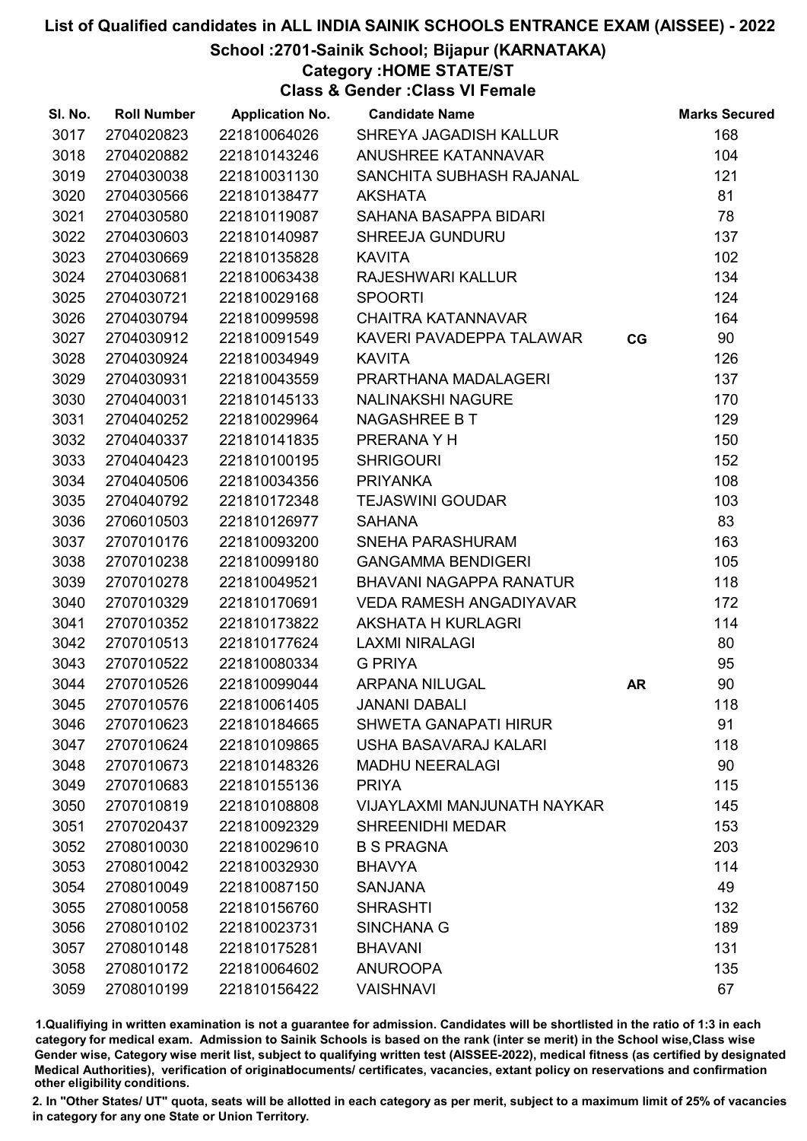## School :2701-Sainik School; Bijapur (KARNATAKA)

Category :HOME STATE/ST

Class & Gender :Class VI Female

| SI. No. | <b>Roll Number</b> | <b>Application No.</b> | <b>Candidate Name</b>          |           | <b>Marks Secured</b> |
|---------|--------------------|------------------------|--------------------------------|-----------|----------------------|
| 3017    | 2704020823         | 221810064026           | SHREYA JAGADISH KALLUR         |           | 168                  |
| 3018    | 2704020882         | 221810143246           | <b>ANUSHREE KATANNAVAR</b>     |           | 104                  |
| 3019    | 2704030038         | 221810031130           | SANCHITA SUBHASH RAJANAL       |           | 121                  |
| 3020    | 2704030566         | 221810138477           | <b>AKSHATA</b>                 |           | 81                   |
| 3021    | 2704030580         | 221810119087           | SAHANA BASAPPA BIDARI          |           | 78                   |
| 3022    | 2704030603         | 221810140987           | <b>SHREEJA GUNDURU</b>         |           | 137                  |
| 3023    | 2704030669         | 221810135828           | <b>KAVITA</b>                  |           | 102                  |
| 3024    | 2704030681         | 221810063438           | RAJESHWARI KALLUR              |           | 134                  |
| 3025    | 2704030721         | 221810029168           | <b>SPOORTI</b>                 |           | 124                  |
| 3026    | 2704030794         | 221810099598           | <b>CHAITRA KATANNAVAR</b>      |           | 164                  |
| 3027    | 2704030912         | 221810091549           | KAVERI PAVADEPPA TALAWAR       | CG        | 90                   |
| 3028    | 2704030924         | 221810034949           | <b>KAVITA</b>                  |           | 126                  |
| 3029    | 2704030931         | 221810043559           | PRARTHANA MADALAGERI           |           | 137                  |
| 3030    | 2704040031         | 221810145133           | <b>NALINAKSHI NAGURE</b>       |           | 170                  |
| 3031    | 2704040252         | 221810029964           | <b>NAGASHREE B T</b>           |           | 129                  |
| 3032    | 2704040337         | 221810141835           | PRERANA Y H                    |           | 150                  |
| 3033    | 2704040423         | 221810100195           | <b>SHRIGOURI</b>               |           | 152                  |
| 3034    | 2704040506         | 221810034356           | <b>PRIYANKA</b>                |           | 108                  |
| 3035    | 2704040792         | 221810172348           | <b>TEJASWINI GOUDAR</b>        |           | 103                  |
| 3036    | 2706010503         | 221810126977           | <b>SAHANA</b>                  |           | 83                   |
| 3037    | 2707010176         | 221810093200           | SNEHA PARASHURAM               |           | 163                  |
| 3038    | 2707010238         | 221810099180           | <b>GANGAMMA BENDIGERI</b>      |           | 105                  |
| 3039    | 2707010278         | 221810049521           | BHAVANI NAGAPPA RANATUR        |           | 118                  |
| 3040    | 2707010329         | 221810170691           | <b>VEDA RAMESH ANGADIYAVAR</b> |           | 172                  |
| 3041    | 2707010352         | 221810173822           | AKSHATA H KURLAGRI             |           | 114                  |
| 3042    | 2707010513         | 221810177624           | <b>LAXMI NIRALAGI</b>          |           | 80                   |
| 3043    | 2707010522         | 221810080334           | <b>G PRIYA</b>                 |           | 95                   |
| 3044    | 2707010526         | 221810099044           | <b>ARPANA NILUGAL</b>          | <b>AR</b> | 90                   |
| 3045    | 2707010576         | 221810061405           | <b>JANANI DABALI</b>           |           | 118                  |
| 3046    | 2707010623         | 221810184665           | <b>SHWETA GANAPATI HIRUR</b>   |           | 91                   |
| 3047    | 2707010624         | 221810109865           | USHA BASAVARAJ KALARI          |           | 118                  |
| 3048    | 2707010673         | 221810148326           | <b>MADHU NEERALAGI</b>         |           | 90                   |
| 3049    | 2707010683         | 221810155136           | <b>PRIYA</b>                   |           | 115                  |
| 3050    | 2707010819         | 221810108808           | VIJAYLAXMI MANJUNATH NAYKAR    |           | 145                  |
| 3051    | 2707020437         | 221810092329           | <b>SHREENIDHI MEDAR</b>        |           | 153                  |
| 3052    | 2708010030         | 221810029610           | <b>B S PRAGNA</b>              |           | 203                  |
| 3053    | 2708010042         | 221810032930           | <b>BHAVYA</b>                  |           | 114                  |
| 3054    | 2708010049         | 221810087150           | <b>SANJANA</b>                 |           | 49                   |
| 3055    | 2708010058         | 221810156760           | <b>SHRASHTI</b>                |           | 132                  |
| 3056    | 2708010102         | 221810023731           | <b>SINCHANA G</b>              |           | 189                  |
| 3057    | 2708010148         | 221810175281           | <b>BHAVANI</b>                 |           | 131                  |
| 3058    | 2708010172         | 221810064602           | <b>ANUROOPA</b>                |           | 135                  |
| 3059    | 2708010199         | 221810156422           | <b>VAISHNAVI</b>               |           | 67                   |

1.Qualifiying in written examination is not a guarantee for admission. Candidates will be shortlisted in the ratio of 1:3 in each category for medical exam. Admission to Sainik Schools is based on the rank (inter se merit) in the School wise,Class wise Gender wise, Category wise merit list, subject to qualifying written test (AISSEE-2022), medical fitness (as certified by designated Medical Authorities), verification of originablocuments/ certificates, vacancies, extant policy on reservations and confirmation other eligibility conditions.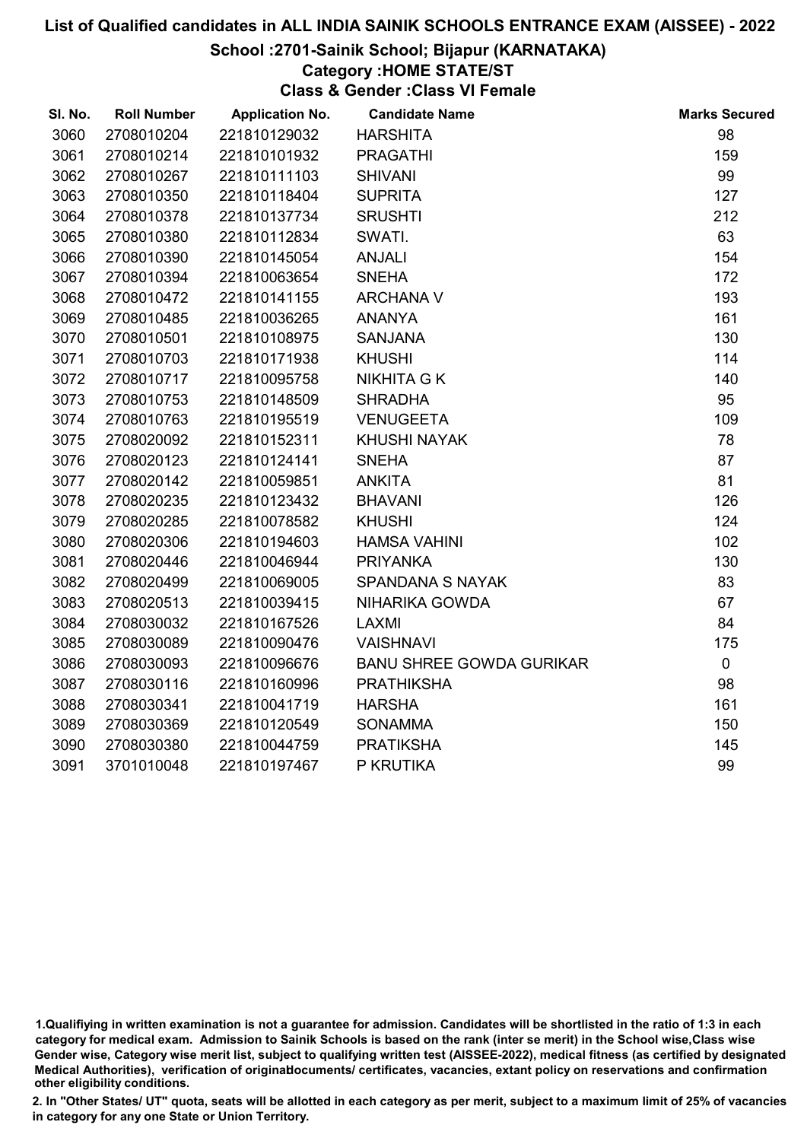## School :2701-Sainik School; Bijapur (KARNATAKA)

## Category :HOME STATE/ST

Class & Gender :Class VI Female

| SI. No. | <b>Roll Number</b> | <b>Application No.</b> | <b>Candidate Name</b>           | <b>Marks Secured</b> |
|---------|--------------------|------------------------|---------------------------------|----------------------|
| 3060    | 2708010204         | 221810129032           | <b>HARSHITA</b>                 | 98                   |
| 3061    | 2708010214         | 221810101932           | <b>PRAGATHI</b>                 | 159                  |
| 3062    | 2708010267         | 221810111103           | <b>SHIVANI</b>                  | 99                   |
| 3063    | 2708010350         | 221810118404           | <b>SUPRITA</b>                  | 127                  |
| 3064    | 2708010378         | 221810137734           | <b>SRUSHTI</b>                  | 212                  |
| 3065    | 2708010380         | 221810112834           | SWATI.                          | 63                   |
| 3066    | 2708010390         | 221810145054           | <b>ANJALI</b>                   | 154                  |
| 3067    | 2708010394         | 221810063654           | <b>SNEHA</b>                    | 172                  |
| 3068    | 2708010472         | 221810141155           | <b>ARCHANA V</b>                | 193                  |
| 3069    | 2708010485         | 221810036265           | <b>ANANYA</b>                   | 161                  |
| 3070    | 2708010501         | 221810108975           | <b>SANJANA</b>                  | 130                  |
| 3071    | 2708010703         | 221810171938           | <b>KHUSHI</b>                   | 114                  |
| 3072    | 2708010717         | 221810095758           | <b>NIKHITA G K</b>              | 140                  |
| 3073    | 2708010753         | 221810148509           | <b>SHRADHA</b>                  | 95                   |
| 3074    | 2708010763         | 221810195519           | <b>VENUGEETA</b>                | 109                  |
| 3075    | 2708020092         | 221810152311           | <b>KHUSHI NAYAK</b>             | 78                   |
| 3076    | 2708020123         | 221810124141           | <b>SNEHA</b>                    | 87                   |
| 3077    | 2708020142         | 221810059851           | <b>ANKITA</b>                   | 81                   |
| 3078    | 2708020235         | 221810123432           | <b>BHAVANI</b>                  | 126                  |
| 3079    | 2708020285         | 221810078582           | <b>KHUSHI</b>                   | 124                  |
| 3080    | 2708020306         | 221810194603           | <b>HAMSA VAHINI</b>             | 102                  |
| 3081    | 2708020446         | 221810046944           | <b>PRIYANKA</b>                 | 130                  |
| 3082    | 2708020499         | 221810069005           | <b>SPANDANA S NAYAK</b>         | 83                   |
| 3083    | 2708020513         | 221810039415           | NIHARIKA GOWDA                  | 67                   |
| 3084    | 2708030032         | 221810167526           | <b>LAXMI</b>                    | 84                   |
| 3085    | 2708030089         | 221810090476           | <b>VAISHNAVI</b>                | 175                  |
| 3086    | 2708030093         | 221810096676           | <b>BANU SHREE GOWDA GURIKAR</b> | $\mathbf 0$          |
| 3087    | 2708030116         | 221810160996           | <b>PRATHIKSHA</b>               | 98                   |
| 3088    | 2708030341         | 221810041719           | <b>HARSHA</b>                   | 161                  |
| 3089    | 2708030369         | 221810120549           | <b>SONAMMA</b>                  | 150                  |
| 3090    | 2708030380         | 221810044759           | <b>PRATIKSHA</b>                | 145                  |
| 3091    | 3701010048         | 221810197467           | P KRUTIKA                       | 99                   |

<sup>1.</sup>Qualifiying in written examination is not a guarantee for admission. Candidates will be shortlisted in the ratio of 1:3 in each category for medical exam. Admission to Sainik Schools is based on the rank (inter se merit) in the School wise,Class wise Gender wise, Category wise merit list, subject to qualifying written test (AISSEE-2022), medical fitness (as certified by designated Medical Authorities), verification of originablocuments/ certificates, vacancies, extant policy on reservations and confirmation other eligibility conditions.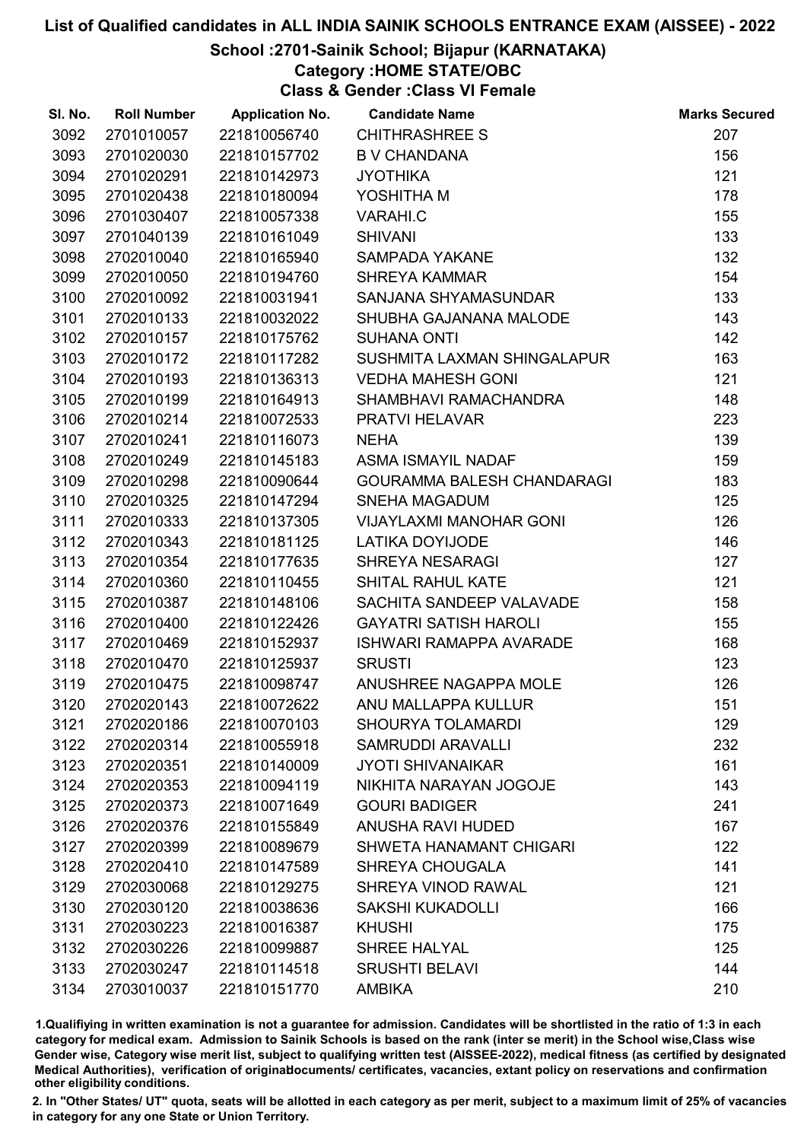## School :2701-Sainik School; Bijapur (KARNATAKA)

Category :HOME STATE/OBC

Class & Gender :Class VI Female

| SI. No. | <b>Roll Number</b> | <b>Application No.</b> | <b>Candidate Name</b>             | <b>Marks Secured</b> |
|---------|--------------------|------------------------|-----------------------------------|----------------------|
| 3092    | 2701010057         | 221810056740           | <b>CHITHRASHREE S</b>             | 207                  |
| 3093    | 2701020030         | 221810157702           | <b>B V CHANDANA</b>               | 156                  |
| 3094    | 2701020291         | 221810142973           | <b>JYOTHIKA</b>                   | 121                  |
| 3095    | 2701020438         | 221810180094           | YOSHITHA M                        | 178                  |
| 3096    | 2701030407         | 221810057338           | VARAHI.C                          | 155                  |
| 3097    | 2701040139         | 221810161049           | <b>SHIVANI</b>                    | 133                  |
| 3098    | 2702010040         | 221810165940           | <b>SAMPADA YAKANE</b>             | 132                  |
| 3099    | 2702010050         | 221810194760           | <b>SHREYA KAMMAR</b>              | 154                  |
| 3100    | 2702010092         | 221810031941           | SANJANA SHYAMASUNDAR              | 133                  |
| 3101    | 2702010133         | 221810032022           | SHUBHA GAJANANA MALODE            | 143                  |
| 3102    | 2702010157         | 221810175762           | <b>SUHANA ONTI</b>                | 142                  |
| 3103    | 2702010172         | 221810117282           | SUSHMITA LAXMAN SHINGALAPUR       | 163                  |
| 3104    | 2702010193         | 221810136313           | <b>VEDHA MAHESH GONI</b>          | 121                  |
| 3105    | 2702010199         | 221810164913           | SHAMBHAVI RAMACHANDRA             | 148                  |
| 3106    | 2702010214         | 221810072533           | PRATVI HELAVAR                    | 223                  |
| 3107    | 2702010241         | 221810116073           | <b>NEHA</b>                       | 139                  |
| 3108    | 2702010249         | 221810145183           | <b>ASMA ISMAYIL NADAF</b>         | 159                  |
| 3109    | 2702010298         | 221810090644           | <b>GOURAMMA BALESH CHANDARAGI</b> | 183                  |
| 3110    | 2702010325         | 221810147294           | <b>SNEHA MAGADUM</b>              | 125                  |
| 3111    | 2702010333         | 221810137305           | <b>VIJAYLAXMI MANOHAR GONI</b>    | 126                  |
| 3112    | 2702010343         | 221810181125           | <b>LATIKA DOYIJODE</b>            | 146                  |
| 3113    | 2702010354         | 221810177635           | <b>SHREYA NESARAGI</b>            | 127                  |
| 3114    | 2702010360         | 221810110455           | SHITAL RAHUL KATE                 | 121                  |
| 3115    | 2702010387         | 221810148106           | SACHITA SANDEEP VALAVADE          | 158                  |
| 3116    | 2702010400         | 221810122426           | <b>GAYATRI SATISH HAROLI</b>      | 155                  |
| 3117    | 2702010469         | 221810152937           | <b>ISHWARI RAMAPPA AVARADE</b>    | 168                  |
| 3118    | 2702010470         | 221810125937           | <b>SRUSTI</b>                     | 123                  |
| 3119    | 2702010475         | 221810098747           | ANUSHREE NAGAPPA MOLE             | 126                  |
| 3120    | 2702020143         | 221810072622           | ANU MALLAPPA KULLUR               | 151                  |
| 3121    | 2702020186         | 221810070103           | <b>SHOURYA TOLAMARDI</b>          | 129                  |
| 3122    | 2702020314         | 221810055918           | <b>SAMRUDDI ARAVALLI</b>          | 232                  |
| 3123    | 2702020351         | 221810140009           | <b>JYOTI SHIVANAIKAR</b>          | 161                  |
| 3124    | 2702020353         | 221810094119           | NIKHITA NARAYAN JOGOJE            | 143                  |
| 3125    | 2702020373         | 221810071649           | <b>GOURI BADIGER</b>              | 241                  |
| 3126    | 2702020376         | 221810155849           | <b>ANUSHA RAVI HUDED</b>          | 167                  |
| 3127    | 2702020399         | 221810089679           | <b>SHWETA HANAMANT CHIGARI</b>    | 122                  |
| 3128    | 2702020410         | 221810147589           | <b>SHREYA CHOUGALA</b>            | 141                  |
| 3129    | 2702030068         | 221810129275           | SHREYA VINOD RAWAL                | 121                  |
| 3130    | 2702030120         | 221810038636           | <b>SAKSHI KUKADOLLI</b>           | 166                  |
| 3131    | 2702030223         | 221810016387           | <b>KHUSHI</b>                     | 175                  |
| 3132    | 2702030226         | 221810099887           | SHREE HALYAL                      | 125                  |
| 3133    | 2702030247         | 221810114518           | <b>SRUSHTI BELAVI</b>             | 144                  |
| 3134    | 2703010037         | 221810151770           | <b>AMBIKA</b>                     | 210                  |

1.Qualifiying in written examination is not a guarantee for admission. Candidates will be shortlisted in the ratio of 1:3 in each category for medical exam. Admission to Sainik Schools is based on the rank (inter se merit) in the School wise,Class wise Gender wise, Category wise merit list, subject to qualifying written test (AISSEE-2022), medical fitness (as certified by designated Medical Authorities), verification of originablocuments/ certificates, vacancies, extant policy on reservations and confirmation other eligibility conditions.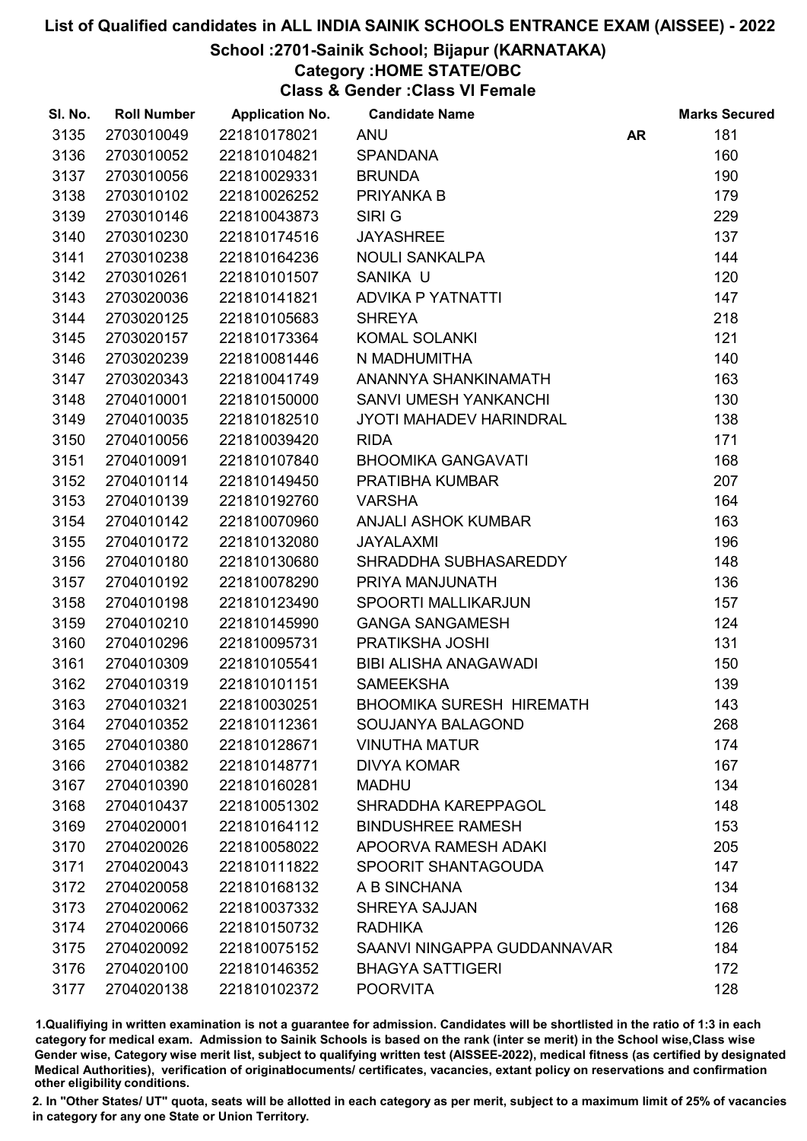#### School :2701-Sainik School; Bijapur (KARNATAKA)

# Category :HOME STATE/OBC

Class & Gender :Class VI Female

| SI. No. | <b>Roll Number</b> | <b>Application No.</b> | <b>Candidate Name</b>           |           | <b>Marks Secured</b> |
|---------|--------------------|------------------------|---------------------------------|-----------|----------------------|
| 3135    | 2703010049         | 221810178021           | <b>ANU</b>                      | <b>AR</b> | 181                  |
| 3136    | 2703010052         | 221810104821           | <b>SPANDANA</b>                 |           | 160                  |
| 3137    | 2703010056         | 221810029331           | <b>BRUNDA</b>                   |           | 190                  |
| 3138    | 2703010102         | 221810026252           | PRIYANKA B                      |           | 179                  |
| 3139    | 2703010146         | 221810043873           | SIRI G                          |           | 229                  |
| 3140    | 2703010230         | 221810174516           | <b>JAYASHREE</b>                |           | 137                  |
| 3141    | 2703010238         | 221810164236           | <b>NOULI SANKALPA</b>           |           | 144                  |
| 3142    | 2703010261         | 221810101507           | SANIKA U                        |           | 120                  |
| 3143    | 2703020036         | 221810141821           | <b>ADVIKA P YATNATTI</b>        |           | 147                  |
| 3144    | 2703020125         | 221810105683           | <b>SHREYA</b>                   |           | 218                  |
| 3145    | 2703020157         | 221810173364           | <b>KOMAL SOLANKI</b>            |           | 121                  |
| 3146    | 2703020239         | 221810081446           | N MADHUMITHA                    |           | 140                  |
| 3147    | 2703020343         | 221810041749           | ANANNYA SHANKINAMATH            |           | 163                  |
| 3148    | 2704010001         | 221810150000           | SANVI UMESH YANKANCHI           |           | 130                  |
| 3149    | 2704010035         | 221810182510           | JYOTI MAHADEV HARINDRAL         |           | 138                  |
| 3150    | 2704010056         | 221810039420           | <b>RIDA</b>                     |           | 171                  |
| 3151    | 2704010091         | 221810107840           | <b>BHOOMIKA GANGAVATI</b>       |           | 168                  |
| 3152    | 2704010114         | 221810149450           | PRATIBHA KUMBAR                 |           | 207                  |
| 3153    | 2704010139         | 221810192760           | <b>VARSHA</b>                   |           | 164                  |
| 3154    | 2704010142         | 221810070960           | <b>ANJALI ASHOK KUMBAR</b>      |           | 163                  |
| 3155    | 2704010172         | 221810132080           | <b>JAYALAXMI</b>                |           | 196                  |
| 3156    | 2704010180         | 221810130680           | SHRADDHA SUBHASAREDDY           |           | 148                  |
| 3157    | 2704010192         | 221810078290           | PRIYA MANJUNATH                 |           | 136                  |
| 3158    | 2704010198         | 221810123490           | <b>SPOORTI MALLIKARJUN</b>      |           | 157                  |
| 3159    | 2704010210         | 221810145990           | <b>GANGA SANGAMESH</b>          |           | 124                  |
| 3160    | 2704010296         | 221810095731           | PRATIKSHA JOSHI                 |           | 131                  |
| 3161    | 2704010309         | 221810105541           | BIBI ALISHA ANAGAWADI           |           | 150                  |
| 3162    | 2704010319         | 221810101151           | <b>SAMEEKSHA</b>                |           | 139                  |
| 3163    | 2704010321         | 221810030251           | <b>BHOOMIKA SURESH HIREMATH</b> |           | 143                  |
| 3164    | 2704010352         | 221810112361           | SOUJANYA BALAGOND               |           | 268                  |
| 3165    | 2704010380         | 221810128671           | <b>VINUTHA MATUR</b>            |           | 174                  |
| 3166    | 2704010382         | 221810148771           | <b>DIVYA KOMAR</b>              |           | 167                  |
| 3167    | 2704010390         | 221810160281           | <b>MADHU</b>                    |           | 134                  |
| 3168    | 2704010437         | 221810051302           | SHRADDHA KAREPPAGOL             |           | 148                  |
| 3169    | 2704020001         | 221810164112           | <b>BINDUSHREE RAMESH</b>        |           | 153                  |
| 3170    | 2704020026         | 221810058022           | <b>APOORVA RAMESH ADAKI</b>     |           | 205                  |
| 3171    | 2704020043         | 221810111822           | SPOORIT SHANTAGOUDA             |           | 147                  |
| 3172    | 2704020058         | 221810168132           | A B SINCHANA                    |           | 134                  |
| 3173    | 2704020062         | 221810037332           | <b>SHREYA SAJJAN</b>            |           | 168                  |
| 3174    | 2704020066         | 221810150732           | <b>RADHIKA</b>                  |           | 126                  |
| 3175    | 2704020092         | 221810075152           | SAANVI NINGAPPA GUDDANNAVAR     |           | 184                  |
| 3176    | 2704020100         | 221810146352           | <b>BHAGYA SATTIGERI</b>         |           | 172                  |
| 3177    | 2704020138         | 221810102372           | <b>POORVITA</b>                 |           | 128                  |

1.Qualifiying in written examination is not a guarantee for admission. Candidates will be shortlisted in the ratio of 1:3 in each category for medical exam. Admission to Sainik Schools is based on the rank (inter se merit) in the School wise,Class wise Gender wise, Category wise merit list, subject to qualifying written test (AISSEE-2022), medical fitness (as certified by designated Medical Authorities), verification of originablocuments/ certificates, vacancies, extant policy on reservations and confirmation other eligibility conditions.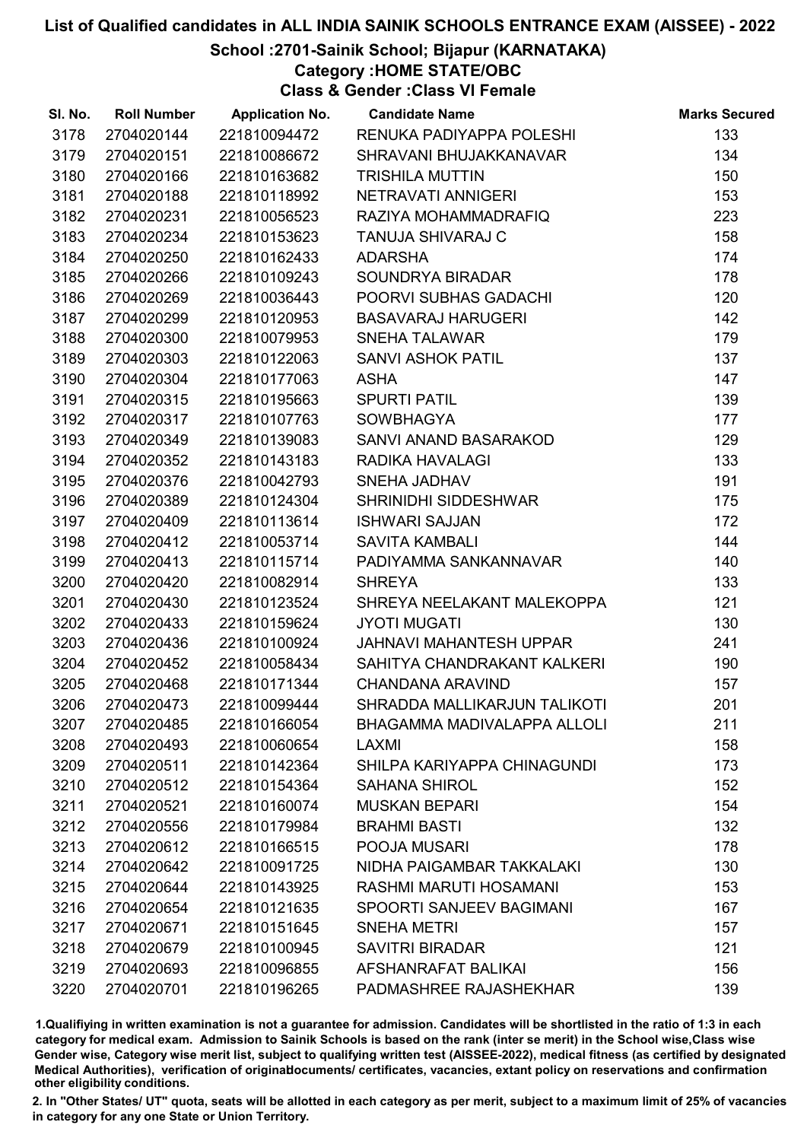## School :2701-Sainik School; Bijapur (KARNATAKA)

Category :HOME STATE/OBC

Class & Gender :Class VI Female

| SI. No. | <b>Roll Number</b> | <b>Application No.</b> | <b>Candidate Name</b>              | <b>Marks Secured</b> |
|---------|--------------------|------------------------|------------------------------------|----------------------|
| 3178    | 2704020144         | 221810094472           | RENUKA PADIYAPPA POLESHI           | 133                  |
| 3179    | 2704020151         | 221810086672           | SHRAVANI BHUJAKKANAVAR             | 134                  |
| 3180    | 2704020166         | 221810163682           | <b>TRISHILA MUTTIN</b>             | 150                  |
| 3181    | 2704020188         | 221810118992           | NETRAVATI ANNIGERI                 | 153                  |
| 3182    | 2704020231         | 221810056523           | RAZIYA MOHAMMADRAFIQ               | 223                  |
| 3183    | 2704020234         | 221810153623           | <b>TANUJA SHIVARAJ C</b>           | 158                  |
| 3184    | 2704020250         | 221810162433           | <b>ADARSHA</b>                     | 174                  |
| 3185    | 2704020266         | 221810109243           | SOUNDRYA BIRADAR                   | 178                  |
| 3186    | 2704020269         | 221810036443           | POORVI SUBHAS GADACHI              | 120                  |
| 3187    | 2704020299         | 221810120953           | <b>BASAVARAJ HARUGERI</b>          | 142                  |
| 3188    | 2704020300         | 221810079953           | <b>SNEHA TALAWAR</b>               | 179                  |
| 3189    | 2704020303         | 221810122063           | <b>SANVI ASHOK PATIL</b>           | 137                  |
| 3190    | 2704020304         | 221810177063           | <b>ASHA</b>                        | 147                  |
| 3191    | 2704020315         | 221810195663           | <b>SPURTI PATIL</b>                | 139                  |
| 3192    | 2704020317         | 221810107763           | <b>SOWBHAGYA</b>                   | 177                  |
| 3193    | 2704020349         | 221810139083           | SANVI ANAND BASARAKOD              | 129                  |
| 3194    | 2704020352         | 221810143183           | RADIKA HAVALAGI                    | 133                  |
| 3195    | 2704020376         | 221810042793           | <b>SNEHA JADHAV</b>                | 191                  |
| 3196    | 2704020389         | 221810124304           | SHRINIDHI SIDDESHWAR               | 175                  |
| 3197    | 2704020409         | 221810113614           | <b>ISHWARI SAJJAN</b>              | 172                  |
| 3198    | 2704020412         | 221810053714           | <b>SAVITA KAMBALI</b>              | 144                  |
| 3199    | 2704020413         | 221810115714           | PADIYAMMA SANKANNAVAR              | 140                  |
| 3200    | 2704020420         | 221810082914           | <b>SHREYA</b>                      | 133                  |
| 3201    | 2704020430         | 221810123524           | SHREYA NEELAKANT MALEKOPPA         | 121                  |
| 3202    | 2704020433         | 221810159624           | <b>JYOTI MUGATI</b>                | 130                  |
| 3203    | 2704020436         | 221810100924           | <b>JAHNAVI MAHANTESH UPPAR</b>     | 241                  |
| 3204    | 2704020452         | 221810058434           | SAHITYA CHANDRAKANT KALKERI        | 190                  |
| 3205    | 2704020468         | 221810171344           | <b>CHANDANA ARAVIND</b>            | 157                  |
| 3206    | 2704020473         | 221810099444           | SHRADDA MALLIKARJUN TALIKOTI       | 201                  |
| 3207    | 2704020485         | 221810166054           | <b>BHAGAMMA MADIVALAPPA ALLOLI</b> | 211                  |
| 3208    | 2704020493         | 221810060654           | LAXMI                              | 158                  |
| 3209    | 2704020511         | 221810142364           | SHILPA KARIYAPPA CHINAGUNDI        | 173                  |
| 3210    | 2704020512         | 221810154364           | <b>SAHANA SHIROL</b>               | 152                  |
| 3211    | 2704020521         | 221810160074           | <b>MUSKAN BEPARI</b>               | 154                  |
| 3212    | 2704020556         | 221810179984           | <b>BRAHMI BASTI</b>                | 132                  |
| 3213    | 2704020612         | 221810166515           | POOJA MUSARI                       | 178                  |
| 3214    | 2704020642         | 221810091725           | NIDHA PAIGAMBAR TAKKALAKI          | 130                  |
| 3215    | 2704020644         | 221810143925           | RASHMI MARUTI HOSAMANI             | 153                  |
| 3216    | 2704020654         | 221810121635           | SPOORTI SANJEEV BAGIMANI           | 167                  |
| 3217    | 2704020671         | 221810151645           | <b>SNEHA METRI</b>                 | 157                  |
| 3218    | 2704020679         | 221810100945           | <b>SAVITRI BIRADAR</b>             | 121                  |
| 3219    | 2704020693         | 221810096855           | AFSHANRAFAT BALIKAI                | 156                  |
| 3220    | 2704020701         | 221810196265           | PADMASHREE RAJASHEKHAR             | 139                  |

1.Qualifiying in written examination is not a guarantee for admission. Candidates will be shortlisted in the ratio of 1:3 in each category for medical exam. Admission to Sainik Schools is based on the rank (inter se merit) in the School wise,Class wise Gender wise, Category wise merit list, subject to qualifying written test (AISSEE-2022), medical fitness (as certified by designated Medical Authorities), verification of originablocuments/ certificates, vacancies, extant policy on reservations and confirmation other eligibility conditions.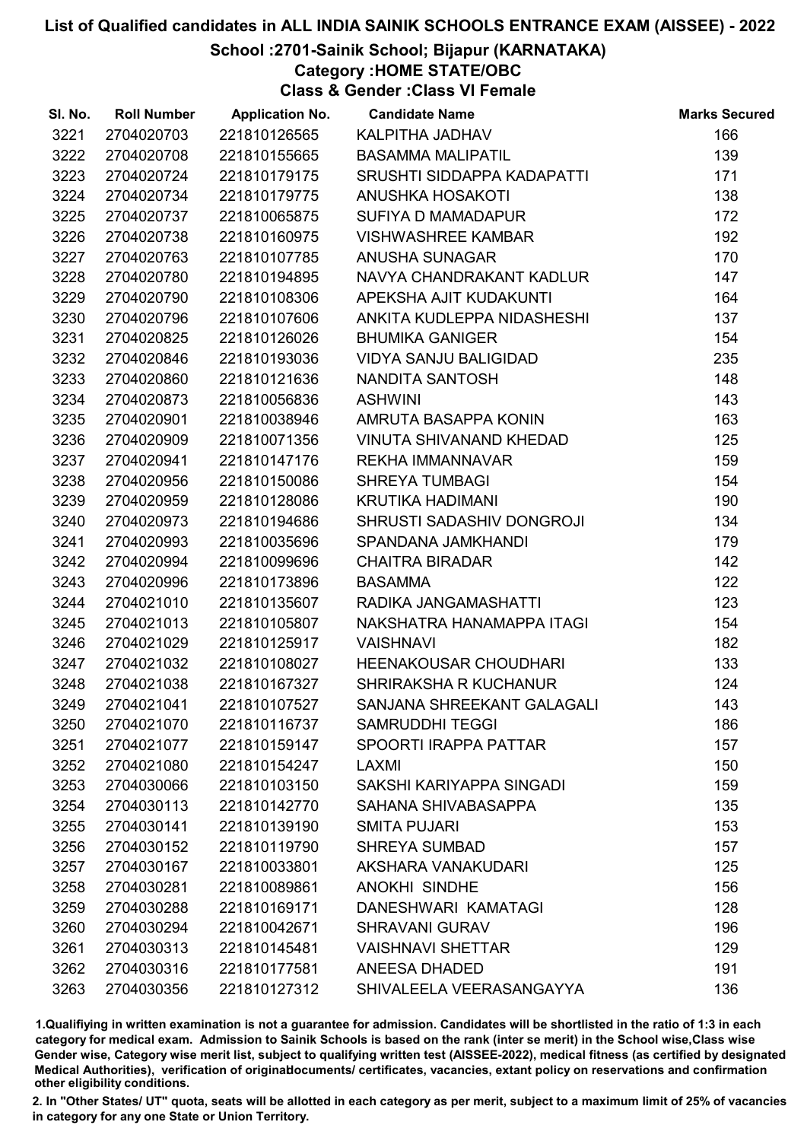## School :2701-Sainik School; Bijapur (KARNATAKA)

Category :HOME STATE/OBC

Class & Gender :Class VI Female

| SI. No. | <b>Roll Number</b> | <b>Application No.</b> | <b>Candidate Name</b>          | <b>Marks Secured</b> |
|---------|--------------------|------------------------|--------------------------------|----------------------|
| 3221    | 2704020703         | 221810126565           | KALPITHA JADHAV                | 166                  |
| 3222    | 2704020708         | 221810155665           | <b>BASAMMA MALIPATIL</b>       | 139                  |
| 3223    | 2704020724         | 221810179175           | SRUSHTI SIDDAPPA KADAPATTI     | 171                  |
| 3224    | 2704020734         | 221810179775           | ANUSHKA HOSAKOTI               | 138                  |
| 3225    | 2704020737         | 221810065875           | SUFIYA D MAMADAPUR             | 172                  |
| 3226    | 2704020738         | 221810160975           | <b>VISHWASHREE KAMBAR</b>      | 192                  |
| 3227    | 2704020763         | 221810107785           | <b>ANUSHA SUNAGAR</b>          | 170                  |
| 3228    | 2704020780         | 221810194895           | NAVYA CHANDRAKANT KADLUR       | 147                  |
| 3229    | 2704020790         | 221810108306           | APEKSHA AJIT KUDAKUNTI         | 164                  |
| 3230    | 2704020796         | 221810107606           | ANKITA KUDLEPPA NIDASHESHI     | 137                  |
| 3231    | 2704020825         | 221810126026           | <b>BHUMIKA GANIGER</b>         | 154                  |
| 3232    | 2704020846         | 221810193036           | <b>VIDYA SANJU BALIGIDAD</b>   | 235                  |
| 3233    | 2704020860         | 221810121636           | NANDITA SANTOSH                | 148                  |
| 3234    | 2704020873         | 221810056836           | <b>ASHWINI</b>                 | 143                  |
| 3235    | 2704020901         | 221810038946           | AMRUTA BASAPPA KONIN           | 163                  |
| 3236    | 2704020909         | 221810071356           | <b>VINUTA SHIVANAND KHEDAD</b> | 125                  |
| 3237    | 2704020941         | 221810147176           | <b>REKHA IMMANNAVAR</b>        | 159                  |
| 3238    | 2704020956         | 221810150086           | <b>SHREYA TUMBAGI</b>          | 154                  |
| 3239    | 2704020959         | 221810128086           | <b>KRUTIKA HADIMANI</b>        | 190                  |
| 3240    | 2704020973         | 221810194686           | SHRUSTI SADASHIV DONGROJI      | 134                  |
| 3241    | 2704020993         | 221810035696           | SPANDANA JAMKHANDI             | 179                  |
| 3242    | 2704020994         | 221810099696           | <b>CHAITRA BIRADAR</b>         | 142                  |
| 3243    | 2704020996         | 221810173896           | <b>BASAMMA</b>                 | 122                  |
| 3244    | 2704021010         | 221810135607           | RADIKA JANGAMASHATTI           | 123                  |
| 3245    | 2704021013         | 221810105807           | NAKSHATRA HANAMAPPA ITAGI      | 154                  |
| 3246    | 2704021029         | 221810125917           | <b>VAISHNAVI</b>               | 182                  |
| 3247    | 2704021032         | 221810108027           | <b>HEENAKOUSAR CHOUDHARI</b>   | 133                  |
| 3248    | 2704021038         | 221810167327           | <b>SHRIRAKSHA R KUCHANUR</b>   | 124                  |
| 3249    | 2704021041         | 221810107527           | SANJANA SHREEKANT GALAGALI     | 143                  |
| 3250    | 2704021070         | 221810116737           | <b>SAMRUDDHI TEGGI</b>         | 186                  |
| 3251    | 2704021077         | 221810159147           | <b>SPOORTI IRAPPA PATTAR</b>   | 157                  |
| 3252    | 2704021080         | 221810154247           | LAXMI                          | 150                  |
| 3253    | 2704030066         | 221810103150           | SAKSHI KARIYAPPA SINGADI       | 159                  |
| 3254    | 2704030113         | 221810142770           | SAHANA SHIVABASAPPA            | 135                  |
| 3255    | 2704030141         | 221810139190           | <b>SMITA PUJARI</b>            | 153                  |
| 3256    | 2704030152         | 221810119790           | <b>SHREYA SUMBAD</b>           | 157                  |
| 3257    | 2704030167         | 221810033801           | AKSHARA VANAKUDARI             | 125                  |
| 3258    | 2704030281         | 221810089861           | <b>ANOKHI SINDHE</b>           | 156                  |
| 3259    | 2704030288         | 221810169171           | DANESHWARI KAMATAGI            | 128                  |
| 3260    | 2704030294         | 221810042671           | <b>SHRAVANI GURAV</b>          | 196                  |
| 3261    | 2704030313         | 221810145481           | <b>VAISHNAVI SHETTAR</b>       | 129                  |
| 3262    | 2704030316         | 221810177581           | <b>ANEESA DHADED</b>           | 191                  |
| 3263    | 2704030356         | 221810127312           | SHIVALEELA VEERASANGAYYA       | 136                  |

1.Qualifiying in written examination is not a guarantee for admission. Candidates will be shortlisted in the ratio of 1:3 in each category for medical exam. Admission to Sainik Schools is based on the rank (inter se merit) in the School wise,Class wise Gender wise, Category wise merit list, subject to qualifying written test (AISSEE-2022), medical fitness (as certified by designated Medical Authorities), verification of originablocuments/ certificates, vacancies, extant policy on reservations and confirmation other eligibility conditions.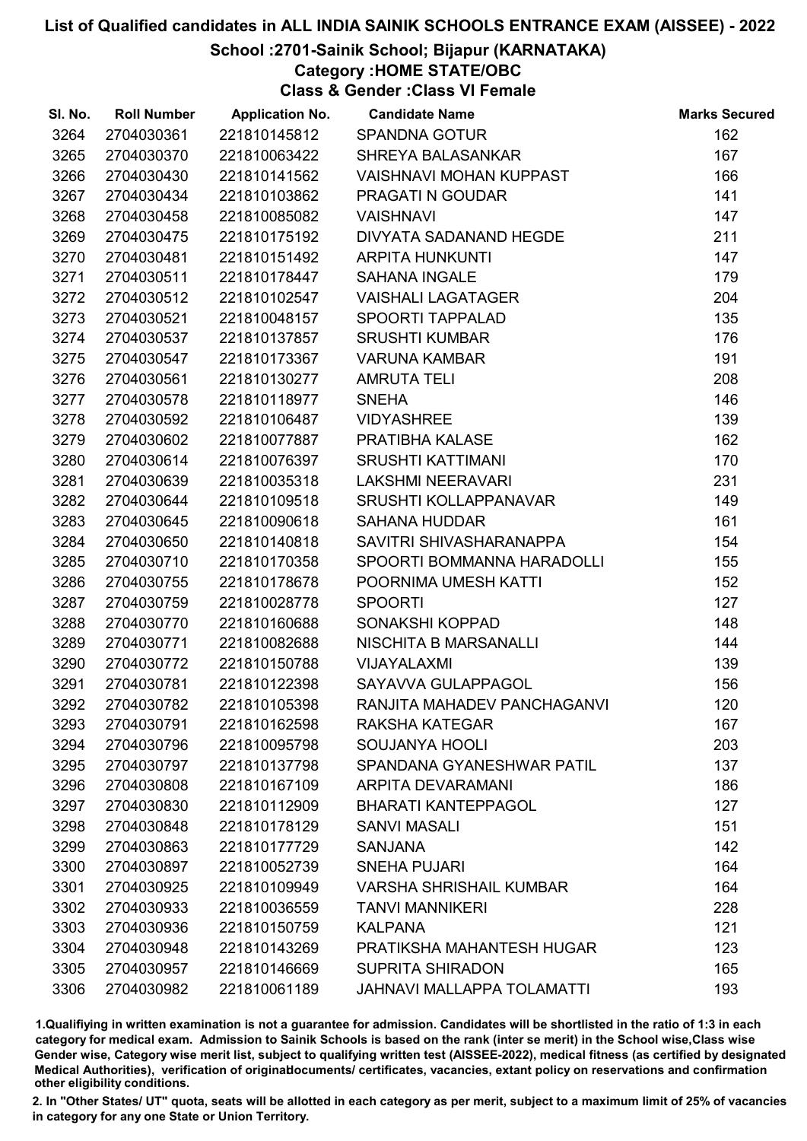## School :2701-Sainik School; Bijapur (KARNATAKA)

Category :HOME STATE/OBC

Class & Gender :Class VI Female

| SI. No. | <b>Roll Number</b> | <b>Application No.</b> | <b>Candidate Name</b>          | <b>Marks Secured</b> |
|---------|--------------------|------------------------|--------------------------------|----------------------|
| 3264    | 2704030361         | 221810145812           | <b>SPANDNA GOTUR</b>           | 162                  |
| 3265    | 2704030370         | 221810063422           | <b>SHREYA BALASANKAR</b>       | 167                  |
| 3266    | 2704030430         | 221810141562           | <b>VAISHNAVI MOHAN KUPPAST</b> | 166                  |
| 3267    | 2704030434         | 221810103862           | <b>PRAGATI N GOUDAR</b>        | 141                  |
| 3268    | 2704030458         | 221810085082           | <b>VAISHNAVI</b>               | 147                  |
| 3269    | 2704030475         | 221810175192           | DIVYATA SADANAND HEGDE         | 211                  |
| 3270    | 2704030481         | 221810151492           | <b>ARPITA HUNKUNTI</b>         | 147                  |
| 3271    | 2704030511         | 221810178447           | <b>SAHANA INGALE</b>           | 179                  |
| 3272    | 2704030512         | 221810102547           | <b>VAISHALI LAGATAGER</b>      | 204                  |
| 3273    | 2704030521         | 221810048157           | <b>SPOORTI TAPPALAD</b>        | 135                  |
| 3274    | 2704030537         | 221810137857           | <b>SRUSHTI KUMBAR</b>          | 176                  |
| 3275    | 2704030547         | 221810173367           | <b>VARUNA KAMBAR</b>           | 191                  |
| 3276    | 2704030561         | 221810130277           | <b>AMRUTA TELI</b>             | 208                  |
| 3277    | 2704030578         | 221810118977           | <b>SNEHA</b>                   | 146                  |
| 3278    | 2704030592         | 221810106487           | <b>VIDYASHREE</b>              | 139                  |
| 3279    | 2704030602         | 221810077887           | PRATIBHA KALASE                | 162                  |
| 3280    | 2704030614         | 221810076397           | <b>SRUSHTI KATTIMANI</b>       | 170                  |
| 3281    | 2704030639         | 221810035318           | <b>LAKSHMI NEERAVARI</b>       | 231                  |
| 3282    | 2704030644         | 221810109518           | SRUSHTI KOLLAPPANAVAR          | 149                  |
| 3283    | 2704030645         | 221810090618           | <b>SAHANA HUDDAR</b>           | 161                  |
| 3284    | 2704030650         | 221810140818           | SAVITRI SHIVASHARANAPPA        | 154                  |
| 3285    | 2704030710         | 221810170358           | SPOORTI BOMMANNA HARADOLLI     | 155                  |
| 3286    | 2704030755         | 221810178678           | POORNIMA UMESH KATTI           | 152                  |
| 3287    | 2704030759         | 221810028778           | <b>SPOORTI</b>                 | 127                  |
| 3288    | 2704030770         | 221810160688           | SONAKSHI KOPPAD                | 148                  |
| 3289    | 2704030771         | 221810082688           | NISCHITA B MARSANALLI          | 144                  |
| 3290    | 2704030772         | 221810150788           | VIJAYALAXMI                    | 139                  |
| 3291    | 2704030781         | 221810122398           | SAYAVVA GULAPPAGOL             | 156                  |
| 3292    | 2704030782         | 221810105398           | RANJITA MAHADEV PANCHAGANVI    | 120                  |
| 3293    | 2704030791         | 221810162598           | <b>RAKSHA KATEGAR</b>          | 167                  |
| 3294    | 2704030796         | 221810095798           | SOUJANYA HOOLI                 | 203                  |
| 3295    | 2704030797         | 221810137798           | SPANDANA GYANESHWAR PATIL      | 137                  |
| 3296    | 2704030808         | 221810167109           | <b>ARPITA DEVARAMANI</b>       | 186                  |
| 3297    | 2704030830         | 221810112909           | <b>BHARATI KANTEPPAGOL</b>     | 127                  |
| 3298    | 2704030848         | 221810178129           | <b>SANVI MASALI</b>            | 151                  |
| 3299    | 2704030863         | 221810177729           | <b>SANJANA</b>                 | 142                  |
| 3300    | 2704030897         | 221810052739           | <b>SNEHA PUJARI</b>            | 164                  |
| 3301    | 2704030925         | 221810109949           | <b>VARSHA SHRISHAIL KUMBAR</b> | 164                  |
| 3302    | 2704030933         | 221810036559           | <b>TANVI MANNIKERI</b>         | 228                  |
| 3303    | 2704030936         | 221810150759           | <b>KALPANA</b>                 | 121                  |
| 3304    | 2704030948         | 221810143269           | PRATIKSHA MAHANTESH HUGAR      | 123                  |
| 3305    | 2704030957         | 221810146669           | <b>SUPRITA SHIRADON</b>        | 165                  |
| 3306    | 2704030982         | 221810061189           | JAHNAVI MALLAPPA TOLAMATTI     | 193                  |

1.Qualifiying in written examination is not a guarantee for admission. Candidates will be shortlisted in the ratio of 1:3 in each category for medical exam. Admission to Sainik Schools is based on the rank (inter se merit) in the School wise,Class wise Gender wise, Category wise merit list, subject to qualifying written test (AISSEE-2022), medical fitness (as certified by designated Medical Authorities), verification of originablocuments/ certificates, vacancies, extant policy on reservations and confirmation other eligibility conditions.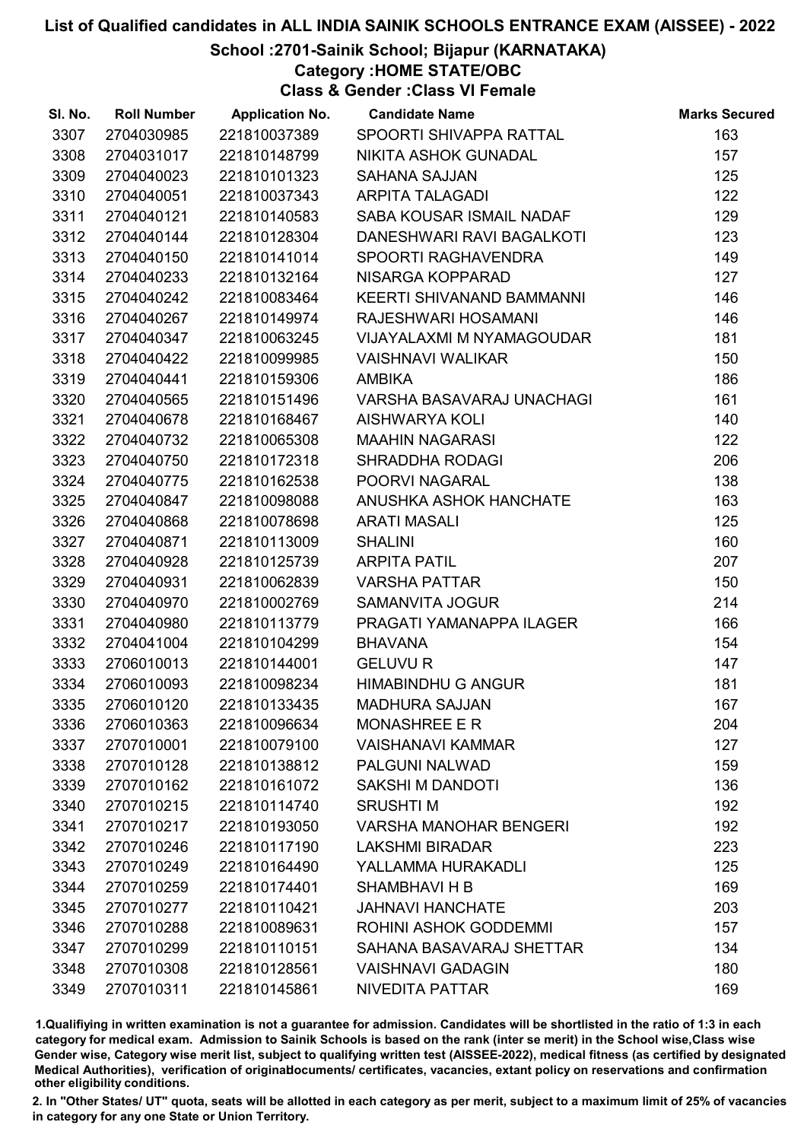## School :2701-Sainik School; Bijapur (KARNATAKA)

Category :HOME STATE/OBC

Class & Gender :Class VI Female

| SI. No. | <b>Roll Number</b> | <b>Application No.</b> | <b>Candidate Name</b>            | <b>Marks Secured</b> |
|---------|--------------------|------------------------|----------------------------------|----------------------|
| 3307    | 2704030985         | 221810037389           | SPOORTI SHIVAPPA RATTAL          | 163                  |
| 3308    | 2704031017         | 221810148799           | NIKITA ASHOK GUNADAL             | 157                  |
| 3309    | 2704040023         | 221810101323           | <b>SAHANA SAJJAN</b>             | 125                  |
| 3310    | 2704040051         | 221810037343           | <b>ARPITA TALAGADI</b>           | 122                  |
| 3311    | 2704040121         | 221810140583           | SABA KOUSAR ISMAIL NADAF         | 129                  |
| 3312    | 2704040144         | 221810128304           | DANESHWARI RAVI BAGALKOTI        | 123                  |
| 3313    | 2704040150         | 221810141014           | SPOORTI RAGHAVENDRA              | 149                  |
| 3314    | 2704040233         | 221810132164           | NISARGA KOPPARAD                 | 127                  |
| 3315    | 2704040242         | 221810083464           | KEERTI SHIVANAND BAMMANNI        | 146                  |
| 3316    | 2704040267         | 221810149974           | RAJESHWARI HOSAMANI              | 146                  |
| 3317    | 2704040347         | 221810063245           | VIJAYALAXMI M NYAMAGOUDAR        | 181                  |
| 3318    | 2704040422         | 221810099985           | <b>VAISHNAVI WALIKAR</b>         | 150                  |
| 3319    | 2704040441         | 221810159306           | <b>AMBIKA</b>                    | 186                  |
| 3320    | 2704040565         | 221810151496           | <b>VARSHA BASAVARAJ UNACHAGI</b> | 161                  |
| 3321    | 2704040678         | 221810168467           | <b>AISHWARYA KOLI</b>            | 140                  |
| 3322    | 2704040732         | 221810065308           | <b>MAAHIN NAGARASI</b>           | 122                  |
| 3323    | 2704040750         | 221810172318           | SHRADDHA RODAGI                  | 206                  |
| 3324    | 2704040775         | 221810162538           | POORVI NAGARAL                   | 138                  |
| 3325    | 2704040847         | 221810098088           | ANUSHKA ASHOK HANCHATE           | 163                  |
| 3326    | 2704040868         | 221810078698           | <b>ARATI MASALI</b>              | 125                  |
| 3327    | 2704040871         | 221810113009           | <b>SHALINI</b>                   | 160                  |
| 3328    | 2704040928         | 221810125739           | <b>ARPITA PATIL</b>              | 207                  |
| 3329    | 2704040931         | 221810062839           | <b>VARSHA PATTAR</b>             | 150                  |
| 3330    | 2704040970         | 221810002769           | SAMANVITA JOGUR                  | 214                  |
| 3331    | 2704040980         | 221810113779           | PRAGATI YAMANAPPA ILAGER         | 166                  |
| 3332    | 2704041004         | 221810104299           | <b>BHAVANA</b>                   | 154                  |
| 3333    | 2706010013         | 221810144001           | <b>GELUVU R</b>                  | 147                  |
| 3334    | 2706010093         | 221810098234           | <b>HIMABINDHU G ANGUR</b>        | 181                  |
| 3335    | 2706010120         | 221810133435           | <b>MADHURA SAJJAN</b>            | 167                  |
| 3336    | 2706010363         | 221810096634           | <b>MONASHREE E R</b>             | 204                  |
| 3337    | 2707010001         | 221810079100           | <b>VAISHANAVI KAMMAR</b>         | 127                  |
| 3338    | 2707010128         | 221810138812           | <b>PALGUNI NALWAD</b>            | 159                  |
| 3339    | 2707010162         | 221810161072           | SAKSHI M DANDOTI                 | 136                  |
| 3340    | 2707010215         | 221810114740           | <b>SRUSHTIM</b>                  | 192                  |
| 3341    | 2707010217         | 221810193050           | <b>VARSHA MANOHAR BENGERI</b>    | 192                  |
| 3342    | 2707010246         | 221810117190           | <b>LAKSHMI BIRADAR</b>           | 223                  |
| 3343    | 2707010249         | 221810164490           | YALLAMMA HURAKADLI               | 125                  |
| 3344    | 2707010259         | 221810174401           | <b>SHAMBHAVI H B</b>             | 169                  |
| 3345    | 2707010277         | 221810110421           | <b>JAHNAVI HANCHATE</b>          | 203                  |
| 3346    | 2707010288         | 221810089631           | ROHINI ASHOK GODDEMMI            | 157                  |
| 3347    | 2707010299         | 221810110151           | SAHANA BASAVARAJ SHETTAR         | 134                  |
| 3348    | 2707010308         | 221810128561           | <b>VAISHNAVI GADAGIN</b>         | 180                  |
| 3349    | 2707010311         | 221810145861           | NIVEDITA PATTAR                  | 169                  |

1.Qualifiying in written examination is not a guarantee for admission. Candidates will be shortlisted in the ratio of 1:3 in each category for medical exam. Admission to Sainik Schools is based on the rank (inter se merit) in the School wise,Class wise Gender wise, Category wise merit list, subject to qualifying written test (AISSEE-2022), medical fitness (as certified by designated Medical Authorities), verification of originablocuments/ certificates, vacancies, extant policy on reservations and confirmation other eligibility conditions.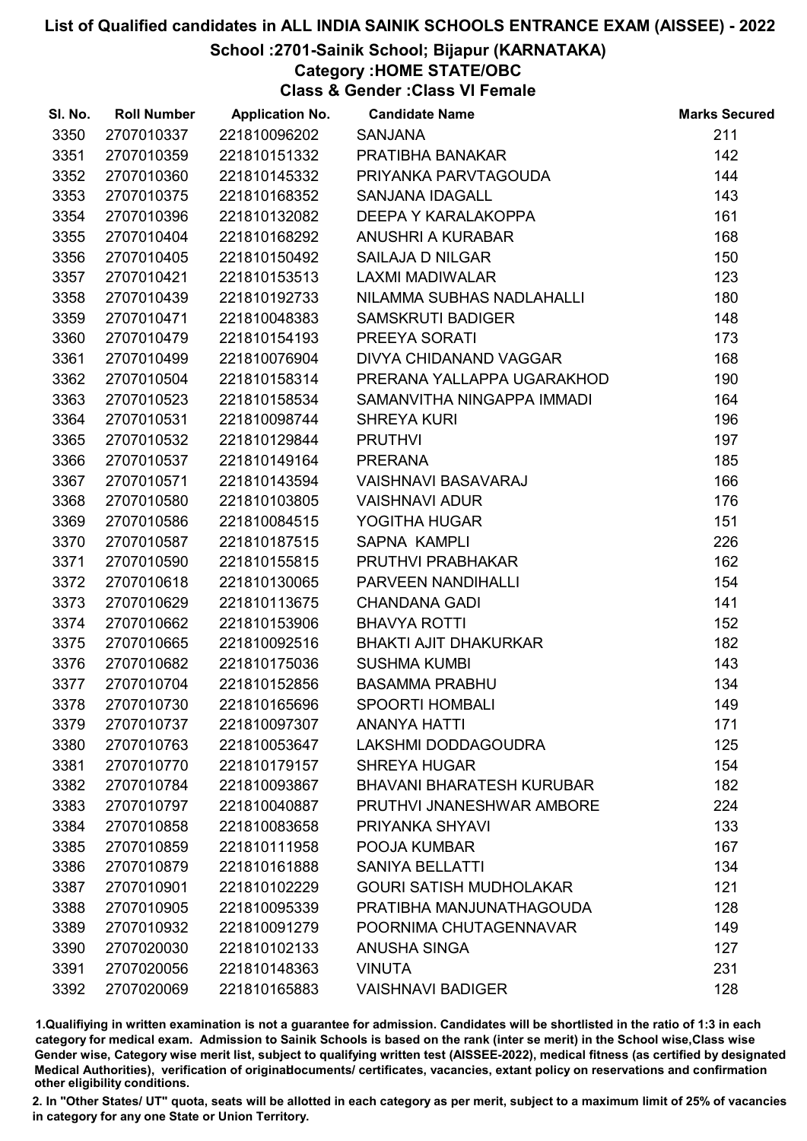## School :2701-Sainik School; Bijapur (KARNATAKA)

Category :HOME STATE/OBC

Class & Gender :Class VI Female

| SI. No. | <b>Roll Number</b> | <b>Application No.</b> | <b>Candidate Name</b>            | <b>Marks Secured</b> |
|---------|--------------------|------------------------|----------------------------------|----------------------|
| 3350    | 2707010337         | 221810096202           | <b>SANJANA</b>                   | 211                  |
| 3351    | 2707010359         | 221810151332           | PRATIBHA BANAKAR                 | 142                  |
| 3352    | 2707010360         | 221810145332           | PRIYANKA PARVTAGOUDA             | 144                  |
| 3353    | 2707010375         | 221810168352           | <b>SANJANA IDAGALL</b>           | 143                  |
| 3354    | 2707010396         | 221810132082           | DEEPA Y KARALAKOPPA              | 161                  |
| 3355    | 2707010404         | 221810168292           | <b>ANUSHRI A KURABAR</b>         | 168                  |
| 3356    | 2707010405         | 221810150492           | <b>SAILAJA D NILGAR</b>          | 150                  |
| 3357    | 2707010421         | 221810153513           | <b>LAXMI MADIWALAR</b>           | 123                  |
| 3358    | 2707010439         | 221810192733           | NILAMMA SUBHAS NADLAHALLI        | 180                  |
| 3359    | 2707010471         | 221810048383           | <b>SAMSKRUTI BADIGER</b>         | 148                  |
| 3360    | 2707010479         | 221810154193           | PREEYA SORATI                    | 173                  |
| 3361    | 2707010499         | 221810076904           | DIVYA CHIDANAND VAGGAR           | 168                  |
| 3362    | 2707010504         | 221810158314           | PRERANA YALLAPPA UGARAKHOD       | 190                  |
| 3363    | 2707010523         | 221810158534           | SAMANVITHA NINGAPPA IMMADI       | 164                  |
| 3364    | 2707010531         | 221810098744           | <b>SHREYA KURI</b>               | 196                  |
| 3365    | 2707010532         | 221810129844           | <b>PRUTHVI</b>                   | 197                  |
| 3366    | 2707010537         | 221810149164           | <b>PRERANA</b>                   | 185                  |
| 3367    | 2707010571         | 221810143594           | <b>VAISHNAVI BASAVARAJ</b>       | 166                  |
| 3368    | 2707010580         | 221810103805           | <b>VAISHNAVI ADUR</b>            | 176                  |
| 3369    | 2707010586         | 221810084515           | YOGITHA HUGAR                    | 151                  |
| 3370    | 2707010587         | 221810187515           | SAPNA KAMPLI                     | 226                  |
| 3371    | 2707010590         | 221810155815           | PRUTHVI PRABHAKAR                | 162                  |
| 3372    | 2707010618         | 221810130065           | PARVEEN NANDIHALLI               | 154                  |
| 3373    | 2707010629         | 221810113675           | <b>CHANDANA GADI</b>             | 141                  |
| 3374    | 2707010662         | 221810153906           | <b>BHAVYA ROTTI</b>              | 152                  |
| 3375    | 2707010665         | 221810092516           | <b>BHAKTI AJIT DHAKURKAR</b>     | 182                  |
| 3376    | 2707010682         | 221810175036           | <b>SUSHMA KUMBI</b>              | 143                  |
| 3377    | 2707010704         | 221810152856           | <b>BASAMMA PRABHU</b>            | 134                  |
| 3378    | 2707010730         | 221810165696           | <b>SPOORTI HOMBALI</b>           | 149                  |
| 3379    | 2707010737         | 221810097307           | <b>ANANYA HATTI</b>              | 171                  |
| 3380    | 2707010763         | 221810053647           | LAKSHMI DODDAGOUDRA              | 125                  |
| 3381    | 2707010770         | 221810179157           | <b>SHREYA HUGAR</b>              | 154                  |
| 3382    | 2707010784         | 221810093867           | <b>BHAVANI BHARATESH KURUBAR</b> | 182                  |
| 3383    | 2707010797         | 221810040887           | PRUTHVI JNANESHWAR AMBORE        | 224                  |
| 3384    | 2707010858         | 221810083658           | PRIYANKA SHYAVI                  | 133                  |
| 3385    | 2707010859         | 221810111958           | POOJA KUMBAR                     | 167                  |
| 3386    | 2707010879         | 221810161888           | <b>SANIYA BELLATTI</b>           | 134                  |
| 3387    | 2707010901         | 221810102229           | <b>GOURI SATISH MUDHOLAKAR</b>   | 121                  |
| 3388    | 2707010905         | 221810095339           | PRATIBHA MANJUNATHAGOUDA         | 128                  |
| 3389    | 2707010932         | 221810091279           | POORNIMA CHUTAGENNAVAR           | 149                  |
| 3390    | 2707020030         | 221810102133           | <b>ANUSHA SINGA</b>              | 127                  |
| 3391    | 2707020056         | 221810148363           | <b>VINUTA</b>                    | 231                  |
| 3392    | 2707020069         | 221810165883           | <b>VAISHNAVI BADIGER</b>         | 128                  |

1.Qualifiying in written examination is not a guarantee for admission. Candidates will be shortlisted in the ratio of 1:3 in each category for medical exam. Admission to Sainik Schools is based on the rank (inter se merit) in the School wise,Class wise Gender wise, Category wise merit list, subject to qualifying written test (AISSEE-2022), medical fitness (as certified by designated Medical Authorities), verification of originablocuments/ certificates, vacancies, extant policy on reservations and confirmation other eligibility conditions.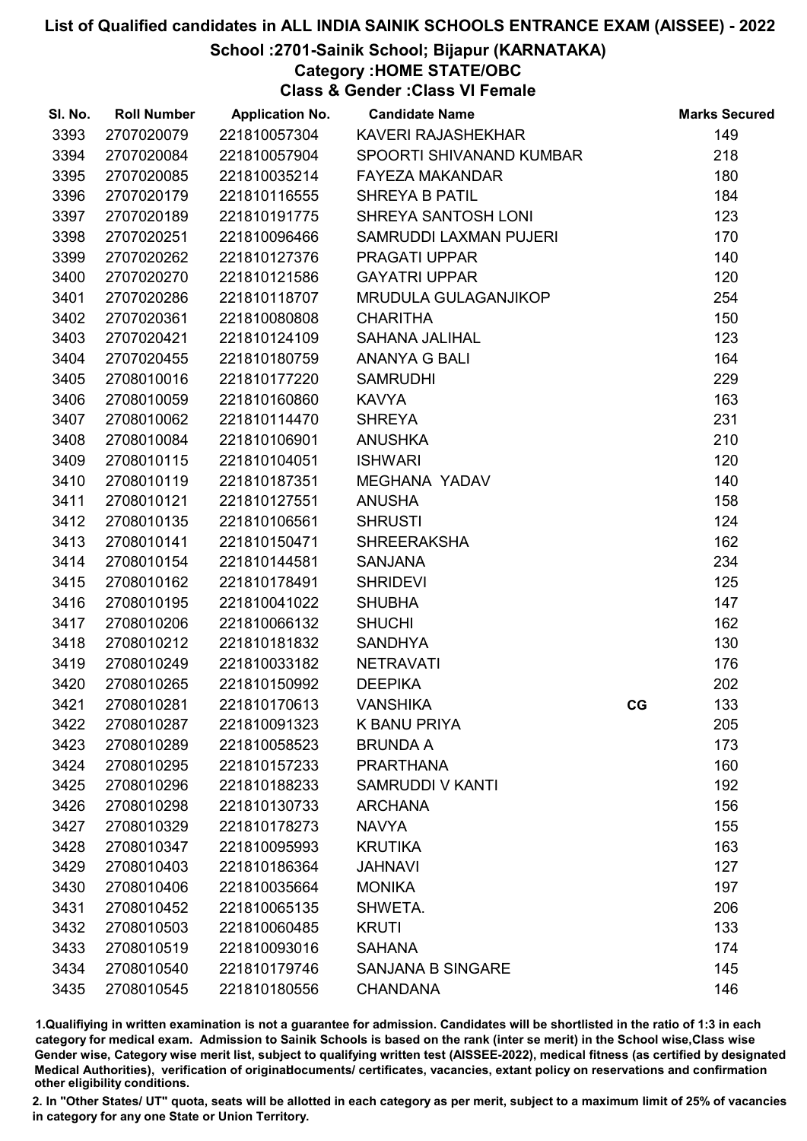## School :2701-Sainik School; Bijapur (KARNATAKA)

Category :HOME STATE/OBC

Class & Gender :Class VI Female

| SI. No. | <b>Roll Number</b> | <b>Application No.</b> | <b>Candidate Name</b>    |    | <b>Marks Secured</b> |
|---------|--------------------|------------------------|--------------------------|----|----------------------|
| 3393    | 2707020079         | 221810057304           | KAVERI RAJASHEKHAR       |    | 149                  |
| 3394    | 2707020084         | 221810057904           | SPOORTI SHIVANAND KUMBAR |    | 218                  |
| 3395    | 2707020085         | 221810035214           | <b>FAYEZA MAKANDAR</b>   |    | 180                  |
| 3396    | 2707020179         | 221810116555           | <b>SHREYA B PATIL</b>    |    | 184                  |
| 3397    | 2707020189         | 221810191775           | SHREYA SANTOSH LONI      |    | 123                  |
| 3398    | 2707020251         | 221810096466           | SAMRUDDI LAXMAN PUJERI   |    | 170                  |
| 3399    | 2707020262         | 221810127376           | PRAGATI UPPAR            |    | 140                  |
| 3400    | 2707020270         | 221810121586           | <b>GAYATRI UPPAR</b>     |    | 120                  |
| 3401    | 2707020286         | 221810118707           | MRUDULA GULAGANJIKOP     |    | 254                  |
| 3402    | 2707020361         | 221810080808           | <b>CHARITHA</b>          |    | 150                  |
| 3403    | 2707020421         | 221810124109           | <b>SAHANA JALIHAL</b>    |    | 123                  |
| 3404    | 2707020455         | 221810180759           | <b>ANANYA G BALI</b>     |    | 164                  |
| 3405    | 2708010016         | 221810177220           | <b>SAMRUDHI</b>          |    | 229                  |
| 3406    | 2708010059         | 221810160860           | <b>KAVYA</b>             |    | 163                  |
| 3407    | 2708010062         | 221810114470           | <b>SHREYA</b>            |    | 231                  |
| 3408    | 2708010084         | 221810106901           | <b>ANUSHKA</b>           |    | 210                  |
| 3409    | 2708010115         | 221810104051           | <b>ISHWARI</b>           |    | 120                  |
| 3410    | 2708010119         | 221810187351           | <b>MEGHANA YADAV</b>     |    | 140                  |
| 3411    | 2708010121         | 221810127551           | <b>ANUSHA</b>            |    | 158                  |
| 3412    | 2708010135         | 221810106561           | <b>SHRUSTI</b>           |    | 124                  |
| 3413    | 2708010141         | 221810150471           | <b>SHREERAKSHA</b>       |    | 162                  |
| 3414    | 2708010154         | 221810144581           | <b>SANJANA</b>           |    | 234                  |
| 3415    | 2708010162         | 221810178491           | <b>SHRIDEVI</b>          |    | 125                  |
| 3416    | 2708010195         | 221810041022           | <b>SHUBHA</b>            |    | 147                  |
| 3417    | 2708010206         | 221810066132           | <b>SHUCHI</b>            |    | 162                  |
| 3418    | 2708010212         | 221810181832           | <b>SANDHYA</b>           |    | 130                  |
| 3419    | 2708010249         | 221810033182           | <b>NETRAVATI</b>         |    | 176                  |
| 3420    | 2708010265         | 221810150992           | <b>DEEPIKA</b>           |    | 202                  |
| 3421    | 2708010281         | 221810170613           | <b>VANSHIKA</b>          | CG | 133                  |
| 3422    | 2708010287         | 221810091323           | <b>K BANU PRIYA</b>      |    | 205                  |
| 3423    | 2708010289         | 221810058523           | <b>BRUNDA A</b>          |    | 173                  |
| 3424    | 2708010295         | 221810157233           | <b>PRARTHANA</b>         |    | 160                  |
| 3425    | 2708010296         | 221810188233           | <b>SAMRUDDI V KANTI</b>  |    | 192                  |
| 3426    | 2708010298         | 221810130733           | <b>ARCHANA</b>           |    | 156                  |
| 3427    | 2708010329         | 221810178273           | <b>NAVYA</b>             |    | 155                  |
| 3428    | 2708010347         | 221810095993           | <b>KRUTIKA</b>           |    | 163                  |
| 3429    | 2708010403         | 221810186364           | <b>JAHNAVI</b>           |    | 127                  |
| 3430    | 2708010406         | 221810035664           | <b>MONIKA</b>            |    | 197                  |
| 3431    | 2708010452         | 221810065135           | SHWETA.                  |    | 206                  |
| 3432    | 2708010503         | 221810060485           | <b>KRUTI</b>             |    | 133                  |
| 3433    | 2708010519         | 221810093016           | <b>SAHANA</b>            |    | 174                  |
| 3434    | 2708010540         | 221810179746           | <b>SANJANA B SINGARE</b> |    | 145                  |
| 3435    | 2708010545         | 221810180556           | <b>CHANDANA</b>          |    | 146                  |

1.Qualifiying in written examination is not a guarantee for admission. Candidates will be shortlisted in the ratio of 1:3 in each category for medical exam. Admission to Sainik Schools is based on the rank (inter se merit) in the School wise,Class wise Gender wise, Category wise merit list, subject to qualifying written test (AISSEE-2022), medical fitness (as certified by designated Medical Authorities), verification of originablocuments/ certificates, vacancies, extant policy on reservations and confirmation other eligibility conditions.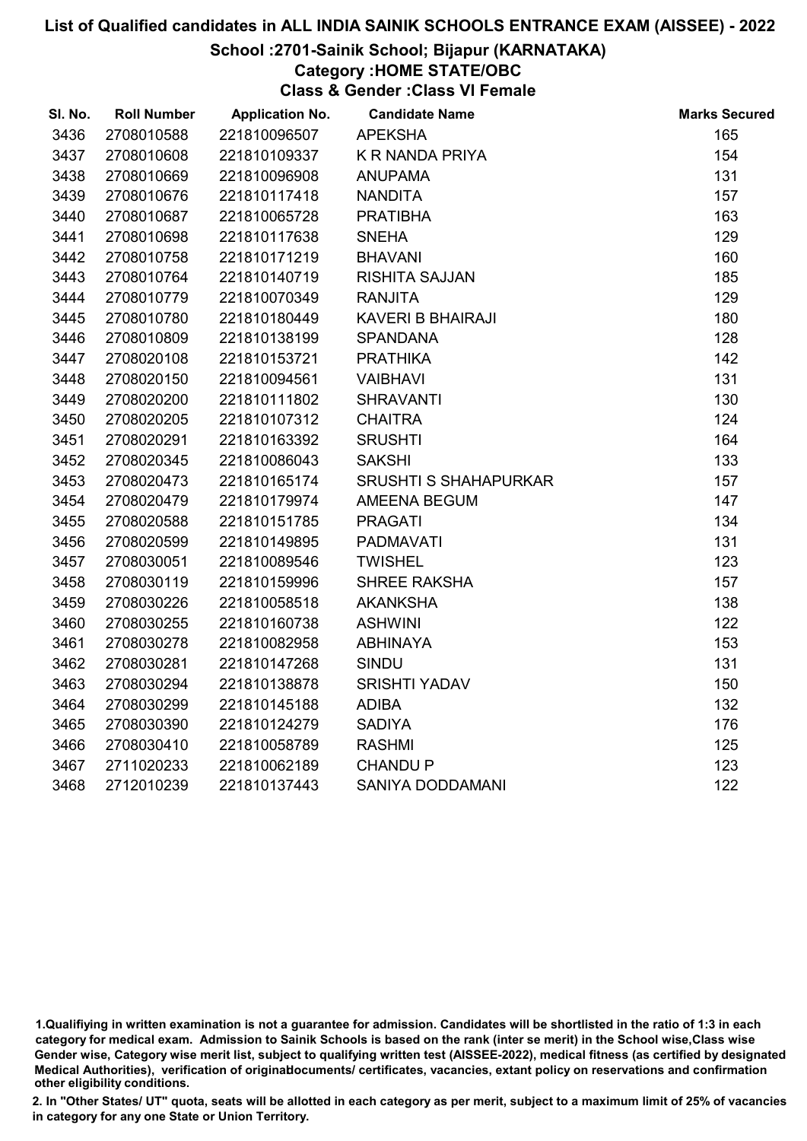#### School :2701-Sainik School; Bijapur (KARNATAKA)

# Category :HOME STATE/OBC

Class & Gender :Class VI Female

| SI. No. | <b>Roll Number</b> | <b>Application No.</b> | <b>Candidate Name</b>        | <b>Marks Secured</b> |
|---------|--------------------|------------------------|------------------------------|----------------------|
| 3436    | 2708010588         | 221810096507           | <b>APEKSHA</b>               | 165                  |
| 3437    | 2708010608         | 221810109337           | <b>K R NANDA PRIYA</b>       | 154                  |
| 3438    | 2708010669         | 221810096908           | <b>ANUPAMA</b>               | 131                  |
| 3439    | 2708010676         | 221810117418           | <b>NANDITA</b>               | 157                  |
| 3440    | 2708010687         | 221810065728           | <b>PRATIBHA</b>              | 163                  |
| 3441    | 2708010698         | 221810117638           | <b>SNEHA</b>                 | 129                  |
| 3442    | 2708010758         | 221810171219           | <b>BHAVANI</b>               | 160                  |
| 3443    | 2708010764         | 221810140719           | <b>RISHITA SAJJAN</b>        | 185                  |
| 3444    | 2708010779         | 221810070349           | <b>RANJITA</b>               | 129                  |
| 3445    | 2708010780         | 221810180449           | <b>KAVERI B BHAIRAJI</b>     | 180                  |
| 3446    | 2708010809         | 221810138199           | <b>SPANDANA</b>              | 128                  |
| 3447    | 2708020108         | 221810153721           | <b>PRATHIKA</b>              | 142                  |
| 3448    | 2708020150         | 221810094561           | <b>VAIBHAVI</b>              | 131                  |
| 3449    | 2708020200         | 221810111802           | <b>SHRAVANTI</b>             | 130                  |
| 3450    | 2708020205         | 221810107312           | <b>CHAITRA</b>               | 124                  |
| 3451    | 2708020291         | 221810163392           | <b>SRUSHTI</b>               | 164                  |
| 3452    | 2708020345         | 221810086043           | <b>SAKSHI</b>                | 133                  |
| 3453    | 2708020473         | 221810165174           | <b>SRUSHTI S SHAHAPURKAR</b> | 157                  |
| 3454    | 2708020479         | 221810179974           | AMEENA BEGUM                 | 147                  |
| 3455    | 2708020588         | 221810151785           | <b>PRAGATI</b>               | 134                  |
| 3456    | 2708020599         | 221810149895           | <b>PADMAVATI</b>             | 131                  |
| 3457    | 2708030051         | 221810089546           | <b>TWISHEL</b>               | 123                  |
| 3458    | 2708030119         | 221810159996           | <b>SHREE RAKSHA</b>          | 157                  |
| 3459    | 2708030226         | 221810058518           | <b>AKANKSHA</b>              | 138                  |
| 3460    | 2708030255         | 221810160738           | <b>ASHWINI</b>               | 122                  |
| 3461    | 2708030278         | 221810082958           | <b>ABHINAYA</b>              | 153                  |
| 3462    | 2708030281         | 221810147268           | <b>SINDU</b>                 | 131                  |
| 3463    | 2708030294         | 221810138878           | <b>SRISHTI YADAV</b>         | 150                  |
| 3464    | 2708030299         | 221810145188           | <b>ADIBA</b>                 | 132                  |
| 3465    | 2708030390         | 221810124279           | <b>SADIYA</b>                | 176                  |
| 3466    | 2708030410         | 221810058789           | <b>RASHMI</b>                | 125                  |
| 3467    | 2711020233         | 221810062189           | <b>CHANDU P</b>              | 123                  |
| 3468    | 2712010239         | 221810137443           | <b>SANIYA DODDAMANI</b>      | 122                  |

<sup>1.</sup>Qualifiying in written examination is not a guarantee for admission. Candidates will be shortlisted in the ratio of 1:3 in each category for medical exam. Admission to Sainik Schools is based on the rank (inter se merit) in the School wise,Class wise Gender wise, Category wise merit list, subject to qualifying written test (AISSEE-2022), medical fitness (as certified by designated Medical Authorities), verification of originablocuments/ certificates, vacancies, extant policy on reservations and confirmation other eligibility conditions.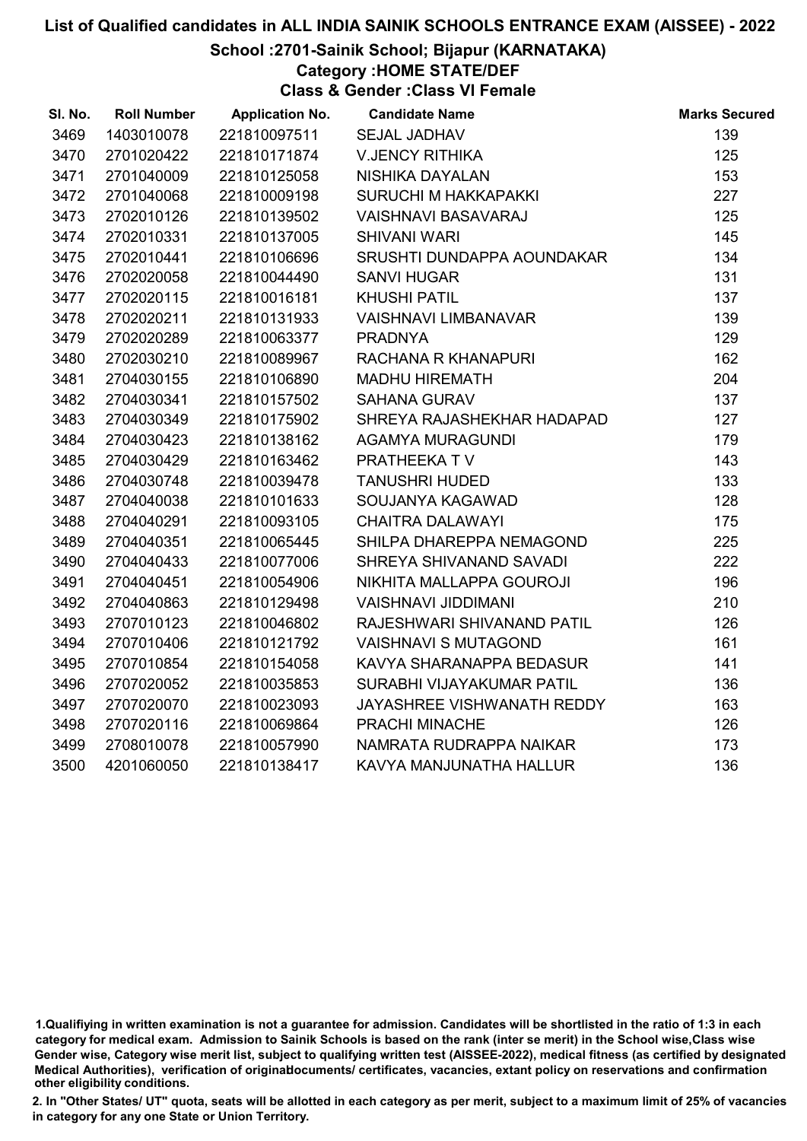### School :2701-Sainik School; Bijapur (KARNATAKA)

# Category :HOME STATE/DEF

Class & Gender :Class VI Female

| SI. No. | <b>Roll Number</b> | <b>Application No.</b> | <b>Candidate Name</b>       | <b>Marks Secured</b> |
|---------|--------------------|------------------------|-----------------------------|----------------------|
| 3469    | 1403010078         | 221810097511           | <b>SEJAL JADHAV</b>         | 139                  |
| 3470    | 2701020422         | 221810171874           | <b>V.JENCY RITHIKA</b>      | 125                  |
| 3471    | 2701040009         | 221810125058           | NISHIKA DAYALAN             | 153                  |
| 3472    | 2701040068         | 221810009198           | SURUCHI M HAKKAPAKKI        | 227                  |
| 3473    | 2702010126         | 221810139502           | <b>VAISHNAVI BASAVARAJ</b>  | 125                  |
| 3474    | 2702010331         | 221810137005           | <b>SHIVANI WARI</b>         | 145                  |
| 3475    | 2702010441         | 221810106696           | SRUSHTI DUNDAPPA AOUNDAKAR  | 134                  |
| 3476    | 2702020058         | 221810044490           | <b>SANVI HUGAR</b>          | 131                  |
| 3477    | 2702020115         | 221810016181           | <b>KHUSHI PATIL</b>         | 137                  |
| 3478    | 2702020211         | 221810131933           | <b>VAISHNAVI LIMBANAVAR</b> | 139                  |
| 3479    | 2702020289         | 221810063377           | <b>PRADNYA</b>              | 129                  |
| 3480    | 2702030210         | 221810089967           | RACHANA R KHANAPURI         | 162                  |
| 3481    | 2704030155         | 221810106890           | <b>MADHU HIREMATH</b>       | 204                  |
| 3482    | 2704030341         | 221810157502           | <b>SAHANA GURAV</b>         | 137                  |
| 3483    | 2704030349         | 221810175902           | SHREYA RAJASHEKHAR HADAPAD  | 127                  |
| 3484    | 2704030423         | 221810138162           | <b>AGAMYA MURAGUNDI</b>     | 179                  |
| 3485    | 2704030429         | 221810163462           | PRATHEEKA TV                | 143                  |
| 3486    | 2704030748         | 221810039478           | <b>TANUSHRI HUDED</b>       | 133                  |
| 3487    | 2704040038         | 221810101633           | SOUJANYA KAGAWAD            | 128                  |
| 3488    | 2704040291         | 221810093105           | <b>CHAITRA DALAWAYI</b>     | 175                  |
| 3489    | 2704040351         | 221810065445           | SHILPA DHAREPPA NEMAGOND    | 225                  |
| 3490    | 2704040433         | 221810077006           | SHREYA SHIVANAND SAVADI     | 222                  |
| 3491    | 2704040451         | 221810054906           | NIKHITA MALLAPPA GOUROJI    | 196                  |
| 3492    | 2704040863         | 221810129498           | <b>VAISHNAVI JIDDIMANI</b>  | 210                  |
| 3493    | 2707010123         | 221810046802           | RAJESHWARI SHIVANAND PATIL  | 126                  |
| 3494    | 2707010406         | 221810121792           | <b>VAISHNAVI S MUTAGOND</b> | 161                  |
| 3495    | 2707010854         | 221810154058           | KAVYA SHARANAPPA BEDASUR    | 141                  |
| 3496    | 2707020052         | 221810035853           | SURABHI VIJAYAKUMAR PATIL   | 136                  |
| 3497    | 2707020070         | 221810023093           | JAYASHREE VISHWANATH REDDY  | 163                  |
| 3498    | 2707020116         | 221810069864           | PRACHI MINACHE              | 126                  |
| 3499    | 2708010078         | 221810057990           | NAMRATA RUDRAPPA NAIKAR     | 173                  |
| 3500    | 4201060050         | 221810138417           | KAVYA MANJUNATHA HALLUR     | 136                  |
|         |                    |                        |                             |                      |

<sup>1.</sup>Qualifiying in written examination is not a guarantee for admission. Candidates will be shortlisted in the ratio of 1:3 in each category for medical exam. Admission to Sainik Schools is based on the rank (inter se merit) in the School wise,Class wise Gender wise, Category wise merit list, subject to qualifying written test (AISSEE-2022), medical fitness (as certified by designated Medical Authorities), verification of originablocuments/ certificates, vacancies, extant policy on reservations and confirmation other eligibility conditions.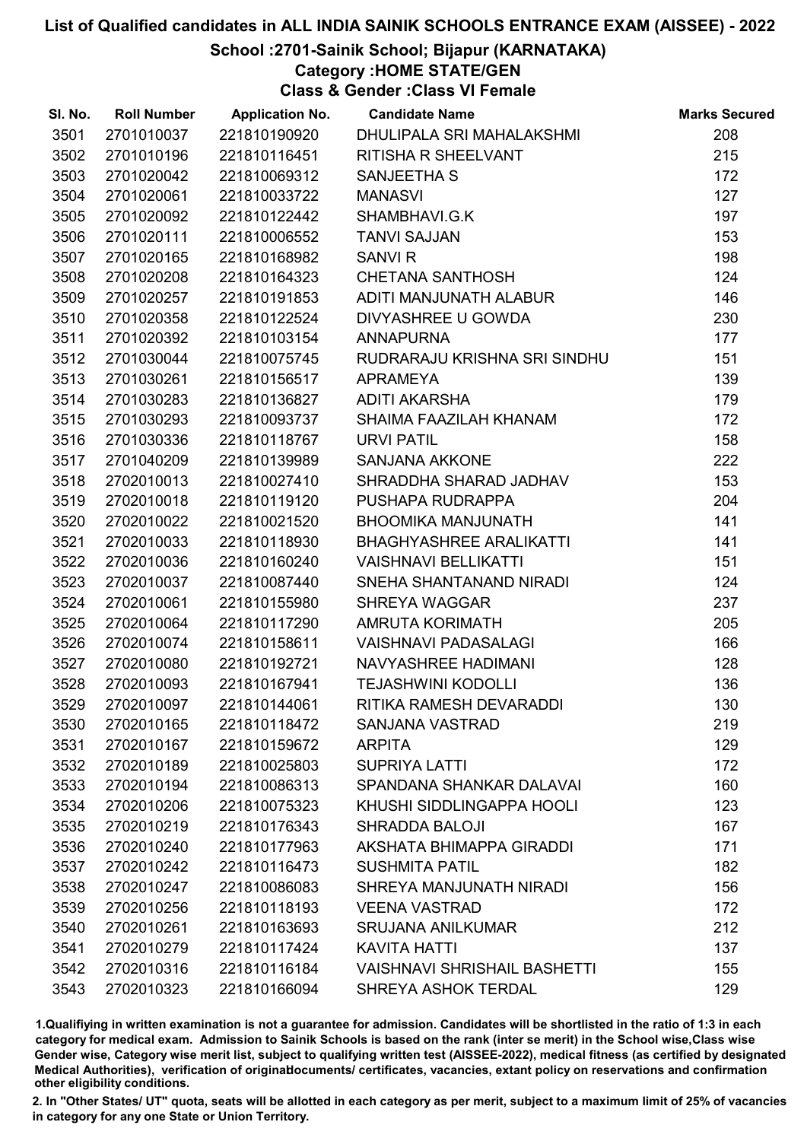## School :2701-Sainik School; Bijapur (KARNATAKA)

Category :HOME STATE/GEN

Class & Gender :Class VI Female

| SI. No. | <b>Roll Number</b> | <b>Application No.</b> | <b>Candidate Name</b>               | <b>Marks Secured</b> |
|---------|--------------------|------------------------|-------------------------------------|----------------------|
| 3501    | 2701010037         | 221810190920           | DHULIPALA SRI MAHALAKSHMI           | 208                  |
| 3502    | 2701010196         | 221810116451           | <b>RITISHA R SHEELVANT</b>          | 215                  |
| 3503    | 2701020042         | 221810069312           | SANJEETHA S                         | 172                  |
| 3504    | 2701020061         | 221810033722           | <b>MANASVI</b>                      | 127                  |
| 3505    | 2701020092         | 221810122442           | SHAMBHAVI.G.K                       | 197                  |
| 3506    | 2701020111         | 221810006552           | <b>TANVI SAJJAN</b>                 | 153                  |
| 3507    | 2701020165         | 221810168982           | <b>SANVIR</b>                       | 198                  |
| 3508    | 2701020208         | 221810164323           | <b>CHETANA SANTHOSH</b>             | 124                  |
| 3509    | 2701020257         | 221810191853           | ADITI MANJUNATH ALABUR              | 146                  |
| 3510    | 2701020358         | 221810122524           | DIVYASHREE U GOWDA                  | 230                  |
| 3511    | 2701020392         | 221810103154           | <b>ANNAPURNA</b>                    | 177                  |
| 3512    | 2701030044         | 221810075745           | RUDRARAJU KRISHNA SRI SINDHU        | 151                  |
| 3513    | 2701030261         | 221810156517           | <b>APRAMEYA</b>                     | 139                  |
| 3514    | 2701030283         | 221810136827           | <b>ADITI AKARSHA</b>                | 179                  |
| 3515    | 2701030293         | 221810093737           | SHAIMA FAAZILAH KHANAM              | 172                  |
| 3516    | 2701030336         | 221810118767           | <b>URVI PATIL</b>                   | 158                  |
| 3517    | 2701040209         | 221810139989           | <b>SANJANA AKKONE</b>               | 222                  |
| 3518    | 2702010013         | 221810027410           | SHRADDHA SHARAD JADHAV              | 153                  |
| 3519    | 2702010018         | 221810119120           | PUSHAPA RUDRAPPA                    | 204                  |
| 3520    | 2702010022         | 221810021520           | <b>BHOOMIKA MANJUNATH</b>           | 141                  |
| 3521    | 2702010033         | 221810118930           | <b>BHAGHYASHREE ARALIKATTI</b>      | 141                  |
| 3522    | 2702010036         | 221810160240           | <b>VAISHNAVI BELLIKATTI</b>         | 151                  |
| 3523    | 2702010037         | 221810087440           | SNEHA SHANTANAND NIRADI             | 124                  |
| 3524    | 2702010061         | 221810155980           | <b>SHREYA WAGGAR</b>                | 237                  |
| 3525    | 2702010064         | 221810117290           | <b>AMRUTA KORIMATH</b>              | 205                  |
| 3526    | 2702010074         | 221810158611           | <b>VAISHNAVI PADASALAGI</b>         | 166                  |
| 3527    | 2702010080         | 221810192721           | NAVYASHREE HADIMANI                 | 128                  |
| 3528    | 2702010093         | 221810167941           | <b>TEJASHWINI KODOLLI</b>           | 136                  |
| 3529    | 2702010097         | 221810144061           | RITIKA RAMESH DEVARADDI             | 130                  |
| 3530    | 2702010165         | 221810118472           | SANJANA VASTRAD                     | 219                  |
| 3531    | 2702010167         | 221810159672           | <b>ARPITA</b>                       | 129                  |
| 3532    | 2702010189         | 221810025803           | <b>SUPRIYA LATTI</b>                | 172                  |
| 3533    | 2702010194         | 221810086313           | SPANDANA SHANKAR DALAVAI            | 160                  |
| 3534    | 2702010206         | 221810075323           | KHUSHI SIDDLINGAPPA HOOLI           | 123                  |
| 3535    | 2702010219         | 221810176343           | <b>SHRADDA BALOJI</b>               | 167                  |
| 3536    | 2702010240         | 221810177963           | AKSHATA BHIMAPPA GIRADDI            | 171                  |
| 3537    | 2702010242         | 221810116473           | <b>SUSHMITA PATIL</b>               | 182                  |
| 3538    | 2702010247         | 221810086083           | SHREYA MANJUNATH NIRADI             | 156                  |
| 3539    | 2702010256         | 221810118193           | <b>VEENA VASTRAD</b>                | 172                  |
| 3540    | 2702010261         | 221810163693           | <b>SRUJANA ANILKUMAR</b>            | 212                  |
| 3541    | 2702010279         | 221810117424           | <b>KAVITA HATTI</b>                 | 137                  |
| 3542    | 2702010316         | 221810116184           | <b>VAISHNAVI SHRISHAIL BASHETTI</b> | 155                  |
| 3543    | 2702010323         | 221810166094           | SHREYA ASHOK TERDAL                 | 129                  |

1.Qualifiying in written examination is not a guarantee for admission. Candidates will be shortlisted in the ratio of 1:3 in each category for medical exam. Admission to Sainik Schools is based on the rank (inter se merit) in the School wise,Class wise Gender wise, Category wise merit list, subject to qualifying written test (AISSEE-2022), medical fitness (as certified by designated Medical Authorities), verification of originablocuments/ certificates, vacancies, extant policy on reservations and confirmation other eligibility conditions.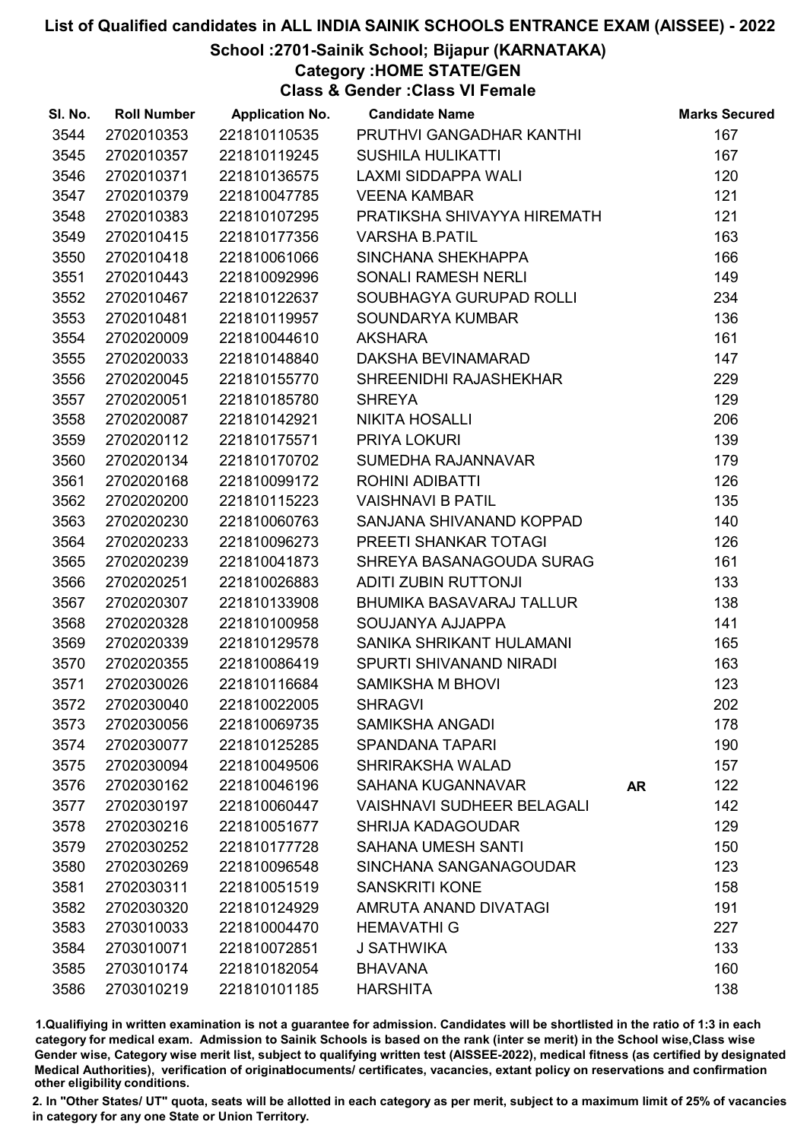## School :2701-Sainik School; Bijapur (KARNATAKA)

Category :HOME STATE/GEN

Class & Gender :Class VI Female

| SI. No. | <b>Roll Number</b> | <b>Application No.</b> | <b>Candidate Name</b>             |           | <b>Marks Secured</b> |
|---------|--------------------|------------------------|-----------------------------------|-----------|----------------------|
| 3544    | 2702010353         | 221810110535           | PRUTHVI GANGADHAR KANTHI          |           | 167                  |
| 3545    | 2702010357         | 221810119245           | <b>SUSHILA HULIKATTI</b>          |           | 167                  |
| 3546    | 2702010371         | 221810136575           | <b>LAXMI SIDDAPPA WALI</b>        |           | 120                  |
| 3547    | 2702010379         | 221810047785           | <b>VEENA KAMBAR</b>               |           | 121                  |
| 3548    | 2702010383         | 221810107295           | PRATIKSHA SHIVAYYA HIREMATH       |           | 121                  |
| 3549    | 2702010415         | 221810177356           | <b>VARSHA B.PATIL</b>             |           | 163                  |
| 3550    | 2702010418         | 221810061066           | SINCHANA SHEKHAPPA                |           | 166                  |
| 3551    | 2702010443         | 221810092996           | SONALI RAMESH NERLI               |           | 149                  |
| 3552    | 2702010467         | 221810122637           | SOUBHAGYA GURUPAD ROLLI           |           | 234                  |
| 3553    | 2702010481         | 221810119957           | SOUNDARYA KUMBAR                  |           | 136                  |
| 3554    | 2702020009         | 221810044610           | <b>AKSHARA</b>                    |           | 161                  |
| 3555    | 2702020033         | 221810148840           | DAKSHA BEVINAMARAD                |           | 147                  |
| 3556    | 2702020045         | 221810155770           | SHREENIDHI RAJASHEKHAR            |           | 229                  |
| 3557    | 2702020051         | 221810185780           | <b>SHREYA</b>                     |           | 129                  |
| 3558    | 2702020087         | 221810142921           | <b>NIKITA HOSALLI</b>             |           | 206                  |
| 3559    | 2702020112         | 221810175571           | PRIYA LOKURI                      |           | 139                  |
| 3560    | 2702020134         | 221810170702           | SUMEDHA RAJANNAVAR                |           | 179                  |
| 3561    | 2702020168         | 221810099172           | ROHINI ADIBATTI                   |           | 126                  |
| 3562    | 2702020200         | 221810115223           | <b>VAISHNAVI B PATIL</b>          |           | 135                  |
| 3563    | 2702020230         | 221810060763           | SANJANA SHIVANAND KOPPAD          |           | 140                  |
| 3564    | 2702020233         | 221810096273           | PREETI SHANKAR TOTAGI             |           | 126                  |
| 3565    | 2702020239         | 221810041873           | SHREYA BASANAGOUDA SURAG          |           | 161                  |
| 3566    | 2702020251         | 221810026883           | <b>ADITI ZUBIN RUTTONJI</b>       |           | 133                  |
| 3567    | 2702020307         | 221810133908           | BHUMIKA BASAVARAJ TALLUR          |           | 138                  |
| 3568    | 2702020328         | 221810100958           | SOUJANYA AJJAPPA                  |           | 141                  |
| 3569    | 2702020339         | 221810129578           | SANIKA SHRIKANT HULAMANI          |           | 165                  |
| 3570    | 2702020355         | 221810086419           | SPURTI SHIVANAND NIRADI           |           | 163                  |
| 3571    | 2702030026         | 221810116684           | <b>SAMIKSHA M BHOVI</b>           |           | 123                  |
| 3572    | 2702030040         | 221810022005           | <b>SHRAGVI</b>                    |           | 202                  |
| 3573    | 2702030056         | 221810069735           | <b>SAMIKSHA ANGADI</b>            |           | 178                  |
| 3574    | 2702030077         | 221810125285           | <b>SPANDANA TAPARI</b>            |           | 190                  |
| 3575    | 2702030094         | 221810049506           | <b>SHRIRAKSHA WALAD</b>           |           | 157                  |
| 3576    | 2702030162         | 221810046196           | SAHANA KUGANNAVAR                 | <b>AR</b> | 122                  |
| 3577    | 2702030197         | 221810060447           | <b>VAISHNAVI SUDHEER BELAGALI</b> |           | 142                  |
| 3578    | 2702030216         | 221810051677           | <b>SHRIJA KADAGOUDAR</b>          |           | 129                  |
| 3579    | 2702030252         | 221810177728           | <b>SAHANA UMESH SANTI</b>         |           | 150                  |
| 3580    | 2702030269         | 221810096548           | SINCHANA SANGANAGOUDAR            |           | 123                  |
| 3581    | 2702030311         | 221810051519           | <b>SANSKRITI KONE</b>             |           | 158                  |
| 3582    | 2702030320         | 221810124929           | AMRUTA ANAND DIVATAGI             |           | 191                  |
| 3583    | 2703010033         | 221810004470           | <b>HEMAVATHI G</b>                |           | 227                  |
| 3584    | 2703010071         | 221810072851           | J SATHWIKA                        |           | 133                  |
| 3585    | 2703010174         | 221810182054           | <b>BHAVANA</b>                    |           | 160                  |
| 3586    | 2703010219         | 221810101185           | <b>HARSHITA</b>                   |           | 138                  |

1.Qualifiying in written examination is not a guarantee for admission. Candidates will be shortlisted in the ratio of 1:3 in each category for medical exam. Admission to Sainik Schools is based on the rank (inter se merit) in the School wise,Class wise Gender wise, Category wise merit list, subject to qualifying written test (AISSEE-2022), medical fitness (as certified by designated Medical Authorities), verification of originablocuments/ certificates, vacancies, extant policy on reservations and confirmation other eligibility conditions.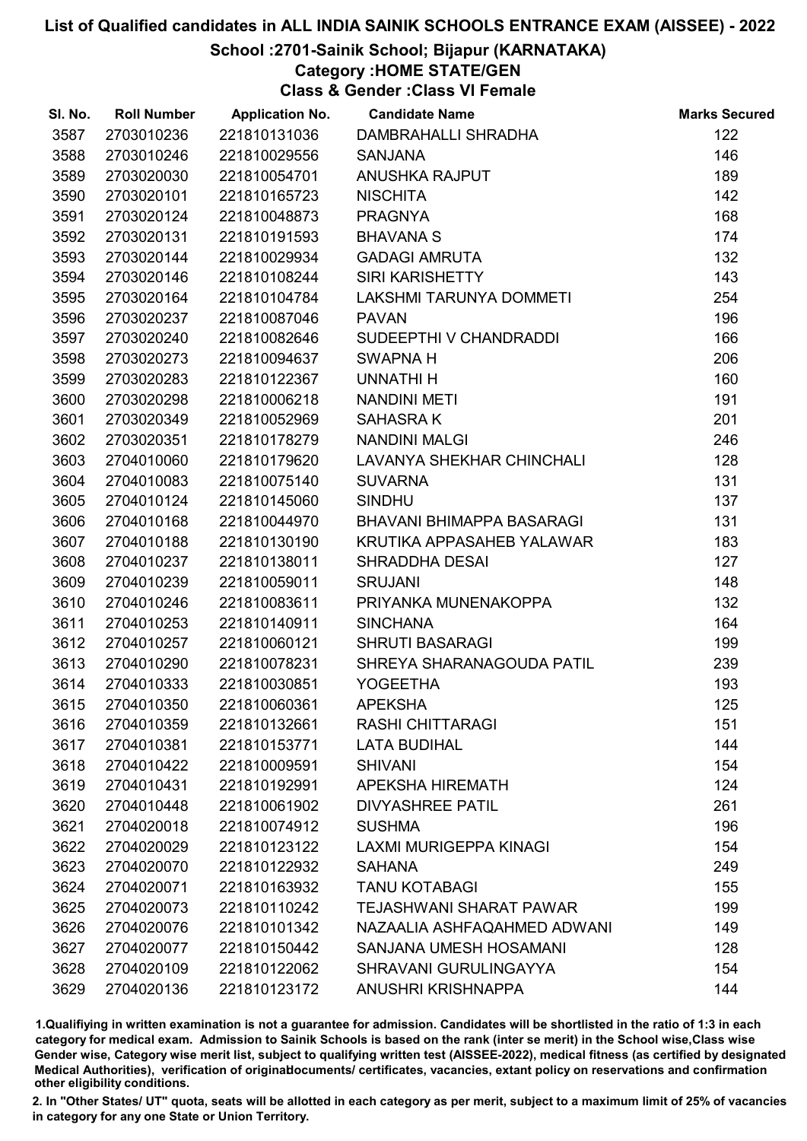## School :2701-Sainik School; Bijapur (KARNATAKA)

## Category :HOME STATE/GEN

Class & Gender :Class VI Female

| SI. No. | <b>Roll Number</b> | <b>Application No.</b> | <b>Candidate Name</b>            | <b>Marks Secured</b> |
|---------|--------------------|------------------------|----------------------------------|----------------------|
| 3587    | 2703010236         | 221810131036           | DAMBRAHALLI SHRADHA              | 122                  |
| 3588    | 2703010246         | 221810029556           | <b>SANJANA</b>                   | 146                  |
| 3589    | 2703020030         | 221810054701           | ANUSHKA RAJPUT                   | 189                  |
| 3590    | 2703020101         | 221810165723           | <b>NISCHITA</b>                  | 142                  |
| 3591    | 2703020124         | 221810048873           | <b>PRAGNYA</b>                   | 168                  |
| 3592    | 2703020131         | 221810191593           | <b>BHAVANA S</b>                 | 174                  |
| 3593    | 2703020144         | 221810029934           | <b>GADAGI AMRUTA</b>             | 132                  |
| 3594    | 2703020146         | 221810108244           | <b>SIRI KARISHETTY</b>           | 143                  |
| 3595    | 2703020164         | 221810104784           | LAKSHMI TARUNYA DOMMETI          | 254                  |
| 3596    | 2703020237         | 221810087046           | <b>PAVAN</b>                     | 196                  |
| 3597    | 2703020240         | 221810082646           | SUDEEPTHI V CHANDRADDI           | 166                  |
| 3598    | 2703020273         | 221810094637           | <b>SWAPNA H</b>                  | 206                  |
| 3599    | 2703020283         | 221810122367           | <b>UNNATHIH</b>                  | 160                  |
| 3600    | 2703020298         | 221810006218           | <b>NANDINI METI</b>              | 191                  |
| 3601    | 2703020349         | 221810052969           | <b>SAHASRAK</b>                  | 201                  |
| 3602    | 2703020351         | 221810178279           | <b>NANDINI MALGI</b>             | 246                  |
| 3603    | 2704010060         | 221810179620           | <b>LAVANYA SHEKHAR CHINCHALI</b> | 128                  |
| 3604    | 2704010083         | 221810075140           | <b>SUVARNA</b>                   | 131                  |
| 3605    | 2704010124         | 221810145060           | <b>SINDHU</b>                    | 137                  |
| 3606    | 2704010168         | 221810044970           | BHAVANI BHIMAPPA BASARAGI        | 131                  |
| 3607    | 2704010188         | 221810130190           | KRUTIKA APPASAHEB YALAWAR        | 183                  |
| 3608    | 2704010237         | 221810138011           | SHRADDHA DESAI                   | 127                  |
| 3609    | 2704010239         | 221810059011           | <b>SRUJANI</b>                   | 148                  |
| 3610    | 2704010246         | 221810083611           | PRIYANKA MUNENAKOPPA             | 132                  |
| 3611    | 2704010253         | 221810140911           | <b>SINCHANA</b>                  | 164                  |
| 3612    | 2704010257         | 221810060121           | <b>SHRUTI BASARAGI</b>           | 199                  |
| 3613    | 2704010290         | 221810078231           | SHREYA SHARANAGOUDA PATIL        | 239                  |
| 3614    | 2704010333         | 221810030851           | <b>YOGEETHA</b>                  | 193                  |
| 3615    | 2704010350         | 221810060361           | <b>APEKSHA</b>                   | 125                  |
| 3616    | 2704010359         | 221810132661           | <b>RASHI CHITTARAGI</b>          | 151                  |
| 3617    | 2704010381         | 221810153771           | <b>LATA BUDIHAL</b>              | 144                  |
| 3618    | 2704010422         | 221810009591           | <b>SHIVANI</b>                   | 154                  |
| 3619    | 2704010431         | 221810192991           | <b>APEKSHA HIREMATH</b>          | 124                  |
| 3620    | 2704010448         | 221810061902           | <b>DIVYASHREE PATIL</b>          | 261                  |
| 3621    | 2704020018         | 221810074912           | <b>SUSHMA</b>                    | 196                  |
| 3622    | 2704020029         | 221810123122           | <b>LAXMI MURIGEPPA KINAGI</b>    | 154                  |
| 3623    | 2704020070         | 221810122932           | <b>SAHANA</b>                    | 249                  |
| 3624    | 2704020071         | 221810163932           | <b>TANU KOTABAGI</b>             | 155                  |
| 3625    | 2704020073         | 221810110242           | <b>TEJASHWANI SHARAT PAWAR</b>   | 199                  |
| 3626    | 2704020076         | 221810101342           | NAZAALIA ASHFAQAHMED ADWANI      | 149                  |
| 3627    | 2704020077         | 221810150442           | SANJANA UMESH HOSAMANI           | 128                  |
| 3628    | 2704020109         | 221810122062           | SHRAVANI GURULINGAYYA            | 154                  |
| 3629    | 2704020136         | 221810123172           | ANUSHRI KRISHNAPPA               | 144                  |

1.Qualifiying in written examination is not a guarantee for admission. Candidates will be shortlisted in the ratio of 1:3 in each category for medical exam. Admission to Sainik Schools is based on the rank (inter se merit) in the School wise,Class wise Gender wise, Category wise merit list, subject to qualifying written test (AISSEE-2022), medical fitness (as certified by designated Medical Authorities), verification of originablocuments/ certificates, vacancies, extant policy on reservations and confirmation other eligibility conditions.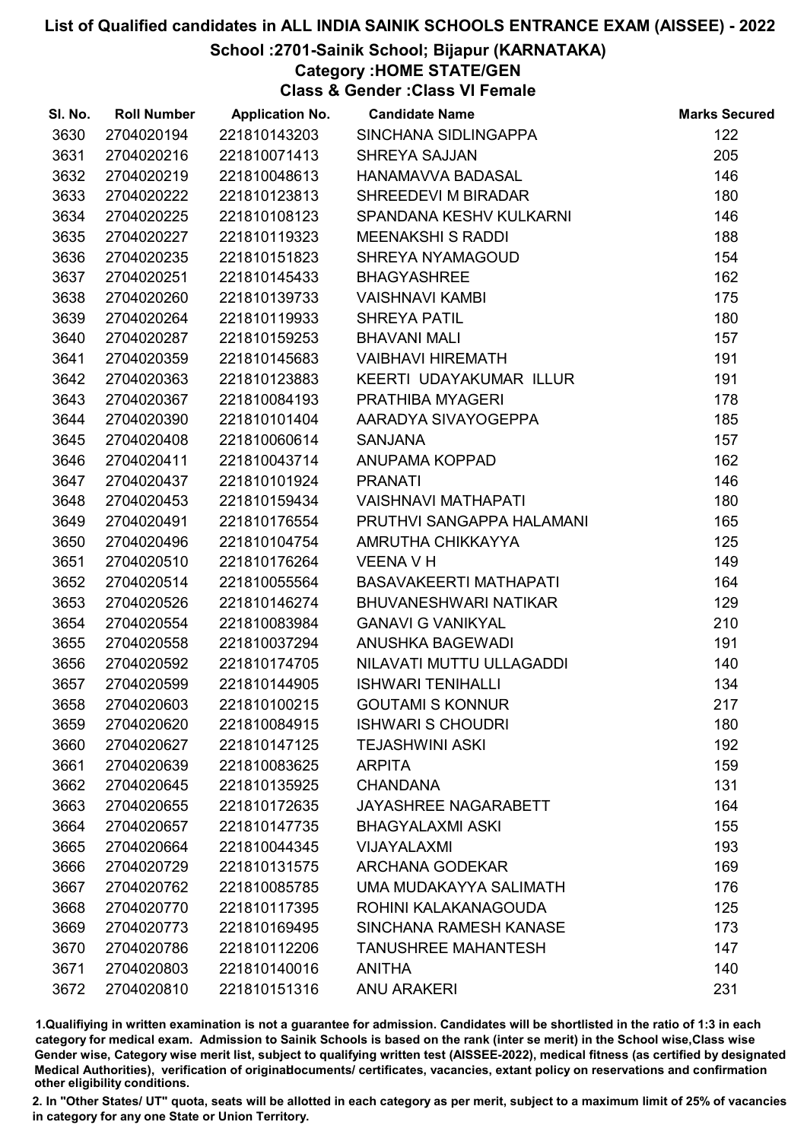## School :2701-Sainik School; Bijapur (KARNATAKA)

Category :HOME STATE/GEN

Class & Gender :Class VI Female

| SI. No. | <b>Roll Number</b> | <b>Application No.</b> | <b>Candidate Name</b>         | <b>Marks Secured</b> |
|---------|--------------------|------------------------|-------------------------------|----------------------|
| 3630    | 2704020194         | 221810143203           | SINCHANA SIDLINGAPPA          | 122                  |
| 3631    | 2704020216         | 221810071413           | <b>SHREYA SAJJAN</b>          | 205                  |
| 3632    | 2704020219         | 221810048613           | <b>HANAMAVVA BADASAL</b>      | 146                  |
| 3633    | 2704020222         | 221810123813           | SHREEDEVI M BIRADAR           | 180                  |
| 3634    | 2704020225         | 221810108123           | SPANDANA KESHV KULKARNI       | 146                  |
| 3635    | 2704020227         | 221810119323           | <b>MEENAKSHI S RADDI</b>      | 188                  |
| 3636    | 2704020235         | 221810151823           | SHREYA NYAMAGOUD              | 154                  |
| 3637    | 2704020251         | 221810145433           | <b>BHAGYASHREE</b>            | 162                  |
| 3638    | 2704020260         | 221810139733           | <b>VAISHNAVI KAMBI</b>        | 175                  |
| 3639    | 2704020264         | 221810119933           | <b>SHREYA PATIL</b>           | 180                  |
| 3640    | 2704020287         | 221810159253           | <b>BHAVANI MALI</b>           | 157                  |
| 3641    | 2704020359         | 221810145683           | <b>VAIBHAVI HIREMATH</b>      | 191                  |
| 3642    | 2704020363         | 221810123883           | KEERTI UDAYAKUMAR ILLUR       | 191                  |
| 3643    | 2704020367         | 221810084193           | PRATHIBA MYAGERI              | 178                  |
| 3644    | 2704020390         | 221810101404           | AARADYA SIVAYOGEPPA           | 185                  |
| 3645    | 2704020408         | 221810060614           | <b>SANJANA</b>                | 157                  |
| 3646    | 2704020411         | 221810043714           | ANUPAMA KOPPAD                | 162                  |
| 3647    | 2704020437         | 221810101924           | <b>PRANATI</b>                | 146                  |
| 3648    | 2704020453         | 221810159434           | <b>VAISHNAVI MATHAPATI</b>    | 180                  |
| 3649    | 2704020491         | 221810176554           | PRUTHVI SANGAPPA HALAMANI     | 165                  |
| 3650    | 2704020496         | 221810104754           | AMRUTHA CHIKKAYYA             | 125                  |
| 3651    | 2704020510         | 221810176264           | <b>VEENA V H</b>              | 149                  |
| 3652    | 2704020514         | 221810055564           | <b>BASAVAKEERTI MATHAPATI</b> | 164                  |
| 3653    | 2704020526         | 221810146274           | <b>BHUVANESHWARI NATIKAR</b>  | 129                  |
| 3654    | 2704020554         | 221810083984           | <b>GANAVI G VANIKYAL</b>      | 210                  |
| 3655    | 2704020558         | 221810037294           | <b>ANUSHKA BAGEWADI</b>       | 191                  |
| 3656    | 2704020592         | 221810174705           | NILAVATI MUTTU ULLAGADDI      | 140                  |
| 3657    | 2704020599         | 221810144905           | <b>ISHWARI TENIHALLI</b>      | 134                  |
| 3658    | 2704020603         | 221810100215           | <b>GOUTAMI S KONNUR</b>       | 217                  |
| 3659    | 2704020620         | 221810084915           | <b>ISHWARI S CHOUDRI</b>      | 180                  |
| 3660    | 2704020627         | 221810147125           | <b>TEJASHWINI ASKI</b>        | 192                  |
| 3661    | 2704020639         | 221810083625           | <b>ARPITA</b>                 | 159                  |
| 3662    | 2704020645         | 221810135925           | <b>CHANDANA</b>               | 131                  |
| 3663    | 2704020655         | 221810172635           | <b>JAYASHREE NAGARABETT</b>   | 164                  |
| 3664    | 2704020657         | 221810147735           | <b>BHAGYALAXMI ASKI</b>       | 155                  |
| 3665    | 2704020664         | 221810044345           | VIJAYALAXMI                   | 193                  |
| 3666    | 2704020729         | 221810131575           | <b>ARCHANA GODEKAR</b>        | 169                  |
| 3667    | 2704020762         | 221810085785           | UMA MUDAKAYYA SALIMATH        | 176                  |
| 3668    | 2704020770         | 221810117395           | ROHINI KALAKANAGOUDA          | 125                  |
| 3669    | 2704020773         | 221810169495           | SINCHANA RAMESH KANASE        | 173                  |
| 3670    | 2704020786         | 221810112206           | <b>TANUSHREE MAHANTESH</b>    | 147                  |
| 3671    | 2704020803         | 221810140016           | <b>ANITHA</b>                 | 140                  |
| 3672    | 2704020810         | 221810151316           | <b>ANU ARAKERI</b>            | 231                  |

1.Qualifiying in written examination is not a guarantee for admission. Candidates will be shortlisted in the ratio of 1:3 in each category for medical exam. Admission to Sainik Schools is based on the rank (inter se merit) in the School wise,Class wise Gender wise, Category wise merit list, subject to qualifying written test (AISSEE-2022), medical fitness (as certified by designated Medical Authorities), verification of originablocuments/ certificates, vacancies, extant policy on reservations and confirmation other eligibility conditions.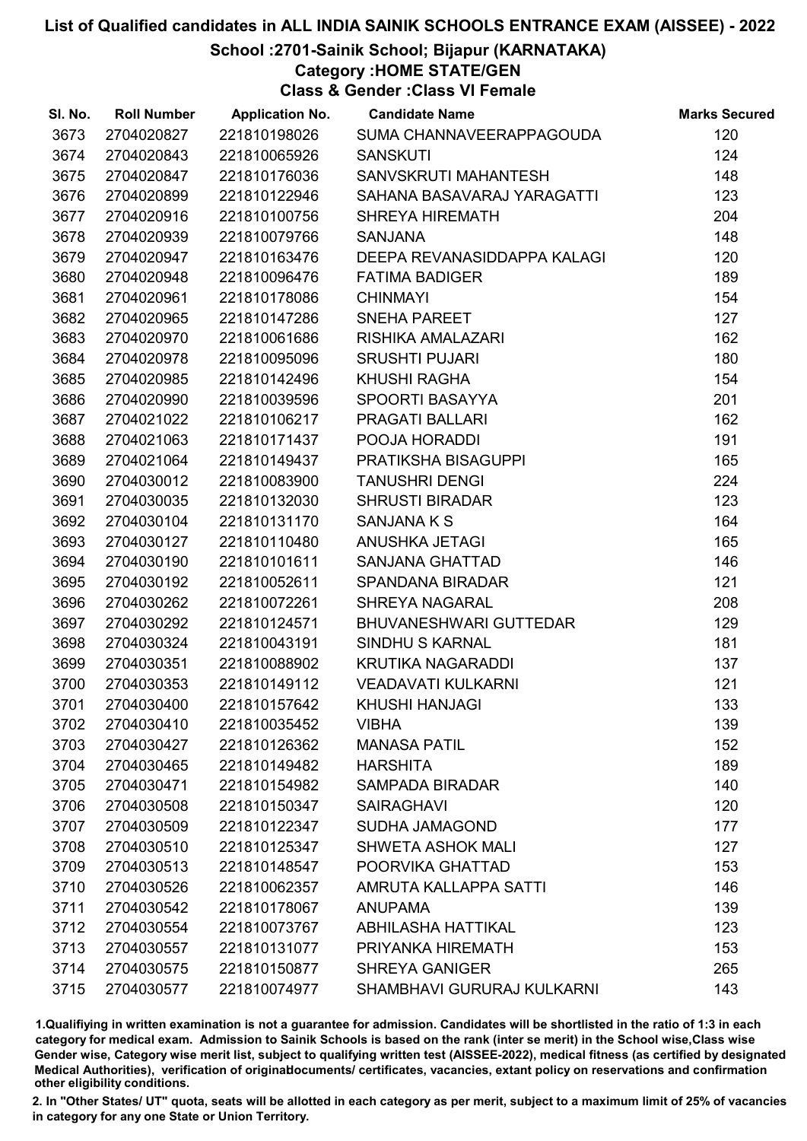## School :2701-Sainik School; Bijapur (KARNATAKA)

Category :HOME STATE/GEN

Class & Gender :Class VI Female

| SI. No. | <b>Roll Number</b> | <b>Application No.</b> | <b>Candidate Name</b>         | <b>Marks Secured</b> |
|---------|--------------------|------------------------|-------------------------------|----------------------|
| 3673    | 2704020827         | 221810198026           | SUMA CHANNAVEERAPPAGOUDA      | 120                  |
| 3674    | 2704020843         | 221810065926           | <b>SANSKUTI</b>               | 124                  |
| 3675    | 2704020847         | 221810176036           | SANVSKRUTI MAHANTESH          | 148                  |
| 3676    | 2704020899         | 221810122946           | SAHANA BASAVARAJ YARAGATTI    | 123                  |
| 3677    | 2704020916         | 221810100756           | <b>SHREYA HIREMATH</b>        | 204                  |
| 3678    | 2704020939         | 221810079766           | <b>SANJANA</b>                | 148                  |
| 3679    | 2704020947         | 221810163476           | DEEPA REVANASIDDAPPA KALAGI   | 120                  |
| 3680    | 2704020948         | 221810096476           | <b>FATIMA BADIGER</b>         | 189                  |
| 3681    | 2704020961         | 221810178086           | <b>CHINMAYI</b>               | 154                  |
| 3682    | 2704020965         | 221810147286           | <b>SNEHA PAREET</b>           | 127                  |
| 3683    | 2704020970         | 221810061686           | RISHIKA AMALAZARI             | 162                  |
| 3684    | 2704020978         | 221810095096           | <b>SRUSHTI PUJARI</b>         | 180                  |
| 3685    | 2704020985         | 221810142496           | KHUSHI RAGHA                  | 154                  |
| 3686    | 2704020990         | 221810039596           | SPOORTI BASAYYA               | 201                  |
| 3687    | 2704021022         | 221810106217           | PRAGATI BALLARI               | 162                  |
| 3688    | 2704021063         | 221810171437           | POOJA HORADDI                 | 191                  |
| 3689    | 2704021064         | 221810149437           | PRATIKSHA BISAGUPPI           | 165                  |
| 3690    | 2704030012         | 221810083900           | <b>TANUSHRI DENGI</b>         | 224                  |
| 3691    | 2704030035         | 221810132030           | <b>SHRUSTI BIRADAR</b>        | 123                  |
| 3692    | 2704030104         | 221810131170           | SANJANA K S                   | 164                  |
| 3693    | 2704030127         | 221810110480           | ANUSHKA JETAGI                | 165                  |
| 3694    | 2704030190         | 221810101611           | <b>SANJANA GHATTAD</b>        | 146                  |
| 3695    | 2704030192         | 221810052611           | <b>SPANDANA BIRADAR</b>       | 121                  |
| 3696    | 2704030262         | 221810072261           | <b>SHREYA NAGARAL</b>         | 208                  |
| 3697    | 2704030292         | 221810124571           | <b>BHUVANESHWARI GUTTEDAR</b> | 129                  |
| 3698    | 2704030324         | 221810043191           | SINDHU S KARNAL               | 181                  |
| 3699    | 2704030351         | 221810088902           | KRUTIKA NAGARADDI             | 137                  |
| 3700    | 2704030353         | 221810149112           | <b>VEADAVATI KULKARNI</b>     | 121                  |
| 3701    | 2704030400         | 221810157642           | <b>KHUSHI HANJAGI</b>         | 133                  |
| 3702    | 2704030410         | 221810035452           | <b>VIBHA</b>                  | 139                  |
| 3703    | 2704030427         | 221810126362           | <b>MANASA PATIL</b>           | 152                  |
| 3704    | 2704030465         | 221810149482           | <b>HARSHITA</b>               | 189                  |
| 3705    | 2704030471         | 221810154982           | <b>SAMPADA BIRADAR</b>        | 140                  |
| 3706    | 2704030508         | 221810150347           | <b>SAIRAGHAVI</b>             | 120                  |
| 3707    | 2704030509         | 221810122347           | <b>SUDHA JAMAGOND</b>         | 177                  |
| 3708    | 2704030510         | 221810125347           | <b>SHWETA ASHOK MALI</b>      | 127                  |
| 3709    | 2704030513         | 221810148547           | POORVIKA GHATTAD              | 153                  |
| 3710    | 2704030526         | 221810062357           | AMRUTA KALLAPPA SATTI         | 146                  |
| 3711    | 2704030542         | 221810178067           | <b>ANUPAMA</b>                | 139                  |
| 3712    | 2704030554         | 221810073767           | <b>ABHILASHA HATTIKAL</b>     | 123                  |
| 3713    | 2704030557         | 221810131077           | PRIYANKA HIREMATH             | 153                  |
| 3714    | 2704030575         | 221810150877           | <b>SHREYA GANIGER</b>         | 265                  |
| 3715    | 2704030577         | 221810074977           | SHAMBHAVI GURURAJ KULKARNI    | 143                  |

1.Qualifiying in written examination is not a guarantee for admission. Candidates will be shortlisted in the ratio of 1:3 in each category for medical exam. Admission to Sainik Schools is based on the rank (inter se merit) in the School wise,Class wise Gender wise, Category wise merit list, subject to qualifying written test (AISSEE-2022), medical fitness (as certified by designated Medical Authorities), verification of originablocuments/ certificates, vacancies, extant policy on reservations and confirmation other eligibility conditions.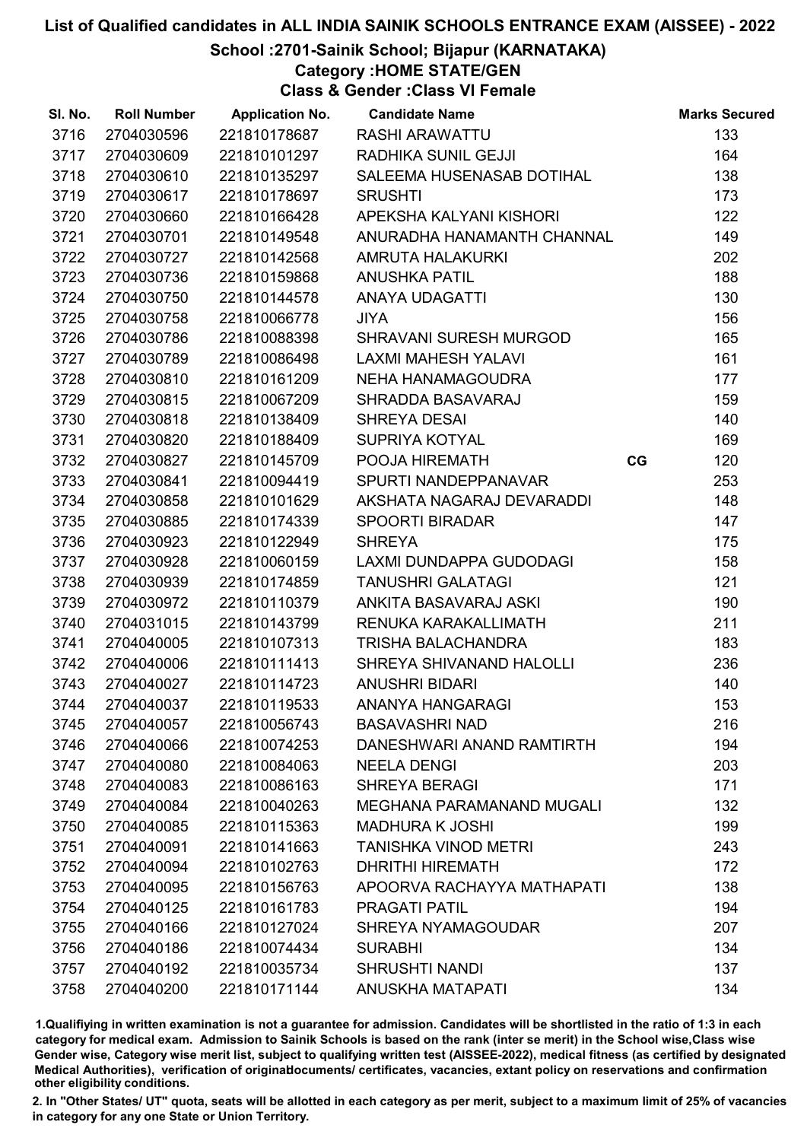## School :2701-Sainik School; Bijapur (KARNATAKA)

Category :HOME STATE/GEN

Class & Gender :Class VI Female

| SI. No. | <b>Roll Number</b> | <b>Application No.</b> | <b>Candidate Name</b>            |    | <b>Marks Secured</b> |
|---------|--------------------|------------------------|----------------------------------|----|----------------------|
| 3716    | 2704030596         | 221810178687           | <b>RASHI ARAWATTU</b>            |    | 133                  |
| 3717    | 2704030609         | 221810101297           | RADHIKA SUNIL GEJJI              |    | 164                  |
| 3718    | 2704030610         | 221810135297           | SALEEMA HUSENASAB DOTIHAL        |    | 138                  |
| 3719    | 2704030617         | 221810178697           | <b>SRUSHTI</b>                   |    | 173                  |
| 3720    | 2704030660         | 221810166428           | APEKSHA KALYANI KISHORI          |    | 122                  |
| 3721    | 2704030701         | 221810149548           | ANURADHA HANAMANTH CHANNAL       |    | 149                  |
| 3722    | 2704030727         | 221810142568           | AMRUTA HALAKURKI                 |    | 202                  |
| 3723    | 2704030736         | 221810159868           | <b>ANUSHKA PATIL</b>             |    | 188                  |
| 3724    | 2704030750         | 221810144578           | <b>ANAYA UDAGATTI</b>            |    | 130                  |
| 3725    | 2704030758         | 221810066778           | <b>JIYA</b>                      |    | 156                  |
| 3726    | 2704030786         | 221810088398           | <b>SHRAVANI SURESH MURGOD</b>    |    | 165                  |
| 3727    | 2704030789         | 221810086498           | <b>LAXMI MAHESH YALAVI</b>       |    | 161                  |
| 3728    | 2704030810         | 221810161209           | NEHA HANAMAGOUDRA                |    | 177                  |
| 3729    | 2704030815         | 221810067209           | SHRADDA BASAVARAJ                |    | 159                  |
| 3730    | 2704030818         | 221810138409           | <b>SHREYA DESAI</b>              |    | 140                  |
| 3731    | 2704030820         | 221810188409           | SUPRIYA KOTYAL                   |    | 169                  |
| 3732    | 2704030827         | 221810145709           | POOJA HIREMATH                   | CG | 120                  |
| 3733    | 2704030841         | 221810094419           | SPURTI NANDEPPANAVAR             |    | 253                  |
| 3734    | 2704030858         | 221810101629           | AKSHATA NAGARAJ DEVARADDI        |    | 148                  |
| 3735    | 2704030885         | 221810174339           | <b>SPOORTI BIRADAR</b>           |    | 147                  |
| 3736    | 2704030923         | 221810122949           | <b>SHREYA</b>                    |    | 175                  |
| 3737    | 2704030928         | 221810060159           | LAXMI DUNDAPPA GUDODAGI          |    | 158                  |
| 3738    | 2704030939         | 221810174859           | <b>TANUSHRI GALATAGI</b>         |    | 121                  |
| 3739    | 2704030972         | 221810110379           | ANKITA BASAVARAJ ASKI            |    | 190                  |
| 3740    | 2704031015         | 221810143799           | RENUKA KARAKALLIMATH             |    | 211                  |
| 3741    | 2704040005         | 221810107313           | TRISHA BALACHANDRA               |    | 183                  |
| 3742    | 2704040006         | 221810111413           | SHREYA SHIVANAND HALOLLI         |    | 236                  |
| 3743    | 2704040027         | 221810114723           | <b>ANUSHRI BIDARI</b>            |    | 140                  |
| 3744    | 2704040037         | 221810119533           | ANANYA HANGARAGI                 |    | 153                  |
| 3745    | 2704040057         | 221810056743           | <b>BASAVASHRI NAD</b>            |    | 216                  |
| 3746    | 2704040066         | 221810074253           | DANESHWARI ANAND RAMTIRTH        |    | 194                  |
| 3747    | 2704040080         | 221810084063           | <b>NEELA DENGI</b>               |    | 203                  |
| 3748    | 2704040083         | 221810086163           | <b>SHREYA BERAGI</b>             |    | 171                  |
| 3749    | 2704040084         | 221810040263           | <b>MEGHANA PARAMANAND MUGALI</b> |    | 132                  |
| 3750    | 2704040085         | 221810115363           | <b>MADHURA K JOSHI</b>           |    | 199                  |
| 3751    | 2704040091         | 221810141663           | <b>TANISHKA VINOD METRI</b>      |    | 243                  |
| 3752    | 2704040094         | 221810102763           | <b>DHRITHI HIREMATH</b>          |    | 172                  |
| 3753    | 2704040095         | 221810156763           | APOORVA RACHAYYA MATHAPATI       |    | 138                  |
| 3754    | 2704040125         | 221810161783           | <b>PRAGATI PATIL</b>             |    | 194                  |
| 3755    | 2704040166         | 221810127024           | <b>SHREYA NYAMAGOUDAR</b>        |    | 207                  |
| 3756    | 2704040186         | 221810074434           | <b>SURABHI</b>                   |    | 134                  |
| 3757    | 2704040192         | 221810035734           | <b>SHRUSHTI NANDI</b>            |    | 137                  |
| 3758    | 2704040200         | 221810171144           | <b>ANUSKHA MATAPATI</b>          |    | 134                  |

1.Qualifiying in written examination is not a guarantee for admission. Candidates will be shortlisted in the ratio of 1:3 in each category for medical exam. Admission to Sainik Schools is based on the rank (inter se merit) in the School wise,Class wise Gender wise, Category wise merit list, subject to qualifying written test (AISSEE-2022), medical fitness (as certified by designated Medical Authorities), verification of originablocuments/ certificates, vacancies, extant policy on reservations and confirmation other eligibility conditions.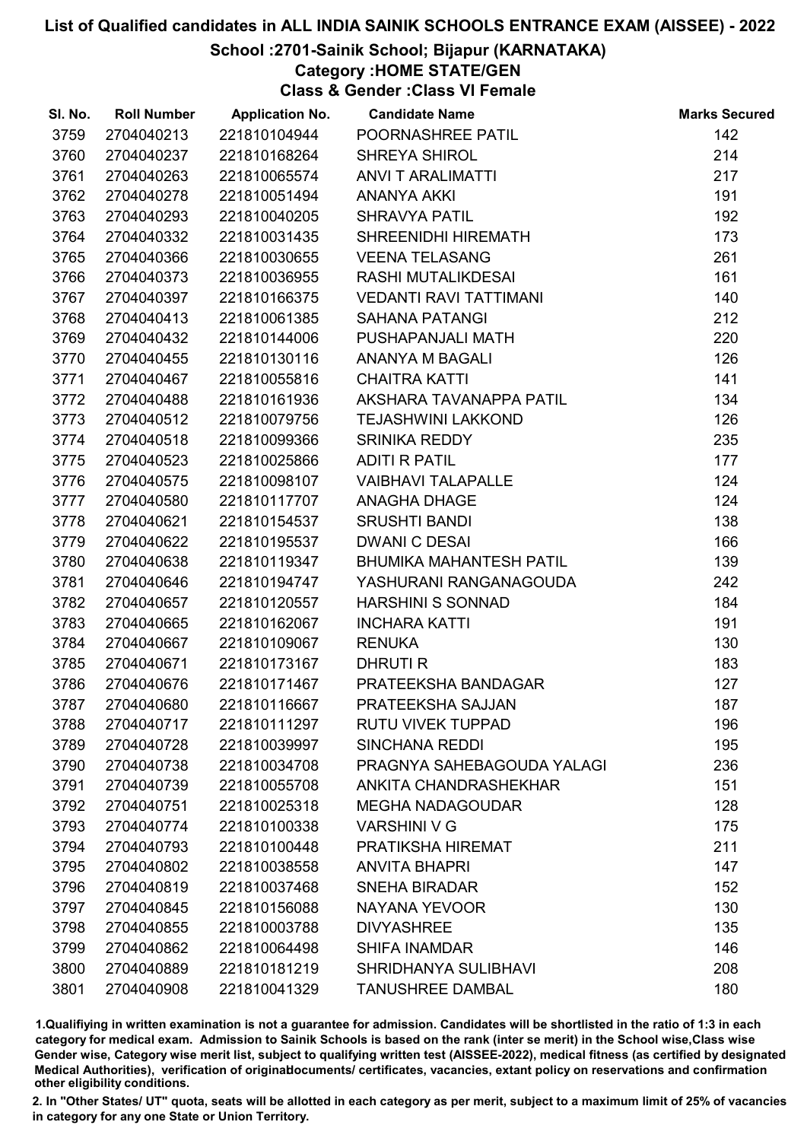## School :2701-Sainik School; Bijapur (KARNATAKA)

## Category :HOME STATE/GEN

Class & Gender :Class VI Female

| SI. No. | <b>Roll Number</b> | <b>Application No.</b> | <b>Candidate Name</b>          | <b>Marks Secured</b> |
|---------|--------------------|------------------------|--------------------------------|----------------------|
| 3759    | 2704040213         | 221810104944           | POORNASHREE PATIL              | 142                  |
| 3760    | 2704040237         | 221810168264           | <b>SHREYA SHIROL</b>           | 214                  |
| 3761    | 2704040263         | 221810065574           | <b>ANVI T ARALIMATTI</b>       | 217                  |
| 3762    | 2704040278         | 221810051494           | <b>ANANYA AKKI</b>             | 191                  |
| 3763    | 2704040293         | 221810040205           | <b>SHRAVYA PATIL</b>           | 192                  |
| 3764    | 2704040332         | 221810031435           | SHREENIDHI HIREMATH            | 173                  |
| 3765    | 2704040366         | 221810030655           | <b>VEENA TELASANG</b>          | 261                  |
| 3766    | 2704040373         | 221810036955           | RASHI MUTALIKDESAI             | 161                  |
| 3767    | 2704040397         | 221810166375           | <b>VEDANTI RAVI TATTIMANI</b>  | 140                  |
| 3768    | 2704040413         | 221810061385           | <b>SAHANA PATANGI</b>          | 212                  |
| 3769    | 2704040432         | 221810144006           | PUSHAPANJALI MATH              | 220                  |
| 3770    | 2704040455         | 221810130116           | ANANYA M BAGALI                | 126                  |
| 3771    | 2704040467         | 221810055816           | <b>CHAITRA KATTI</b>           | 141                  |
| 3772    | 2704040488         | 221810161936           | AKSHARA TAVANAPPA PATIL        | 134                  |
| 3773    | 2704040512         | 221810079756           | <b>TEJASHWINI LAKKOND</b>      | 126                  |
| 3774    | 2704040518         | 221810099366           | <b>SRINIKA REDDY</b>           | 235                  |
| 3775    | 2704040523         | 221810025866           | <b>ADITI R PATIL</b>           | 177                  |
| 3776    | 2704040575         | 221810098107           | <b>VAIBHAVI TALAPALLE</b>      | 124                  |
| 3777    | 2704040580         | 221810117707           | ANAGHA DHAGE                   | 124                  |
| 3778    | 2704040621         | 221810154537           | <b>SRUSHTI BANDI</b>           | 138                  |
| 3779    | 2704040622         | 221810195537           | <b>DWANIC DESAI</b>            | 166                  |
| 3780    | 2704040638         | 221810119347           | <b>BHUMIKA MAHANTESH PATIL</b> | 139                  |
| 3781    | 2704040646         | 221810194747           | YASHURANI RANGANAGOUDA         | 242                  |
| 3782    | 2704040657         | 221810120557           | <b>HARSHINI S SONNAD</b>       | 184                  |
| 3783    | 2704040665         | 221810162067           | <b>INCHARA KATTI</b>           | 191                  |
| 3784    | 2704040667         | 221810109067           | <b>RENUKA</b>                  | 130                  |
| 3785    | 2704040671         | 221810173167           | <b>DHRUTI R</b>                | 183                  |
| 3786    | 2704040676         | 221810171467           | PRATEEKSHA BANDAGAR            | 127                  |
| 3787    | 2704040680         | 221810116667           | PRATEEKSHA SAJJAN              | 187                  |
| 3788    | 2704040717         | 221810111297           | <b>RUTU VIVEK TUPPAD</b>       | 196                  |
| 3789    | 2704040728         | 221810039997           | <b>SINCHANA REDDI</b>          | 195                  |
| 3790    | 2704040738         | 221810034708           | PRAGNYA SAHEBAGOUDA YALAGI     | 236                  |
| 3791    | 2704040739         | 221810055708           | ANKITA CHANDRASHEKHAR          | 151                  |
| 3792    | 2704040751         | 221810025318           | <b>MEGHA NADAGOUDAR</b>        | 128                  |
| 3793    | 2704040774         | 221810100338           | <b>VARSHINI V G</b>            | 175                  |
| 3794    | 2704040793         | 221810100448           | PRATIKSHA HIREMAT              | 211                  |
| 3795    | 2704040802         | 221810038558           | <b>ANVITA BHAPRI</b>           | 147                  |
| 3796    | 2704040819         | 221810037468           | <b>SNEHA BIRADAR</b>           | 152                  |
| 3797    | 2704040845         | 221810156088           | NAYANA YEVOOR                  | 130                  |
| 3798    | 2704040855         | 221810003788           | <b>DIVYASHREE</b>              | 135                  |
| 3799    | 2704040862         | 221810064498           | <b>SHIFA INAMDAR</b>           | 146                  |
| 3800    | 2704040889         | 221810181219           | SHRIDHANYA SULIBHAVI           | 208                  |
| 3801    | 2704040908         | 221810041329           | <b>TANUSHREE DAMBAL</b>        | 180                  |

1.Qualifiying in written examination is not a guarantee for admission. Candidates will be shortlisted in the ratio of 1:3 in each category for medical exam. Admission to Sainik Schools is based on the rank (inter se merit) in the School wise,Class wise Gender wise, Category wise merit list, subject to qualifying written test (AISSEE-2022), medical fitness (as certified by designated Medical Authorities), verification of originablocuments/ certificates, vacancies, extant policy on reservations and confirmation other eligibility conditions.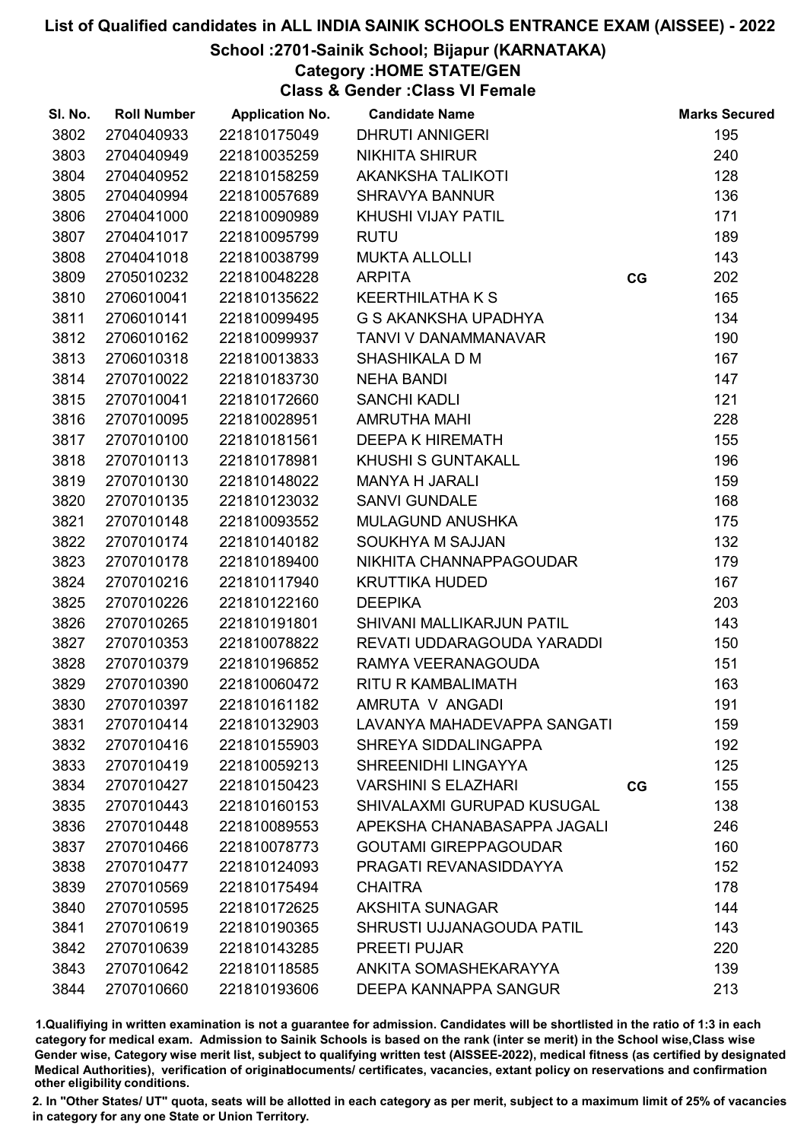## School :2701-Sainik School; Bijapur (KARNATAKA)

Category :HOME STATE/GEN

Class & Gender :Class VI Female

| SI. No. | <b>Roll Number</b> | <b>Application No.</b> | <b>Candidate Name</b>        |    | <b>Marks Secured</b> |
|---------|--------------------|------------------------|------------------------------|----|----------------------|
| 3802    | 2704040933         | 221810175049           | <b>DHRUTI ANNIGERI</b>       |    | 195                  |
| 3803    | 2704040949         | 221810035259           | <b>NIKHITA SHIRUR</b>        |    | 240                  |
| 3804    | 2704040952         | 221810158259           | <b>AKANKSHA TALIKOTI</b>     |    | 128                  |
| 3805    | 2704040994         | 221810057689           | <b>SHRAVYA BANNUR</b>        |    | 136                  |
| 3806    | 2704041000         | 221810090989           | KHUSHI VIJAY PATIL           |    | 171                  |
| 3807    | 2704041017         | 221810095799           | <b>RUTU</b>                  |    | 189                  |
| 3808    | 2704041018         | 221810038799           | <b>MUKTA ALLOLLI</b>         |    | 143                  |
| 3809    | 2705010232         | 221810048228           | <b>ARPITA</b>                | CG | 202                  |
| 3810    | 2706010041         | 221810135622           | <b>KEERTHILATHA K S</b>      |    | 165                  |
| 3811    | 2706010141         | 221810099495           | G S AKANKSHA UPADHYA         |    | 134                  |
| 3812    | 2706010162         | 221810099937           | TANVI V DANAMMANAVAR         |    | 190                  |
| 3813    | 2706010318         | 221810013833           | SHASHIKALA D M               |    | 167                  |
| 3814    | 2707010022         | 221810183730           | <b>NEHA BANDI</b>            |    | 147                  |
| 3815    | 2707010041         | 221810172660           | <b>SANCHI KADLI</b>          |    | 121                  |
| 3816    | 2707010095         | 221810028951           | <b>AMRUTHA MAHI</b>          |    | 228                  |
| 3817    | 2707010100         | 221810181561           | <b>DEEPA K HIREMATH</b>      |    | 155                  |
| 3818    | 2707010113         | 221810178981           | KHUSHI S GUNTAKALL           |    | 196                  |
| 3819    | 2707010130         | 221810148022           | <b>MANYA H JARALI</b>        |    | 159                  |
| 3820    | 2707010135         | 221810123032           | <b>SANVI GUNDALE</b>         |    | 168                  |
| 3821    | 2707010148         | 221810093552           | <b>MULAGUND ANUSHKA</b>      |    | 175                  |
| 3822    | 2707010174         | 221810140182           | SOUKHYA M SAJJAN             |    | 132                  |
| 3823    | 2707010178         | 221810189400           | NIKHITA CHANNAPPAGOUDAR      |    | 179                  |
| 3824    | 2707010216         | 221810117940           | <b>KRUTTIKA HUDED</b>        |    | 167                  |
| 3825    | 2707010226         | 221810122160           | <b>DEEPIKA</b>               |    | 203                  |
| 3826    | 2707010265         | 221810191801           | SHIVANI MALLIKARJUN PATIL    |    | 143                  |
| 3827    | 2707010353         | 221810078822           | REVATI UDDARAGOUDA YARADDI   |    | 150                  |
| 3828    | 2707010379         | 221810196852           | RAMYA VEERANAGOUDA           |    | 151                  |
| 3829    | 2707010390         | 221810060472           | <b>RITU R KAMBALIMATH</b>    |    | 163                  |
| 3830    | 2707010397         | 221810161182           | AMRUTA V ANGADI              |    | 191                  |
| 3831    | 2707010414         | 221810132903           | LAVANYA MAHADEVAPPA SANGATI  |    | 159                  |
| 3832    | 2707010416         | 221810155903           | SHREYA SIDDALINGAPPA         |    | 192                  |
| 3833    | 2707010419         | 221810059213           | SHREENIDHI LINGAYYA          |    | 125                  |
| 3834    | 2707010427         | 221810150423           | <b>VARSHINI S ELAZHARI</b>   | CG | 155                  |
| 3835    | 2707010443         | 221810160153           | SHIVALAXMI GURUPAD KUSUGAL   |    | 138                  |
| 3836    | 2707010448         | 221810089553           | APEKSHA CHANABASAPPA JAGALI  |    | 246                  |
| 3837    | 2707010466         | 221810078773           | <b>GOUTAMI GIREPPAGOUDAR</b> |    | 160                  |
| 3838    | 2707010477         | 221810124093           | PRAGATI REVANASIDDAYYA       |    | 152                  |
| 3839    | 2707010569         | 221810175494           | <b>CHAITRA</b>               |    | 178                  |
| 3840    | 2707010595         | 221810172625           | <b>AKSHITA SUNAGAR</b>       |    | 144                  |
| 3841    | 2707010619         | 221810190365           | SHRUSTI UJJANAGOUDA PATIL    |    | 143                  |
| 3842    | 2707010639         | 221810143285           | <b>PREETI PUJAR</b>          |    | 220                  |
| 3843    | 2707010642         | 221810118585           | ANKITA SOMASHEKARAYYA        |    | 139                  |
| 3844    | 2707010660         | 221810193606           | DEEPA KANNAPPA SANGUR        |    | 213                  |

1.Qualifiying in written examination is not a guarantee for admission. Candidates will be shortlisted in the ratio of 1:3 in each category for medical exam. Admission to Sainik Schools is based on the rank (inter se merit) in the School wise,Class wise Gender wise, Category wise merit list, subject to qualifying written test (AISSEE-2022), medical fitness (as certified by designated Medical Authorities), verification of originablocuments/ certificates, vacancies, extant policy on reservations and confirmation other eligibility conditions.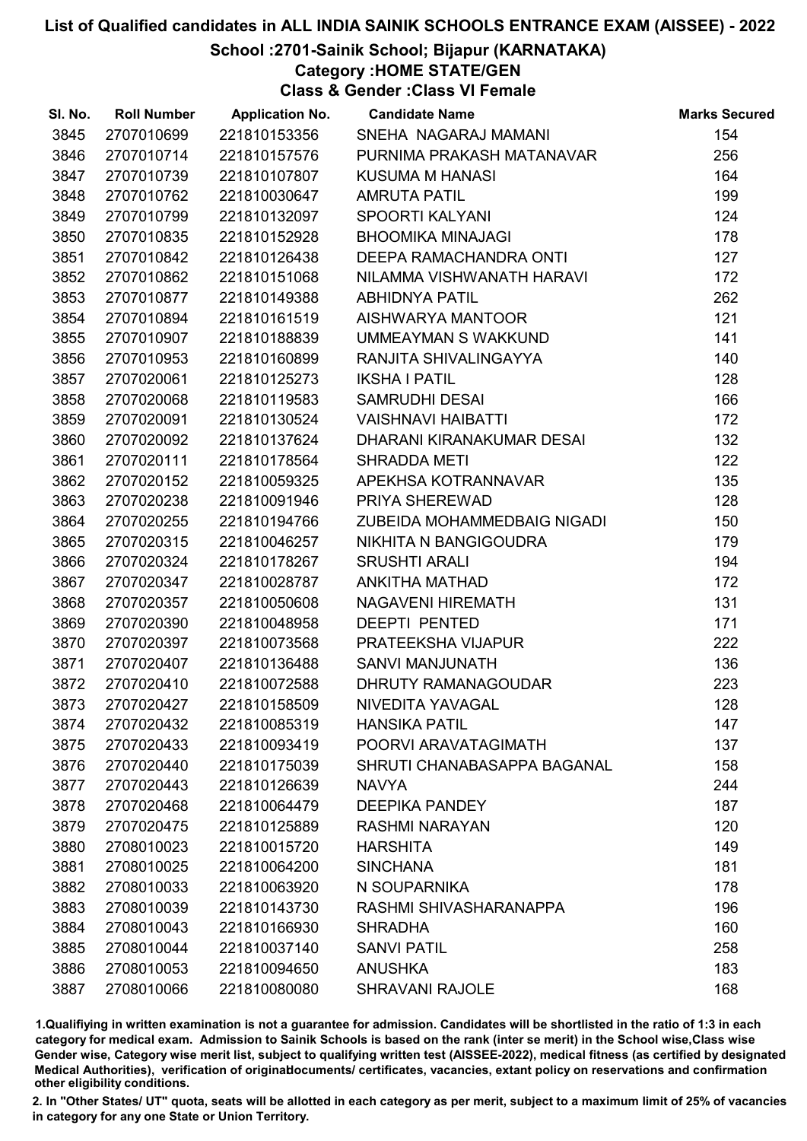## School :2701-Sainik School; Bijapur (KARNATAKA)

Category :HOME STATE/GEN

Class & Gender :Class VI Female

| SI. No. | <b>Roll Number</b> | <b>Application No.</b> | <b>Candidate Name</b>       | <b>Marks Secured</b> |
|---------|--------------------|------------------------|-----------------------------|----------------------|
| 3845    | 2707010699         | 221810153356           | SNEHA NAGARAJ MAMANI        | 154                  |
| 3846    | 2707010714         | 221810157576           | PURNIMA PRAKASH MATANAVAR   | 256                  |
| 3847    | 2707010739         | 221810107807           | <b>KUSUMA M HANASI</b>      | 164                  |
| 3848    | 2707010762         | 221810030647           | <b>AMRUTA PATIL</b>         | 199                  |
| 3849    | 2707010799         | 221810132097           | SPOORTI KALYANI             | 124                  |
| 3850    | 2707010835         | 221810152928           | <b>BHOOMIKA MINAJAGI</b>    | 178                  |
| 3851    | 2707010842         | 221810126438           | DEEPA RAMACHANDRA ONTI      | 127                  |
| 3852    | 2707010862         | 221810151068           | NILAMMA VISHWANATH HARAVI   | 172                  |
| 3853    | 2707010877         | 221810149388           | <b>ABHIDNYA PATIL</b>       | 262                  |
| 3854    | 2707010894         | 221810161519           | AISHWARYA MANTOOR           | 121                  |
| 3855    | 2707010907         | 221810188839           | UMMEAYMAN S WAKKUND         | 141                  |
| 3856    | 2707010953         | 221810160899           | RANJITA SHIVALINGAYYA       | 140                  |
| 3857    | 2707020061         | 221810125273           | <b>IKSHA I PATIL</b>        | 128                  |
| 3858    | 2707020068         | 221810119583           | <b>SAMRUDHI DESAI</b>       | 166                  |
| 3859    | 2707020091         | 221810130524           | <b>VAISHNAVI HAIBATTI</b>   | 172                  |
| 3860    | 2707020092         | 221810137624           | DHARANI KIRANAKUMAR DESAI   | 132                  |
| 3861    | 2707020111         | 221810178564           | <b>SHRADDA METI</b>         | 122                  |
| 3862    | 2707020152         | 221810059325           | APEKHSA KOTRANNAVAR         | 135                  |
| 3863    | 2707020238         | 221810091946           | PRIYA SHEREWAD              | 128                  |
| 3864    | 2707020255         | 221810194766           | ZUBEIDA MOHAMMEDBAIG NIGADI | 150                  |
| 3865    | 2707020315         | 221810046257           | NIKHITA N BANGIGOUDRA       | 179                  |
| 3866    | 2707020324         | 221810178267           | <b>SRUSHTI ARALI</b>        | 194                  |
| 3867    | 2707020347         | 221810028787           | <b>ANKITHA MATHAD</b>       | 172                  |
| 3868    | 2707020357         | 221810050608           | NAGAVENI HIREMATH           | 131                  |
| 3869    | 2707020390         | 221810048958           | <b>DEEPTI PENTED</b>        | 171                  |
| 3870    | 2707020397         | 221810073568           | PRATEEKSHA VIJAPUR          | 222                  |
| 3871    | 2707020407         | 221810136488           | SANVI MANJUNATH             | 136                  |
| 3872    | 2707020410         | 221810072588           | <b>DHRUTY RAMANAGOUDAR</b>  | 223                  |
| 3873    | 2707020427         | 221810158509           | NIVEDITA YAVAGAL            | 128                  |
| 3874    | 2707020432         | 221810085319           | <b>HANSIKA PATIL</b>        | 147                  |
| 3875    | 2707020433         | 221810093419           | POORVI ARAVATAGIMATH        | 137                  |
| 3876    | 2707020440         | 221810175039           | SHRUTI CHANABASAPPA BAGANAL | 158                  |
| 3877    | 2707020443         | 221810126639           | <b>NAVYA</b>                | 244                  |
| 3878    | 2707020468         | 221810064479           | <b>DEEPIKA PANDEY</b>       | 187                  |
| 3879    | 2707020475         | 221810125889           | <b>RASHMI NARAYAN</b>       | 120                  |
| 3880    | 2708010023         | 221810015720           | <b>HARSHITA</b>             | 149                  |
| 3881    | 2708010025         | 221810064200           | <b>SINCHANA</b>             | 181                  |
| 3882    | 2708010033         | 221810063920           | N SOUPARNIKA                | 178                  |
| 3883    | 2708010039         | 221810143730           | RASHMI SHIVASHARANAPPA      | 196                  |
| 3884    | 2708010043         | 221810166930           | <b>SHRADHA</b>              | 160                  |
| 3885    | 2708010044         | 221810037140           | <b>SANVI PATIL</b>          | 258                  |
| 3886    | 2708010053         | 221810094650           | <b>ANUSHKA</b>              | 183                  |
| 3887    | 2708010066         | 221810080080           | <b>SHRAVANI RAJOLE</b>      | 168                  |

1.Qualifiying in written examination is not a guarantee for admission. Candidates will be shortlisted in the ratio of 1:3 in each category for medical exam. Admission to Sainik Schools is based on the rank (inter se merit) in the School wise,Class wise Gender wise, Category wise merit list, subject to qualifying written test (AISSEE-2022), medical fitness (as certified by designated Medical Authorities), verification of originablocuments/ certificates, vacancies, extant policy on reservations and confirmation other eligibility conditions.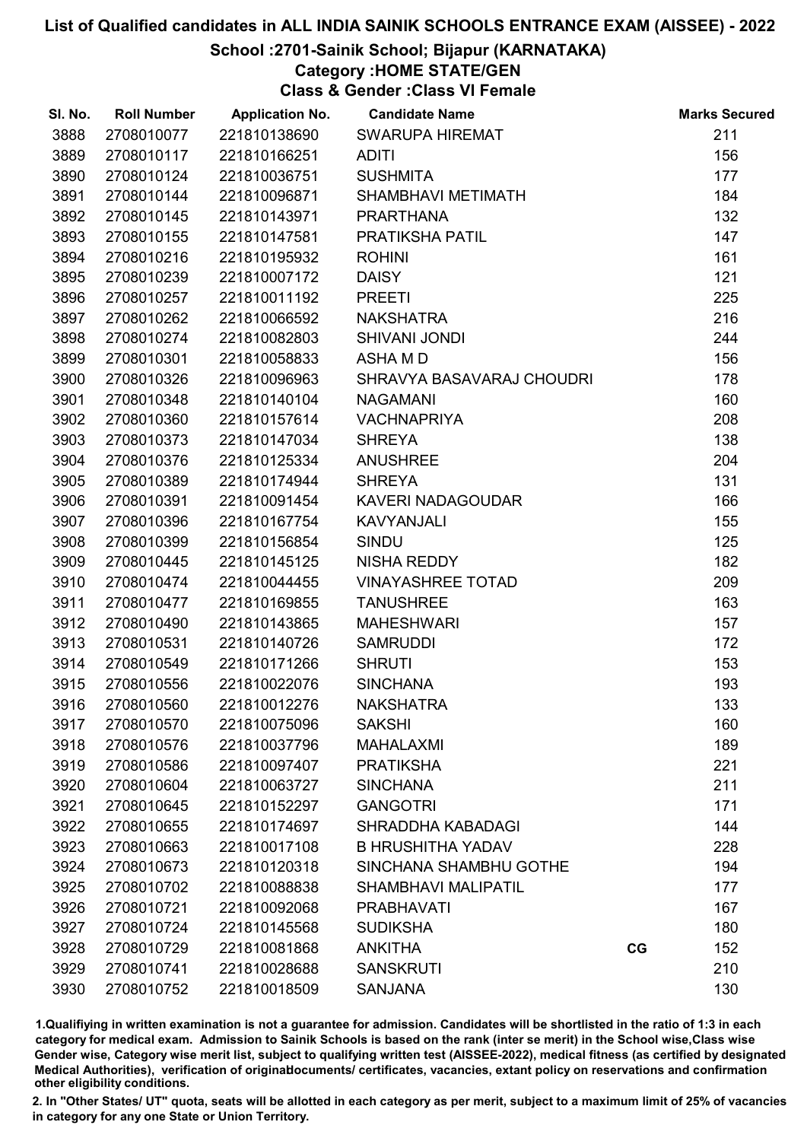## School :2701-Sainik School; Bijapur (KARNATAKA)

# Category :HOME STATE/GEN

Class & Gender :Class VI Female

| SI. No. | <b>Roll Number</b> | <b>Application No.</b> | <b>Candidate Name</b>      |    | <b>Marks Secured</b> |
|---------|--------------------|------------------------|----------------------------|----|----------------------|
| 3888    | 2708010077         | 221810138690           | <b>SWARUPA HIREMAT</b>     |    | 211                  |
| 3889    | 2708010117         | 221810166251           | <b>ADITI</b>               |    | 156                  |
| 3890    | 2708010124         | 221810036751           | <b>SUSHMITA</b>            |    | 177                  |
| 3891    | 2708010144         | 221810096871           | SHAMBHAVI METIMATH         |    | 184                  |
| 3892    | 2708010145         | 221810143971           | <b>PRARTHANA</b>           |    | 132                  |
| 3893    | 2708010155         | 221810147581           | PRATIKSHA PATIL            |    | 147                  |
| 3894    | 2708010216         | 221810195932           | <b>ROHINI</b>              |    | 161                  |
| 3895    | 2708010239         | 221810007172           | <b>DAISY</b>               |    | 121                  |
| 3896    | 2708010257         | 221810011192           | <b>PREETI</b>              |    | 225                  |
| 3897    | 2708010262         | 221810066592           | <b>NAKSHATRA</b>           |    | 216                  |
| 3898    | 2708010274         | 221810082803           | <b>SHIVANI JONDI</b>       |    | 244                  |
| 3899    | 2708010301         | 221810058833           | ASHA M D                   |    | 156                  |
| 3900    | 2708010326         | 221810096963           | SHRAVYA BASAVARAJ CHOUDRI  |    | 178                  |
| 3901    | 2708010348         | 221810140104           | <b>NAGAMANI</b>            |    | 160                  |
| 3902    | 2708010360         | 221810157614           | <b>VACHNAPRIYA</b>         |    | 208                  |
| 3903    | 2708010373         | 221810147034           | <b>SHREYA</b>              |    | 138                  |
| 3904    | 2708010376         | 221810125334           | <b>ANUSHREE</b>            |    | 204                  |
| 3905    | 2708010389         | 221810174944           | <b>SHREYA</b>              |    | 131                  |
| 3906    | 2708010391         | 221810091454           | <b>KAVERI NADAGOUDAR</b>   |    | 166                  |
| 3907    | 2708010396         | 221810167754           | <b>KAVYANJALI</b>          |    | 155                  |
| 3908    | 2708010399         | 221810156854           | SINDU                      |    | 125                  |
| 3909    | 2708010445         | 221810145125           | <b>NISHA REDDY</b>         |    | 182                  |
| 3910    | 2708010474         | 221810044455           | <b>VINAYASHREE TOTAD</b>   |    | 209                  |
| 3911    | 2708010477         | 221810169855           | <b>TANUSHREE</b>           |    | 163                  |
| 3912    | 2708010490         | 221810143865           | <b>MAHESHWARI</b>          |    | 157                  |
| 3913    | 2708010531         | 221810140726           | <b>SAMRUDDI</b>            |    | 172                  |
| 3914    | 2708010549         | 221810171266           | <b>SHRUTI</b>              |    | 153                  |
| 3915    | 2708010556         | 221810022076           | <b>SINCHANA</b>            |    | 193                  |
| 3916    | 2708010560         | 221810012276           | <b>NAKSHATRA</b>           |    | 133                  |
| 3917    | 2708010570         | 221810075096           | <b>SAKSHI</b>              |    | 160                  |
| 3918    | 2708010576         | 221810037796           | <b>MAHALAXMI</b>           |    | 189                  |
| 3919    | 2708010586         | 221810097407           | <b>PRATIKSHA</b>           |    | 221                  |
| 3920    | 2708010604         | 221810063727           | <b>SINCHANA</b>            |    | 211                  |
| 3921    | 2708010645         | 221810152297           | <b>GANGOTRI</b>            |    | 171                  |
| 3922    | 2708010655         | 221810174697           | SHRADDHA KABADAGI          |    | 144                  |
| 3923    | 2708010663         | 221810017108           | <b>B HRUSHITHA YADAV</b>   |    | 228                  |
| 3924    | 2708010673         | 221810120318           | SINCHANA SHAMBHU GOTHE     |    | 194                  |
| 3925    | 2708010702         | 221810088838           | <b>SHAMBHAVI MALIPATIL</b> |    | 177                  |
| 3926    | 2708010721         | 221810092068           | <b>PRABHAVATI</b>          |    | 167                  |
| 3927    | 2708010724         | 221810145568           | <b>SUDIKSHA</b>            |    | 180                  |
| 3928    | 2708010729         | 221810081868           | <b>ANKITHA</b>             | CG | 152                  |
| 3929    | 2708010741         | 221810028688           | <b>SANSKRUTI</b>           |    | 210                  |
| 3930    | 2708010752         | 221810018509           | <b>SANJANA</b>             |    | 130                  |

1.Qualifiying in written examination is not a guarantee for admission. Candidates will be shortlisted in the ratio of 1:3 in each category for medical exam. Admission to Sainik Schools is based on the rank (inter se merit) in the School wise,Class wise Gender wise, Category wise merit list, subject to qualifying written test (AISSEE-2022), medical fitness (as certified by designated Medical Authorities), verification of originablocuments/ certificates, vacancies, extant policy on reservations and confirmation other eligibility conditions.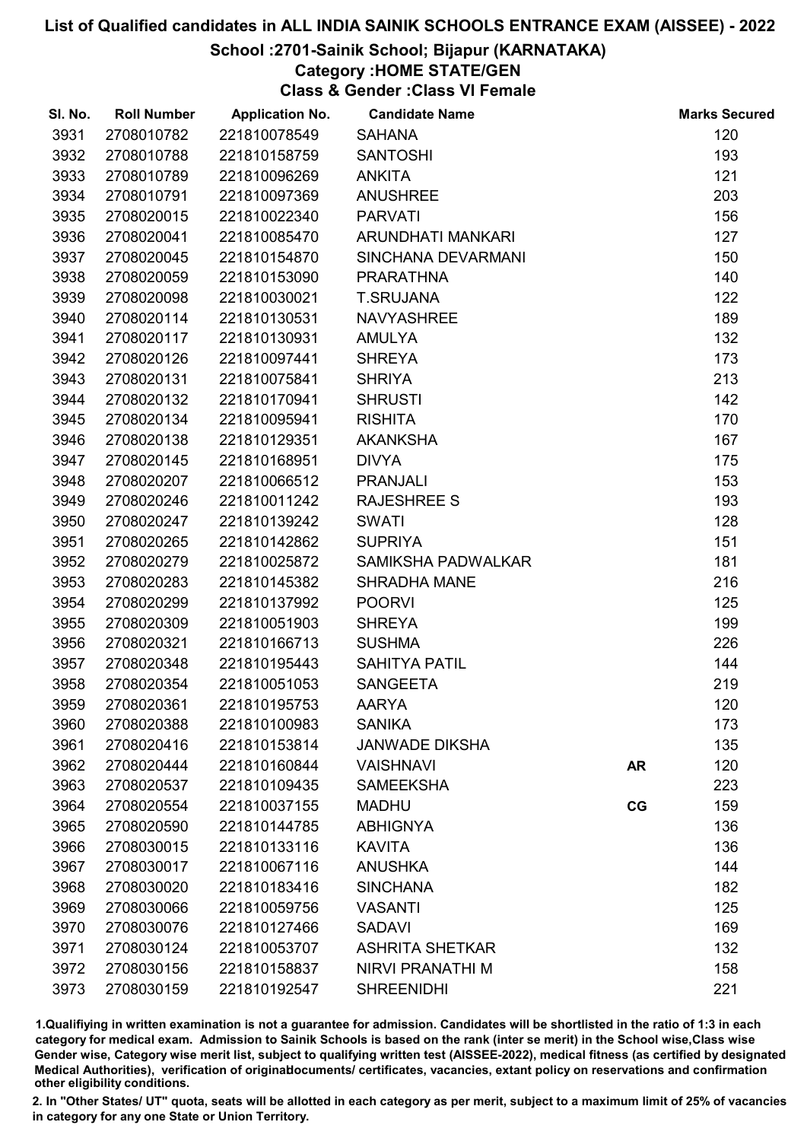## School :2701-Sainik School; Bijapur (KARNATAKA)

# Category :HOME STATE/GEN

Class & Gender :Class VI Female

| SI. No. | <b>Roll Number</b> | <b>Application No.</b> | <b>Candidate Name</b>  |           | <b>Marks Secured</b> |
|---------|--------------------|------------------------|------------------------|-----------|----------------------|
| 3931    | 2708010782         | 221810078549           | <b>SAHANA</b>          |           | 120                  |
| 3932    | 2708010788         | 221810158759           | <b>SANTOSHI</b>        |           | 193                  |
| 3933    | 2708010789         | 221810096269           | <b>ANKITA</b>          |           | 121                  |
| 3934    | 2708010791         | 221810097369           | <b>ANUSHREE</b>        |           | 203                  |
| 3935    | 2708020015         | 221810022340           | <b>PARVATI</b>         |           | 156                  |
| 3936    | 2708020041         | 221810085470           | ARUNDHATI MANKARI      |           | 127                  |
| 3937    | 2708020045         | 221810154870           | SINCHANA DEVARMANI     |           | 150                  |
| 3938    | 2708020059         | 221810153090           | <b>PRARATHNA</b>       |           | 140                  |
| 3939    | 2708020098         | 221810030021           | <b>T.SRUJANA</b>       |           | 122                  |
| 3940    | 2708020114         | 221810130531           | <b>NAVYASHREE</b>      |           | 189                  |
| 3941    | 2708020117         | 221810130931           | <b>AMULYA</b>          |           | 132                  |
| 3942    | 2708020126         | 221810097441           | <b>SHREYA</b>          |           | 173                  |
| 3943    | 2708020131         | 221810075841           | <b>SHRIYA</b>          |           | 213                  |
| 3944    | 2708020132         | 221810170941           | <b>SHRUSTI</b>         |           | 142                  |
| 3945    | 2708020134         | 221810095941           | <b>RISHITA</b>         |           | 170                  |
| 3946    | 2708020138         | 221810129351           | <b>AKANKSHA</b>        |           | 167                  |
| 3947    | 2708020145         | 221810168951           | <b>DIVYA</b>           |           | 175                  |
| 3948    | 2708020207         | 221810066512           | <b>PRANJALI</b>        |           | 153                  |
| 3949    | 2708020246         | 221810011242           | <b>RAJESHREE S</b>     |           | 193                  |
| 3950    | 2708020247         | 221810139242           | <b>SWATI</b>           |           | 128                  |
| 3951    | 2708020265         | 221810142862           | <b>SUPRIYA</b>         |           | 151                  |
| 3952    | 2708020279         | 221810025872           | SAMIKSHA PADWALKAR     |           | 181                  |
| 3953    | 2708020283         | 221810145382           | <b>SHRADHA MANE</b>    |           | 216                  |
| 3954    | 2708020299         | 221810137992           | <b>POORVI</b>          |           | 125                  |
| 3955    | 2708020309         | 221810051903           | <b>SHREYA</b>          |           | 199                  |
| 3956    | 2708020321         | 221810166713           | <b>SUSHMA</b>          |           | 226                  |
| 3957    | 2708020348         | 221810195443           | <b>SAHITYA PATIL</b>   |           | 144                  |
| 3958    | 2708020354         | 221810051053           | <b>SANGEETA</b>        |           | 219                  |
| 3959    | 2708020361         | 221810195753           | <b>AARYA</b>           |           | 120                  |
| 3960    | 2708020388         | 221810100983           | <b>SANIKA</b>          |           | 173                  |
| 3961    | 2708020416         | 221810153814           | <b>JANWADE DIKSHA</b>  |           | 135                  |
| 3962    | 2708020444         | 221810160844           | <b>VAISHNAVI</b>       | <b>AR</b> | 120                  |
| 3963    | 2708020537         | 221810109435           | <b>SAMEEKSHA</b>       |           | 223                  |
| 3964    | 2708020554         | 221810037155           | <b>MADHU</b>           | CG        | 159                  |
| 3965    | 2708020590         | 221810144785           | <b>ABHIGNYA</b>        |           | 136                  |
| 3966    | 2708030015         | 221810133116           | <b>KAVITA</b>          |           | 136                  |
| 3967    | 2708030017         | 221810067116           | <b>ANUSHKA</b>         |           | 144                  |
| 3968    | 2708030020         | 221810183416           | <b>SINCHANA</b>        |           | 182                  |
| 3969    | 2708030066         | 221810059756           | <b>VASANTI</b>         |           | 125                  |
| 3970    | 2708030076         | 221810127466           | <b>SADAVI</b>          |           | 169                  |
| 3971    | 2708030124         | 221810053707           | <b>ASHRITA SHETKAR</b> |           | 132                  |
| 3972    | 2708030156         | 221810158837           | NIRVI PRANATHI M       |           | 158                  |
| 3973    | 2708030159         | 221810192547           | <b>SHREENIDHI</b>      |           | 221                  |

1.Qualifiying in written examination is not a guarantee for admission. Candidates will be shortlisted in the ratio of 1:3 in each category for medical exam. Admission to Sainik Schools is based on the rank (inter se merit) in the School wise,Class wise Gender wise, Category wise merit list, subject to qualifying written test (AISSEE-2022), medical fitness (as certified by designated Medical Authorities), verification of originablocuments/ certificates, vacancies, extant policy on reservations and confirmation other eligibility conditions.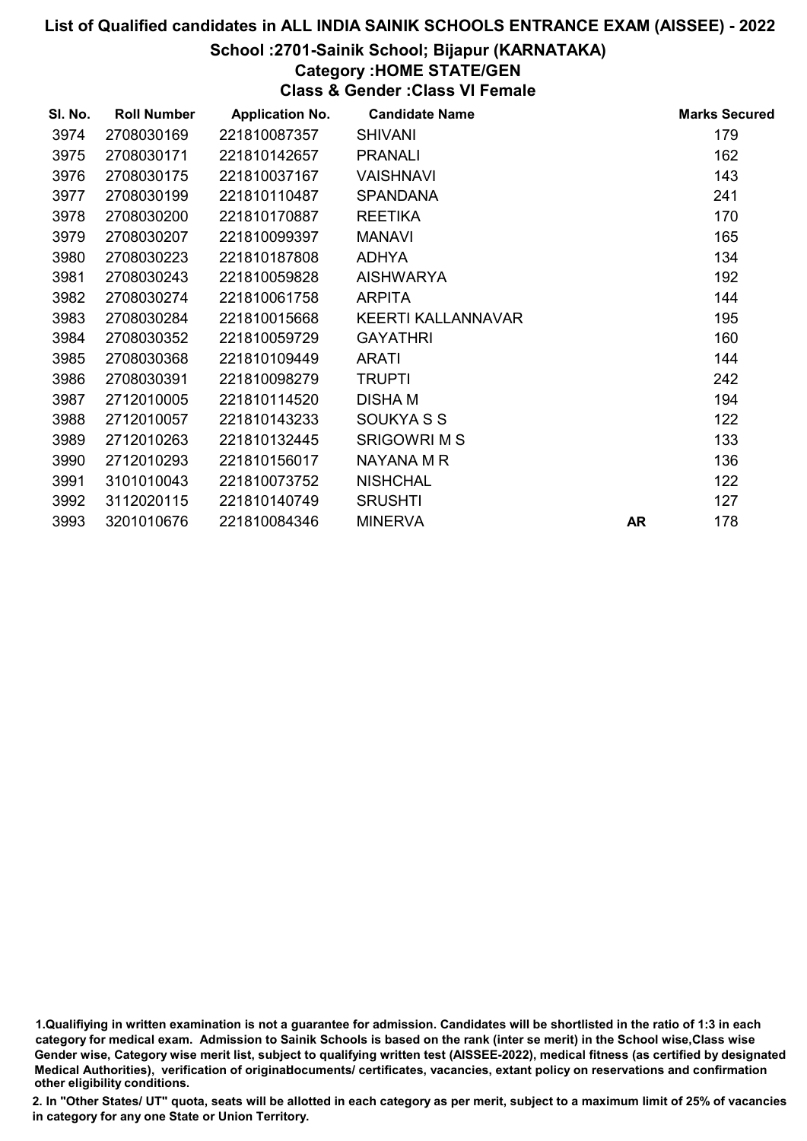## School :2701-Sainik School; Bijapur (KARNATAKA)

# Category :HOME STATE/GEN

Class & Gender :Class VI Female

| SI. No. | <b>Roll Number</b> | <b>Application No.</b> | <b>Candidate Name</b> |           | <b>Marks Secured</b> |
|---------|--------------------|------------------------|-----------------------|-----------|----------------------|
| 3974    | 2708030169         | 221810087357           | <b>SHIVANI</b>        |           | 179                  |
| 3975    | 2708030171         | 221810142657           | <b>PRANALI</b>        |           | 162                  |
| 3976    | 2708030175         | 221810037167           | <b>VAISHNAVI</b>      |           | 143                  |
| 3977    | 2708030199         | 221810110487           | <b>SPANDANA</b>       |           | 241                  |
| 3978    | 2708030200         | 221810170887           | <b>REETIKA</b>        |           | 170                  |
| 3979    | 2708030207         | 221810099397           | <b>MANAVI</b>         |           | 165                  |
| 3980    | 2708030223         | 221810187808           | <b>ADHYA</b>          |           | 134                  |
| 3981    | 2708030243         | 221810059828           | <b>AISHWARYA</b>      |           | 192                  |
| 3982    | 2708030274         | 221810061758           | <b>ARPITA</b>         |           | 144                  |
| 3983    | 2708030284         | 221810015668           | KEERTI KALLANNAVAR    |           | 195                  |
| 3984    | 2708030352         | 221810059729           | <b>GAYATHRI</b>       |           | 160                  |
| 3985    | 2708030368         | 221810109449           | <b>ARATI</b>          |           | 144                  |
| 3986    | 2708030391         | 221810098279           | <b>TRUPTI</b>         |           | 242                  |
| 3987    | 2712010005         | 221810114520           | <b>DISHAM</b>         |           | 194                  |
| 3988    | 2712010057         | 221810143233           | SOUKYA S S            |           | 122                  |
| 3989    | 2712010263         | 221810132445           | <b>SRIGOWRI M S</b>   |           | 133                  |
| 3990    | 2712010293         | 221810156017           | NAYANA M R            |           | 136                  |
| 3991    | 3101010043         | 221810073752           | <b>NISHCHAL</b>       |           | 122                  |
| 3992    | 3112020115         | 221810140749           | <b>SRUSHTI</b>        |           | 127                  |
| 3993    | 3201010676         | 221810084346           | <b>MINERVA</b>        | <b>AR</b> | 178                  |

1.Qualifiying in written examination is not a guarantee for admission. Candidates will be shortlisted in the ratio of 1:3 in each category for medical exam. Admission to Sainik Schools is based on the rank (inter se merit) in the School wise,Class wise Gender wise, Category wise merit list, subject to qualifying written test (AISSEE-2022), medical fitness (as certified by designated Medical Authorities), verification of originablocuments/ certificates, vacancies, extant policy on reservations and confirmation other eligibility conditions.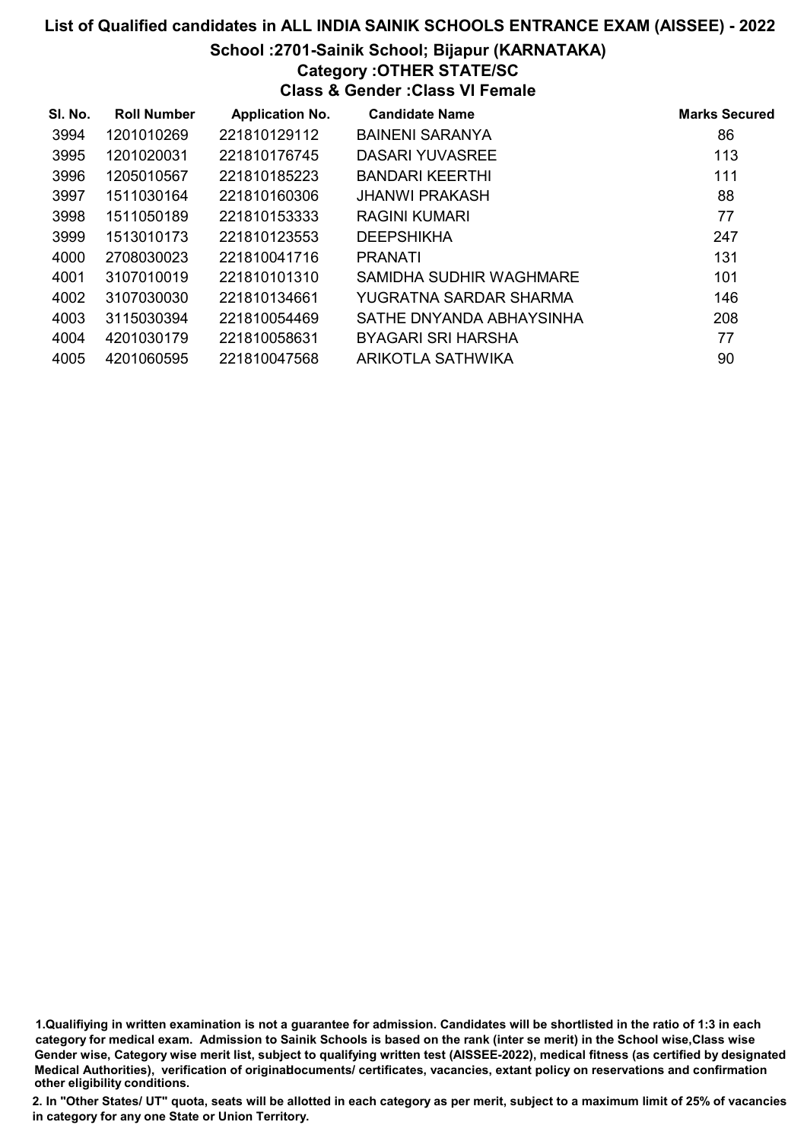## School :2701-Sainik School; Bijapur (KARNATAKA)

# Category :OTHER STATE/SC

Class & Gender :Class VI Female

| SI. No. | <b>Roll Number</b> | <b>Application No.</b> | <b>Candidate Name</b>    | <b>Marks Secured</b> |
|---------|--------------------|------------------------|--------------------------|----------------------|
| 3994    | 1201010269         | 221810129112           | <b>BAINENI SARANYA</b>   | 86                   |
| 3995    | 1201020031         | 221810176745           | <b>DASARI YUVASREE</b>   | 113                  |
| 3996    | 1205010567         | 221810185223           | <b>BANDARI KEERTHI</b>   | 111                  |
| 3997    | 1511030164         | 221810160306           | <b>JHANWI PRAKASH</b>    | 88                   |
| 3998    | 1511050189         | 221810153333           | RAGINI KUMARI            | 77                   |
| 3999    | 1513010173         | 221810123553           | <b>DEEPSHIKHA</b>        | 247                  |
| 4000    | 2708030023         | 221810041716           | <b>PRANATI</b>           | 131                  |
| 4001    | 3107010019         | 221810101310           | SAMIDHA SUDHIR WAGHMARE  | 101                  |
| 4002    | 3107030030         | 221810134661           | YUGRATNA SARDAR SHARMA   | 146                  |
| 4003    | 3115030394         | 221810054469           | SATHE DNYANDA ABHAYSINHA | 208                  |
| 4004    | 4201030179         | 221810058631           | BYAGARI SRI HARSHA       | 77                   |
| 4005    | 4201060595         | 221810047568           | ARIKOTLA SATHWIKA        | 90                   |

1.Qualifiying in written examination is not a guarantee for admission. Candidates will be shortlisted in the ratio of 1:3 in each category for medical exam. Admission to Sainik Schools is based on the rank (inter se merit) in the School wise,Class wise Gender wise, Category wise merit list, subject to qualifying written test (AISSEE-2022), medical fitness (as certified by designated Medical Authorities), verification of originablocuments/ certificates, vacancies, extant policy on reservations and confirmation other eligibility conditions.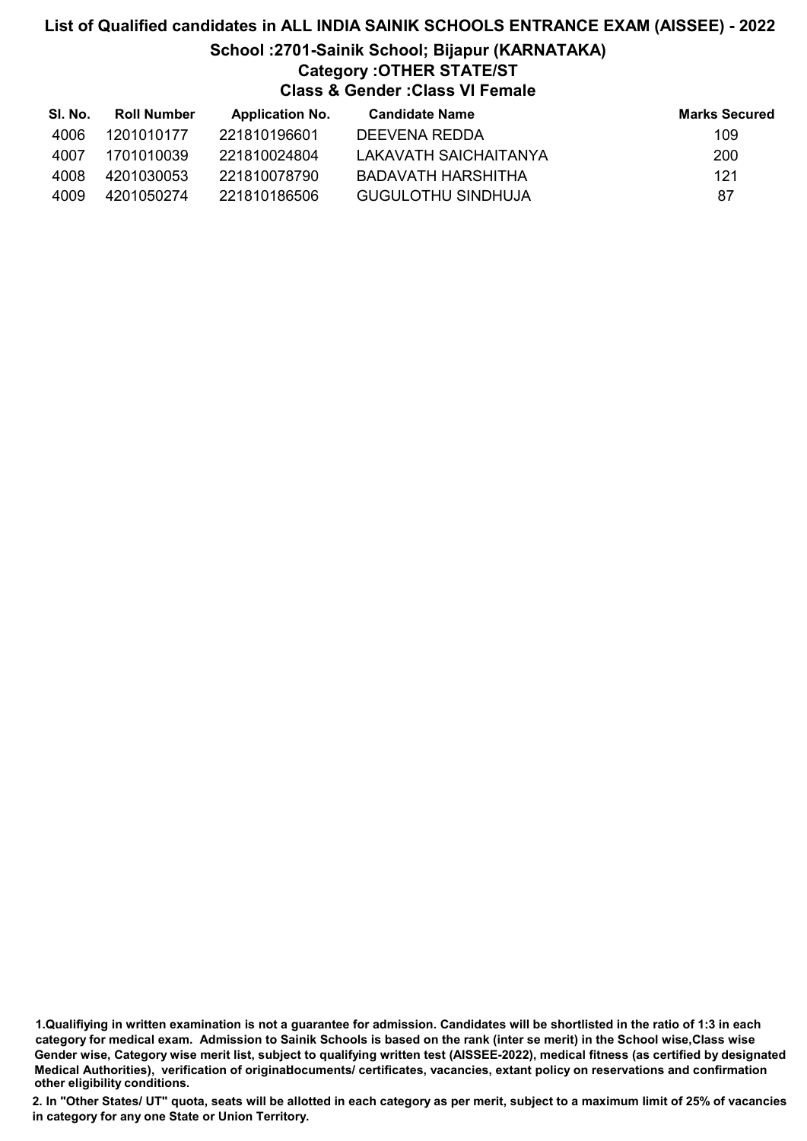## List of Qualified candidates in ALL INDIA SAINIK SCHOOLS ENTRANCE EXAM (AISSEE) - 2022 School :2701-Sainik School; Bijapur (KARNATAKA) Category :OTHER STATE/ST Class & Gender :Class VI Female

| SI. No. | <b>Roll Number</b> | <b>Application No.</b> | Candidate Name            | <b>Marks Secured</b> |
|---------|--------------------|------------------------|---------------------------|----------------------|
| 4006    | 1201010177         | 221810196601           | DEEVENA REDDA             | 109                  |
| 4007    | 1701010039         | 221810024804           | LAKAVATH SAICHAITANYA     | 200                  |
| 4008    | 4201030053         | 221810078790           | BADAVATH HARSHITHA        | 121                  |
| 4009    | 4201050274         | 221810186506           | <b>GUGULOTHU SINDHUJA</b> | 87                   |

1.Qualifiying in written examination is not a guarantee for admission. Candidates will be shortlisted in the ratio of 1:3 in each category for medical exam. Admission to Sainik Schools is based on the rank (inter se merit) in the School wise,Class wise Gender wise, Category wise merit list, subject to qualifying written test (AISSEE-2022), medical fitness (as certified by designated Medical Authorities), verification of originablocuments/ certificates, vacancies, extant policy on reservations and confirmation other eligibility conditions.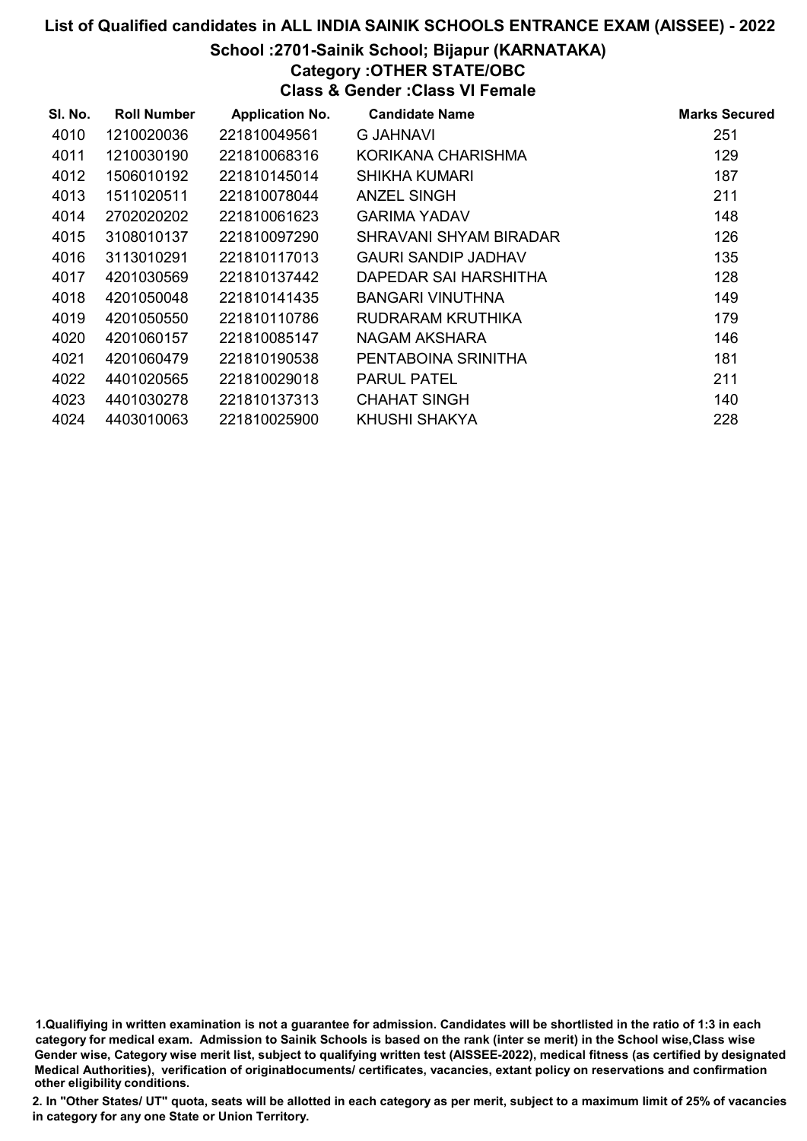# School :2701-Sainik School; Bijapur (KARNATAKA)

Category :OTHER STATE/OBC

Class & Gender :Class VI Female

| SI. No. | <b>Roll Number</b> | <b>Application No.</b> | <b>Candidate Name</b>  | <b>Marks Secured</b> |
|---------|--------------------|------------------------|------------------------|----------------------|
| 4010    | 1210020036         | 221810049561           | G JAHNAVI              | 251                  |
| 4011    | 1210030190         | 221810068316           | KORIKANA CHARISHMA     | 129                  |
| 4012    | 1506010192         | 221810145014           | SHIKHA KUMARI          | 187                  |
| 4013    | 1511020511         | 221810078044           | ANZEL SINGH            | 211                  |
| 4014    | 2702020202         | 221810061623           | <b>GARIMA YADAV</b>    | 148                  |
| 4015    | 3108010137         | 221810097290           | SHRAVANI SHYAM BIRADAR | 126                  |
| 4016    | 3113010291         | 221810117013           | GAURI SANDIP JADHAV    | 135                  |
| 4017    | 4201030569         | 221810137442           | DAPEDAR SAI HARSHITHA  | 128                  |
| 4018    | 4201050048         | 221810141435           | BANGARI VINUTHNA       | 149                  |
| 4019    | 4201050550         | 221810110786           | RUDRARAM KRUTHIKA      | 179                  |
| 4020    | 4201060157         | 221810085147           | NAGAM AKSHARA          | 146                  |
| 4021    | 4201060479         | 221810190538           | PENTABOINA SRINITHA    | 181                  |
| 4022    | 4401020565         | 221810029018           | <b>PARUL PATEL</b>     | 211                  |
| 4023    | 4401030278         | 221810137313           | <b>CHAHAT SINGH</b>    | 140                  |
| 4024    | 4403010063         | 221810025900           | KHUSHI SHAKYA          | 228                  |

1.Qualifiying in written examination is not a guarantee for admission. Candidates will be shortlisted in the ratio of 1:3 in each category for medical exam. Admission to Sainik Schools is based on the rank (inter se merit) in the School wise,Class wise Gender wise, Category wise merit list, subject to qualifying written test (AISSEE-2022), medical fitness (as certified by designated Medical Authorities), verification of originablocuments/ certificates, vacancies, extant policy on reservations and confirmation other eligibility conditions.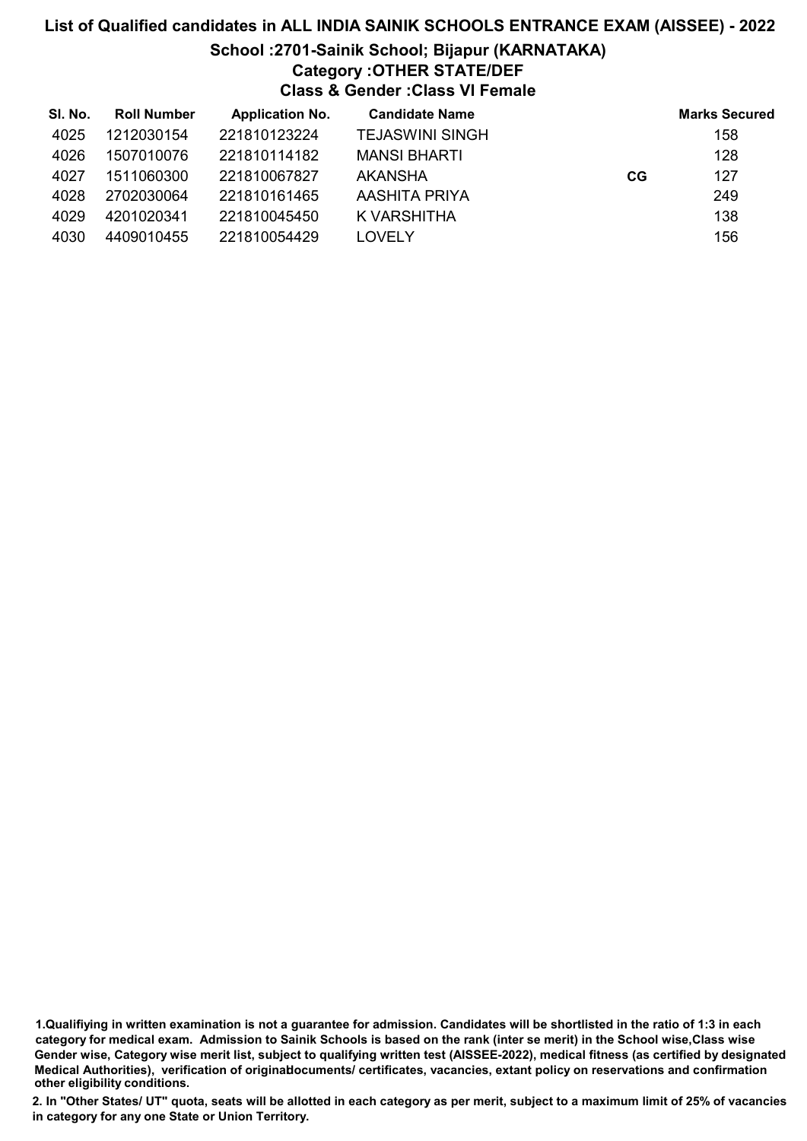# List of Qualified candidates in ALL INDIA SAINIK SCHOOLS ENTRANCE EXAM (AISSEE) - 2022 School :2701-Sainik School; Bijapur (KARNATAKA) Category :OTHER STATE/DEF Class & Gender :Class VI Female

| SI. No. | <b>Roll Number</b> | <b>Application No.</b> | <b>Candidate Name</b>  |    | <b>Marks Secured</b> |
|---------|--------------------|------------------------|------------------------|----|----------------------|
| 4025    | 1212030154         | 221810123224           | <b>TEJASWINI SINGH</b> |    | 158                  |
| 4026    | 1507010076         | 221810114182           | <b>MANSI BHARTI</b>    |    | 128                  |
| 4027    | 1511060300         | 221810067827           | AKANSHA                | CG | 127                  |
| 4028    | 2702030064         | 221810161465           | AASHITA PRIYA          |    | 249                  |
| 4029    | 4201020341         | 221810045450           | K VARSHITHA            |    | 138                  |
| 4030    | 4409010455         | 221810054429           | LOVELY                 |    | 156                  |

1.Qualifiying in written examination is not a guarantee for admission. Candidates will be shortlisted in the ratio of 1:3 in each category for medical exam. Admission to Sainik Schools is based on the rank (inter se merit) in the School wise,Class wise Gender wise, Category wise merit list, subject to qualifying written test (AISSEE-2022), medical fitness (as certified by designated Medical Authorities), verification of originablocuments/ certificates, vacancies, extant policy on reservations and confirmation other eligibility conditions.